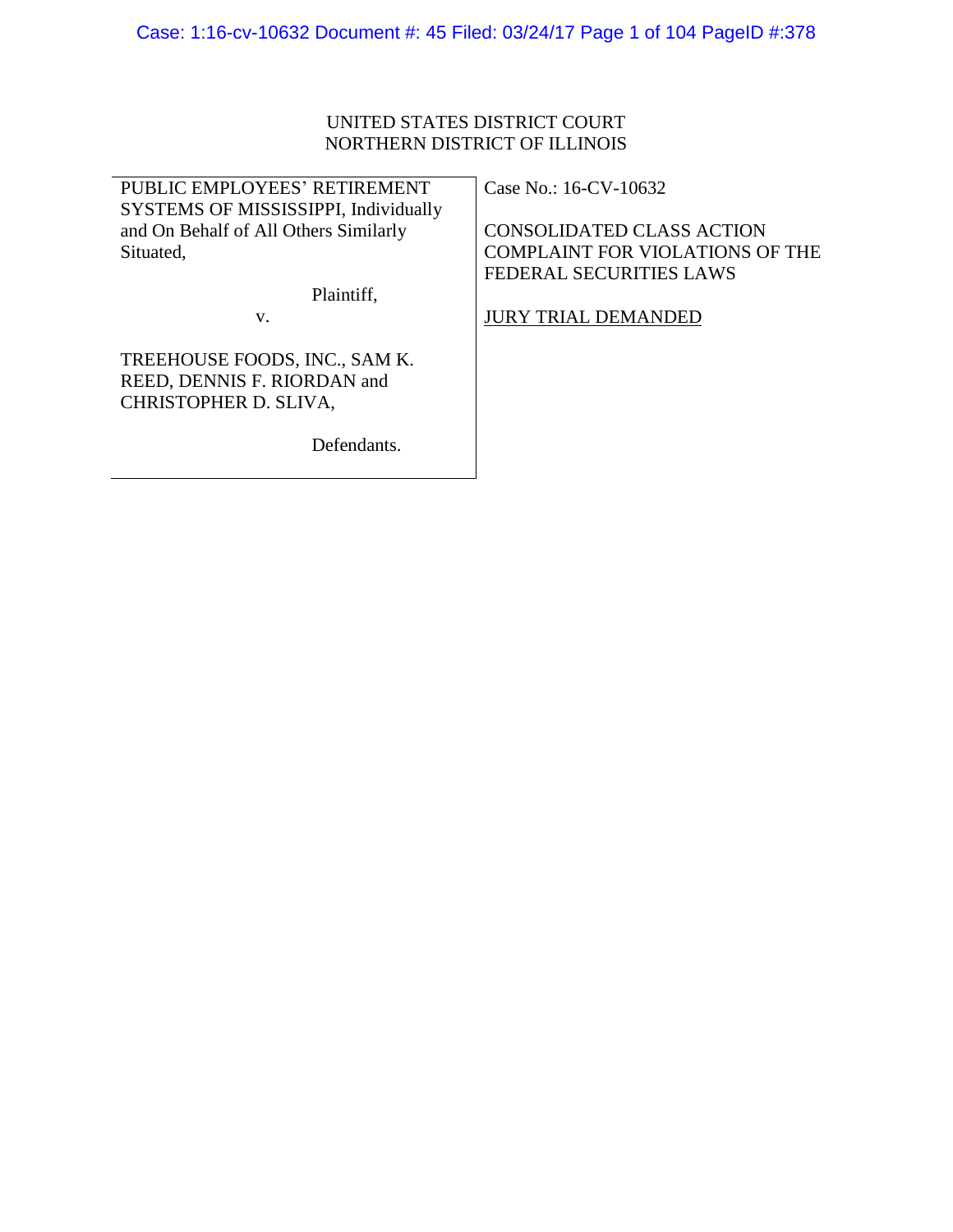# UNITED STATES DISTRICT COURT NORTHERN DISTRICT OF ILLINOIS

| PUBLIC EMPLOYEES' RETIREMENT          | Case No.: 16-CV-10632                  |
|---------------------------------------|----------------------------------------|
| SYSTEMS OF MISSISSIPPI, Individually  |                                        |
| and On Behalf of All Others Similarly | <b>CONSOLIDATED CLASS ACTION</b>       |
| Situated,                             | <b>COMPLAINT FOR VIOLATIONS OF THE</b> |
|                                       | <b>FEDERAL SECURITIES LAWS</b>         |
| Plaintiff,                            |                                        |
| V.                                    | <b>JURY TRIAL DEMANDED</b>             |
| TREEHOUSE FOODS, INC., SAM K.         |                                        |
| REED, DENNIS F. RIORDAN and           |                                        |
| CHRISTOPHER D. SLIVA,                 |                                        |
|                                       |                                        |

Defendants.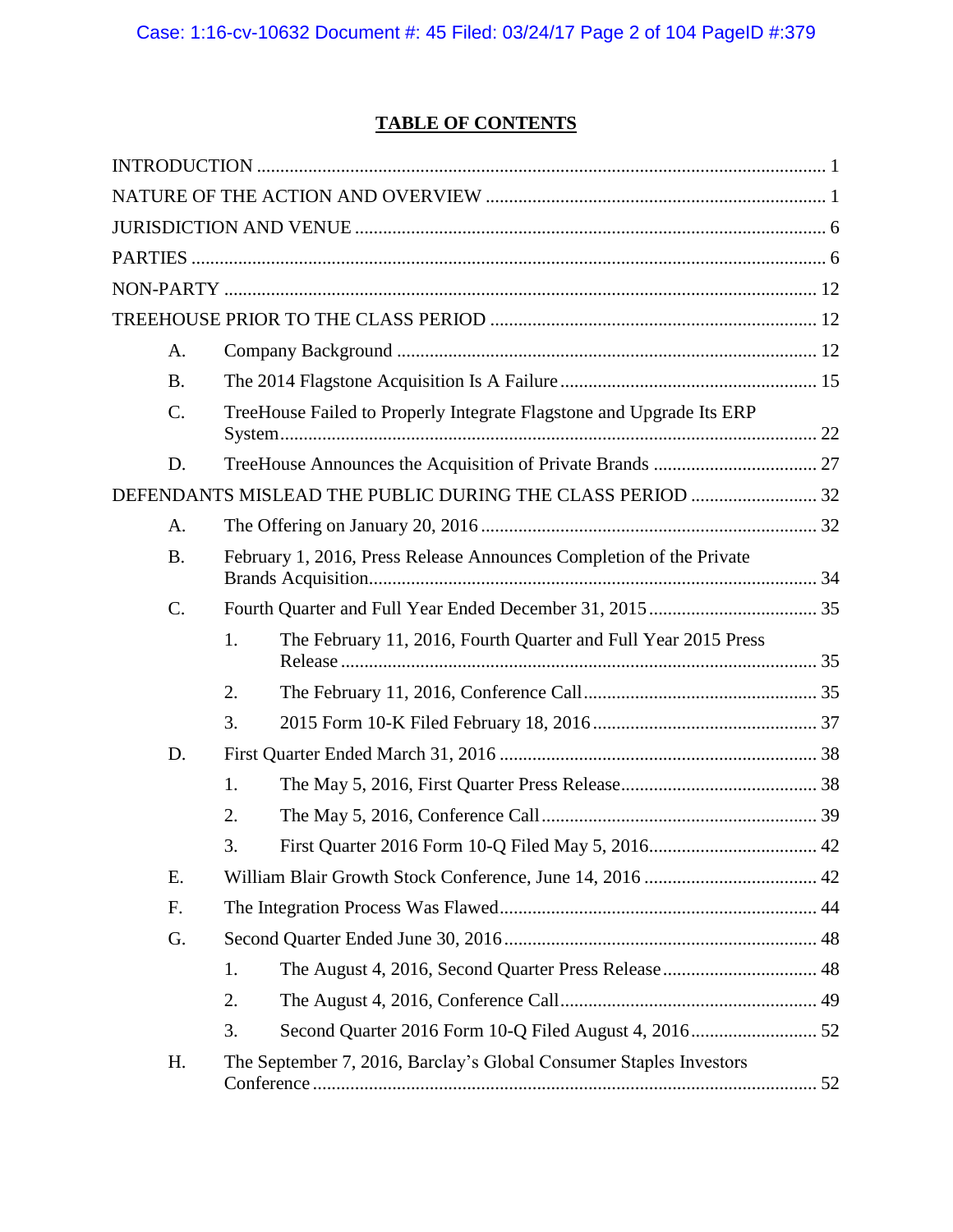# **TABLE OF CONTENTS**

| A.              |    |                                                                      |  |
|-----------------|----|----------------------------------------------------------------------|--|
| <b>B.</b>       |    |                                                                      |  |
| $\mathcal{C}$ . |    | TreeHouse Failed to Properly Integrate Flagstone and Upgrade Its ERP |  |
| D.              |    |                                                                      |  |
|                 |    | DEFENDANTS MISLEAD THE PUBLIC DURING THE CLASS PERIOD  32            |  |
| A.              |    |                                                                      |  |
| <b>B.</b>       |    | February 1, 2016, Press Release Announces Completion of the Private  |  |
| $\mathcal{C}$ . |    |                                                                      |  |
|                 | 1. | The February 11, 2016, Fourth Quarter and Full Year 2015 Press       |  |
|                 | 2. |                                                                      |  |
|                 | 3. |                                                                      |  |
| D.              |    |                                                                      |  |
|                 | 1. |                                                                      |  |
|                 | 2. |                                                                      |  |
|                 | 3. |                                                                      |  |
| E.              |    |                                                                      |  |
| F.              |    |                                                                      |  |
| G.              |    |                                                                      |  |
|                 | 1. |                                                                      |  |
|                 | 2. |                                                                      |  |
|                 | 3. |                                                                      |  |
| H.              |    | The September 7, 2016, Barclay's Global Consumer Staples Investors   |  |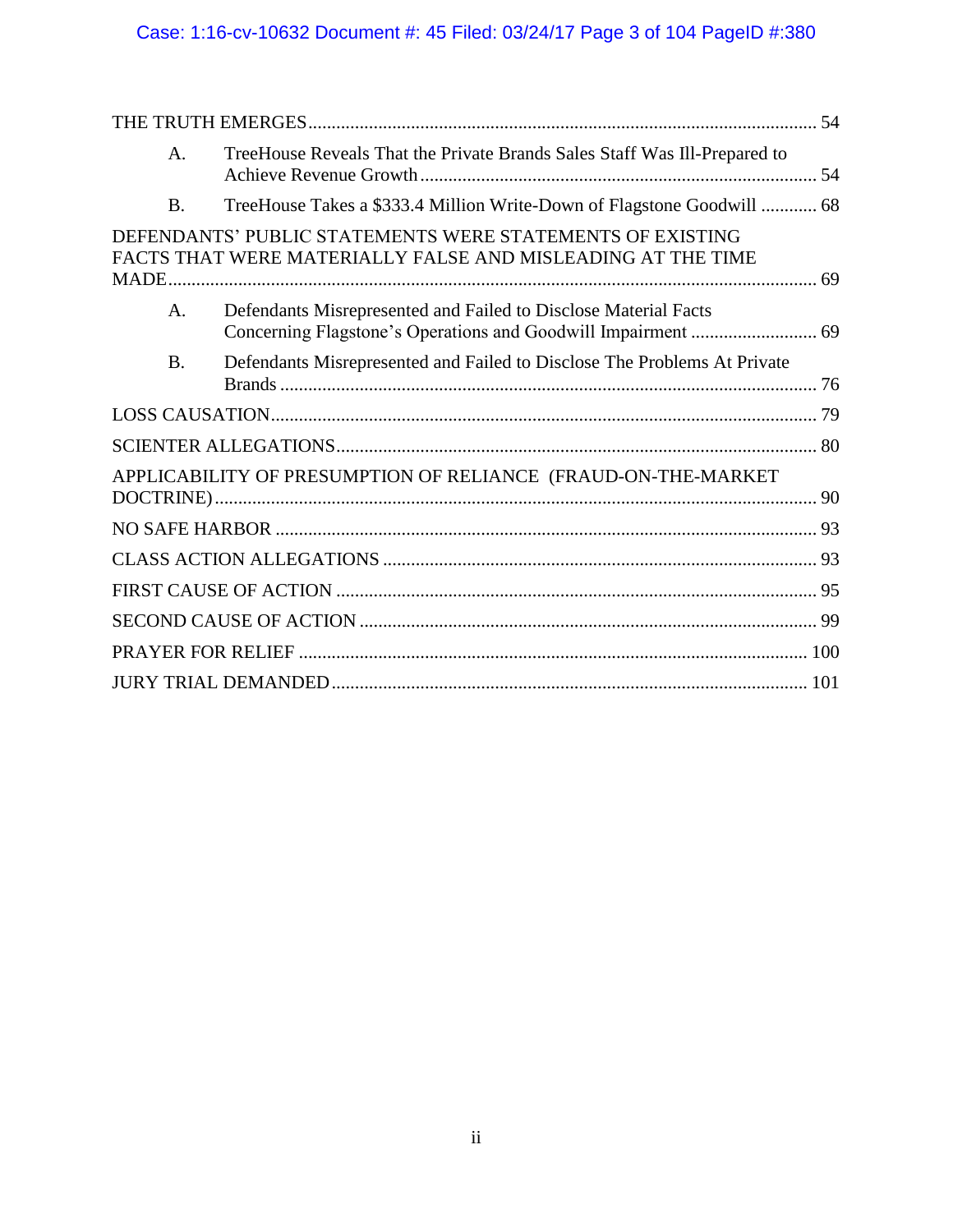# Case: 1:16-cv-10632 Document #: 45 Filed: 03/24/17 Page 3 of 104 PageID #:380

| $\mathsf{A}$ . | TreeHouse Reveals That the Private Brands Sales Staff Was Ill-Prepared to                                                |  |
|----------------|--------------------------------------------------------------------------------------------------------------------------|--|
| <b>B.</b>      | TreeHouse Takes a \$333.4 Million Write-Down of Flagstone Goodwill  68                                                   |  |
|                | DEFENDANTS' PUBLIC STATEMENTS WERE STATEMENTS OF EXISTING<br>FACTS THAT WERE MATERIALLY FALSE AND MISLEADING AT THE TIME |  |
| A.             | Defendants Misrepresented and Failed to Disclose Material Facts                                                          |  |
| <b>B.</b>      | Defendants Misrepresented and Failed to Disclose The Problems At Private                                                 |  |
|                |                                                                                                                          |  |
|                |                                                                                                                          |  |
|                | APPLICABILITY OF PRESUMPTION OF RELIANCE (FRAUD-ON-THE-MARKET                                                            |  |
|                |                                                                                                                          |  |
|                |                                                                                                                          |  |
|                |                                                                                                                          |  |
|                |                                                                                                                          |  |
|                |                                                                                                                          |  |
|                |                                                                                                                          |  |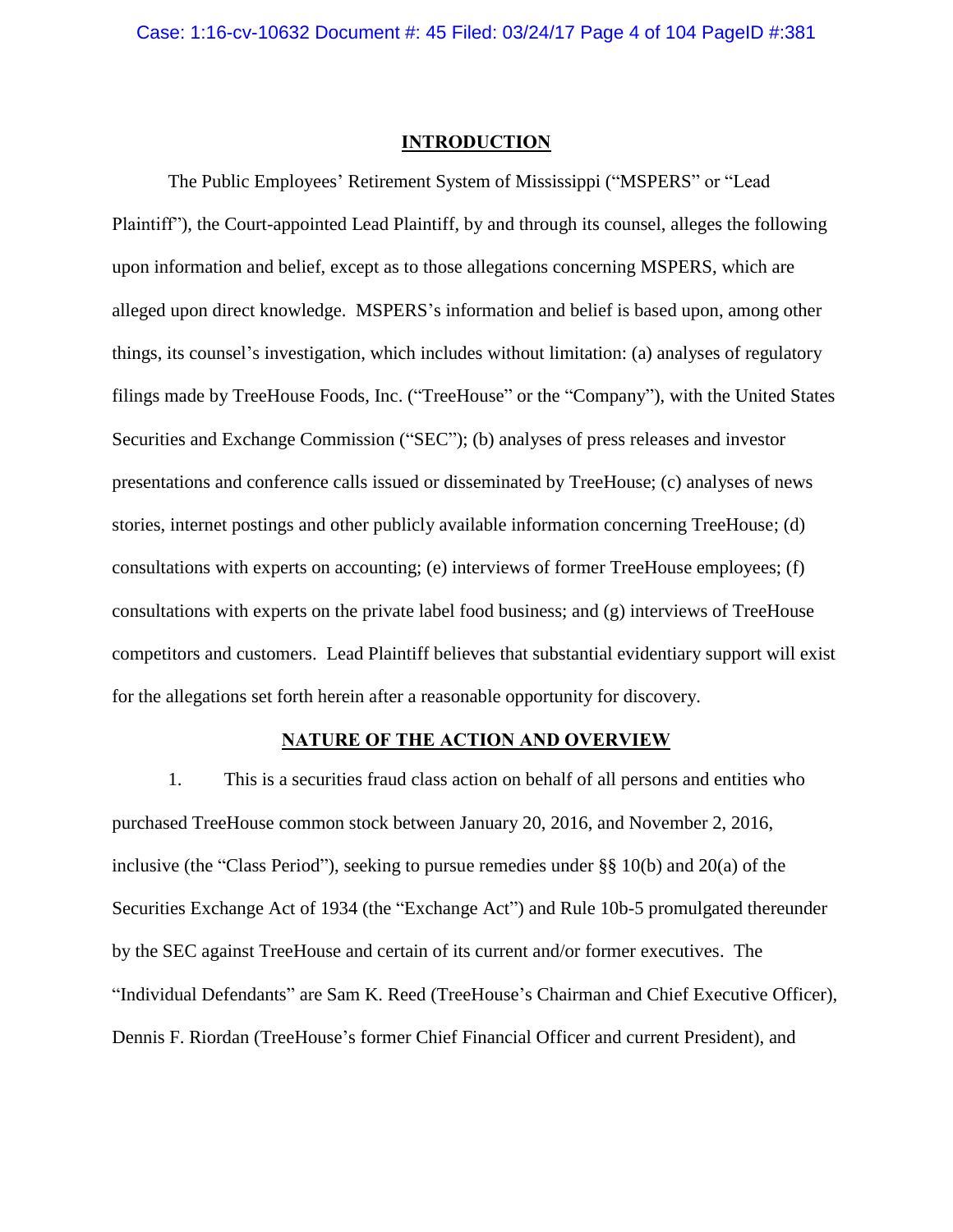## **INTRODUCTION**

<span id="page-3-0"></span>The Public Employees' Retirement System of Mississippi ("MSPERS" or "Lead Plaintiff"), the Court-appointed Lead Plaintiff, by and through its counsel, alleges the following upon information and belief, except as to those allegations concerning MSPERS, which are alleged upon direct knowledge. MSPERS's information and belief is based upon, among other things, its counsel's investigation, which includes without limitation: (a) analyses of regulatory filings made by TreeHouse Foods, Inc. ("TreeHouse" or the "Company"), with the United States Securities and Exchange Commission ("SEC"); (b) analyses of press releases and investor presentations and conference calls issued or disseminated by TreeHouse; (c) analyses of news stories, internet postings and other publicly available information concerning TreeHouse; (d) consultations with experts on accounting; (e) interviews of former TreeHouse employees; (f) consultations with experts on the private label food business; and (g) interviews of TreeHouse competitors and customers. Lead Plaintiff believes that substantial evidentiary support will exist for the allegations set forth herein after a reasonable opportunity for discovery.

## **NATURE OF THE ACTION AND OVERVIEW**

<span id="page-3-1"></span>1. This is a securities fraud class action on behalf of all persons and entities who purchased TreeHouse common stock between January 20, 2016, and November 2, 2016, inclusive (the "Class Period"), seeking to pursue remedies under §§ 10(b) and 20(a) of the Securities Exchange Act of 1934 (the "Exchange Act") and Rule 10b-5 promulgated thereunder by the SEC against TreeHouse and certain of its current and/or former executives. The "Individual Defendants" are Sam K. Reed (TreeHouse's Chairman and Chief Executive Officer), Dennis F. Riordan (TreeHouse's former Chief Financial Officer and current President), and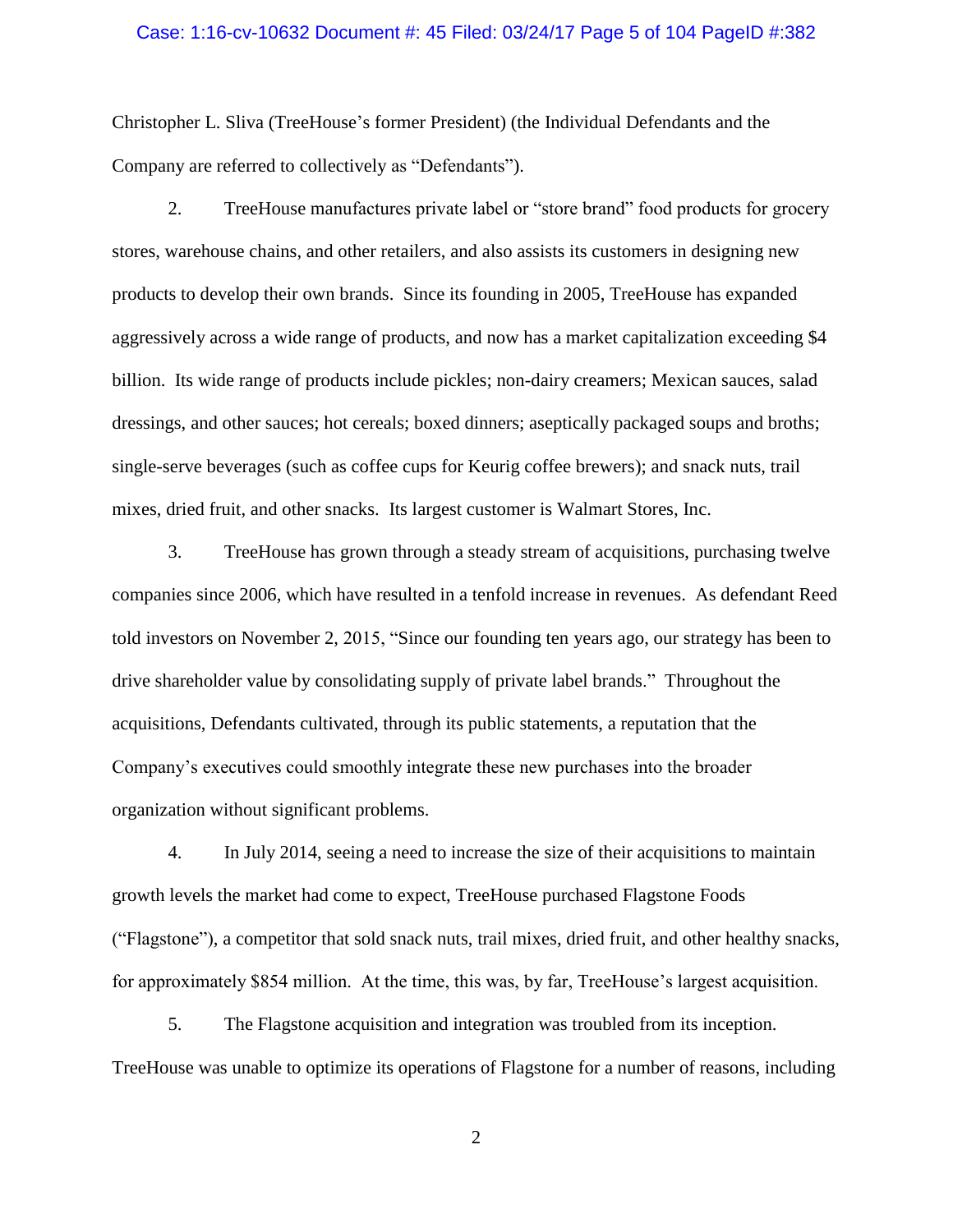#### Case: 1:16-cv-10632 Document #: 45 Filed: 03/24/17 Page 5 of 104 PageID #:382

Christopher L. Sliva (TreeHouse's former President) (the Individual Defendants and the Company are referred to collectively as "Defendants").

2. TreeHouse manufactures private label or "store brand" food products for grocery stores, warehouse chains, and other retailers, and also assists its customers in designing new products to develop their own brands. Since its founding in 2005, TreeHouse has expanded aggressively across a wide range of products, and now has a market capitalization exceeding \$4 billion. Its wide range of products include pickles; non-dairy creamers; Mexican sauces, salad dressings, and other sauces; hot cereals; boxed dinners; aseptically packaged soups and broths; single-serve beverages (such as coffee cups for Keurig coffee brewers); and snack nuts, trail mixes, dried fruit, and other snacks. Its largest customer is Walmart Stores, Inc.

3. TreeHouse has grown through a steady stream of acquisitions, purchasing twelve companies since 2006, which have resulted in a tenfold increase in revenues. As defendant Reed told investors on November 2, 2015, "Since our founding ten years ago, our strategy has been to drive shareholder value by consolidating supply of private label brands." Throughout the acquisitions, Defendants cultivated, through its public statements, a reputation that the Company's executives could smoothly integrate these new purchases into the broader organization without significant problems.

4. In July 2014, seeing a need to increase the size of their acquisitions to maintain growth levels the market had come to expect, TreeHouse purchased Flagstone Foods ("Flagstone"), a competitor that sold snack nuts, trail mixes, dried fruit, and other healthy snacks, for approximately \$854 million. At the time, this was, by far, TreeHouse's largest acquisition.

5. The Flagstone acquisition and integration was troubled from its inception. TreeHouse was unable to optimize its operations of Flagstone for a number of reasons, including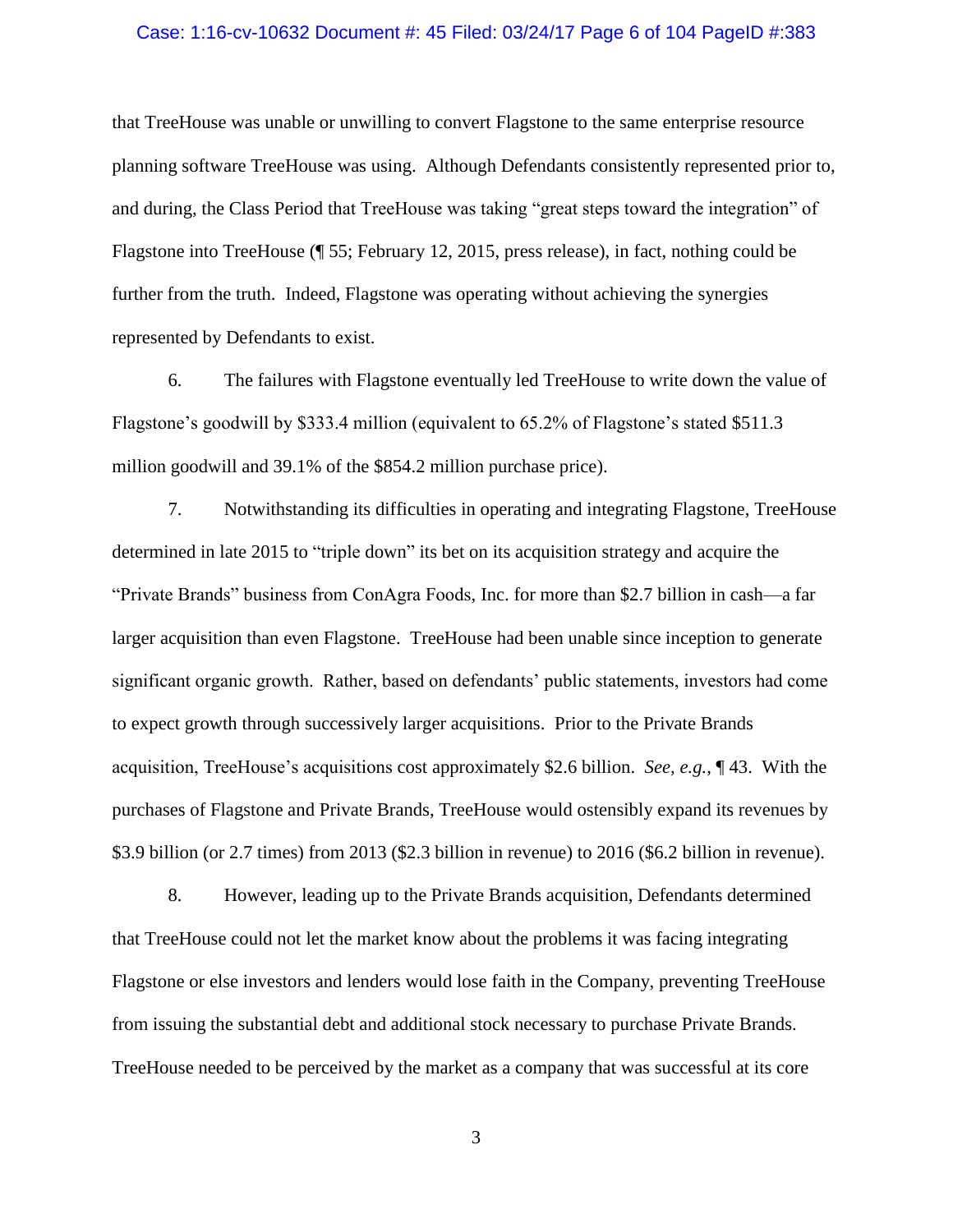#### Case: 1:16-cv-10632 Document #: 45 Filed: 03/24/17 Page 6 of 104 PageID #:383

that TreeHouse was unable or unwilling to convert Flagstone to the same enterprise resource planning software TreeHouse was using. Although Defendants consistently represented prior to, and during, the Class Period that TreeHouse was taking "great steps toward the integration" of Flagstone into TreeHouse (¶ [55;](#page-18-0) February 12, 2015, press release), in fact, nothing could be further from the truth. Indeed, Flagstone was operating without achieving the synergies represented by Defendants to exist.

6. The failures with Flagstone eventually led TreeHouse to write down the value of Flagstone's goodwill by \$333.4 million (equivalent to 65.2% of Flagstone's stated \$511.3 million goodwill and 39.1% of the \$854.2 million purchase price).

7. Notwithstanding its difficulties in operating and integrating Flagstone, TreeHouse determined in late 2015 to "triple down" its bet on its acquisition strategy and acquire the "Private Brands" business from ConAgra Foods, Inc. for more than \$2.7 billion in cash—a far larger acquisition than even Flagstone. TreeHouse had been unable since inception to generate significant organic growth. Rather, based on defendants' public statements, investors had come to expect growth through successively larger acquisitions. Prior to the Private Brands acquisition, TreeHouse's acquisitions cost approximately \$2.6 billion. *See, e.g.*, ¶ [43.](#page-15-0) With the purchases of Flagstone and Private Brands, TreeHouse would ostensibly expand its revenues by \$3.9 billion (or 2.7 times) from 2013 (\$2.3 billion in revenue) to 2016 (\$6.2 billion in revenue).

8. However, leading up to the Private Brands acquisition, Defendants determined that TreeHouse could not let the market know about the problems it was facing integrating Flagstone or else investors and lenders would lose faith in the Company, preventing TreeHouse from issuing the substantial debt and additional stock necessary to purchase Private Brands. TreeHouse needed to be perceived by the market as a company that was successful at its core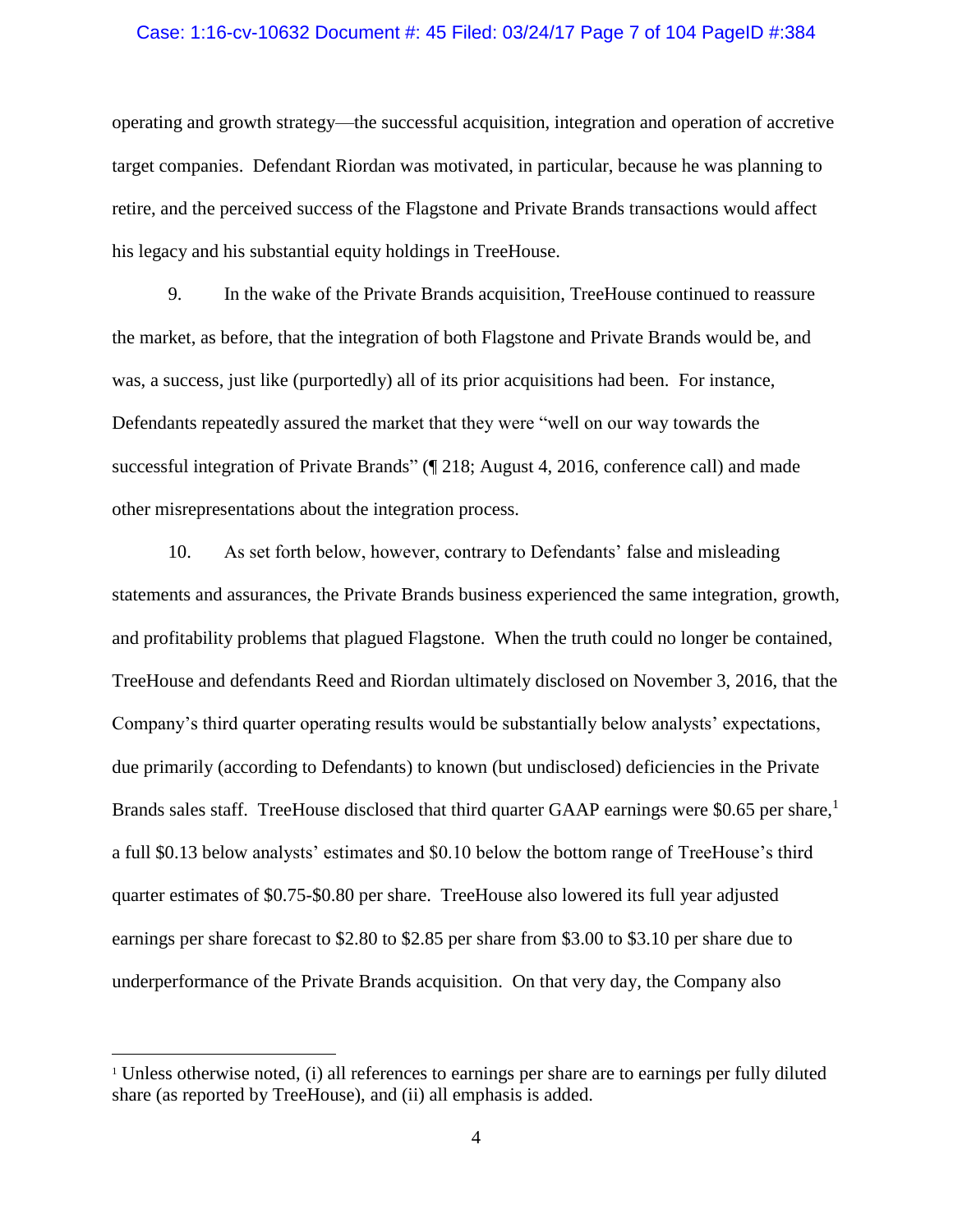#### Case: 1:16-cv-10632 Document #: 45 Filed: 03/24/17 Page 7 of 104 PageID #:384

operating and growth strategy—the successful acquisition, integration and operation of accretive target companies. Defendant Riordan was motivated, in particular, because he was planning to retire, and the perceived success of the Flagstone and Private Brands transactions would affect his legacy and his substantial equity holdings in TreeHouse.

9. In the wake of the Private Brands acquisition, TreeHouse continued to reassure the market, as before, that the integration of both Flagstone and Private Brands would be, and was, a success, just like (purportedly) all of its prior acquisitions had been. For instance, Defendants repeatedly assured the market that they were "well on our way towards the successful integration of Private Brands" (¶ [218;](#page-53-0) August 4, 2016, conference call) and made other misrepresentations about the integration process.

10. As set forth below, however, contrary to Defendants' false and misleading statements and assurances, the Private Brands business experienced the same integration, growth, and profitability problems that plagued Flagstone. When the truth could no longer be contained, TreeHouse and defendants Reed and Riordan ultimately disclosed on November 3, 2016, that the Company's third quarter operating results would be substantially below analysts' expectations, due primarily (according to Defendants) to known (but undisclosed) deficiencies in the Private Brands sales staff. TreeHouse disclosed that third quarter GAAP earnings were \$0.65 per share,<sup>1</sup> a full \$0.13 below analysts' estimates and \$0.10 below the bottom range of TreeHouse's third quarter estimates of \$0.75-\$0.80 per share. TreeHouse also lowered its full year adjusted earnings per share forecast to \$2.80 to \$2.85 per share from \$3.00 to \$3.10 per share due to underperformance of the Private Brands acquisition. On that very day, the Company also

 $\overline{a}$ 

<sup>&</sup>lt;sup>1</sup> Unless otherwise noted, (i) all references to earnings per share are to earnings per fully diluted share (as reported by TreeHouse), and (ii) all emphasis is added.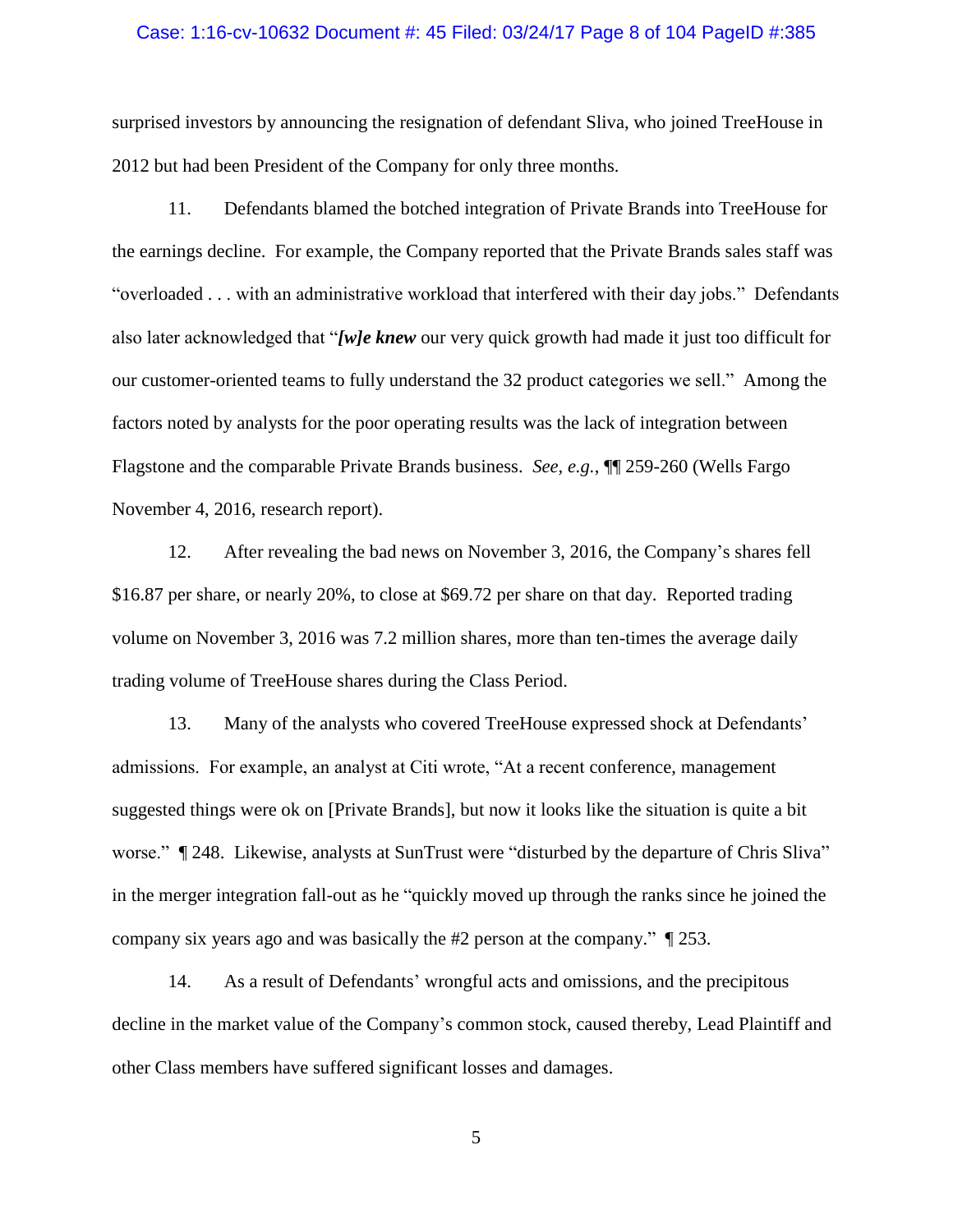#### Case: 1:16-cv-10632 Document #: 45 Filed: 03/24/17 Page 8 of 104 PageID #:385

surprised investors by announcing the resignation of defendant Sliva, who joined TreeHouse in 2012 but had been President of the Company for only three months.

11. Defendants blamed the botched integration of Private Brands into TreeHouse for the earnings decline. For example, the Company reported that the Private Brands sales staff was "overloaded . . . with an administrative workload that interfered with their day jobs." Defendants also later acknowledged that "*[w]e knew* our very quick growth had made it just too difficult for our customer-oriented teams to fully understand the 32 product categories we sell." Among the factors noted by analysts for the poor operating results was the lack of integration between Flagstone and the comparable Private Brands business. *See, e.g.*, ¶¶ [259](#page-66-0)[-260](#page-66-1) (Wells Fargo November 4, 2016, research report).

12. After revealing the bad news on November 3, 2016, the Company's shares fell \$16.87 per share, or nearly 20%, to close at \$69.72 per share on that day. Reported trading volume on November 3, 2016 was 7.2 million shares, more than ten-times the average daily trading volume of TreeHouse shares during the Class Period.

13. Many of the analysts who covered TreeHouse expressed shock at Defendants' admissions. For example, an analyst at Citi wrote, "At a recent conference, management suggested things were ok on [Private Brands], but now it looks like the situation is quite a bit worse."  $\parallel$  [248.](#page-63-0) Likewise, analysts at SunTrust were "disturbed by the departure of Chris Sliva" in the merger integration fall-out as he "quickly moved up through the ranks since he joined the company six years ago and was basically the #2 person at the company." ¶ [253.](#page-64-0)

14. As a result of Defendants' wrongful acts and omissions, and the precipitous decline in the market value of the Company's common stock, caused thereby, Lead Plaintiff and other Class members have suffered significant losses and damages.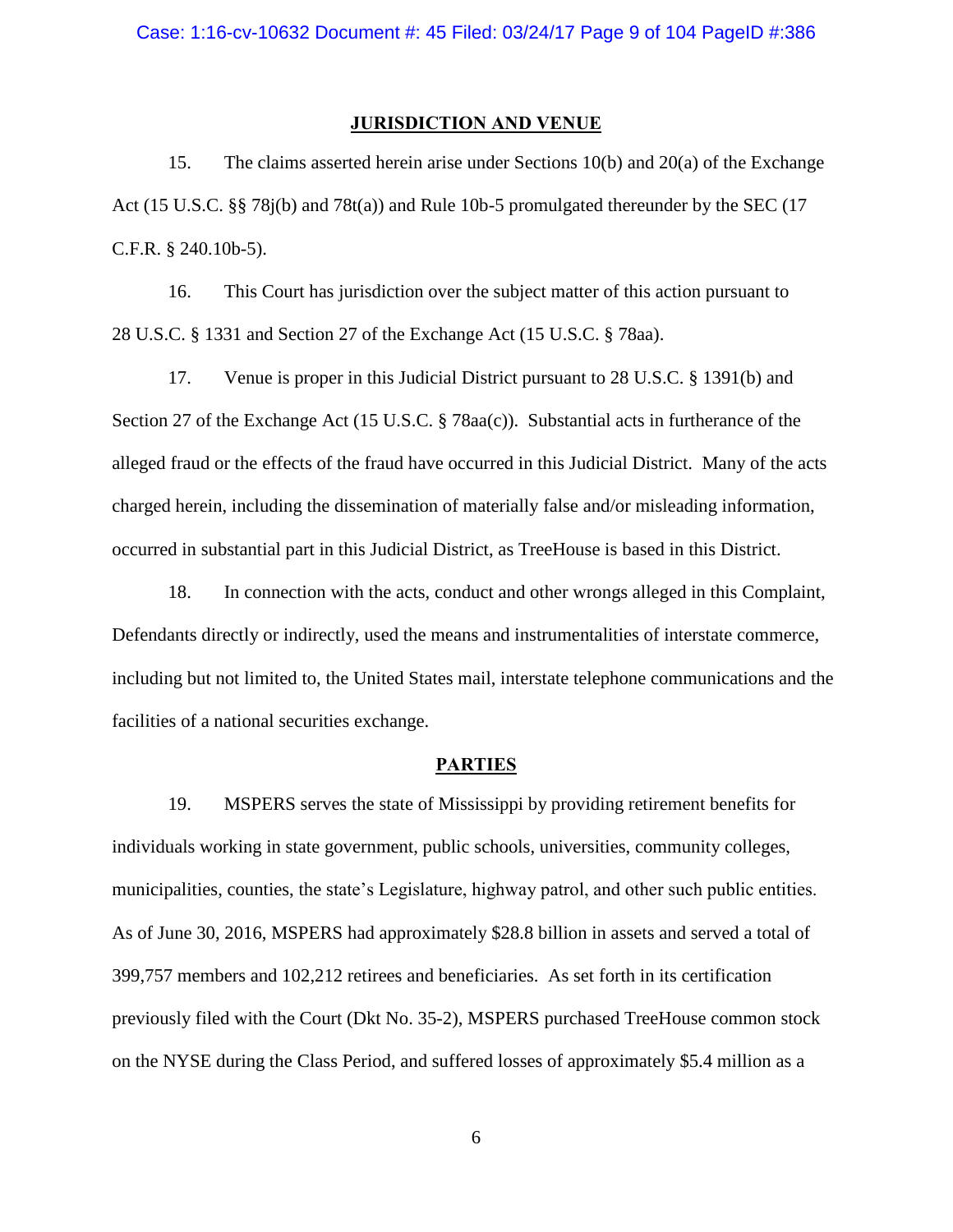## **JURISDICTION AND VENUE**

<span id="page-8-0"></span>15. The claims asserted herein arise under Sections 10(b) and 20(a) of the Exchange Act (15 U.S.C. §§ 78j(b) and 78t(a)) and Rule 10b-5 promulgated thereunder by the SEC (17 C.F.R. § 240.10b-5).

16. This Court has jurisdiction over the subject matter of this action pursuant to 28 U.S.C. § 1331 and Section 27 of the Exchange Act (15 U.S.C. § 78aa).

17. Venue is proper in this Judicial District pursuant to 28 U.S.C. § 1391(b) and Section 27 of the Exchange Act (15 U.S.C. § 78aa(c)). Substantial acts in furtherance of the alleged fraud or the effects of the fraud have occurred in this Judicial District. Many of the acts charged herein, including the dissemination of materially false and/or misleading information, occurred in substantial part in this Judicial District, as TreeHouse is based in this District.

18. In connection with the acts, conduct and other wrongs alleged in this Complaint, Defendants directly or indirectly, used the means and instrumentalities of interstate commerce, including but not limited to, the United States mail, interstate telephone communications and the facilities of a national securities exchange.

## **PARTIES**

<span id="page-8-1"></span>19. MSPERS serves the state of Mississippi by providing retirement benefits for individuals working in state government, public schools, universities, community colleges, municipalities, counties, the state's Legislature, highway patrol, and other such public entities. As of June 30, 2016, MSPERS had approximately \$28.8 billion in assets and served a total of 399,757 members and 102,212 retirees and beneficiaries. As set forth in its certification previously filed with the Court (Dkt No. 35-2), MSPERS purchased TreeHouse common stock on the NYSE during the Class Period, and suffered losses of approximately \$5.4 million as a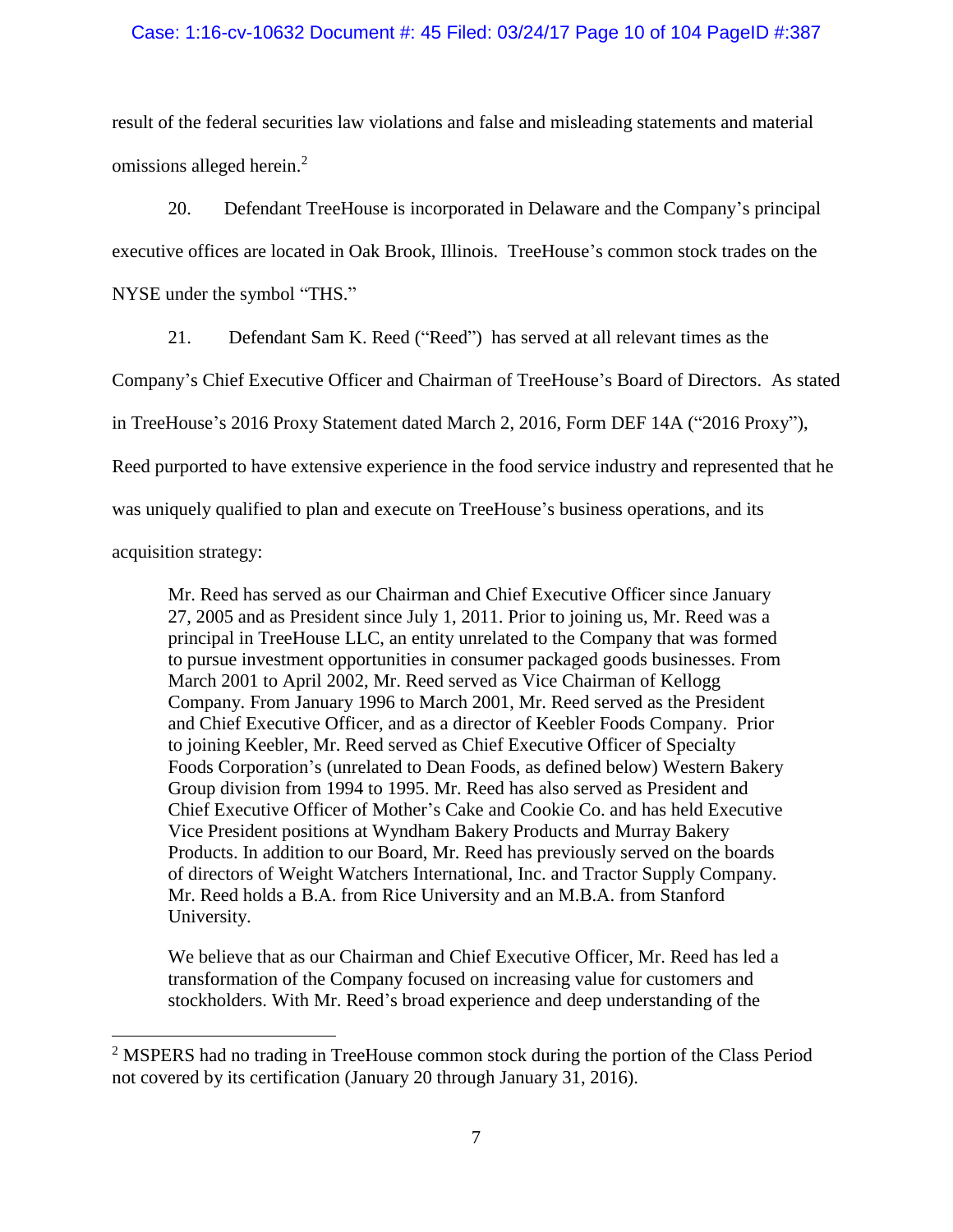## Case: 1:16-cv-10632 Document #: 45 Filed: 03/24/17 Page 10 of 104 PageID #:387

result of the federal securities law violations and false and misleading statements and material omissions alleged herein.<sup>2</sup>

20. Defendant TreeHouse is incorporated in Delaware and the Company's principal executive offices are located in Oak Brook, Illinois. TreeHouse's common stock trades on the NYSE under the symbol "THS."

21. Defendant Sam K. Reed ("Reed") has served at all relevant times as the

Company's Chief Executive Officer and Chairman of TreeHouse's Board of Directors. As stated

in TreeHouse's 2016 Proxy Statement dated March 2, 2016, Form DEF 14A ("2016 Proxy"),

Reed purported to have extensive experience in the food service industry and represented that he

was uniquely qualified to plan and execute on TreeHouse's business operations, and its

acquisition strategy:

 $\overline{a}$ 

Mr. Reed has served as our Chairman and Chief Executive Officer since January 27, 2005 and as President since July 1, 2011. Prior to joining us, Mr. Reed was a principal in TreeHouse LLC, an entity unrelated to the Company that was formed to pursue investment opportunities in consumer packaged goods businesses. From March 2001 to April 2002, Mr. Reed served as Vice Chairman of Kellogg Company. From January 1996 to March 2001, Mr. Reed served as the President and Chief Executive Officer, and as a director of Keebler Foods Company. Prior to joining Keebler, Mr. Reed served as Chief Executive Officer of Specialty Foods Corporation's (unrelated to Dean Foods, as defined below) Western Bakery Group division from 1994 to 1995. Mr. Reed has also served as President and Chief Executive Officer of Mother's Cake and Cookie Co. and has held Executive Vice President positions at Wyndham Bakery Products and Murray Bakery Products. In addition to our Board, Mr. Reed has previously served on the boards of directors of Weight Watchers International, Inc. and Tractor Supply Company. Mr. Reed holds a B.A. from Rice University and an M.B.A. from Stanford University.

We believe that as our Chairman and Chief Executive Officer, Mr. Reed has led a transformation of the Company focused on increasing value for customers and stockholders. With Mr. Reed's broad experience and deep understanding of the

<sup>&</sup>lt;sup>2</sup> MSPERS had no trading in TreeHouse common stock during the portion of the Class Period not covered by its certification (January 20 through January 31, 2016).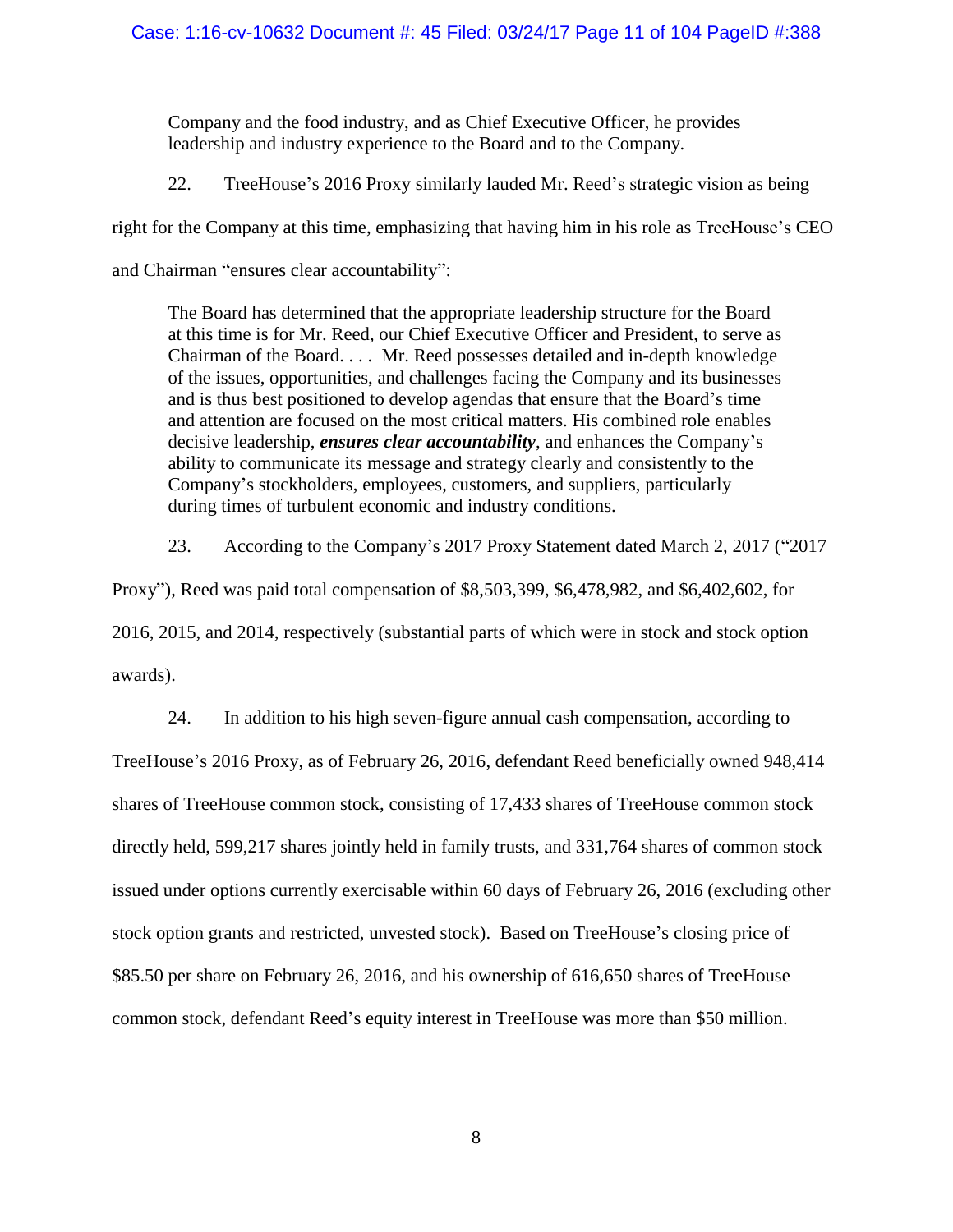Company and the food industry, and as Chief Executive Officer, he provides leadership and industry experience to the Board and to the Company.

22. TreeHouse's 2016 Proxy similarly lauded Mr. Reed's strategic vision as being

right for the Company at this time, emphasizing that having him in his role as TreeHouse's CEO

and Chairman "ensures clear accountability":

The Board has determined that the appropriate leadership structure for the Board at this time is for Mr. Reed, our Chief Executive Officer and President, to serve as Chairman of the Board. . . . Mr. Reed possesses detailed and in-depth knowledge of the issues, opportunities, and challenges facing the Company and its businesses and is thus best positioned to develop agendas that ensure that the Board's time and attention are focused on the most critical matters. His combined role enables decisive leadership, *ensures clear accountability*, and enhances the Company's ability to communicate its message and strategy clearly and consistently to the Company's stockholders, employees, customers, and suppliers, particularly during times of turbulent economic and industry conditions.

23. According to the Company's 2017 Proxy Statement dated March 2, 2017 ("2017

Proxy"), Reed was paid total compensation of \$8,503,399, \$6,478,982, and \$6,402,602, for 2016, 2015, and 2014, respectively (substantial parts of which were in stock and stock option awards).

24. In addition to his high seven-figure annual cash compensation, according to TreeHouse's 2016 Proxy, as of February 26, 2016, defendant Reed beneficially owned 948,414 shares of TreeHouse common stock, consisting of 17,433 shares of TreeHouse common stock directly held, 599,217 shares jointly held in family trusts, and 331,764 shares of common stock issued under options currently exercisable within 60 days of February 26, 2016 (excluding other stock option grants and restricted, unvested stock). Based on TreeHouse's closing price of \$85.50 per share on February 26, 2016, and his ownership of 616,650 shares of TreeHouse common stock, defendant Reed's equity interest in TreeHouse was more than \$50 million.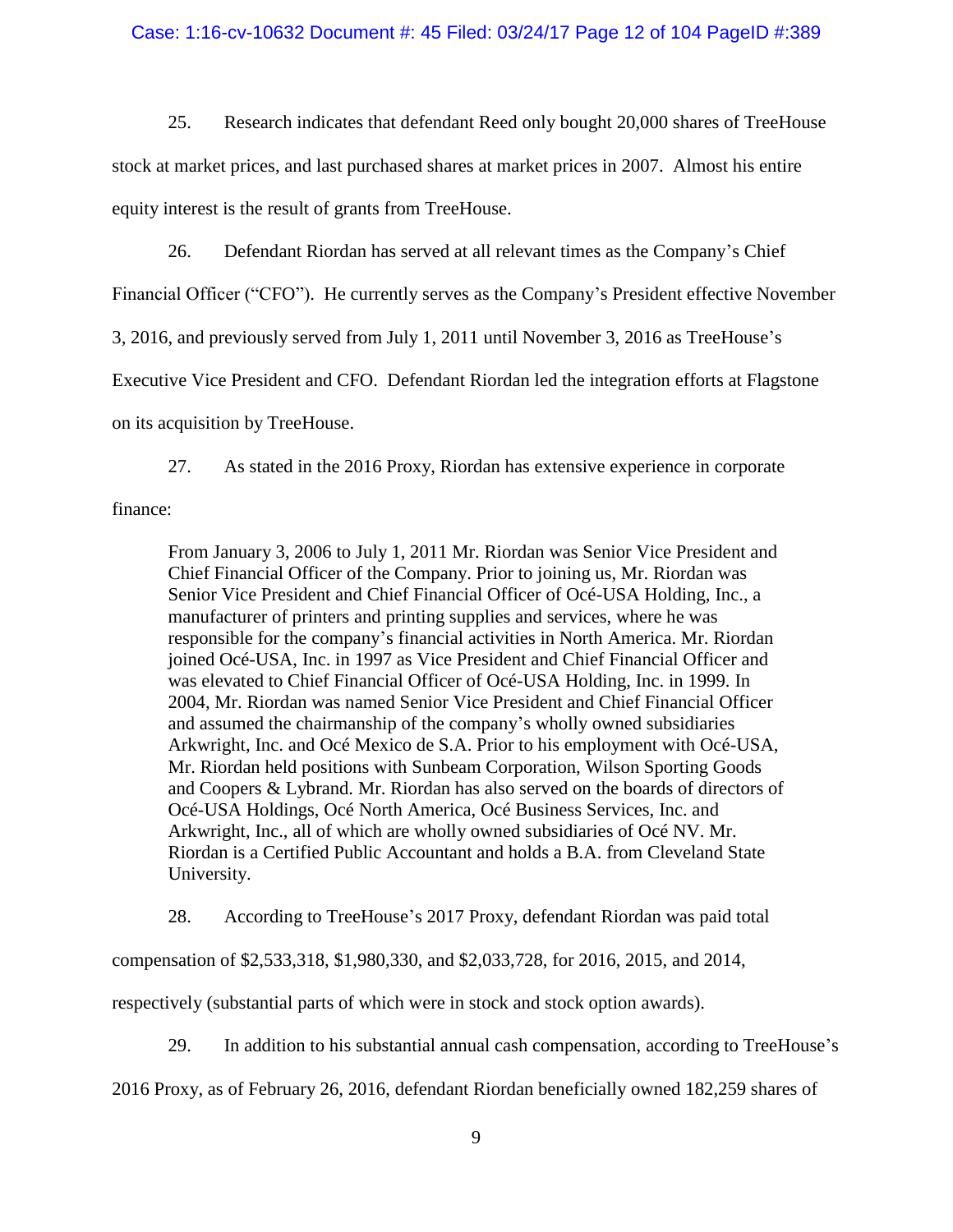## Case: 1:16-cv-10632 Document #: 45 Filed: 03/24/17 Page 12 of 104 PageID #:389

25. Research indicates that defendant Reed only bought 20,000 shares of TreeHouse

stock at market prices, and last purchased shares at market prices in 2007. Almost his entire

equity interest is the result of grants from TreeHouse.

26. Defendant Riordan has served at all relevant times as the Company's Chief

Financial Officer ("CFO"). He currently serves as the Company's President effective November

3, 2016, and previously served from July 1, 2011 until November 3, 2016 as TreeHouse's

Executive Vice President and CFO. Defendant Riordan led the integration efforts at Flagstone

on its acquisition by TreeHouse.

27. As stated in the 2016 Proxy, Riordan has extensive experience in corporate

finance:

From January 3, 2006 to July 1, 2011 Mr. Riordan was Senior Vice President and Chief Financial Officer of the Company. Prior to joining us, Mr. Riordan was Senior Vice President and Chief Financial Officer of Océ-USA Holding, Inc., a manufacturer of printers and printing supplies and services, where he was responsible for the company's financial activities in North America. Mr. Riordan joined Océ-USA, Inc. in 1997 as Vice President and Chief Financial Officer and was elevated to Chief Financial Officer of Océ-USA Holding, Inc. in 1999. In 2004, Mr. Riordan was named Senior Vice President and Chief Financial Officer and assumed the chairmanship of the company's wholly owned subsidiaries Arkwright, Inc. and Océ Mexico de S.A. Prior to his employment with Océ-USA, Mr. Riordan held positions with Sunbeam Corporation, Wilson Sporting Goods and Coopers & Lybrand. Mr. Riordan has also served on the boards of directors of Océ-USA Holdings, Océ North America, Océ Business Services, Inc. and Arkwright, Inc., all of which are wholly owned subsidiaries of Océ NV. Mr. Riordan is a Certified Public Accountant and holds a B.A. from Cleveland State University.

28. According to TreeHouse's 2017 Proxy, defendant Riordan was paid total

compensation of \$2,533,318, \$1,980,330, and \$2,033,728, for 2016, 2015, and 2014,

respectively (substantial parts of which were in stock and stock option awards).

29. In addition to his substantial annual cash compensation, according to TreeHouse's

2016 Proxy, as of February 26, 2016, defendant Riordan beneficially owned 182,259 shares of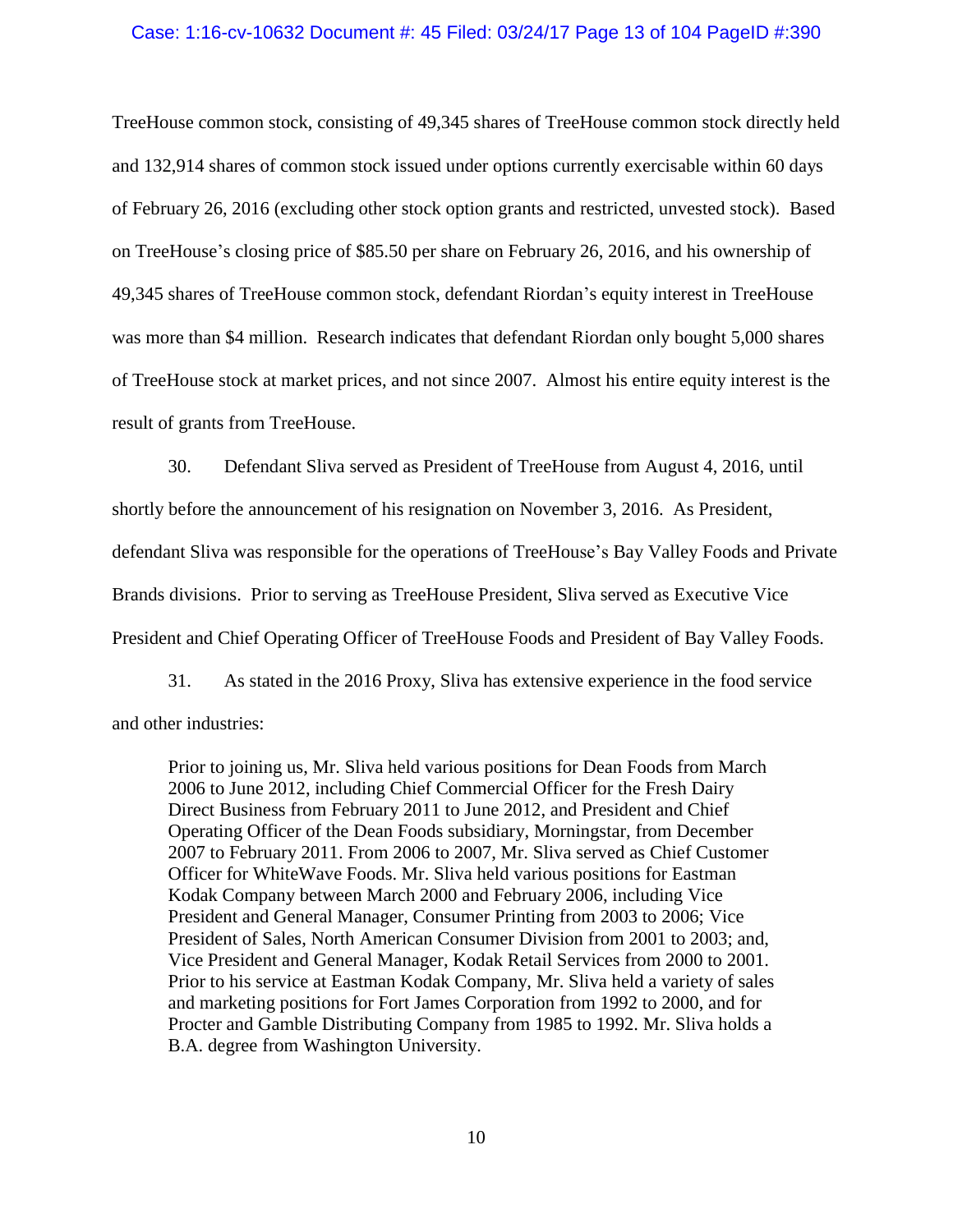## Case: 1:16-cv-10632 Document #: 45 Filed: 03/24/17 Page 13 of 104 PageID #:390

TreeHouse common stock, consisting of 49,345 shares of TreeHouse common stock directly held and 132,914 shares of common stock issued under options currently exercisable within 60 days of February 26, 2016 (excluding other stock option grants and restricted, unvested stock). Based on TreeHouse's closing price of \$85.50 per share on February 26, 2016, and his ownership of 49,345 shares of TreeHouse common stock, defendant Riordan's equity interest in TreeHouse was more than \$4 million. Research indicates that defendant Riordan only bought 5,000 shares of TreeHouse stock at market prices, and not since 2007. Almost his entire equity interest is the result of grants from TreeHouse.

30. Defendant Sliva served as President of TreeHouse from August 4, 2016, until shortly before the announcement of his resignation on November 3, 2016. As President, defendant Sliva was responsible for the operations of TreeHouse's Bay Valley Foods and Private Brands divisions. Prior to serving as TreeHouse President, Sliva served as Executive Vice President and Chief Operating Officer of TreeHouse Foods and President of Bay Valley Foods.

31. As stated in the 2016 Proxy, Sliva has extensive experience in the food service and other industries:

Prior to joining us, Mr. Sliva held various positions for Dean Foods from March 2006 to June 2012, including Chief Commercial Officer for the Fresh Dairy Direct Business from February 2011 to June 2012, and President and Chief Operating Officer of the Dean Foods subsidiary, Morningstar, from December 2007 to February 2011. From 2006 to 2007, Mr. Sliva served as Chief Customer Officer for WhiteWave Foods. Mr. Sliva held various positions for Eastman Kodak Company between March 2000 and February 2006, including Vice President and General Manager, Consumer Printing from 2003 to 2006; Vice President of Sales, North American Consumer Division from 2001 to 2003; and, Vice President and General Manager, Kodak Retail Services from 2000 to 2001. Prior to his service at Eastman Kodak Company, Mr. Sliva held a variety of sales and marketing positions for Fort James Corporation from 1992 to 2000, and for Procter and Gamble Distributing Company from 1985 to 1992. Mr. Sliva holds a B.A. degree from Washington University.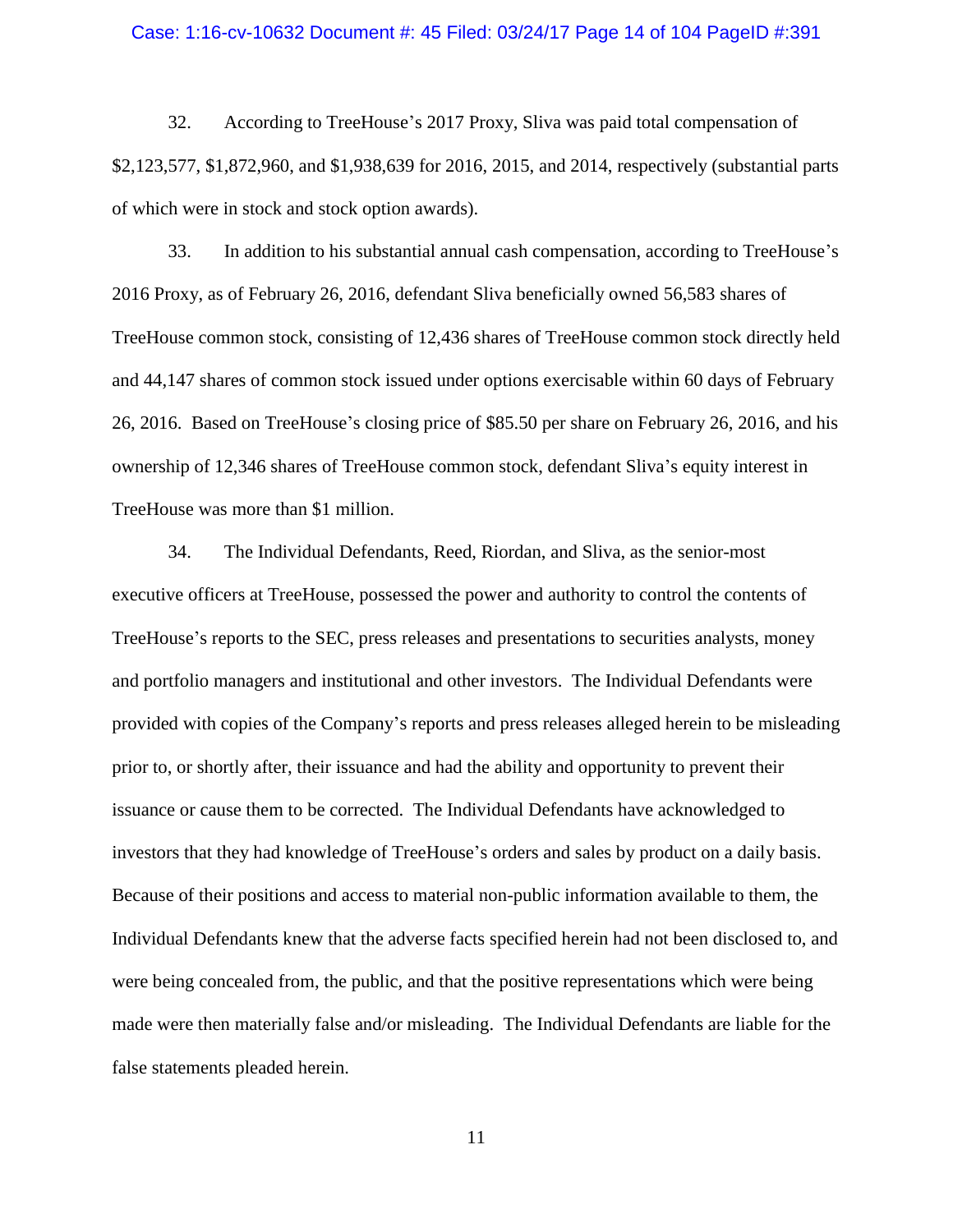#### Case: 1:16-cv-10632 Document #: 45 Filed: 03/24/17 Page 14 of 104 PageID #:391

32. According to TreeHouse's 2017 Proxy, Sliva was paid total compensation of \$2,123,577, \$1,872,960, and \$1,938,639 for 2016, 2015, and 2014, respectively (substantial parts of which were in stock and stock option awards).

33. In addition to his substantial annual cash compensation, according to TreeHouse's 2016 Proxy, as of February 26, 2016, defendant Sliva beneficially owned 56,583 shares of TreeHouse common stock, consisting of 12,436 shares of TreeHouse common stock directly held and 44,147 shares of common stock issued under options exercisable within 60 days of February 26, 2016. Based on TreeHouse's closing price of \$85.50 per share on February 26, 2016, and his ownership of 12,346 shares of TreeHouse common stock, defendant Sliva's equity interest in TreeHouse was more than \$1 million.

34. The Individual Defendants, Reed, Riordan, and Sliva, as the senior-most executive officers at TreeHouse, possessed the power and authority to control the contents of TreeHouse's reports to the SEC, press releases and presentations to securities analysts, money and portfolio managers and institutional and other investors. The Individual Defendants were provided with copies of the Company's reports and press releases alleged herein to be misleading prior to, or shortly after, their issuance and had the ability and opportunity to prevent their issuance or cause them to be corrected. The Individual Defendants have acknowledged to investors that they had knowledge of TreeHouse's orders and sales by product on a daily basis. Because of their positions and access to material non-public information available to them, the Individual Defendants knew that the adverse facts specified herein had not been disclosed to, and were being concealed from, the public, and that the positive representations which were being made were then materially false and/or misleading. The Individual Defendants are liable for the false statements pleaded herein.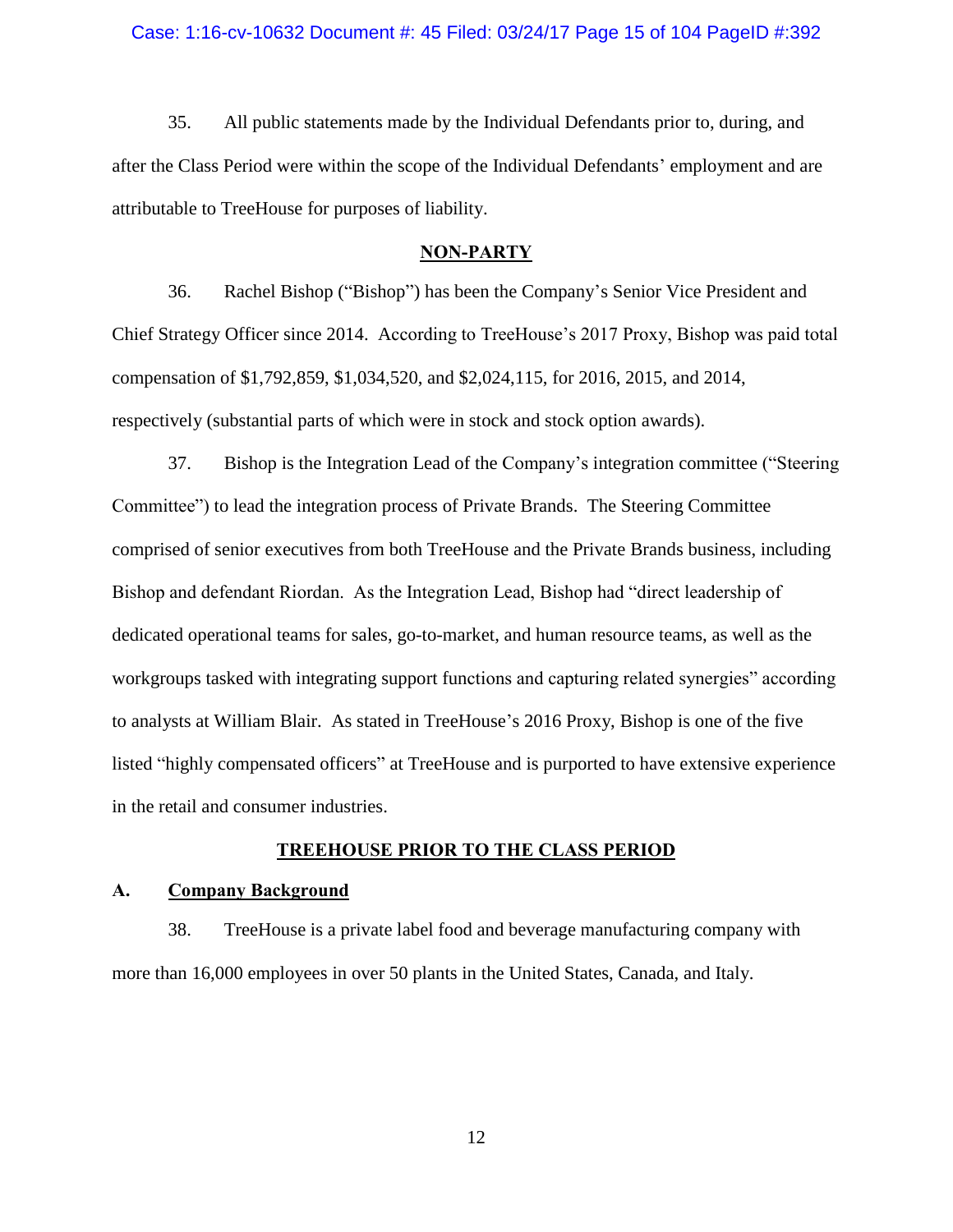#### Case: 1:16-cv-10632 Document #: 45 Filed: 03/24/17 Page 15 of 104 PageID #:392

35. All public statements made by the Individual Defendants prior to, during, and after the Class Period were within the scope of the Individual Defendants' employment and are attributable to TreeHouse for purposes of liability.

## **NON-PARTY**

<span id="page-14-0"></span>36. Rachel Bishop ("Bishop") has been the Company's Senior Vice President and Chief Strategy Officer since 2014. According to TreeHouse's 2017 Proxy, Bishop was paid total compensation of \$1,792,859, \$1,034,520, and \$2,024,115, for 2016, 2015, and 2014, respectively (substantial parts of which were in stock and stock option awards).

37. Bishop is the Integration Lead of the Company's integration committee ("Steering Committee") to lead the integration process of Private Brands. The Steering Committee comprised of senior executives from both TreeHouse and the Private Brands business, including Bishop and defendant Riordan. As the Integration Lead, Bishop had "direct leadership of dedicated operational teams for sales, go-to-market, and human resource teams, as well as the workgroups tasked with integrating support functions and capturing related synergies" according to analysts at William Blair. As stated in TreeHouse's 2016 Proxy, Bishop is one of the five listed "highly compensated officers" at TreeHouse and is purported to have extensive experience in the retail and consumer industries.

## **TREEHOUSE PRIOR TO THE CLASS PERIOD**

## <span id="page-14-2"></span><span id="page-14-1"></span>**A. Company Background**

38. TreeHouse is a private label food and beverage manufacturing company with more than 16,000 employees in over 50 plants in the United States, Canada, and Italy.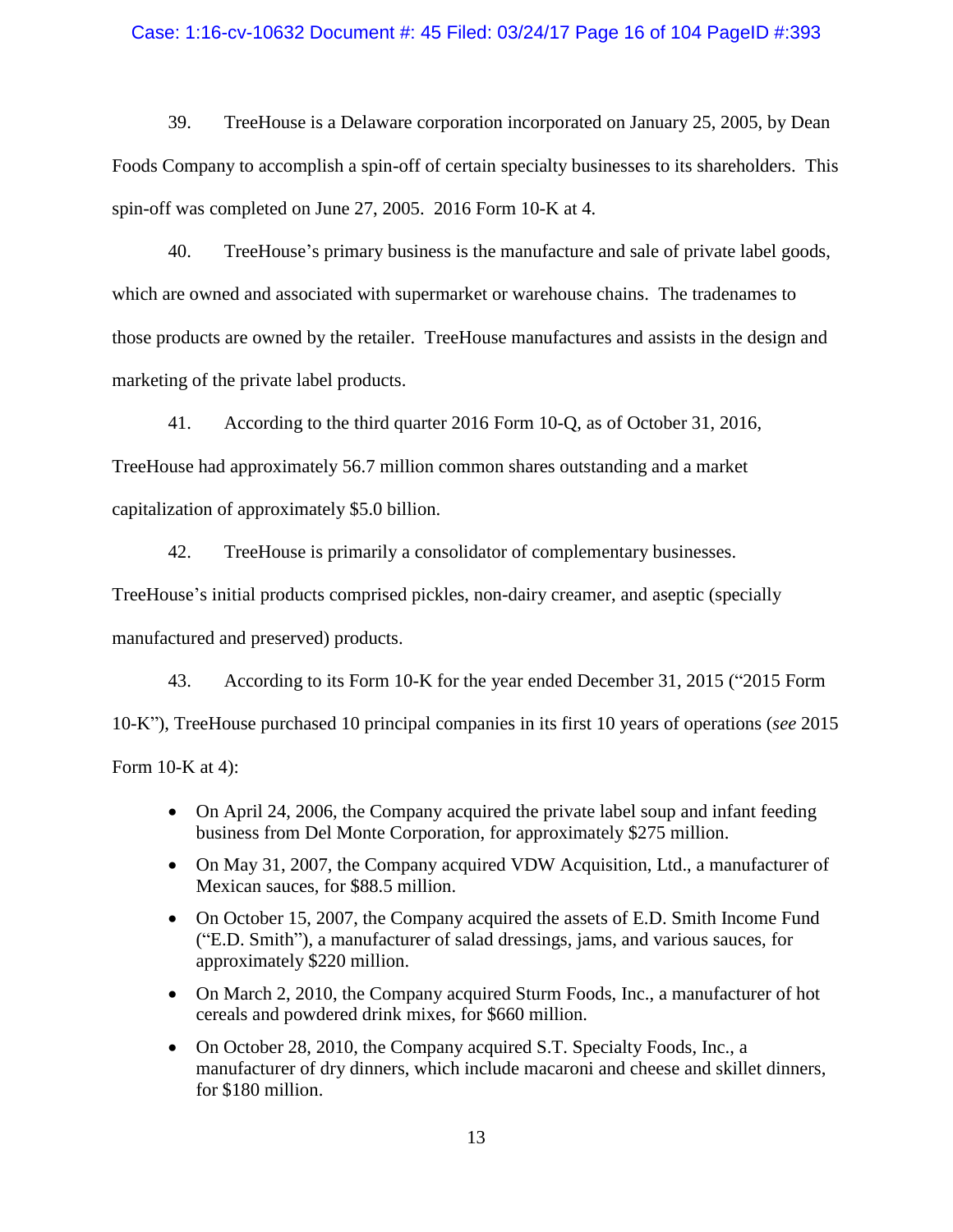## Case: 1:16-cv-10632 Document #: 45 Filed: 03/24/17 Page 16 of 104 PageID #:393

39. TreeHouse is a Delaware corporation incorporated on January 25, 2005, by Dean Foods Company to accomplish a spin-off of certain specialty businesses to its shareholders. This spin-off was completed on June 27, 2005. 2016 Form 10-K at 4.

40. TreeHouse's primary business is the manufacture and sale of private label goods, which are owned and associated with supermarket or warehouse chains. The tradenames to those products are owned by the retailer. TreeHouse manufactures and assists in the design and marketing of the private label products.

41. According to the third quarter 2016 Form 10-Q, as of October 31, 2016,

TreeHouse had approximately 56.7 million common shares outstanding and a market capitalization of approximately \$5.0 billion.

42. TreeHouse is primarily a consolidator of complementary businesses.

TreeHouse's initial products comprised pickles, non-dairy creamer, and aseptic (specially manufactured and preserved) products.

<span id="page-15-0"></span>43. According to its Form 10-K for the year ended December 31, 2015 ("2015 Form 10-K"), TreeHouse purchased 10 principal companies in its first 10 years of operations (*see* 2015 Form 10-K at 4):

- On April 24, 2006, the Company acquired the private label soup and infant feeding business from Del Monte Corporation, for approximately \$275 million.
- On May 31, 2007, the Company acquired VDW Acquisition, Ltd., a manufacturer of Mexican sauces, for \$88.5 million.
- On October 15, 2007, the Company acquired the assets of E.D. Smith Income Fund ("E.D. Smith"), a manufacturer of salad dressings, jams, and various sauces, for approximately \$220 million.
- On March 2, 2010, the Company acquired Sturm Foods, Inc., a manufacturer of hot cereals and powdered drink mixes, for \$660 million.
- On October 28, 2010, the Company acquired S.T. Specialty Foods, Inc., a manufacturer of dry dinners, which include macaroni and cheese and skillet dinners, for \$180 million.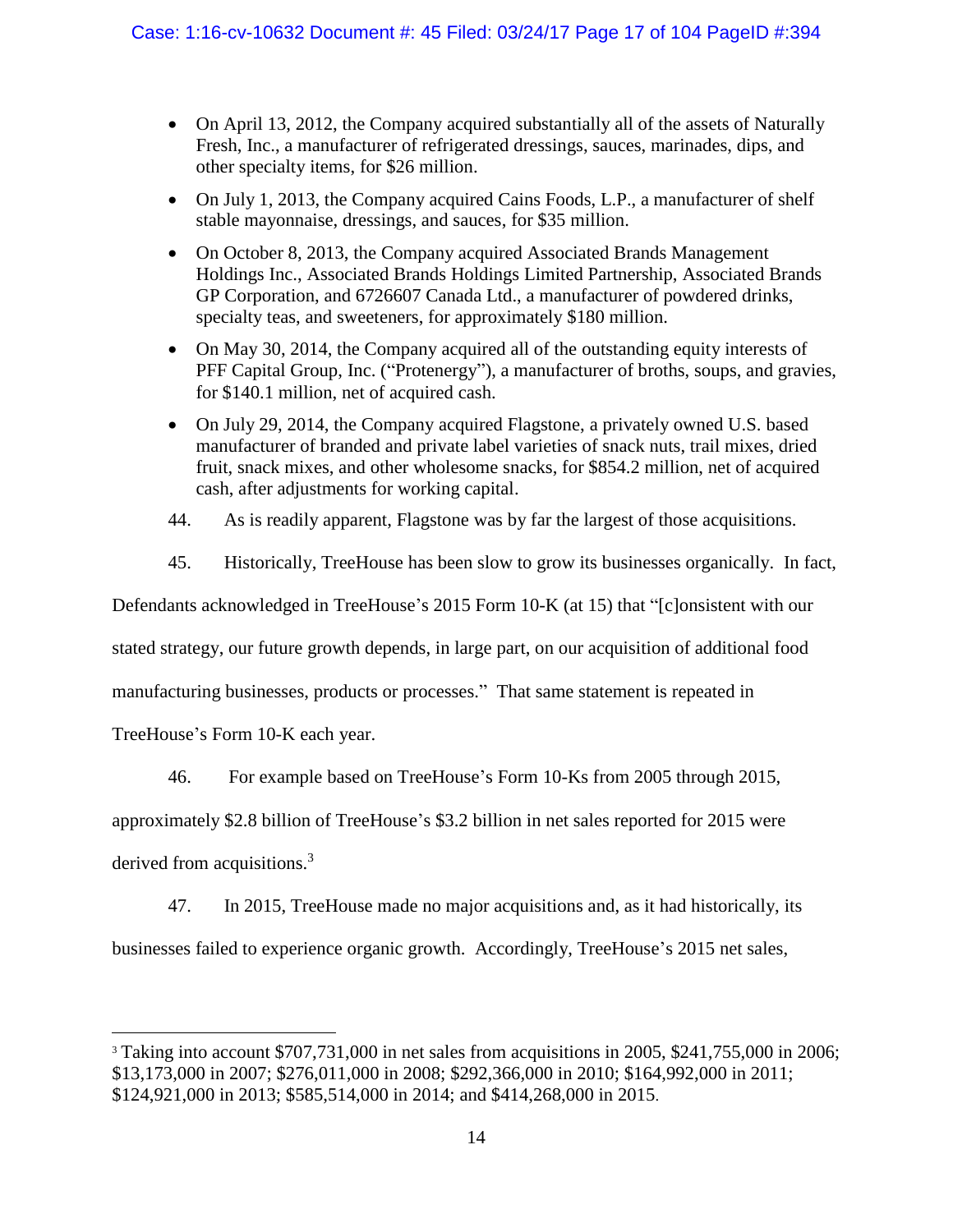- On April 13, 2012, the Company acquired substantially all of the assets of Naturally Fresh, Inc., a manufacturer of refrigerated dressings, sauces, marinades, dips, and other specialty items, for \$26 million.
- On July 1, 2013, the Company acquired Cains Foods, L.P., a manufacturer of shelf stable mayonnaise, dressings, and sauces, for \$35 million.
- On October 8, 2013, the Company acquired Associated Brands Management Holdings Inc., Associated Brands Holdings Limited Partnership, Associated Brands GP Corporation, and 6726607 Canada Ltd., a manufacturer of powdered drinks, specialty teas, and sweeteners, for approximately \$180 million.
- On May 30, 2014, the Company acquired all of the outstanding equity interests of PFF Capital Group, Inc. ("Protenergy"), a manufacturer of broths, soups, and gravies, for \$140.1 million, net of acquired cash.
- On July 29, 2014, the Company acquired Flagstone, a privately owned U.S. based manufacturer of branded and private label varieties of snack nuts, trail mixes, dried fruit, snack mixes, and other wholesome snacks, for \$854.2 million, net of acquired cash, after adjustments for working capital.
- 44. As is readily apparent, Flagstone was by far the largest of those acquisitions.
- 45. Historically, TreeHouse has been slow to grow its businesses organically. In fact,

Defendants acknowledged in TreeHouse's 2015 Form 10-K (at 15) that "[c]onsistent with our

stated strategy, our future growth depends, in large part, on our acquisition of additional food

manufacturing businesses, products or processes." That same statement is repeated in

TreeHouse's Form 10-K each year.

46. For example based on TreeHouse's Form 10-Ks from 2005 through 2015,

approximately \$2.8 billion of TreeHouse's \$3.2 billion in net sales reported for 2015 were

derived from acquisitions.<sup>3</sup>

 $\overline{a}$ 

47. In 2015, TreeHouse made no major acquisitions and, as it had historically, its

businesses failed to experience organic growth. Accordingly, TreeHouse's 2015 net sales,

<sup>3</sup> Taking into account \$707,731,000 in net sales from acquisitions in 2005, \$241,755,000 in 2006; \$13,173,000 in 2007; \$276,011,000 in 2008; \$292,366,000 in 2010; \$164,992,000 in 2011; \$124,921,000 in 2013; \$585,514,000 in 2014; and \$414,268,000 in 2015.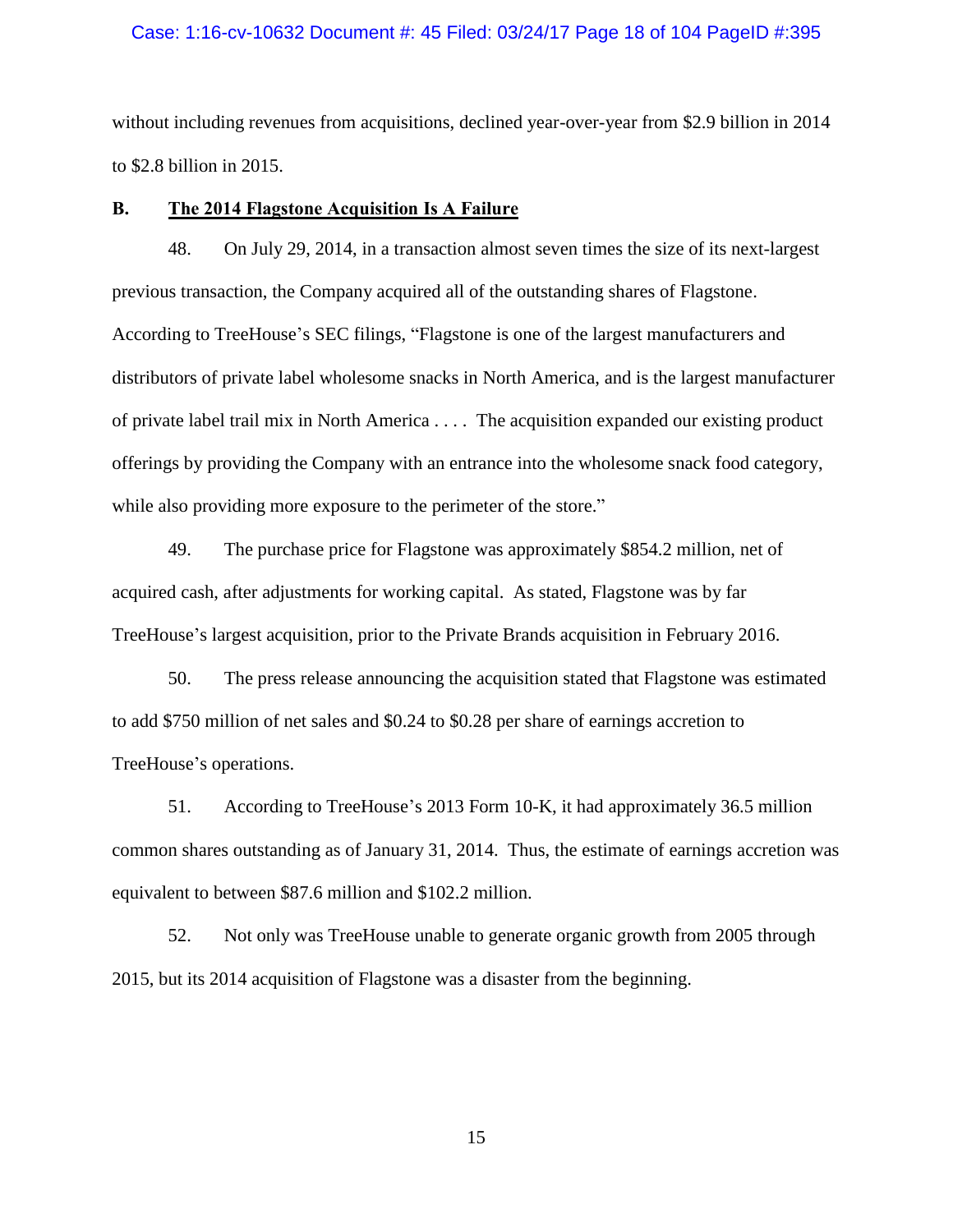#### Case: 1:16-cv-10632 Document #: 45 Filed: 03/24/17 Page 18 of 104 PageID #:395

without including revenues from acquisitions, declined year-over-year from \$2.9 billion in 2014 to \$2.8 billion in 2015.

## <span id="page-17-0"></span>**B. The 2014 Flagstone Acquisition Is A Failure**

48. On July 29, 2014, in a transaction almost seven times the size of its next-largest previous transaction, the Company acquired all of the outstanding shares of Flagstone. According to TreeHouse's SEC filings, "Flagstone is one of the largest manufacturers and distributors of private label wholesome snacks in North America, and is the largest manufacturer of private label trail mix in North America . . . . The acquisition expanded our existing product offerings by providing the Company with an entrance into the wholesome snack food category, while also providing more exposure to the perimeter of the store."

49. The purchase price for Flagstone was approximately \$854.2 million, net of acquired cash, after adjustments for working capital. As stated, Flagstone was by far TreeHouse's largest acquisition, prior to the Private Brands acquisition in February 2016.

50. The press release announcing the acquisition stated that Flagstone was estimated to add \$750 million of net sales and \$0.24 to \$0.28 per share of earnings accretion to TreeHouse's operations.

51. According to TreeHouse's 2013 Form 10-K, it had approximately 36.5 million common shares outstanding as of January 31, 2014. Thus, the estimate of earnings accretion was equivalent to between \$87.6 million and \$102.2 million.

52. Not only was TreeHouse unable to generate organic growth from 2005 through 2015, but its 2014 acquisition of Flagstone was a disaster from the beginning.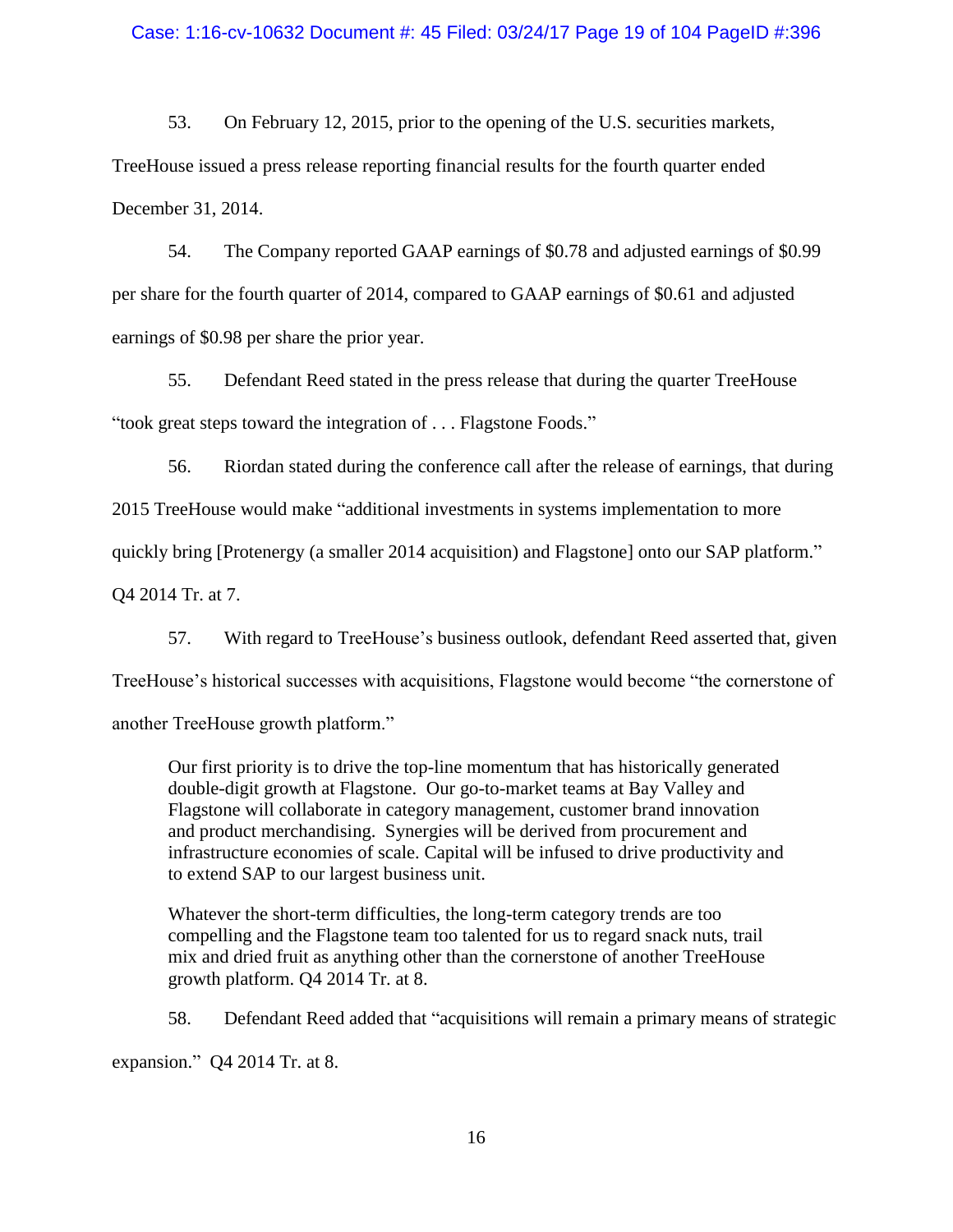## Case: 1:16-cv-10632 Document #: 45 Filed: 03/24/17 Page 19 of 104 PageID #:396

53. On February 12, 2015, prior to the opening of the U.S. securities markets, TreeHouse issued a press release reporting financial results for the fourth quarter ended December 31, 2014.

54. The Company reported GAAP earnings of \$0.78 and adjusted earnings of \$0.99 per share for the fourth quarter of 2014, compared to GAAP earnings of \$0.61 and adjusted earnings of \$0.98 per share the prior year.

<span id="page-18-0"></span>55. Defendant Reed stated in the press release that during the quarter TreeHouse "took great steps toward the integration of . . . Flagstone Foods."

56. Riordan stated during the conference call after the release of earnings, that during 2015 TreeHouse would make "additional investments in systems implementation to more quickly bring [Protenergy (a smaller 2014 acquisition) and Flagstone] onto our SAP platform." Q4 2014 Tr. at 7.

57. With regard to TreeHouse's business outlook, defendant Reed asserted that, given TreeHouse's historical successes with acquisitions, Flagstone would become "the cornerstone of another TreeHouse growth platform."

Our first priority is to drive the top-line momentum that has historically generated double-digit growth at Flagstone. Our go-to-market teams at Bay Valley and Flagstone will collaborate in category management, customer brand innovation and product merchandising. Synergies will be derived from procurement and infrastructure economies of scale. Capital will be infused to drive productivity and to extend SAP to our largest business unit.

Whatever the short-term difficulties, the long-term category trends are too compelling and the Flagstone team too talented for us to regard snack nuts, trail mix and dried fruit as anything other than the cornerstone of another TreeHouse growth platform. Q4 2014 Tr. at 8.

58. Defendant Reed added that "acquisitions will remain a primary means of strategic expansion." Q4 2014 Tr. at 8.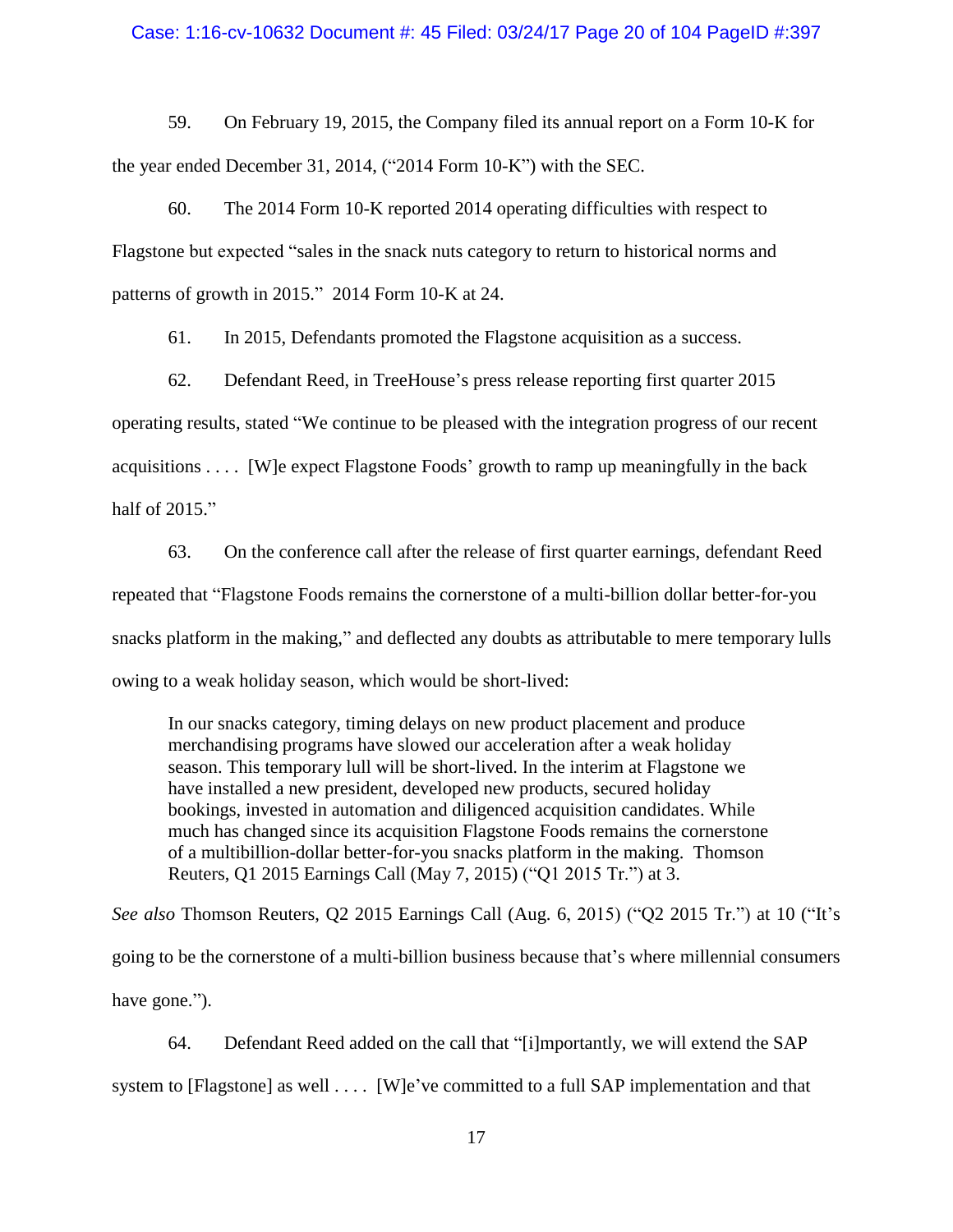#### Case: 1:16-cv-10632 Document #: 45 Filed: 03/24/17 Page 20 of 104 PageID #:397

59. On February 19, 2015, the Company filed its annual report on a Form 10-K for the year ended December 31, 2014, ("2014 Form 10-K") with the SEC.

60. The 2014 Form 10-K reported 2014 operating difficulties with respect to Flagstone but expected "sales in the snack nuts category to return to historical norms and patterns of growth in 2015." 2014 Form 10-K at 24.

61. In 2015, Defendants promoted the Flagstone acquisition as a success.

62. Defendant Reed, in TreeHouse's press release reporting first quarter 2015 operating results, stated "We continue to be pleased with the integration progress of our recent acquisitions . . . . [W]e expect Flagstone Foods' growth to ramp up meaningfully in the back half of 2015."

63. On the conference call after the release of first quarter earnings, defendant Reed repeated that "Flagstone Foods remains the cornerstone of a multi-billion dollar better-for-you snacks platform in the making," and deflected any doubts as attributable to mere temporary lulls owing to a weak holiday season, which would be short-lived:

In our snacks category, timing delays on new product placement and produce merchandising programs have slowed our acceleration after a weak holiday season. This temporary lull will be short-lived. In the interim at Flagstone we have installed a new president, developed new products, secured holiday bookings, invested in automation and diligenced acquisition candidates. While much has changed since its acquisition Flagstone Foods remains the cornerstone of a multibillion-dollar better-for-you snacks platform in the making. Thomson Reuters, Q1 2015 Earnings Call (May 7, 2015) ("Q1 2015 Tr.") at 3.

*See also* Thomson Reuters, Q2 2015 Earnings Call (Aug. 6, 2015) ("Q2 2015 Tr.") at 10 ("It's going to be the cornerstone of a multi-billion business because that's where millennial consumers have gone.").

64. Defendant Reed added on the call that "[i]mportantly, we will extend the SAP system to [Flagstone] as well .... [W]e've committed to a full SAP implementation and that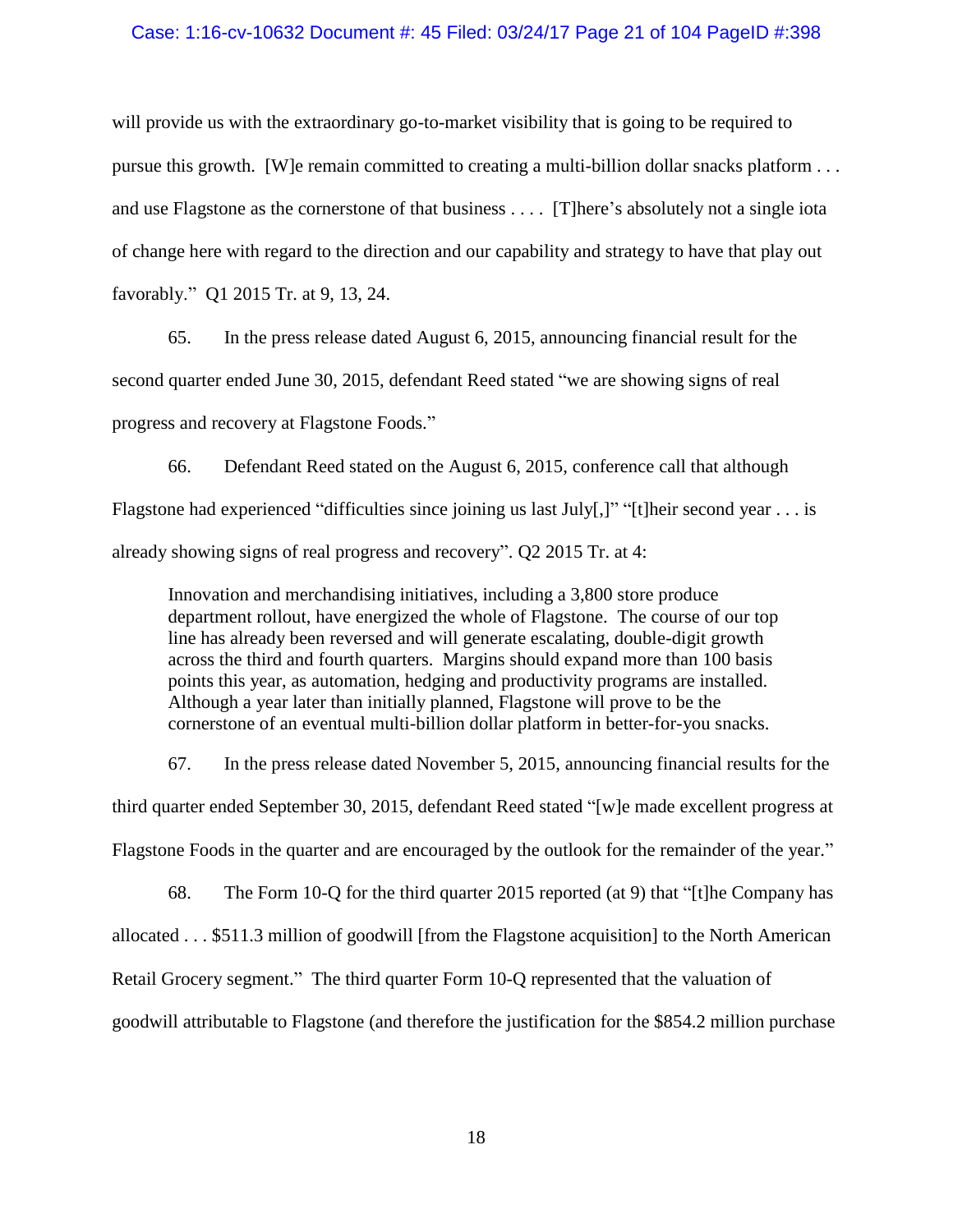#### Case: 1:16-cv-10632 Document #: 45 Filed: 03/24/17 Page 21 of 104 PageID #:398

will provide us with the extraordinary go-to-market visibility that is going to be required to pursue this growth. [W]e remain committed to creating a multi-billion dollar snacks platform . . . and use Flagstone as the cornerstone of that business . . . . [T]here's absolutely not a single iota of change here with regard to the direction and our capability and strategy to have that play out favorably." Q1 2015 Tr. at 9, 13, 24.

65. In the press release dated August 6, 2015, announcing financial result for the second quarter ended June 30, 2015, defendant Reed stated "we are showing signs of real progress and recovery at Flagstone Foods."

66. Defendant Reed stated on the August 6, 2015, conference call that although Flagstone had experienced "difficulties since joining us last July[,]" "[t]heir second year . . . is already showing signs of real progress and recovery". Q2 2015 Tr. at 4:

Innovation and merchandising initiatives, including a 3,800 store produce department rollout, have energized the whole of Flagstone. The course of our top line has already been reversed and will generate escalating, double-digit growth across the third and fourth quarters. Margins should expand more than 100 basis points this year, as automation, hedging and productivity programs are installed. Although a year later than initially planned, Flagstone will prove to be the cornerstone of an eventual multi-billion dollar platform in better-for-you snacks.

67. In the press release dated November 5, 2015, announcing financial results for the third quarter ended September 30, 2015, defendant Reed stated "[w]e made excellent progress at Flagstone Foods in the quarter and are encouraged by the outlook for the remainder of the year."

68. The Form 10-Q for the third quarter 2015 reported (at 9) that "[t]he Company has allocated . . . \$511.3 million of goodwill [from the Flagstone acquisition] to the North American Retail Grocery segment." The third quarter Form 10-Q represented that the valuation of goodwill attributable to Flagstone (and therefore the justification for the \$854.2 million purchase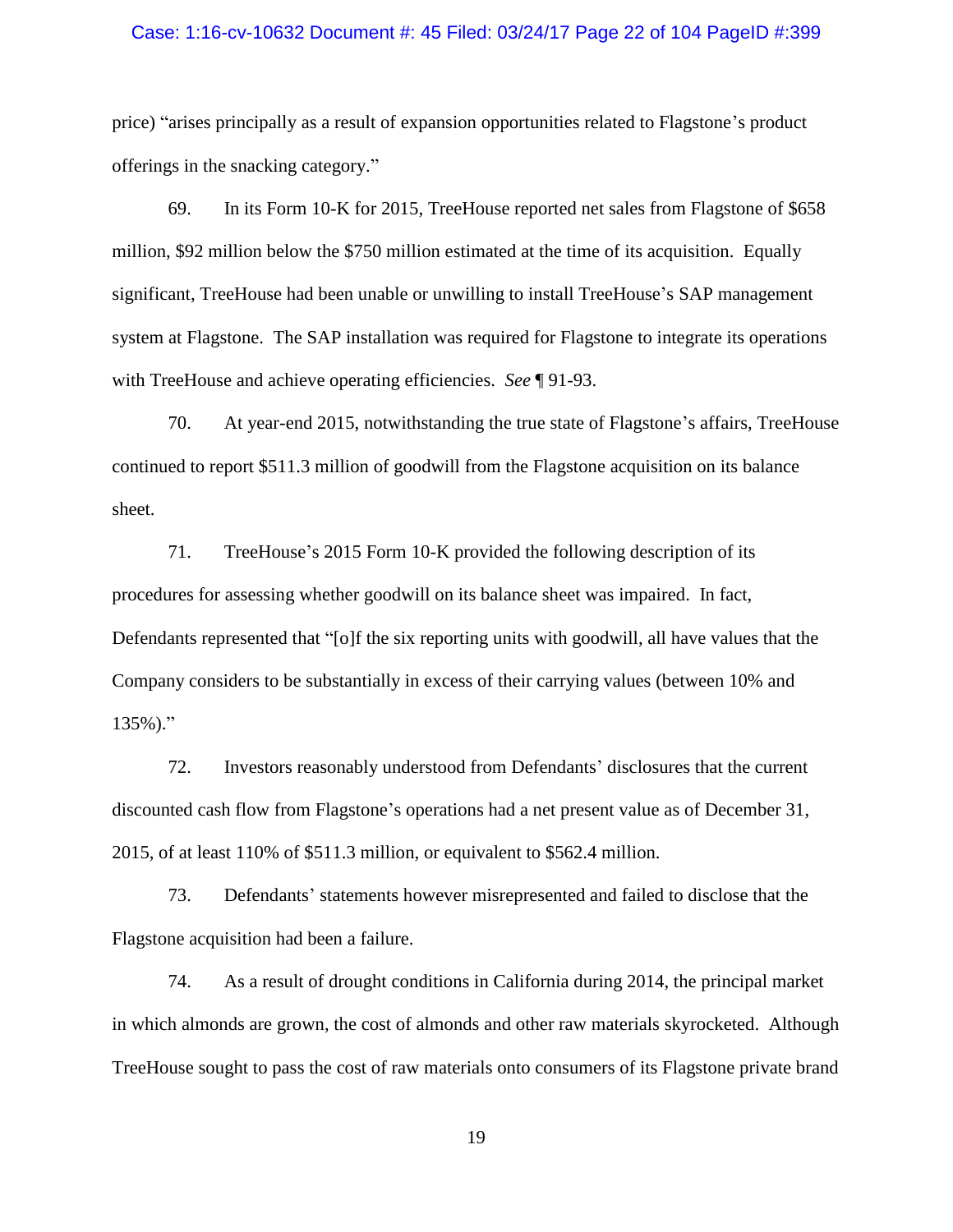#### Case: 1:16-cv-10632 Document #: 45 Filed: 03/24/17 Page 22 of 104 PageID #:399

price) "arises principally as a result of expansion opportunities related to Flagstone's product offerings in the snacking category."

69. In its Form 10-K for 2015, TreeHouse reported net sales from Flagstone of \$658 million, \$92 million below the \$750 million estimated at the time of its acquisition. Equally significant, TreeHouse had been unable or unwilling to install TreeHouse's SAP management system at Flagstone. The SAP installation was required for Flagstone to integrate its operations with TreeHouse and achieve operating efficiencies. *See* ¶ [91](#page-25-0)[-93.](#page-26-0)

70. At year-end 2015, notwithstanding the true state of Flagstone's affairs, TreeHouse continued to report \$511.3 million of goodwill from the Flagstone acquisition on its balance sheet.

71. TreeHouse's 2015 Form 10-K provided the following description of its procedures for assessing whether goodwill on its balance sheet was impaired. In fact, Defendants represented that "[o]f the six reporting units with goodwill, all have values that the Company considers to be substantially in excess of their carrying values (between 10% and 135%)."

72. Investors reasonably understood from Defendants' disclosures that the current discounted cash flow from Flagstone's operations had a net present value as of December 31, 2015, of at least 110% of \$511.3 million, or equivalent to \$562.4 million.

73. Defendants' statements however misrepresented and failed to disclose that the Flagstone acquisition had been a failure.

74. As a result of drought conditions in California during 2014, the principal market in which almonds are grown, the cost of almonds and other raw materials skyrocketed. Although TreeHouse sought to pass the cost of raw materials onto consumers of its Flagstone private brand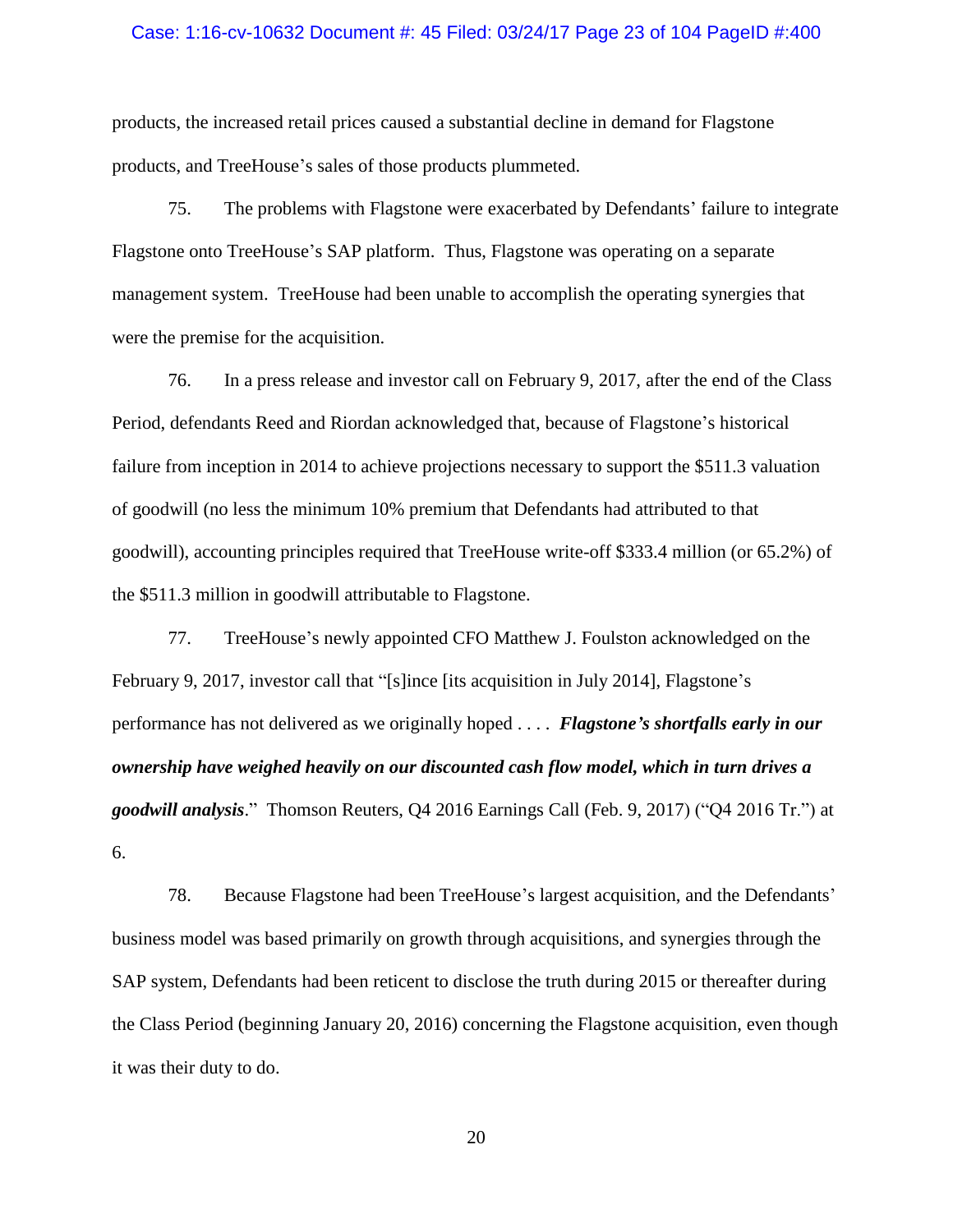#### Case: 1:16-cv-10632 Document #: 45 Filed: 03/24/17 Page 23 of 104 PageID #:400

products, the increased retail prices caused a substantial decline in demand for Flagstone products, and TreeHouse's sales of those products plummeted.

75. The problems with Flagstone were exacerbated by Defendants' failure to integrate Flagstone onto TreeHouse's SAP platform. Thus, Flagstone was operating on a separate management system. TreeHouse had been unable to accomplish the operating synergies that were the premise for the acquisition.

76. In a press release and investor call on February 9, 2017, after the end of the Class Period, defendants Reed and Riordan acknowledged that, because of Flagstone's historical failure from inception in 2014 to achieve projections necessary to support the \$511.3 valuation of goodwill (no less the minimum 10% premium that Defendants had attributed to that goodwill), accounting principles required that TreeHouse write-off \$333.4 million (or 65.2%) of the \$511.3 million in goodwill attributable to Flagstone.

77. TreeHouse's newly appointed CFO Matthew J. Foulston acknowledged on the February 9, 2017, investor call that "[s]ince [its acquisition in July 2014], Flagstone's performance has not delivered as we originally hoped . . . . *Flagstone's shortfalls early in our ownership have weighed heavily on our discounted cash flow model, which in turn drives a goodwill analysis*." Thomson Reuters, Q4 2016 Earnings Call (Feb. 9, 2017) ("Q4 2016 Tr.") at 6.

78. Because Flagstone had been TreeHouse's largest acquisition, and the Defendants' business model was based primarily on growth through acquisitions, and synergies through the SAP system, Defendants had been reticent to disclose the truth during 2015 or thereafter during the Class Period (beginning January 20, 2016) concerning the Flagstone acquisition, even though it was their duty to do.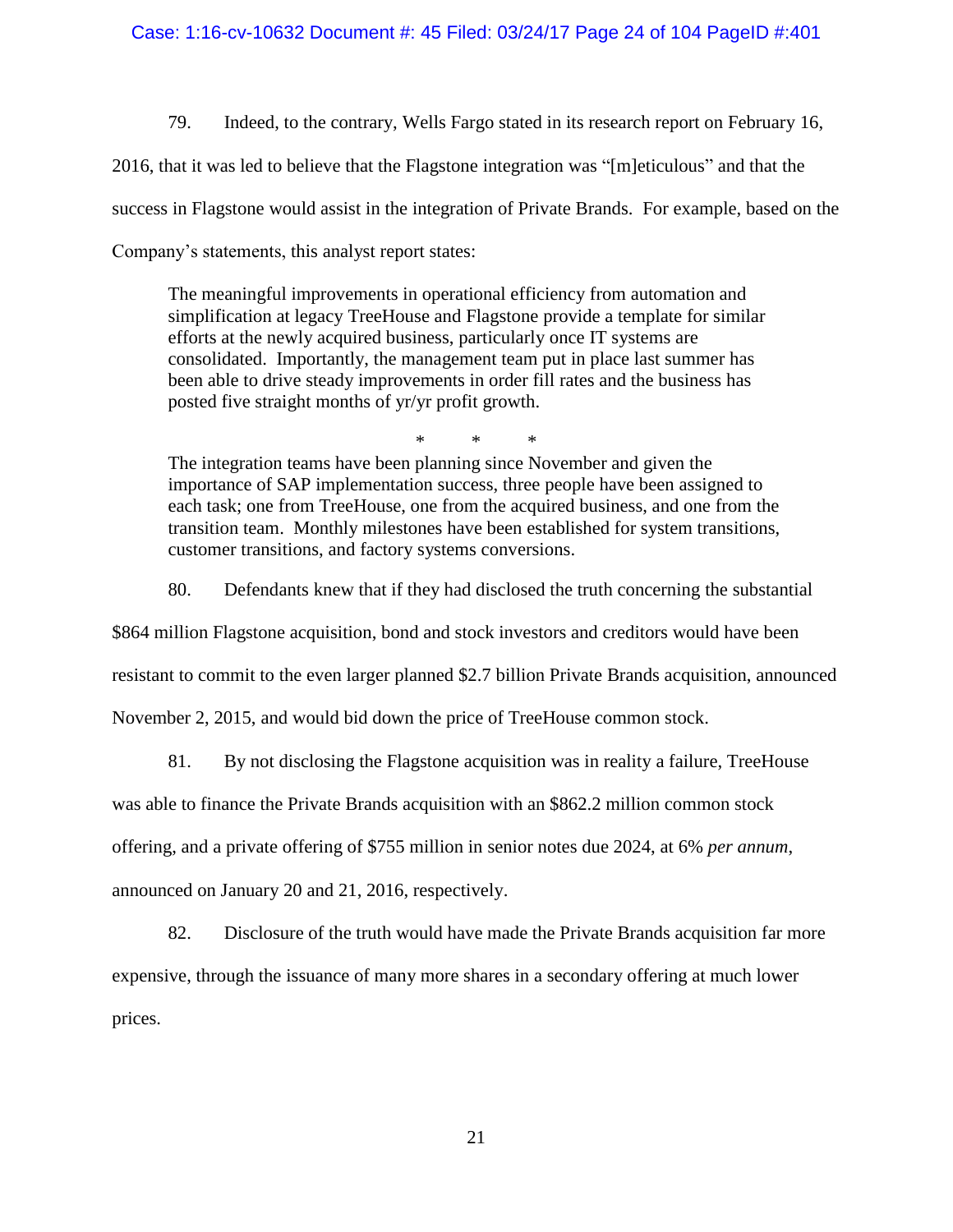## Case: 1:16-cv-10632 Document #: 45 Filed: 03/24/17 Page 24 of 104 PageID #:401

79. Indeed, to the contrary, Wells Fargo stated in its research report on February 16,

2016, that it was led to believe that the Flagstone integration was "[m]eticulous" and that the

success in Flagstone would assist in the integration of Private Brands. For example, based on the

Company's statements, this analyst report states:

The meaningful improvements in operational efficiency from automation and simplification at legacy TreeHouse and Flagstone provide a template for similar efforts at the newly acquired business, particularly once IT systems are consolidated. Importantly, the management team put in place last summer has been able to drive steady improvements in order fill rates and the business has posted five straight months of yr/yr profit growth.

\* \* \*

The integration teams have been planning since November and given the importance of SAP implementation success, three people have been assigned to each task; one from TreeHouse, one from the acquired business, and one from the transition team. Monthly milestones have been established for system transitions, customer transitions, and factory systems conversions.

80. Defendants knew that if they had disclosed the truth concerning the substantial

\$864 million Flagstone acquisition, bond and stock investors and creditors would have been

resistant to commit to the even larger planned \$2.7 billion Private Brands acquisition, announced

November 2, 2015, and would bid down the price of TreeHouse common stock.

81. By not disclosing the Flagstone acquisition was in reality a failure, TreeHouse

was able to finance the Private Brands acquisition with an \$862.2 million common stock

offering, and a private offering of \$755 million in senior notes due 2024, at 6% *per annum*,

announced on January 20 and 21, 2016, respectively.

82. Disclosure of the truth would have made the Private Brands acquisition far more expensive, through the issuance of many more shares in a secondary offering at much lower prices.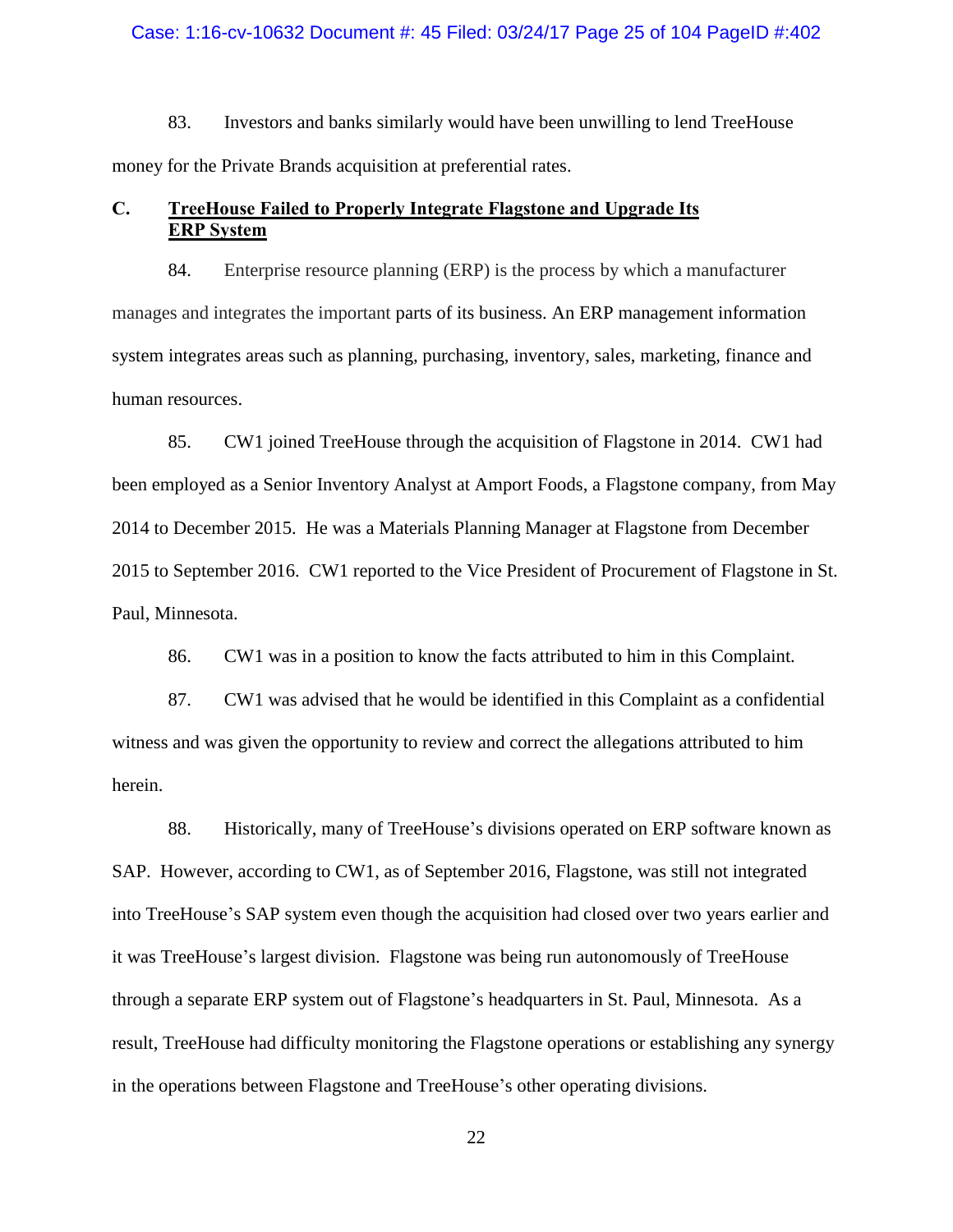#### Case: 1:16-cv-10632 Document #: 45 Filed: 03/24/17 Page 25 of 104 PageID #:402

83. Investors and banks similarly would have been unwilling to lend TreeHouse money for the Private Brands acquisition at preferential rates.

## <span id="page-24-0"></span>**C. TreeHouse Failed to Properly Integrate Flagstone and Upgrade Its ERP System**

84. Enterprise resource planning (ERP) is the process by which a manufacturer manages and integrates the important parts of its business. An ERP management information system integrates areas such as planning, purchasing, inventory, sales, marketing, finance and human resources.

85. CW1 joined TreeHouse through the acquisition of Flagstone in 2014. CW1 had been employed as a Senior Inventory Analyst at Amport Foods, a Flagstone company, from May 2014 to December 2015. He was a Materials Planning Manager at Flagstone from December 2015 to September 2016. CW1 reported to the Vice President of Procurement of Flagstone in St. Paul, Minnesota.

86. CW1 was in a position to know the facts attributed to him in this Complaint.

87. CW1 was advised that he would be identified in this Complaint as a confidential witness and was given the opportunity to review and correct the allegations attributed to him herein.

88. Historically, many of TreeHouse's divisions operated on ERP software known as SAP. However, according to CW1, as of September 2016, Flagstone, was still not integrated into TreeHouse's SAP system even though the acquisition had closed over two years earlier and it was TreeHouse's largest division. Flagstone was being run autonomously of TreeHouse through a separate ERP system out of Flagstone's headquarters in St. Paul, Minnesota. As a result, TreeHouse had difficulty monitoring the Flagstone operations or establishing any synergy in the operations between Flagstone and TreeHouse's other operating divisions.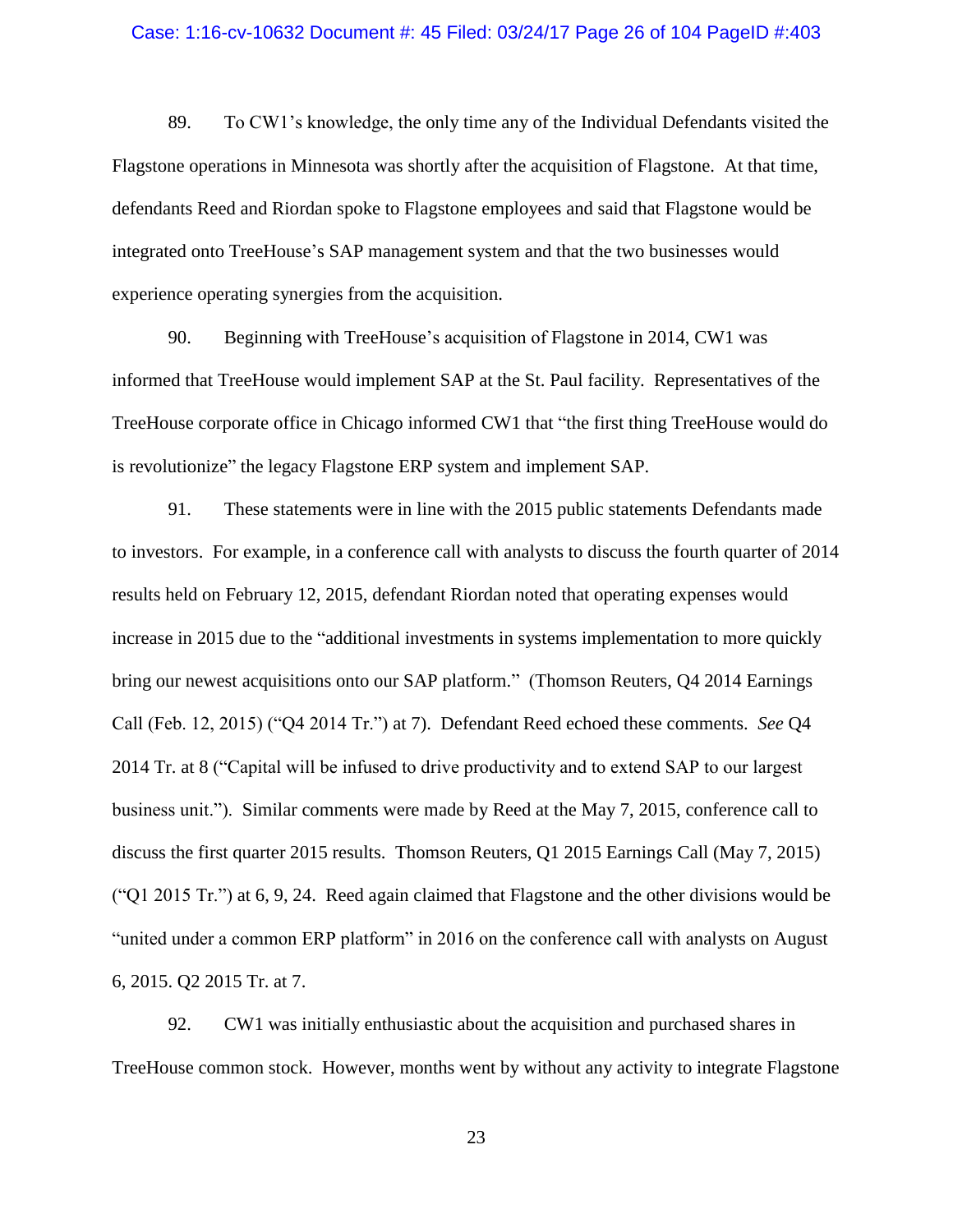#### Case: 1:16-cv-10632 Document #: 45 Filed: 03/24/17 Page 26 of 104 PageID #:403

89. To CW1's knowledge, the only time any of the Individual Defendants visited the Flagstone operations in Minnesota was shortly after the acquisition of Flagstone. At that time, defendants Reed and Riordan spoke to Flagstone employees and said that Flagstone would be integrated onto TreeHouse's SAP management system and that the two businesses would experience operating synergies from the acquisition.

90. Beginning with TreeHouse's acquisition of Flagstone in 2014, CW1 was informed that TreeHouse would implement SAP at the St. Paul facility. Representatives of the TreeHouse corporate office in Chicago informed CW1 that "the first thing TreeHouse would do is revolutionize" the legacy Flagstone ERP system and implement SAP.

<span id="page-25-0"></span>91. These statements were in line with the 2015 public statements Defendants made to investors. For example, in a conference call with analysts to discuss the fourth quarter of 2014 results held on February 12, 2015, defendant Riordan noted that operating expenses would increase in 2015 due to the "additional investments in systems implementation to more quickly bring our newest acquisitions onto our SAP platform." (Thomson Reuters, Q4 2014 Earnings Call (Feb. 12, 2015) ("Q4 2014 Tr.") at 7). Defendant Reed echoed these comments. *See* Q4 2014 Tr. at 8 ("Capital will be infused to drive productivity and to extend SAP to our largest business unit."). Similar comments were made by Reed at the May 7, 2015, conference call to discuss the first quarter 2015 results. Thomson Reuters, Q1 2015 Earnings Call (May 7, 2015) ("Q1 2015 Tr.") at 6, 9, 24. Reed again claimed that Flagstone and the other divisions would be "united under a common ERP platform" in 2016 on the conference call with analysts on August 6, 2015. Q2 2015 Tr. at 7.

92. CW1 was initially enthusiastic about the acquisition and purchased shares in TreeHouse common stock. However, months went by without any activity to integrate Flagstone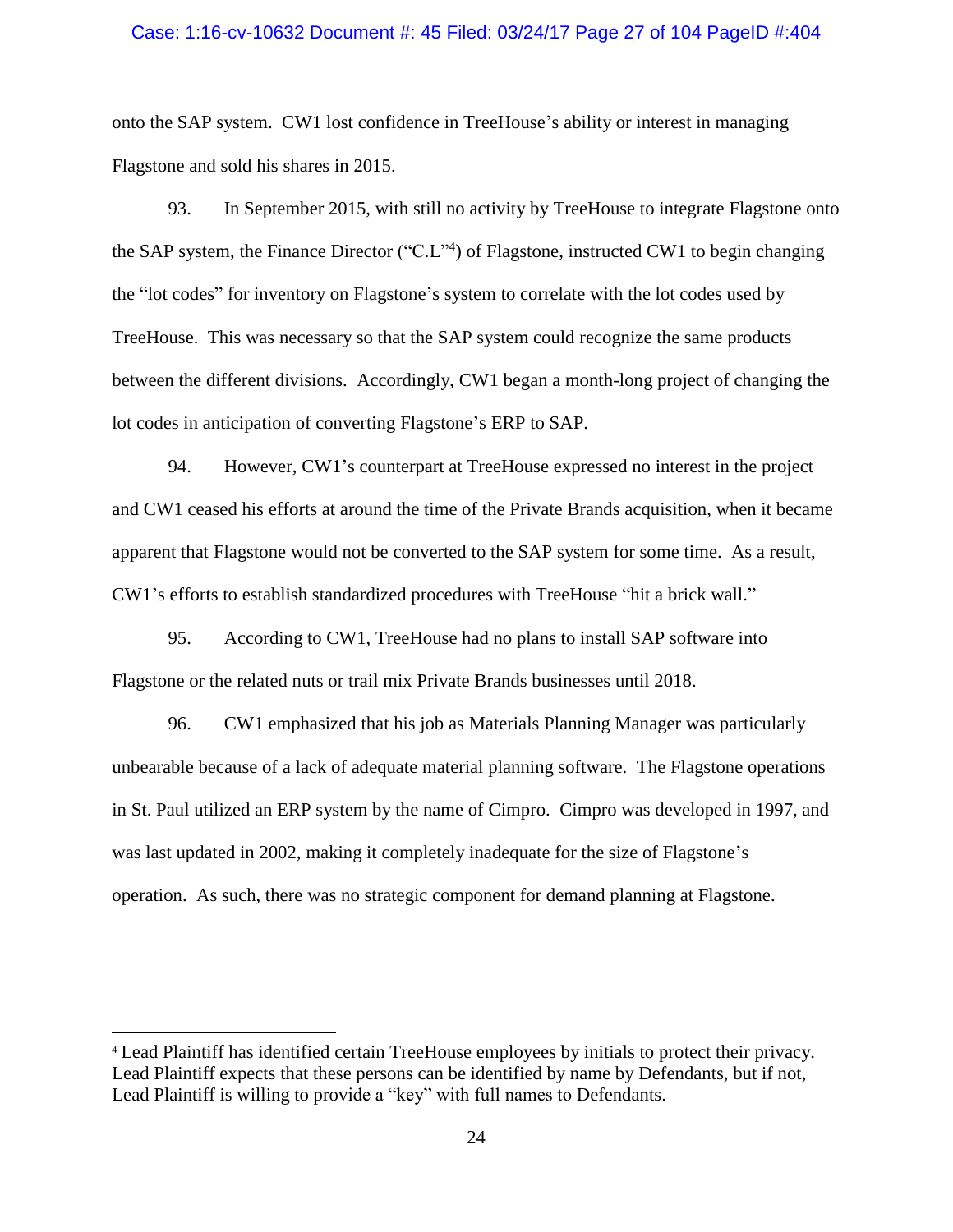#### Case: 1:16-cv-10632 Document #: 45 Filed: 03/24/17 Page 27 of 104 PageID #:404

onto the SAP system. CW1 lost confidence in TreeHouse's ability or interest in managing Flagstone and sold his shares in 2015.

<span id="page-26-0"></span>93. In September 2015, with still no activity by TreeHouse to integrate Flagstone onto the SAP system, the Finance Director ("C.L"<sup>4</sup>) of Flagstone, instructed CW1 to begin changing the "lot codes" for inventory on Flagstone's system to correlate with the lot codes used by TreeHouse. This was necessary so that the SAP system could recognize the same products between the different divisions. Accordingly, CW1 began a month-long project of changing the lot codes in anticipation of converting Flagstone's ERP to SAP.

94. However, CW1's counterpart at TreeHouse expressed no interest in the project and CW1 ceased his efforts at around the time of the Private Brands acquisition, when it became apparent that Flagstone would not be converted to the SAP system for some time. As a result, CW1's efforts to establish standardized procedures with TreeHouse "hit a brick wall."

95. According to CW1, TreeHouse had no plans to install SAP software into Flagstone or the related nuts or trail mix Private Brands businesses until 2018.

96. CW1 emphasized that his job as Materials Planning Manager was particularly unbearable because of a lack of adequate material planning software. The Flagstone operations in St. Paul utilized an ERP system by the name of Cimpro. Cimpro was developed in 1997, and was last updated in 2002, making it completely inadequate for the size of Flagstone's operation. As such, there was no strategic component for demand planning at Flagstone.

 $\overline{a}$ 

<sup>4</sup> Lead Plaintiff has identified certain TreeHouse employees by initials to protect their privacy. Lead Plaintiff expects that these persons can be identified by name by Defendants, but if not, Lead Plaintiff is willing to provide a "key" with full names to Defendants.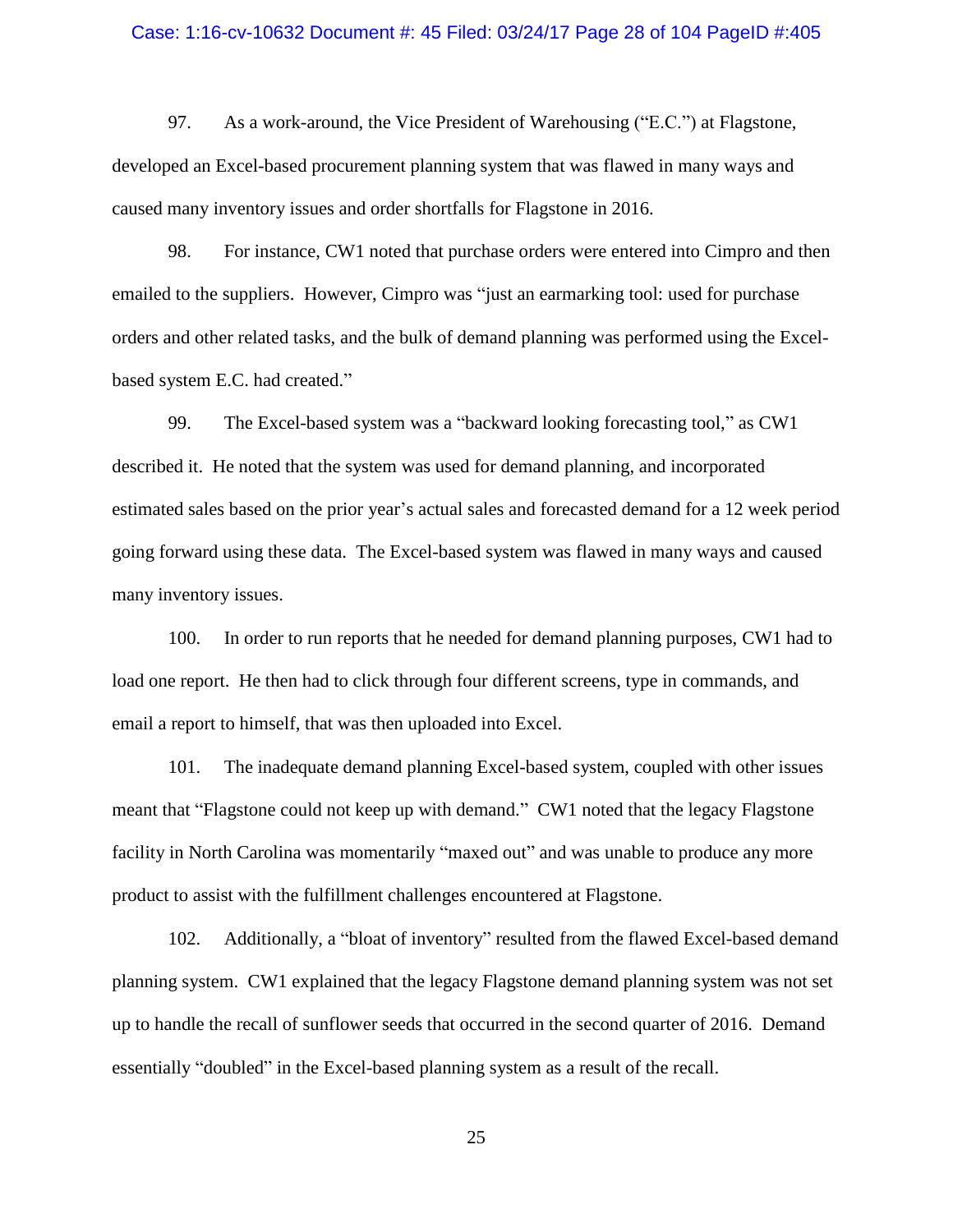#### Case: 1:16-cv-10632 Document #: 45 Filed: 03/24/17 Page 28 of 104 PageID #:405

97. As a work-around, the Vice President of Warehousing ("E.C.") at Flagstone, developed an Excel-based procurement planning system that was flawed in many ways and caused many inventory issues and order shortfalls for Flagstone in 2016.

98. For instance, CW1 noted that purchase orders were entered into Cimpro and then emailed to the suppliers. However, Cimpro was "just an earmarking tool: used for purchase orders and other related tasks, and the bulk of demand planning was performed using the Excelbased system E.C. had created."

99. The Excel-based system was a "backward looking forecasting tool," as CW1 described it. He noted that the system was used for demand planning, and incorporated estimated sales based on the prior year's actual sales and forecasted demand for a 12 week period going forward using these data. The Excel-based system was flawed in many ways and caused many inventory issues.

100. In order to run reports that he needed for demand planning purposes, CW1 had to load one report. He then had to click through four different screens, type in commands, and email a report to himself, that was then uploaded into Excel.

101. The inadequate demand planning Excel-based system, coupled with other issues meant that "Flagstone could not keep up with demand." CW1 noted that the legacy Flagstone facility in North Carolina was momentarily "maxed out" and was unable to produce any more product to assist with the fulfillment challenges encountered at Flagstone.

102. Additionally, a "bloat of inventory" resulted from the flawed Excel-based demand planning system. CW1 explained that the legacy Flagstone demand planning system was not set up to handle the recall of sunflower seeds that occurred in the second quarter of 2016. Demand essentially "doubled" in the Excel-based planning system as a result of the recall.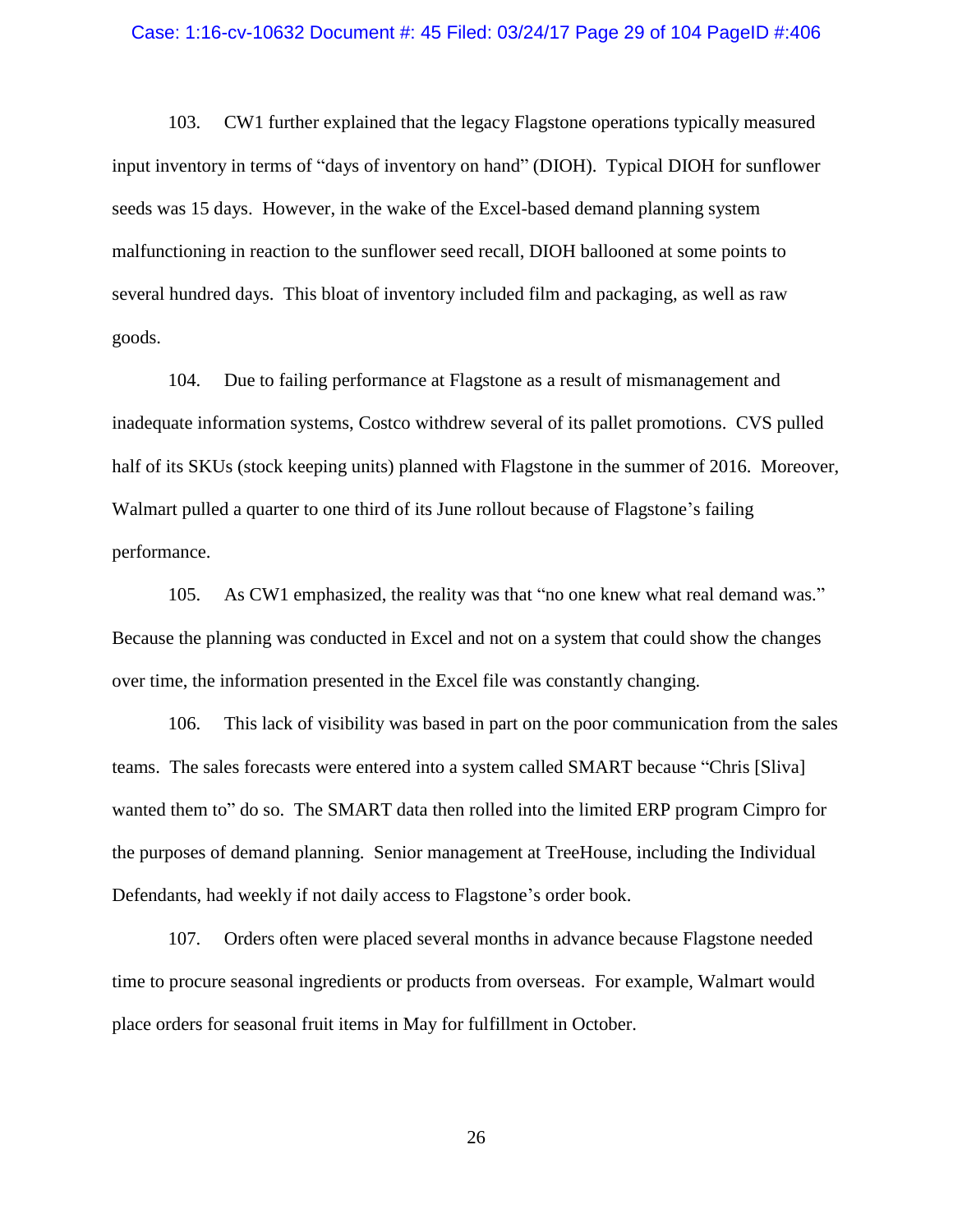#### Case: 1:16-cv-10632 Document #: 45 Filed: 03/24/17 Page 29 of 104 PageID #:406

103. CW1 further explained that the legacy Flagstone operations typically measured input inventory in terms of "days of inventory on hand" (DIOH). Typical DIOH for sunflower seeds was 15 days. However, in the wake of the Excel-based demand planning system malfunctioning in reaction to the sunflower seed recall, DIOH ballooned at some points to several hundred days. This bloat of inventory included film and packaging, as well as raw goods.

104. Due to failing performance at Flagstone as a result of mismanagement and inadequate information systems, Costco withdrew several of its pallet promotions. CVS pulled half of its SKUs (stock keeping units) planned with Flagstone in the summer of 2016. Moreover, Walmart pulled a quarter to one third of its June rollout because of Flagstone's failing performance.

105. As CW1 emphasized, the reality was that "no one knew what real demand was." Because the planning was conducted in Excel and not on a system that could show the changes over time, the information presented in the Excel file was constantly changing.

106. This lack of visibility was based in part on the poor communication from the sales teams. The sales forecasts were entered into a system called SMART because "Chris [Sliva] wanted them to" do so. The SMART data then rolled into the limited ERP program Cimpro for the purposes of demand planning. Senior management at TreeHouse, including the Individual Defendants, had weekly if not daily access to Flagstone's order book.

107. Orders often were placed several months in advance because Flagstone needed time to procure seasonal ingredients or products from overseas. For example, Walmart would place orders for seasonal fruit items in May for fulfillment in October.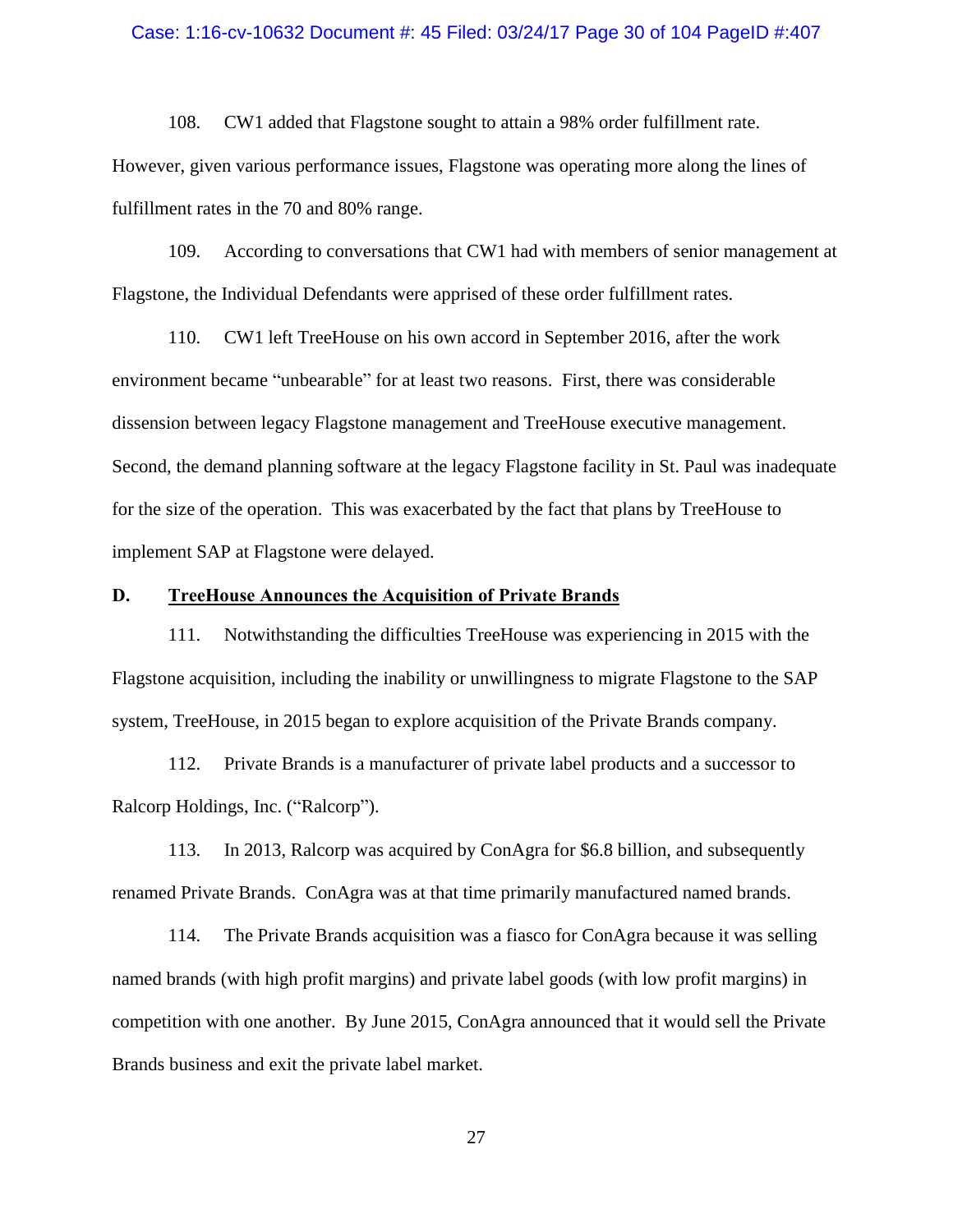#### Case: 1:16-cv-10632 Document #: 45 Filed: 03/24/17 Page 30 of 104 PageID #:407

108. CW1 added that Flagstone sought to attain a 98% order fulfillment rate.

However, given various performance issues, Flagstone was operating more along the lines of fulfillment rates in the 70 and 80% range.

109. According to conversations that CW1 had with members of senior management at Flagstone, the Individual Defendants were apprised of these order fulfillment rates.

110. CW1 left TreeHouse on his own accord in September 2016, after the work environment became "unbearable" for at least two reasons. First, there was considerable dissension between legacy Flagstone management and TreeHouse executive management. Second, the demand planning software at the legacy Flagstone facility in St. Paul was inadequate for the size of the operation. This was exacerbated by the fact that plans by TreeHouse to implement SAP at Flagstone were delayed.

## <span id="page-29-0"></span>**D. TreeHouse Announces the Acquisition of Private Brands**

111. Notwithstanding the difficulties TreeHouse was experiencing in 2015 with the Flagstone acquisition, including the inability or unwillingness to migrate Flagstone to the SAP system, TreeHouse, in 2015 began to explore acquisition of the Private Brands company.

112. Private Brands is a manufacturer of private label products and a successor to Ralcorp Holdings, Inc. ("Ralcorp").

113. In 2013, Ralcorp was acquired by ConAgra for \$6.8 billion, and subsequently renamed Private Brands. ConAgra was at that time primarily manufactured named brands.

114. The Private Brands acquisition was a fiasco for ConAgra because it was selling named brands (with high profit margins) and private label goods (with low profit margins) in competition with one another. By June 2015, ConAgra announced that it would sell the Private Brands business and exit the private label market.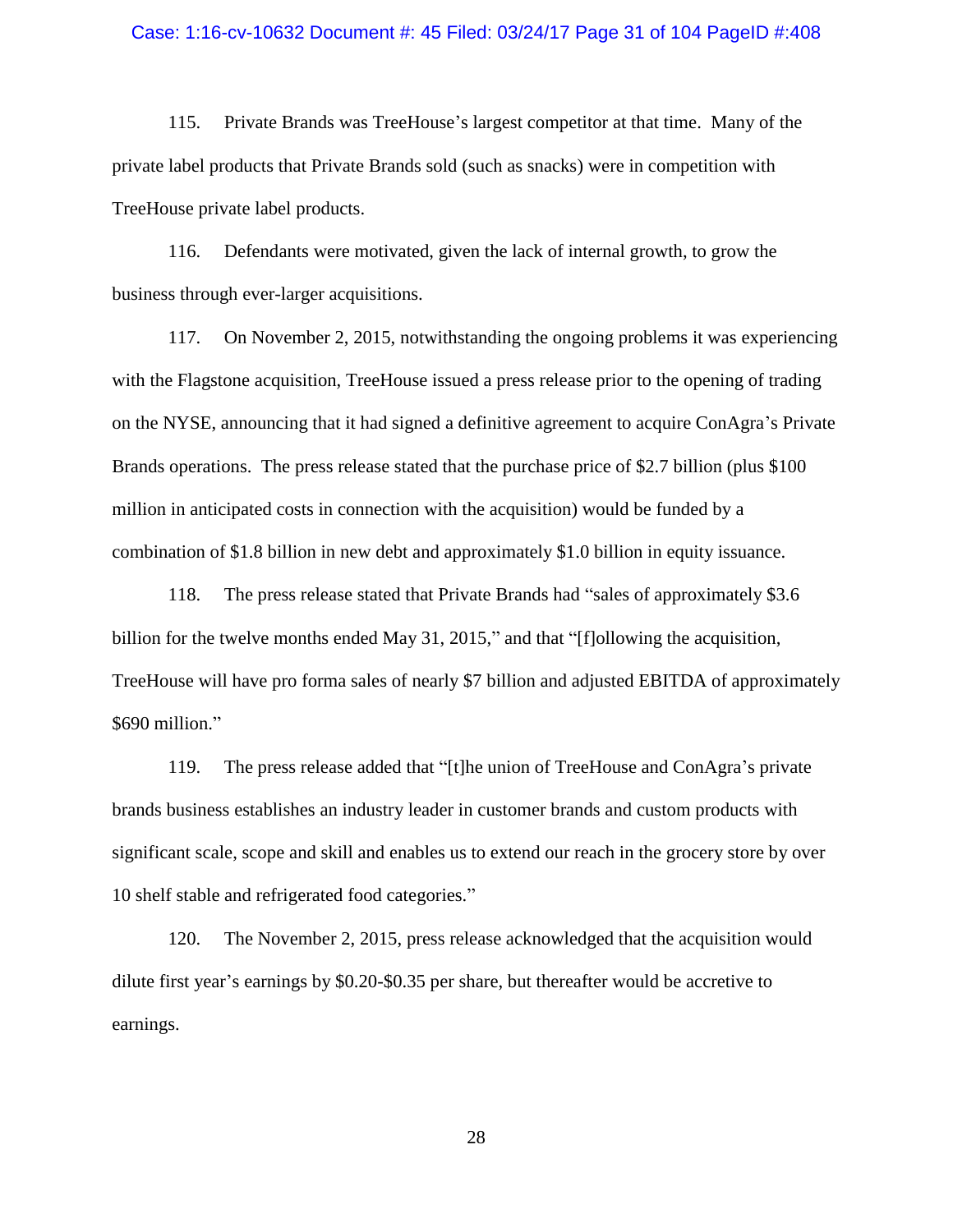#### Case: 1:16-cv-10632 Document #: 45 Filed: 03/24/17 Page 31 of 104 PageID #:408

115. Private Brands was TreeHouse's largest competitor at that time. Many of the private label products that Private Brands sold (such as snacks) were in competition with TreeHouse private label products.

116. Defendants were motivated, given the lack of internal growth, to grow the business through ever-larger acquisitions.

117. On November 2, 2015, notwithstanding the ongoing problems it was experiencing with the Flagstone acquisition, TreeHouse issued a press release prior to the opening of trading on the NYSE, announcing that it had signed a definitive agreement to acquire ConAgra's Private Brands operations. The press release stated that the purchase price of \$2.7 billion (plus \$100 million in anticipated costs in connection with the acquisition) would be funded by a combination of \$1.8 billion in new debt and approximately \$1.0 billion in equity issuance.

118. The press release stated that Private Brands had "sales of approximately \$3.6 billion for the twelve months ended May 31, 2015," and that "[f]ollowing the acquisition, TreeHouse will have pro forma sales of nearly \$7 billion and adjusted EBITDA of approximately \$690 million."

119. The press release added that "[t]he union of TreeHouse and ConAgra's private brands business establishes an industry leader in customer brands and custom products with significant scale, scope and skill and enables us to extend our reach in the grocery store by over 10 shelf stable and refrigerated food categories."

120. The November 2, 2015, press release acknowledged that the acquisition would dilute first year's earnings by \$0.20-\$0.35 per share, but thereafter would be accretive to earnings.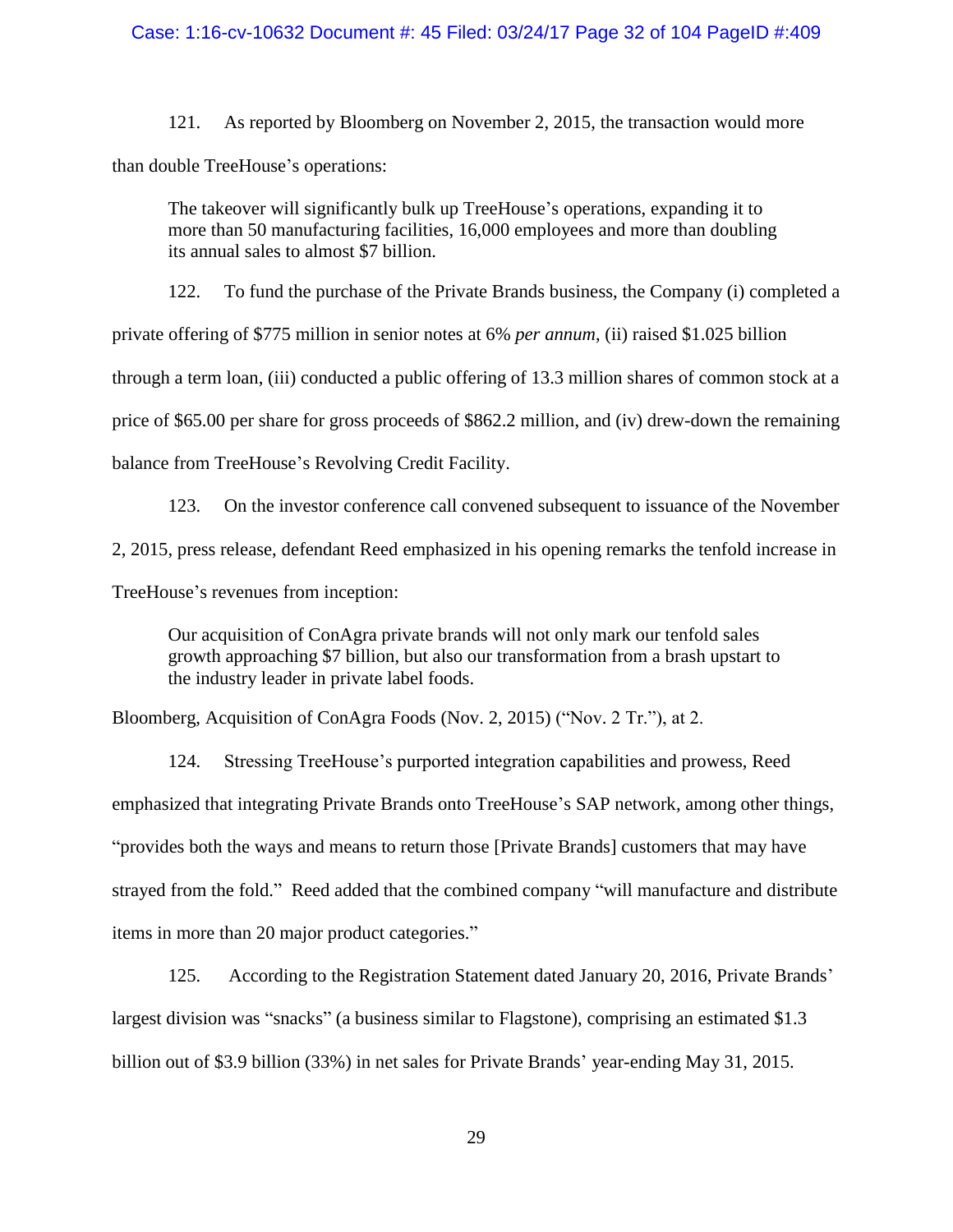## Case: 1:16-cv-10632 Document #: 45 Filed: 03/24/17 Page 32 of 104 PageID #:409

121. As reported by Bloomberg on November 2, 2015, the transaction would more than double TreeHouse's operations:

The takeover will significantly bulk up TreeHouse's operations, expanding it to more than 50 manufacturing facilities, 16,000 employees and more than doubling its annual sales to almost \$7 billion.

122. To fund the purchase of the Private Brands business, the Company (i) completed a

private offering of \$775 million in senior notes at 6% *per annum*, (ii) raised \$1.025 billion

through a term loan, (iii) conducted a public offering of 13.3 million shares of common stock at a

price of \$65.00 per share for gross proceeds of \$862.2 million, and (iv) drew-down the remaining

balance from TreeHouse's Revolving Credit Facility.

123. On the investor conference call convened subsequent to issuance of the November 2, 2015, press release, defendant Reed emphasized in his opening remarks the tenfold increase in TreeHouse's revenues from inception:

Our acquisition of ConAgra private brands will not only mark our tenfold sales growth approaching \$7 billion, but also our transformation from a brash upstart to the industry leader in private label foods.

Bloomberg, Acquisition of ConAgra Foods (Nov. 2, 2015) ("Nov. 2 Tr."), at 2.

124. Stressing TreeHouse's purported integration capabilities and prowess, Reed emphasized that integrating Private Brands onto TreeHouse's SAP network, among other things, "provides both the ways and means to return those [Private Brands] customers that may have strayed from the fold." Reed added that the combined company "will manufacture and distribute items in more than 20 major product categories."

125. According to the Registration Statement dated January 20, 2016, Private Brands' largest division was "snacks" (a business similar to Flagstone), comprising an estimated \$1.3 billion out of \$3.9 billion (33%) in net sales for Private Brands' year-ending May 31, 2015.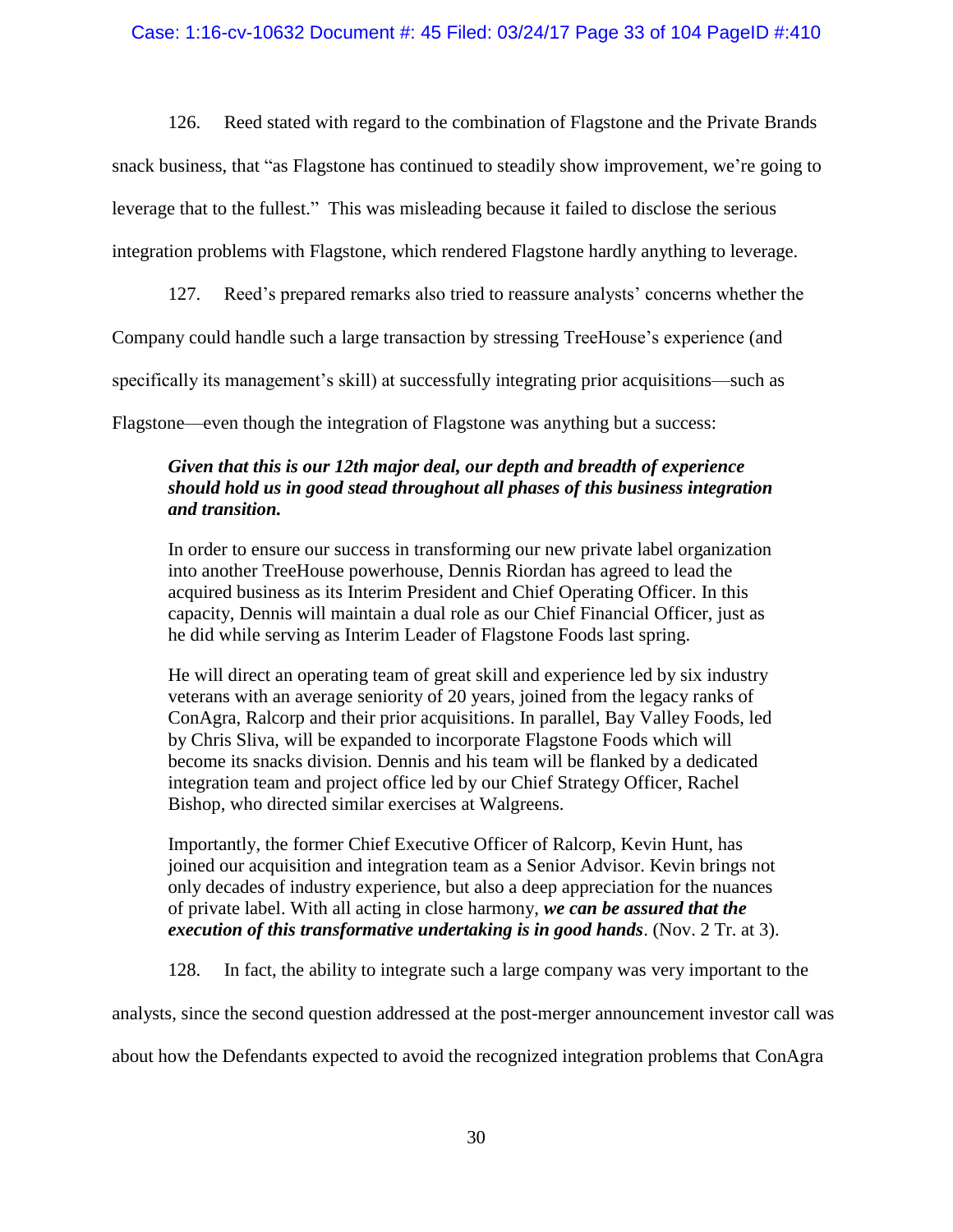126. Reed stated with regard to the combination of Flagstone and the Private Brands

snack business, that "as Flagstone has continued to steadily show improvement, we're going to

leverage that to the fullest." This was misleading because it failed to disclose the serious

integration problems with Flagstone, which rendered Flagstone hardly anything to leverage.

127. Reed's prepared remarks also tried to reassure analysts' concerns whether the

Company could handle such a large transaction by stressing TreeHouse's experience (and

specifically its management's skill) at successfully integrating prior acquisitions—such as

Flagstone—even though the integration of Flagstone was anything but a success:

# *Given that this is our 12th major deal, our depth and breadth of experience should hold us in good stead throughout all phases of this business integration and transition.*

In order to ensure our success in transforming our new private label organization into another TreeHouse powerhouse, Dennis Riordan has agreed to lead the acquired business as its Interim President and Chief Operating Officer. In this capacity, Dennis will maintain a dual role as our Chief Financial Officer, just as he did while serving as Interim Leader of Flagstone Foods last spring.

He will direct an operating team of great skill and experience led by six industry veterans with an average seniority of 20 years, joined from the legacy ranks of ConAgra, Ralcorp and their prior acquisitions. In parallel, Bay Valley Foods, led by Chris Sliva, will be expanded to incorporate Flagstone Foods which will become its snacks division. Dennis and his team will be flanked by a dedicated integration team and project office led by our Chief Strategy Officer, Rachel Bishop, who directed similar exercises at Walgreens.

Importantly, the former Chief Executive Officer of Ralcorp, Kevin Hunt, has joined our acquisition and integration team as a Senior Advisor. Kevin brings not only decades of industry experience, but also a deep appreciation for the nuances of private label. With all acting in close harmony, *we can be assured that the execution of this transformative undertaking is in good hands*. (Nov. 2 Tr. at 3).

128. In fact, the ability to integrate such a large company was very important to the

analysts, since the second question addressed at the post-merger announcement investor call was

about how the Defendants expected to avoid the recognized integration problems that ConAgra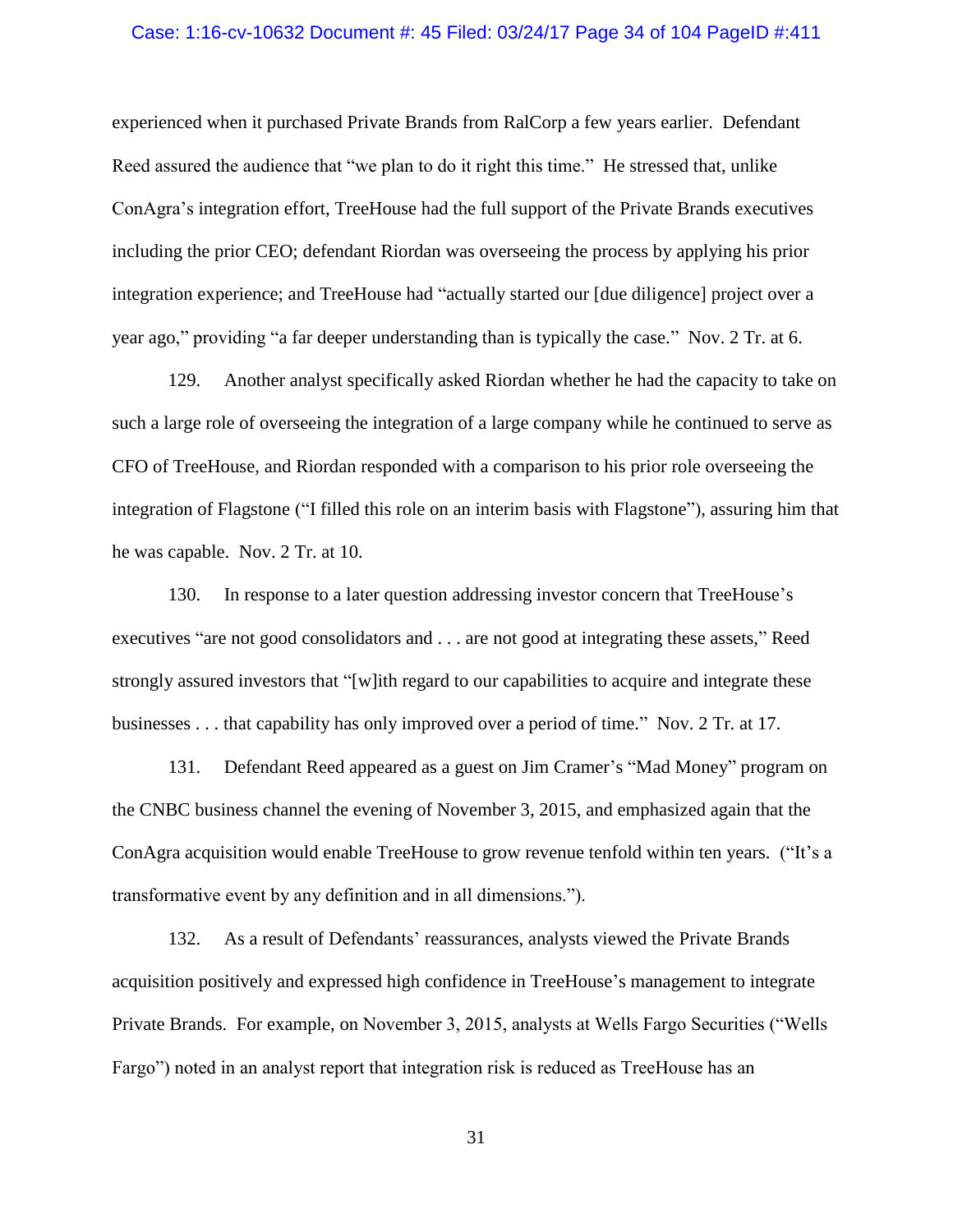#### Case: 1:16-cv-10632 Document #: 45 Filed: 03/24/17 Page 34 of 104 PageID #:411

experienced when it purchased Private Brands from RalCorp a few years earlier. Defendant Reed assured the audience that "we plan to do it right this time." He stressed that, unlike ConAgra's integration effort, TreeHouse had the full support of the Private Brands executives including the prior CEO; defendant Riordan was overseeing the process by applying his prior integration experience; and TreeHouse had "actually started our [due diligence] project over a year ago," providing "a far deeper understanding than is typically the case." Nov. 2 Tr. at 6.

129. Another analyst specifically asked Riordan whether he had the capacity to take on such a large role of overseeing the integration of a large company while he continued to serve as CFO of TreeHouse, and Riordan responded with a comparison to his prior role overseeing the integration of Flagstone ("I filled this role on an interim basis with Flagstone"), assuring him that he was capable. Nov. 2 Tr. at 10.

130. In response to a later question addressing investor concern that TreeHouse's executives "are not good consolidators and . . . are not good at integrating these assets," Reed strongly assured investors that "[w]ith regard to our capabilities to acquire and integrate these businesses . . . that capability has only improved over a period of time." Nov. 2 Tr. at 17.

131. Defendant Reed appeared as a guest on Jim Cramer's "Mad Money" program on the CNBC business channel the evening of November 3, 2015, and emphasized again that the ConAgra acquisition would enable TreeHouse to grow revenue tenfold within ten years. ("It's a transformative event by any definition and in all dimensions.").

132. As a result of Defendants' reassurances, analysts viewed the Private Brands acquisition positively and expressed high confidence in TreeHouse's management to integrate Private Brands. For example, on November 3, 2015, analysts at Wells Fargo Securities ("Wells Fargo") noted in an analyst report that integration risk is reduced as TreeHouse has an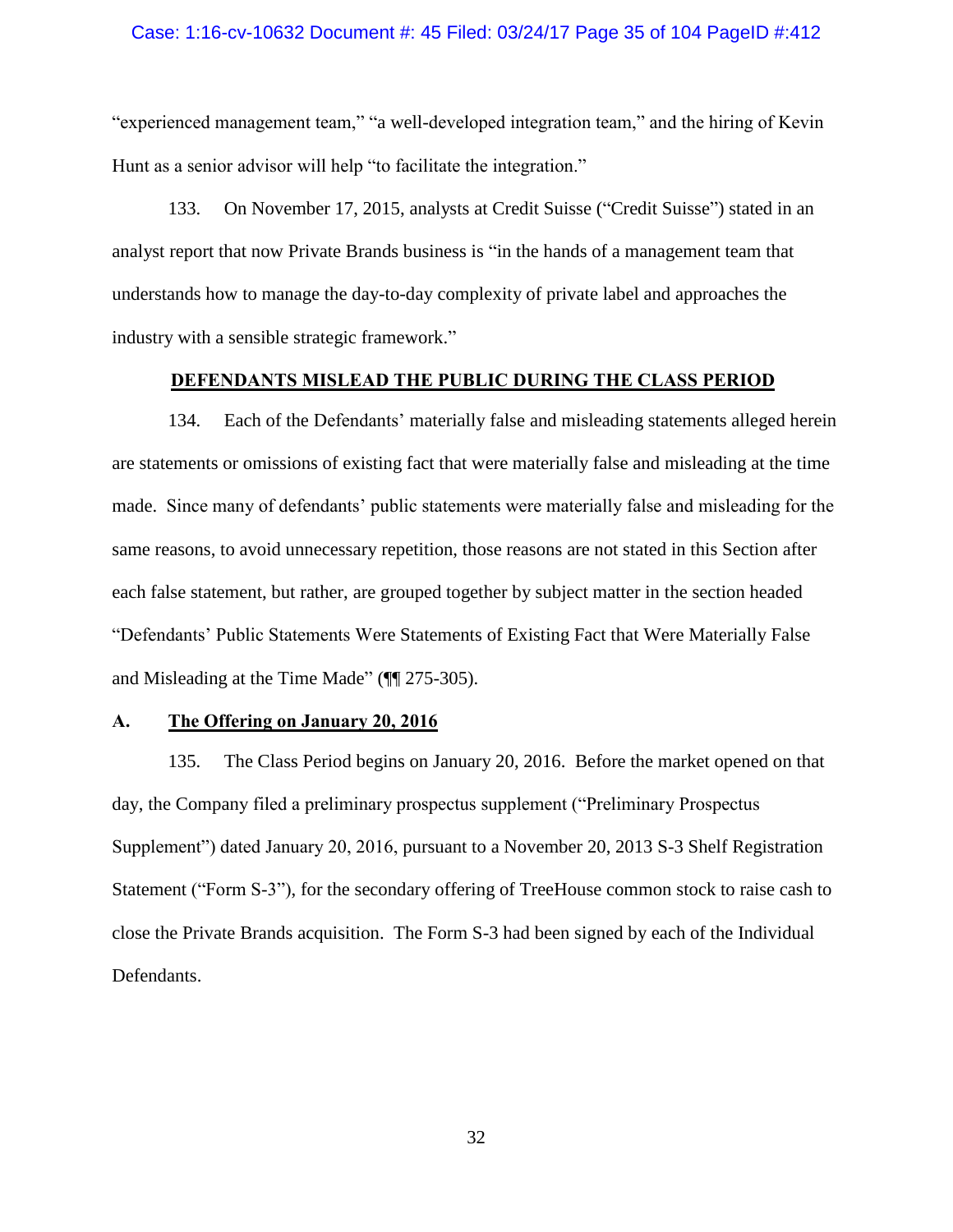#### Case: 1:16-cv-10632 Document #: 45 Filed: 03/24/17 Page 35 of 104 PageID #:412

"experienced management team," "a well-developed integration team," and the hiring of Kevin Hunt as a senior advisor will help "to facilitate the integration."

133. On November 17, 2015, analysts at Credit Suisse ("Credit Suisse") stated in an analyst report that now Private Brands business is "in the hands of a management team that understands how to manage the day-to-day complexity of private label and approaches the industry with a sensible strategic framework."

## **DEFENDANTS MISLEAD THE PUBLIC DURING THE CLASS PERIOD**

<span id="page-34-0"></span>134. Each of the Defendants' materially false and misleading statements alleged herein are statements or omissions of existing fact that were materially false and misleading at the time made. Since many of defendants' public statements were materially false and misleading for the same reasons, to avoid unnecessary repetition, those reasons are not stated in this Section after each false statement, but rather, are grouped together by subject matter in the section headed "Defendants' Public Statements Were Statements of Existing Fact that Were Materially False and Misleading at the Time Made" (¶¶ [275](#page-71-2)[-305\)](#page-81-1).

## <span id="page-34-1"></span>**A. The Offering on January 20, 2016**

135. The Class Period begins on January 20, 2016. Before the market opened on that day, the Company filed a preliminary prospectus supplement ("Preliminary Prospectus Supplement") dated January 20, 2016, pursuant to a November 20, 2013 S-3 Shelf Registration Statement ("Form S-3"), for the secondary offering of TreeHouse common stock to raise cash to close the Private Brands acquisition. The Form S-3 had been signed by each of the Individual Defendants.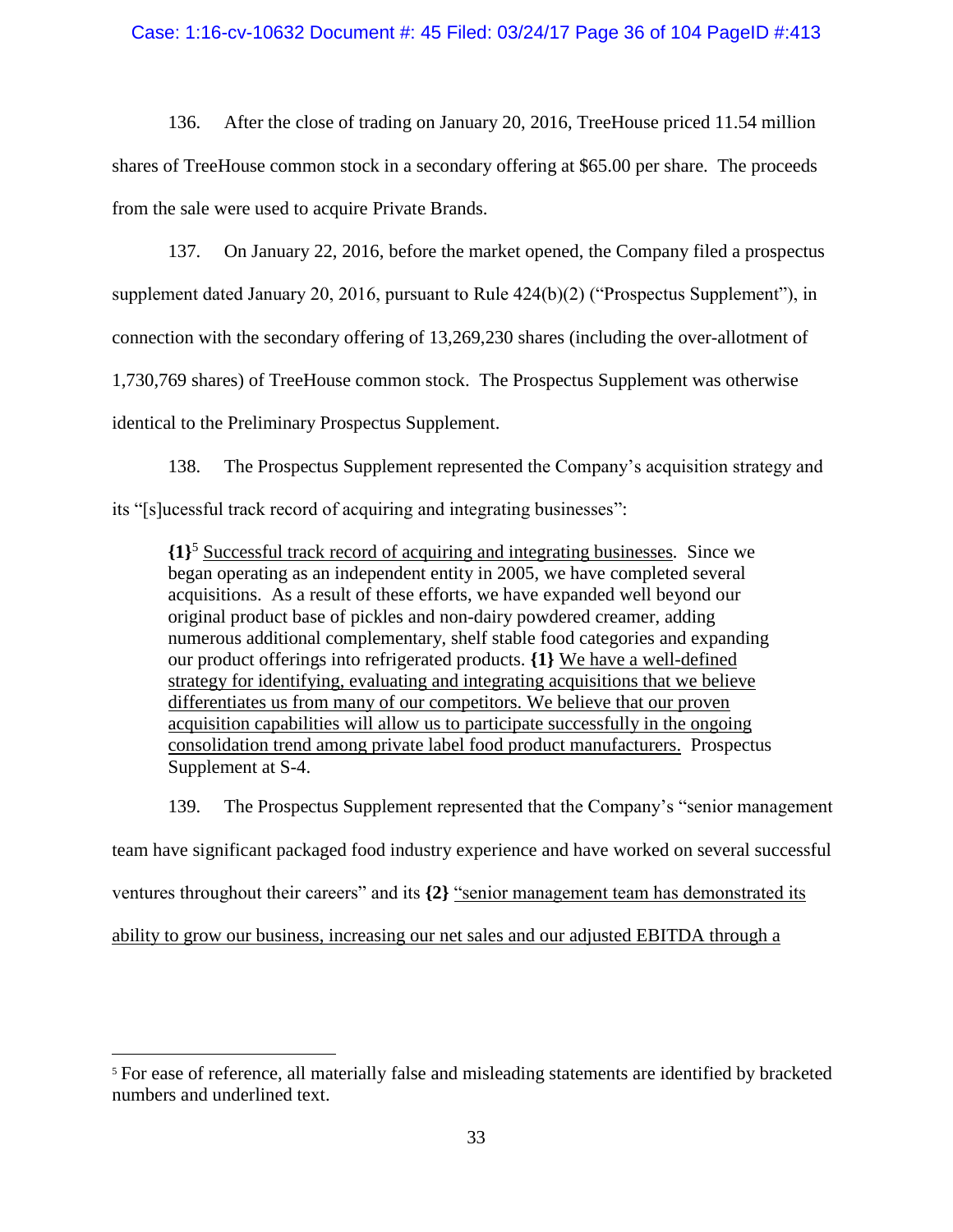## Case: 1:16-cv-10632 Document #: 45 Filed: 03/24/17 Page 36 of 104 PageID #:413

136. After the close of trading on January 20, 2016, TreeHouse priced 11.54 million shares of TreeHouse common stock in a secondary offering at \$65.00 per share. The proceeds from the sale were used to acquire Private Brands.

137. On January 22, 2016, before the market opened, the Company filed a prospectus supplement dated January 20, 2016, pursuant to Rule 424(b)(2) ("Prospectus Supplement"), in connection with the secondary offering of 13,269,230 shares (including the over-allotment of 1,730,769 shares) of TreeHouse common stock. The Prospectus Supplement was otherwise identical to the Preliminary Prospectus Supplement.

138. The Prospectus Supplement represented the Company's acquisition strategy and its "[s]ucessful track record of acquiring and integrating businesses":

**{1}** <sup>5</sup> Successful track record of acquiring and integrating businesses*.* Since we began operating as an independent entity in 2005, we have completed several acquisitions. As a result of these efforts, we have expanded well beyond our original product base of pickles and non-dairy powdered creamer, adding numerous additional complementary, shelf stable food categories and expanding our product offerings into refrigerated products. **{1}** We have a well-defined strategy for identifying, evaluating and integrating acquisitions that we believe differentiates us from many of our competitors. We believe that our proven acquisition capabilities will allow us to participate successfully in the ongoing consolidation trend among private label food product manufacturers. Prospectus Supplement at S-4.

139. The Prospectus Supplement represented that the Company's "senior management team have significant packaged food industry experience and have worked on several successful ventures throughout their careers" and its **{2}** "senior management team has demonstrated its ability to grow our business, increasing our net sales and our adjusted EBITDA through a

 $\overline{a}$ 

<sup>5</sup> For ease of reference, all materially false and misleading statements are identified by bracketed numbers and underlined text.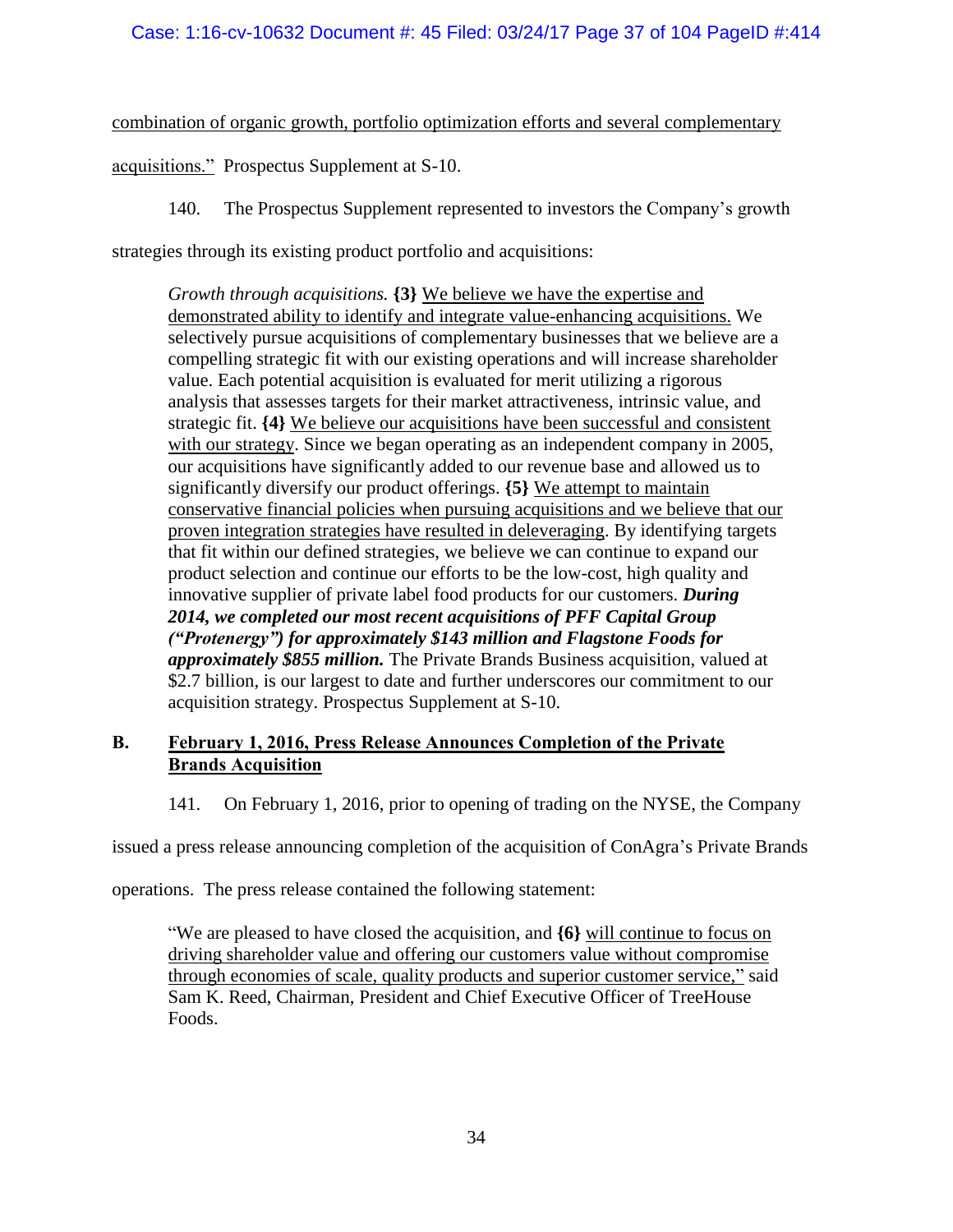combination of organic growth, portfolio optimization efforts and several complementary

acquisitions." Prospectus Supplement at S-10.

140. The Prospectus Supplement represented to investors the Company's growth

strategies through its existing product portfolio and acquisitions:

*Growth through acquisitions.* **{3}** We believe we have the expertise and demonstrated ability to identify and integrate value-enhancing acquisitions. We selectively pursue acquisitions of complementary businesses that we believe are a compelling strategic fit with our existing operations and will increase shareholder value. Each potential acquisition is evaluated for merit utilizing a rigorous analysis that assesses targets for their market attractiveness, intrinsic value, and strategic fit. **{4}** We believe our acquisitions have been successful and consistent with our strategy. Since we began operating as an independent company in 2005, our acquisitions have significantly added to our revenue base and allowed us to significantly diversify our product offerings. **{5}** We attempt to maintain conservative financial policies when pursuing acquisitions and we believe that our proven integration strategies have resulted in deleveraging. By identifying targets that fit within our defined strategies, we believe we can continue to expand our product selection and continue our efforts to be the low-cost, high quality and innovative supplier of private label food products for our customers. *During 2014, we completed our most recent acquisitions of PFF Capital Group ("Protenergy") for approximately \$143 million and Flagstone Foods for approximately \$855 million.* The Private Brands Business acquisition, valued at \$2.7 billion, is our largest to date and further underscores our commitment to our acquisition strategy. Prospectus Supplement at S-10.

# **B. February 1, 2016, Press Release Announces Completion of the Private Brands Acquisition**

141. On February 1, 2016, prior to opening of trading on the NYSE, the Company

issued a press release announcing completion of the acquisition of ConAgra's Private Brands

operations. The press release contained the following statement:

"We are pleased to have closed the acquisition, and **{6}** will continue to focus on driving shareholder value and offering our customers value without compromise through economies of scale, quality products and superior customer service," said Sam K. Reed, Chairman, President and Chief Executive Officer of TreeHouse Foods.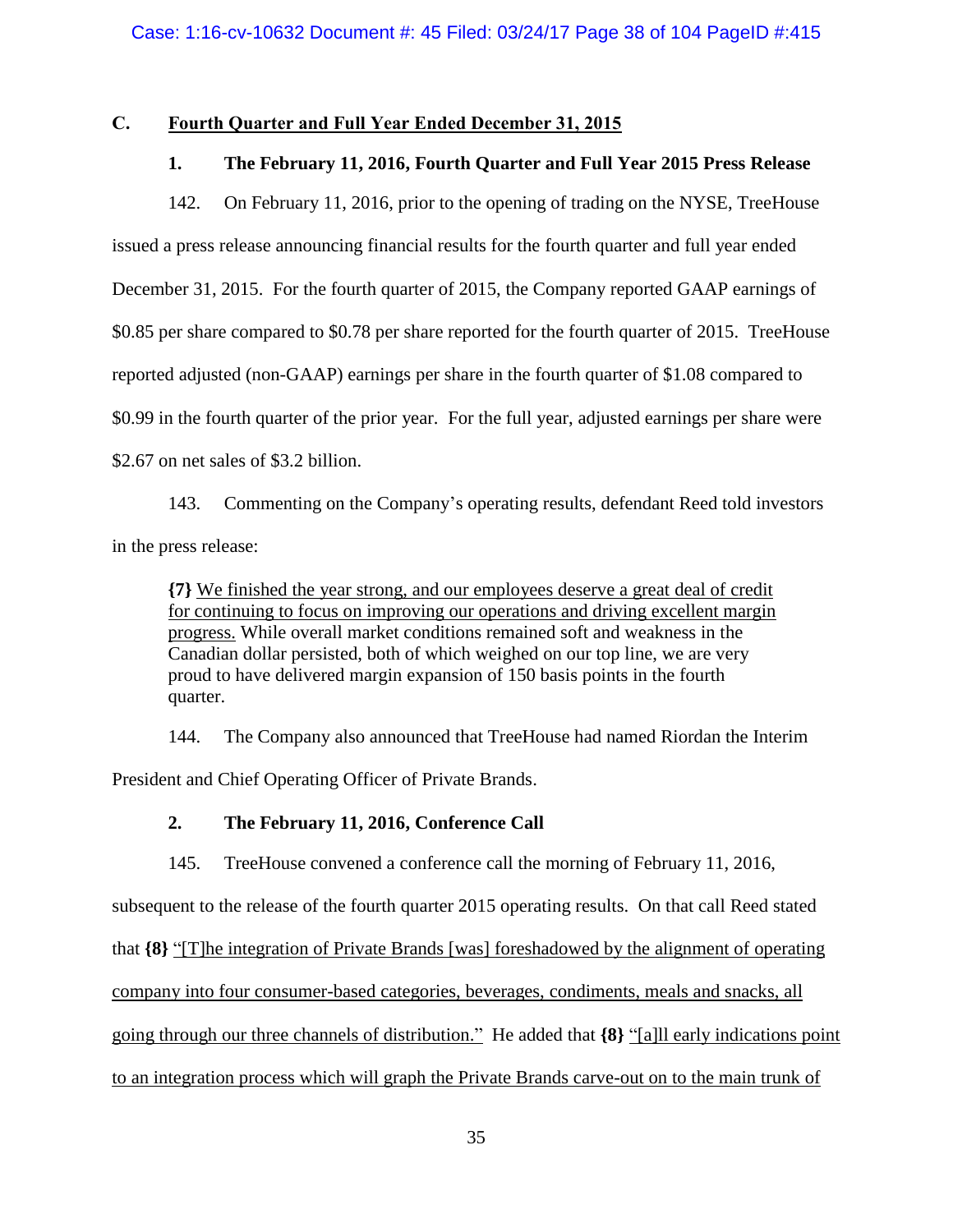# **C. Fourth Quarter and Full Year Ended December 31, 2015**

## **1. The February 11, 2016, Fourth Quarter and Full Year 2015 Press Release**

142. On February 11, 2016, prior to the opening of trading on the NYSE, TreeHouse issued a press release announcing financial results for the fourth quarter and full year ended December 31, 2015. For the fourth quarter of 2015, the Company reported GAAP earnings of \$0.85 per share compared to \$0.78 per share reported for the fourth quarter of 2015. TreeHouse reported adjusted (non-GAAP) earnings per share in the fourth quarter of \$1.08 compared to \$0.99 in the fourth quarter of the prior year. For the full year, adjusted earnings per share were \$2.67 on net sales of \$3.2 billion.

143. Commenting on the Company's operating results, defendant Reed told investors in the press release:

**{7}** We finished the year strong, and our employees deserve a great deal of credit for continuing to focus on improving our operations and driving excellent margin progress. While overall market conditions remained soft and weakness in the Canadian dollar persisted, both of which weighed on our top line, we are very proud to have delivered margin expansion of 150 basis points in the fourth quarter.

144. The Company also announced that TreeHouse had named Riordan the Interim President and Chief Operating Officer of Private Brands.

## **2. The February 11, 2016, Conference Call**

145. TreeHouse convened a conference call the morning of February 11, 2016, subsequent to the release of the fourth quarter 2015 operating results. On that call Reed stated that **{8}** "[T]he integration of Private Brands [was] foreshadowed by the alignment of operating company into four consumer-based categories, beverages, condiments, meals and snacks, all going through our three channels of distribution." He added that **{8}** "[a]ll early indications point to an integration process which will graph the Private Brands carve-out on to the main trunk of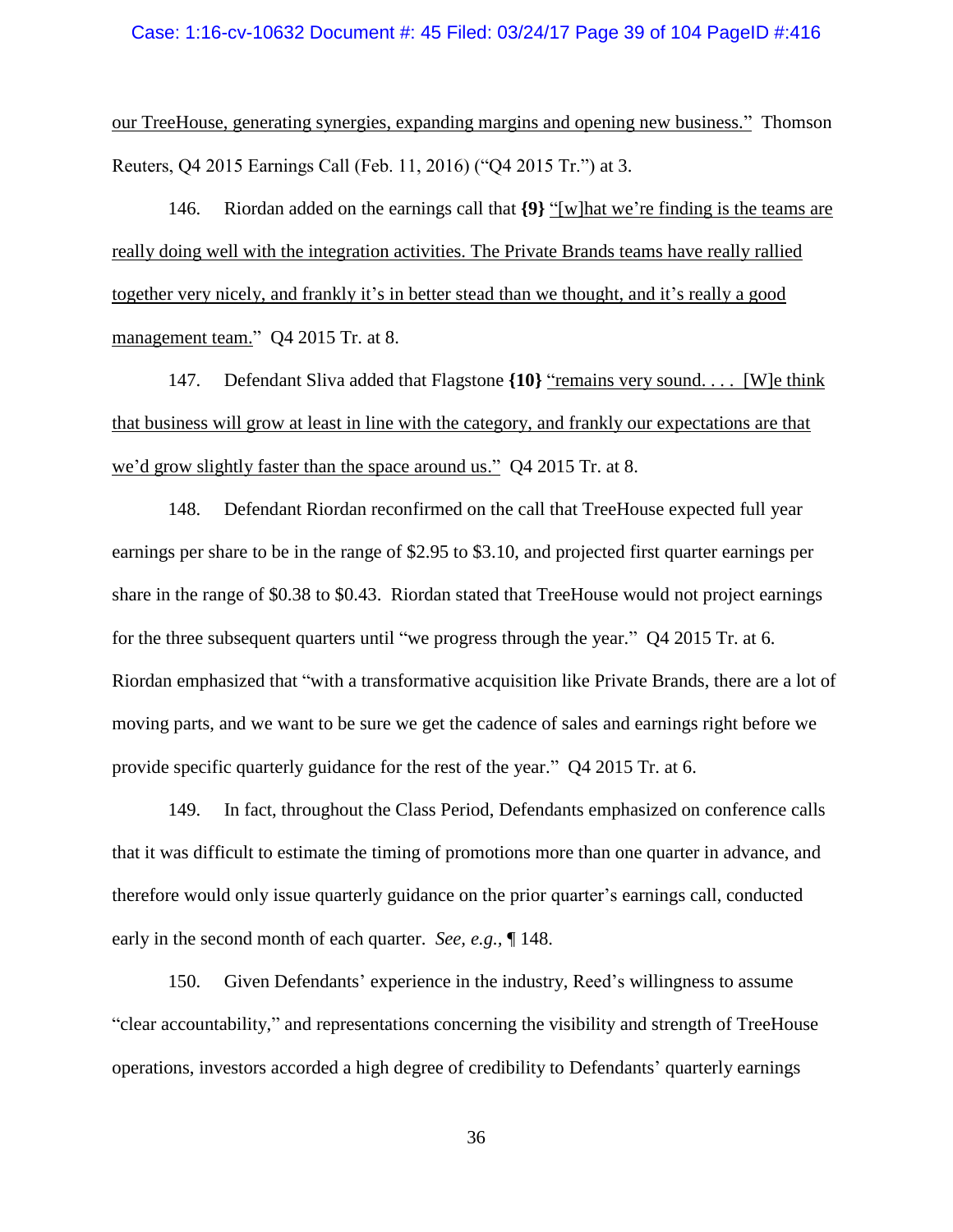## Case: 1:16-cv-10632 Document #: 45 Filed: 03/24/17 Page 39 of 104 PageID #:416

our TreeHouse, generating synergies, expanding margins and opening new business." Thomson Reuters, Q4 2015 Earnings Call (Feb. 11, 2016) ("Q4 2015 Tr.") at 3.

146. Riordan added on the earnings call that **{9}** "[w]hat we're finding is the teams are really doing well with the integration activities. The Private Brands teams have really rallied together very nicely, and frankly it's in better stead than we thought, and it's really a good management team." Q4 2015 Tr. at 8.

147. Defendant Sliva added that Flagstone **{10}** "remains very sound. . . . [W]e think that business will grow at least in line with the category, and frankly our expectations are that we'd grow slightly faster than the space around us." Q4 2015 Tr. at 8.

<span id="page-38-0"></span>148. Defendant Riordan reconfirmed on the call that TreeHouse expected full year earnings per share to be in the range of \$2.95 to \$3.10, and projected first quarter earnings per share in the range of \$0.38 to \$0.43. Riordan stated that TreeHouse would not project earnings for the three subsequent quarters until "we progress through the year." Q4 2015 Tr. at 6. Riordan emphasized that "with a transformative acquisition like Private Brands, there are a lot of moving parts, and we want to be sure we get the cadence of sales and earnings right before we provide specific quarterly guidance for the rest of the year." Q4 2015 Tr. at 6.

149. In fact, throughout the Class Period, Defendants emphasized on conference calls that it was difficult to estimate the timing of promotions more than one quarter in advance, and therefore would only issue quarterly guidance on the prior quarter's earnings call, conducted early in the second month of each quarter. *See, e.g.,* ¶ [148.](#page-38-0)

150. Given Defendants' experience in the industry, Reed's willingness to assume "clear accountability," and representations concerning the visibility and strength of TreeHouse operations, investors accorded a high degree of credibility to Defendants' quarterly earnings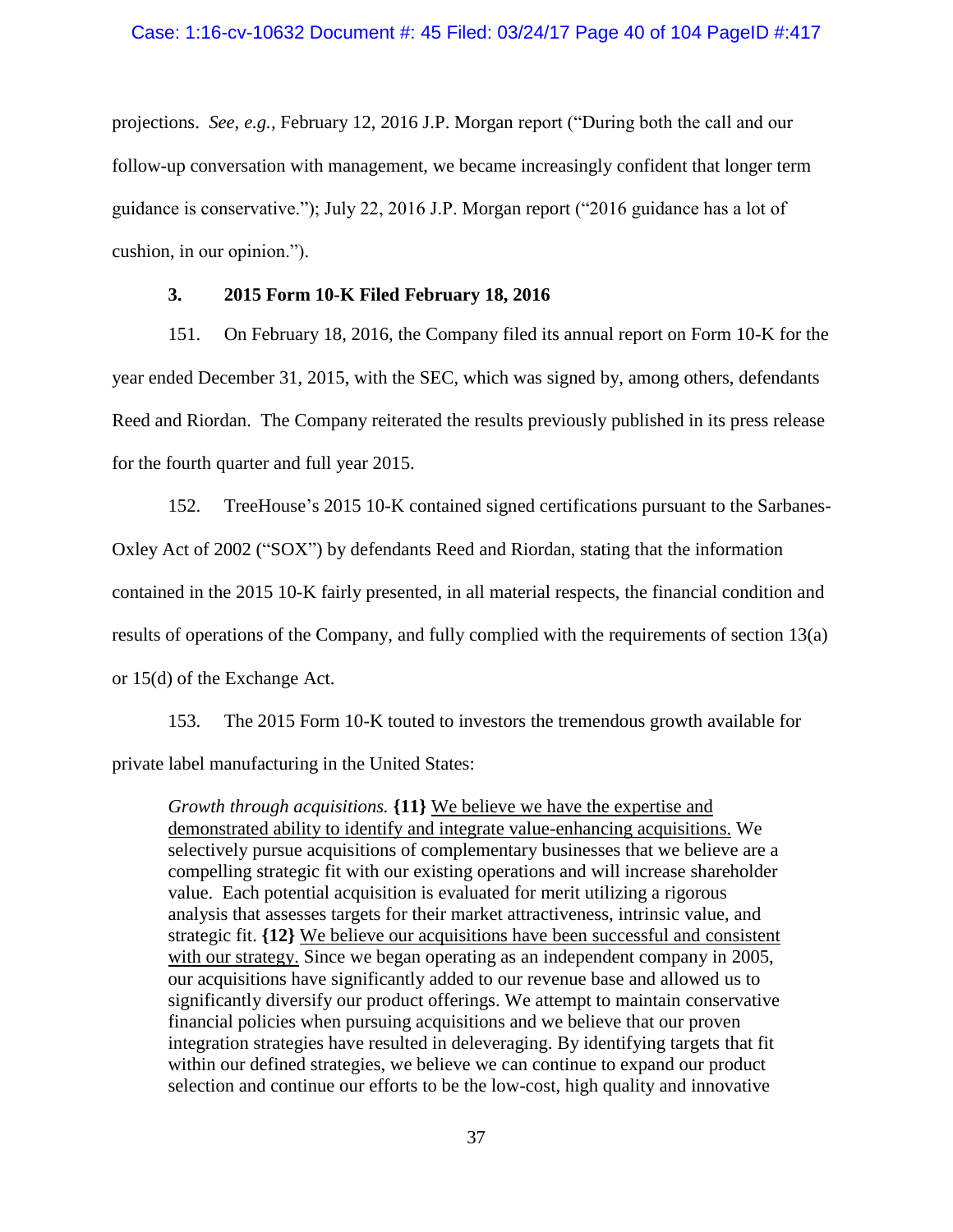projections. *See, e.g.,* February 12, 2016 J.P. Morgan report ("During both the call and our follow-up conversation with management, we became increasingly confident that longer term guidance is conservative."); July 22, 2016 J.P. Morgan report ("2016 guidance has a lot of cushion, in our opinion.").

## **3. 2015 Form 10-K Filed February 18, 2016**

151. On February 18, 2016, the Company filed its annual report on Form 10-K for the year ended December 31, 2015, with the SEC, which was signed by, among others, defendants Reed and Riordan. The Company reiterated the results previously published in its press release for the fourth quarter and full year 2015.

152. TreeHouse's 2015 10-K contained signed certifications pursuant to the Sarbanes-Oxley Act of 2002 ("SOX") by defendants Reed and Riordan, stating that the information contained in the 2015 10-K fairly presented, in all material respects, the financial condition and results of operations of the Company, and fully complied with the requirements of section 13(a) or 15(d) of the Exchange Act.

153. The 2015 Form 10-K touted to investors the tremendous growth available for private label manufacturing in the United States:

*Growth through acquisitions.* **{11}** We believe we have the expertise and demonstrated ability to identify and integrate value-enhancing acquisitions. We selectively pursue acquisitions of complementary businesses that we believe are a compelling strategic fit with our existing operations and will increase shareholder value. Each potential acquisition is evaluated for merit utilizing a rigorous analysis that assesses targets for their market attractiveness, intrinsic value, and strategic fit. **{12}** We believe our acquisitions have been successful and consistent with our strategy. Since we began operating as an independent company in 2005, our acquisitions have significantly added to our revenue base and allowed us to significantly diversify our product offerings. We attempt to maintain conservative financial policies when pursuing acquisitions and we believe that our proven integration strategies have resulted in deleveraging. By identifying targets that fit within our defined strategies, we believe we can continue to expand our product selection and continue our efforts to be the low-cost, high quality and innovative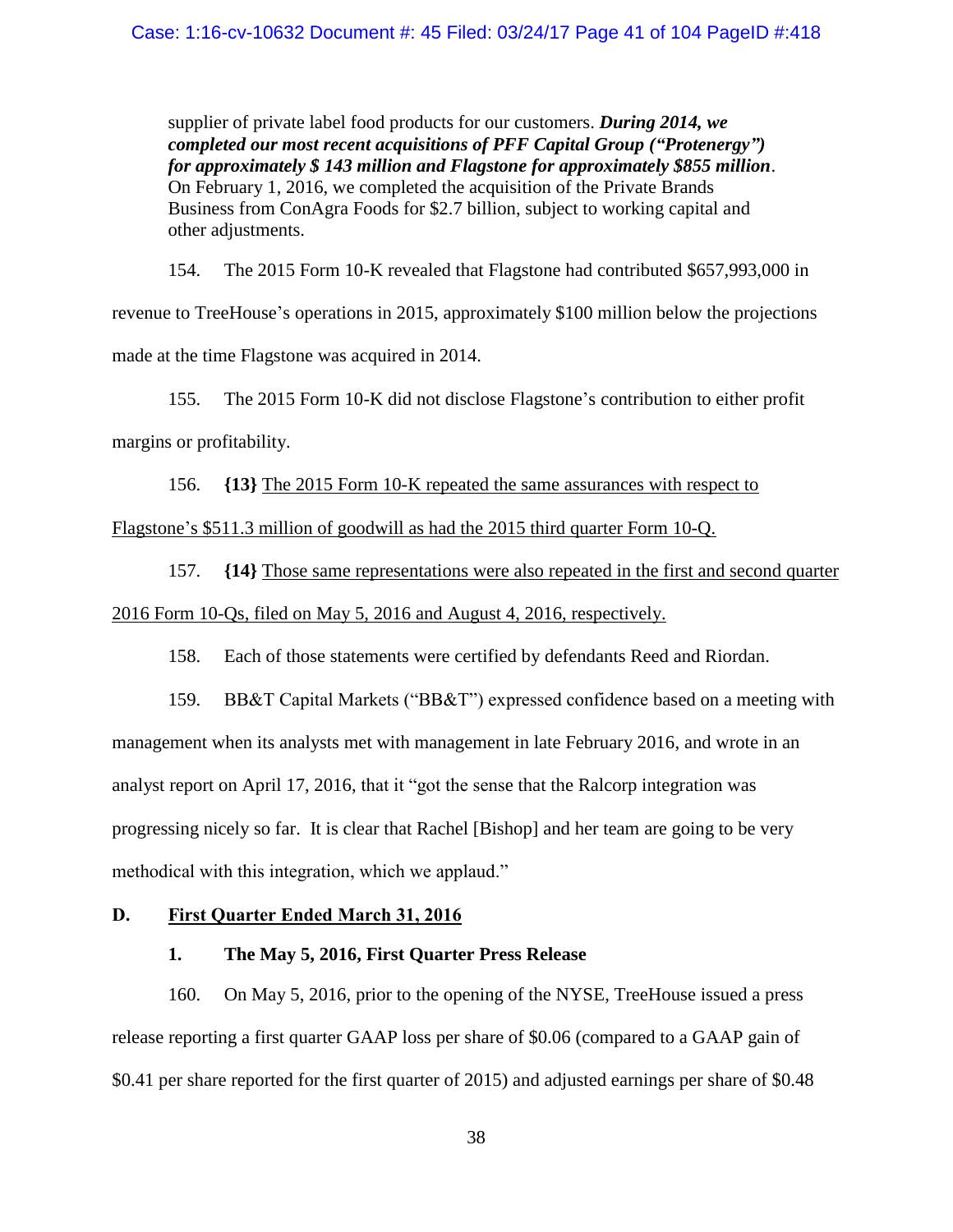supplier of private label food products for our customers. *During 2014, we completed our most recent acquisitions of PFF Capital Group ("Protenergy") for approximately \$ 143 million and Flagstone for approximately \$855 million*. On February 1, 2016, we completed the acquisition of the Private Brands Business from ConAgra Foods for \$2.7 billion, subject to working capital and other adjustments.

154. The 2015 Form 10-K revealed that Flagstone had contributed \$657,993,000 in revenue to TreeHouse's operations in 2015, approximately \$100 million below the projections made at the time Flagstone was acquired in 2014.

155. The 2015 Form 10-K did not disclose Flagstone's contribution to either profit margins or profitability.

156. **{13}** The 2015 Form 10-K repeated the same assurances with respect to Flagstone's \$511.3 million of goodwill as had the 2015 third quarter Form 10-Q.

157. **{14}** Those same representations were also repeated in the first and second quarter 2016 Form 10-Qs, filed on May 5, 2016 and August 4, 2016, respectively.

158. Each of those statements were certified by defendants Reed and Riordan.

159. BB&T Capital Markets ("BB&T") expressed confidence based on a meeting with management when its analysts met with management in late February 2016, and wrote in an analyst report on April 17, 2016, that it "got the sense that the Ralcorp integration was progressing nicely so far. It is clear that Rachel [Bishop] and her team are going to be very methodical with this integration, which we applaud."

### **D. First Quarter Ended March 31, 2016**

## **1. The May 5, 2016, First Quarter Press Release**

160. On May 5, 2016, prior to the opening of the NYSE, TreeHouse issued a press release reporting a first quarter GAAP loss per share of \$0.06 (compared to a GAAP gain of \$0.41 per share reported for the first quarter of 2015) and adjusted earnings per share of \$0.48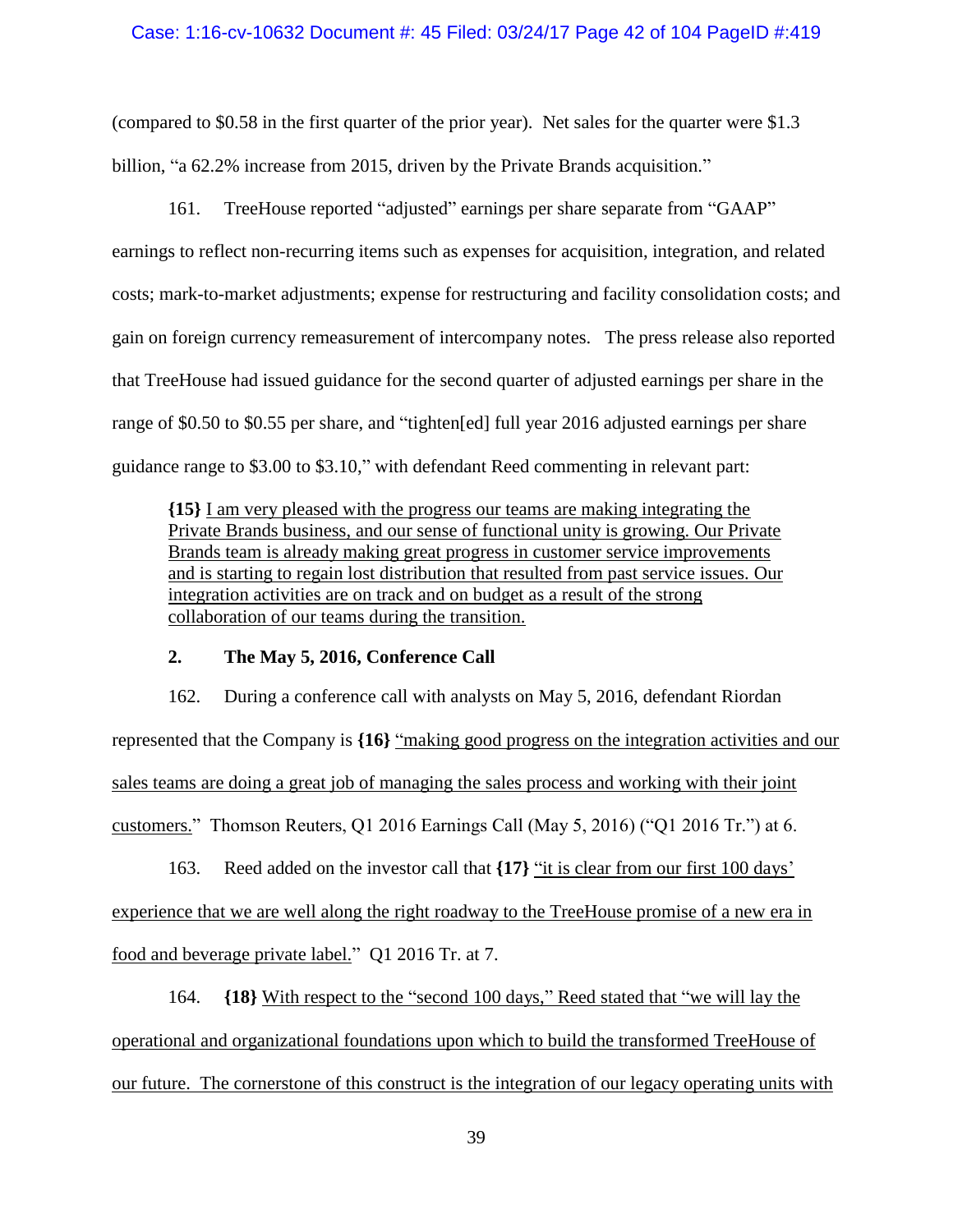### Case: 1:16-cv-10632 Document #: 45 Filed: 03/24/17 Page 42 of 104 PageID #:419

(compared to \$0.58 in the first quarter of the prior year). Net sales for the quarter were \$1.3 billion, "a 62.2% increase from 2015, driven by the Private Brands acquisition."

161. TreeHouse reported "adjusted" earnings per share separate from "GAAP" earnings to reflect non-recurring items such as expenses for acquisition, integration, and related costs; mark-to-market adjustments; expense for restructuring and facility consolidation costs; and gain on foreign currency remeasurement of intercompany notes. The press release also reported that TreeHouse had issued guidance for the second quarter of adjusted earnings per share in the range of \$0.50 to \$0.55 per share, and "tighten[ed] full year 2016 adjusted earnings per share guidance range to \$3.00 to \$3.10," with defendant Reed commenting in relevant part:

**{15}** I am very pleased with the progress our teams are making integrating the Private Brands business, and our sense of functional unity is growing. Our Private Brands team is already making great progress in customer service improvements and is starting to regain lost distribution that resulted from past service issues. Our integration activities are on track and on budget as a result of the strong collaboration of our teams during the transition.

## **2. The May 5, 2016, Conference Call**

162. During a conference call with analysts on May 5, 2016, defendant Riordan represented that the Company is **{16}** "making good progress on the integration activities and our sales teams are doing a great job of managing the sales process and working with their joint customers." Thomson Reuters, Q1 2016 Earnings Call (May 5, 2016) ("Q1 2016 Tr.") at 6.

163. Reed added on the investor call that **{17}** "it is clear from our first 100 days' experience that we are well along the right roadway to the TreeHouse promise of a new era in food and beverage private label." Q1 2016 Tr. at 7.

164. **{18}** With respect to the "second 100 days," Reed stated that "we will lay the operational and organizational foundations upon which to build the transformed TreeHouse of our future. The cornerstone of this construct is the integration of our legacy operating units with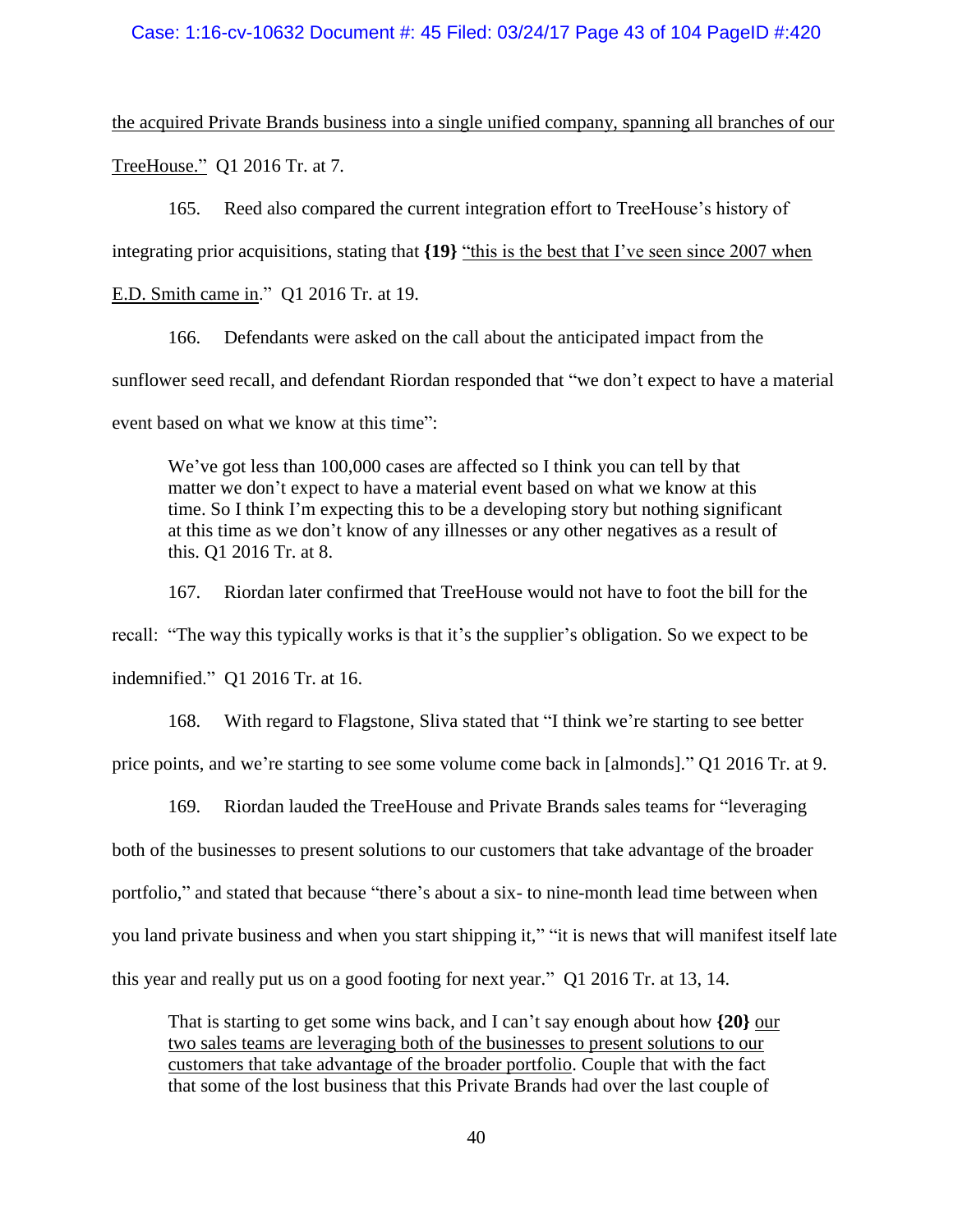#### Case: 1:16-cv-10632 Document #: 45 Filed: 03/24/17 Page 43 of 104 PageID #:420

the acquired Private Brands business into a single unified company, spanning all branches of our TreeHouse."Q1 2016 Tr. at 7*.*

165. Reed also compared the current integration effort to TreeHouse's history of integrating prior acquisitions, stating that **{19}** "this is the best that I've seen since 2007 when

E.D. Smith came in." Q1 2016 Tr. at 19.

166. Defendants were asked on the call about the anticipated impact from the sunflower seed recall, and defendant Riordan responded that "we don't expect to have a material event based on what we know at this time":

We've got less than 100,000 cases are affected so I think you can tell by that matter we don't expect to have a material event based on what we know at this time. So I think I'm expecting this to be a developing story but nothing significant at this time as we don't know of any illnesses or any other negatives as a result of this. Q1 2016 Tr. at 8.

167. Riordan later confirmed that TreeHouse would not have to foot the bill for the recall: "The way this typically works is that it's the supplier's obligation. So we expect to be indemnified." Q1 2016 Tr. at 16.

168. With regard to Flagstone, Sliva stated that "I think we're starting to see better price points, and we're starting to see some volume come back in [almonds]." Q1 2016 Tr. at 9.

169. Riordan lauded the TreeHouse and Private Brands sales teams for "leveraging both of the businesses to present solutions to our customers that take advantage of the broader portfolio," and stated that because "there's about a six- to nine-month lead time between when you land private business and when you start shipping it," "it is news that will manifest itself late this year and really put us on a good footing for next year." Q1 2016 Tr. at 13, 14.

That is starting to get some wins back, and I can't say enough about how **{20}** our two sales teams are leveraging both of the businesses to present solutions to our customers that take advantage of the broader portfolio. Couple that with the fact that some of the lost business that this Private Brands had over the last couple of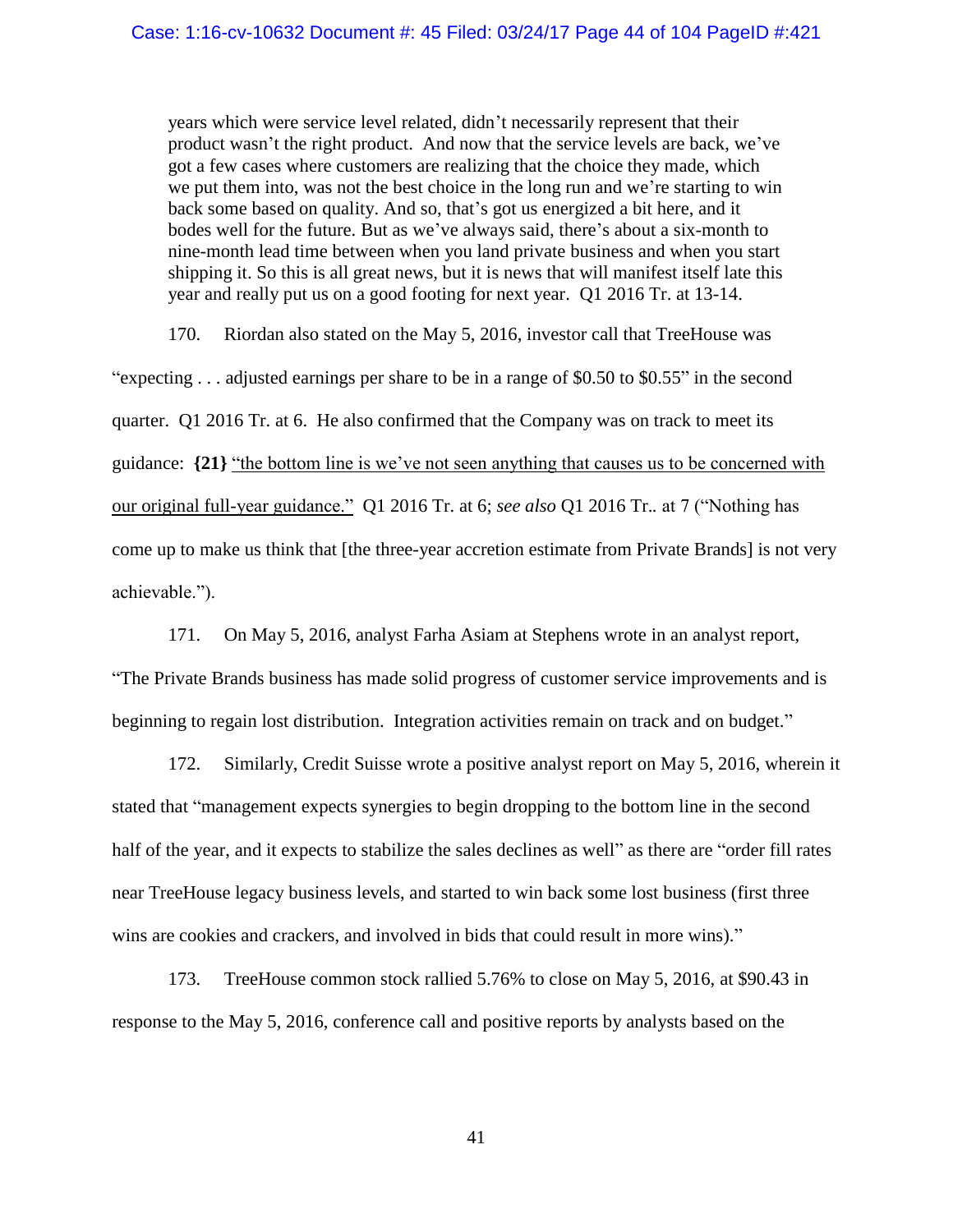years which were service level related, didn't necessarily represent that their product wasn't the right product. And now that the service levels are back, we've got a few cases where customers are realizing that the choice they made, which we put them into, was not the best choice in the long run and we're starting to win back some based on quality. And so, that's got us energized a bit here, and it bodes well for the future. But as we've always said, there's about a six-month to nine-month lead time between when you land private business and when you start shipping it. So this is all great news, but it is news that will manifest itself late this year and really put us on a good footing for next year. Q1 2016 Tr. at 13-14.

170. Riordan also stated on the May 5, 2016, investor call that TreeHouse was "expecting . . . adjusted earnings per share to be in a range of \$0.50 to \$0.55" in the second quarter. Q1 2016 Tr. at 6. He also confirmed that the Company was on track to meet its guidance: **{21}** "the bottom line is we've not seen anything that causes us to be concerned with our original full-year guidance." Q1 2016 Tr. at 6; *see also* Q1 2016 Tr.*.* at 7 ("Nothing has come up to make us think that [the three-year accretion estimate from Private Brands] is not very achievable.").

171. On May 5, 2016, analyst Farha Asiam at Stephens wrote in an analyst report,

"The Private Brands business has made solid progress of customer service improvements and is beginning to regain lost distribution. Integration activities remain on track and on budget."

172. Similarly, Credit Suisse wrote a positive analyst report on May 5, 2016, wherein it stated that "management expects synergies to begin dropping to the bottom line in the second half of the year, and it expects to stabilize the sales declines as well" as there are "order fill rates" near TreeHouse legacy business levels, and started to win back some lost business (first three wins are cookies and crackers, and involved in bids that could result in more wins)."

173. TreeHouse common stock rallied 5.76% to close on May 5, 2016, at \$90.43 in response to the May 5, 2016, conference call and positive reports by analysts based on the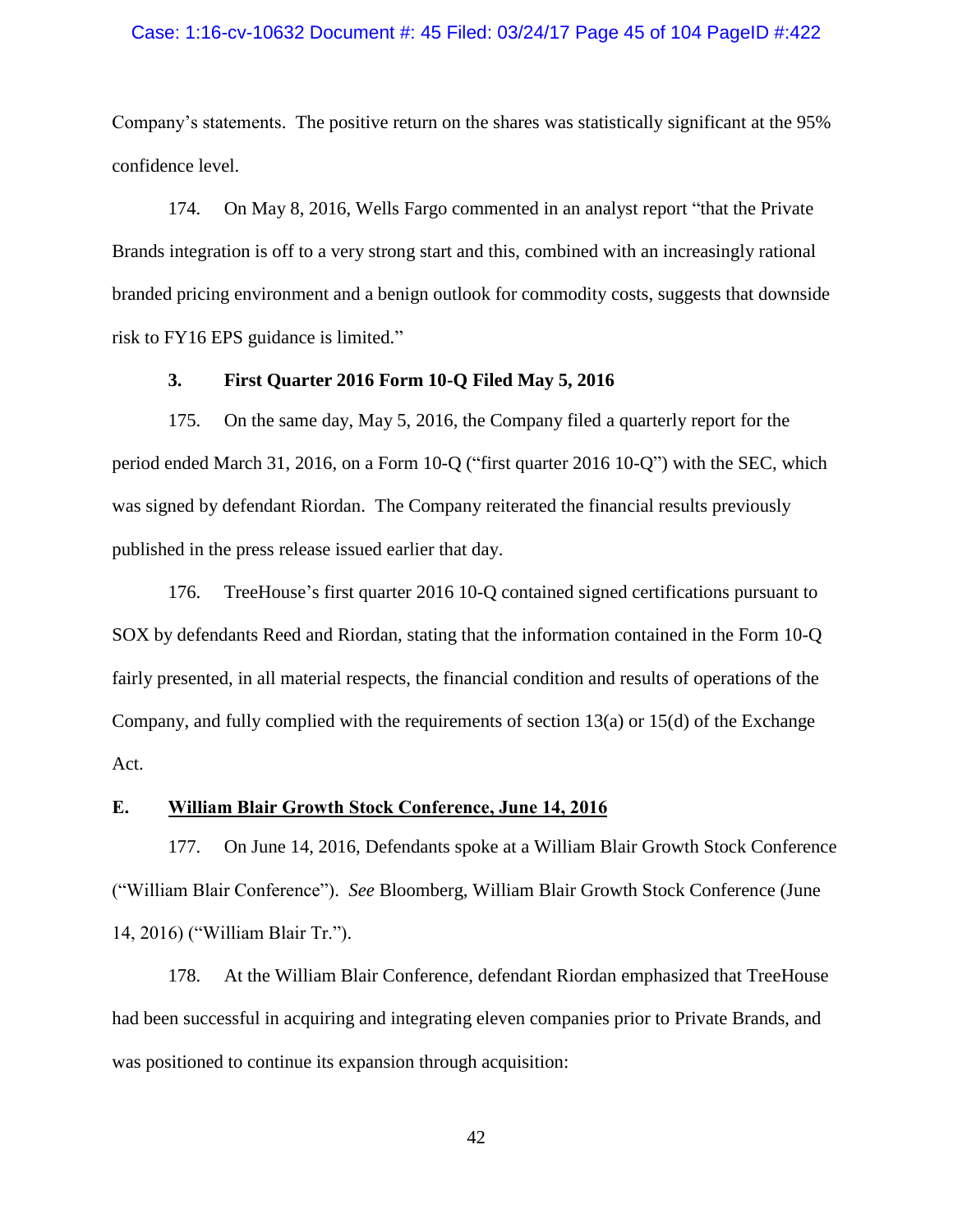#### Case: 1:16-cv-10632 Document #: 45 Filed: 03/24/17 Page 45 of 104 PageID #:422

Company's statements. The positive return on the shares was statistically significant at the 95% confidence level.

174. On May 8, 2016, Wells Fargo commented in an analyst report "that the Private Brands integration is off to a very strong start and this, combined with an increasingly rational branded pricing environment and a benign outlook for commodity costs, suggests that downside risk to FY16 EPS guidance is limited."

### **3. First Quarter 2016 Form 10-Q Filed May 5, 2016**

175. On the same day, May 5, 2016, the Company filed a quarterly report for the period ended March 31, 2016, on a Form 10-Q ("first quarter 2016 10-Q") with the SEC, which was signed by defendant Riordan. The Company reiterated the financial results previously published in the press release issued earlier that day.

176. TreeHouse's first quarter 2016 10-Q contained signed certifications pursuant to SOX by defendants Reed and Riordan, stating that the information contained in the Form 10-Q fairly presented, in all material respects, the financial condition and results of operations of the Company, and fully complied with the requirements of section 13(a) or 15(d) of the Exchange Act.

## **E. William Blair Growth Stock Conference, June 14, 2016**

177. On June 14, 2016, Defendants spoke at a William Blair Growth Stock Conference ("William Blair Conference"). *See* Bloomberg, William Blair Growth Stock Conference (June 14, 2016) ("William Blair Tr.").

178. At the William Blair Conference, defendant Riordan emphasized that TreeHouse had been successful in acquiring and integrating eleven companies prior to Private Brands, and was positioned to continue its expansion through acquisition: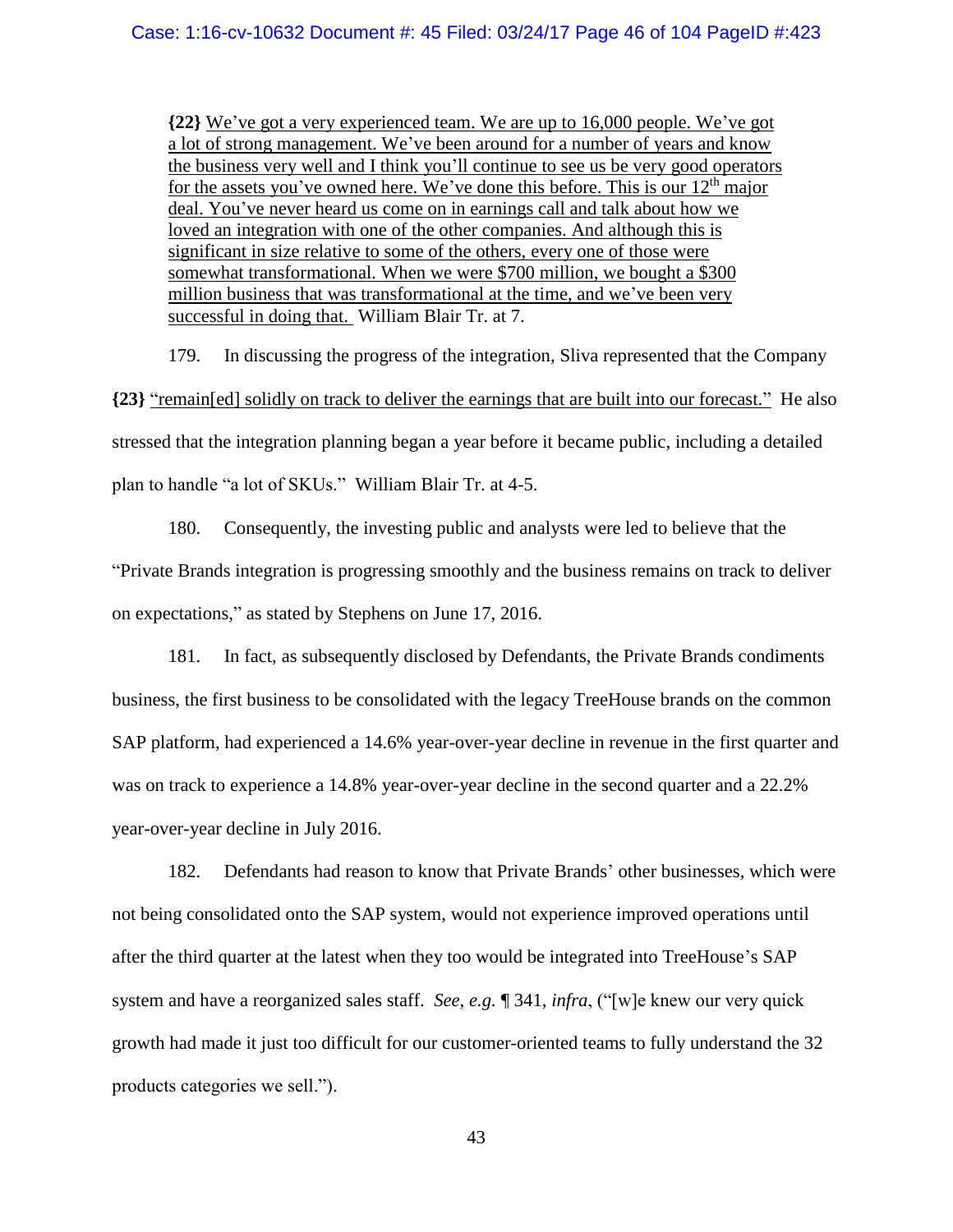**{22}** We've got a very experienced team. We are up to 16,000 people. We've got a lot of strong management. We've been around for a number of years and know the business very well and I think you'll continue to see us be very good operators for the assets you've owned here. We've done this before. This is our  $12<sup>th</sup>$  major deal. You've never heard us come on in earnings call and talk about how we loved an integration with one of the other companies. And although this is significant in size relative to some of the others, every one of those were somewhat transformational. When we were \$700 million, we bought a \$300 million business that was transformational at the time, and we've been very successful in doing that. William Blair Tr. at 7.

179. In discussing the progress of the integration, Sliva represented that the Company **{23}** "remain[ed] solidly on track to deliver the earnings that are built into our forecast." He also stressed that the integration planning began a year before it became public, including a detailed plan to handle "a lot of SKUs." William Blair Tr. at 4-5.

180. Consequently, the investing public and analysts were led to believe that the "Private Brands integration is progressing smoothly and the business remains on track to deliver on expectations," as stated by Stephens on June 17, 2016.

181. In fact, as subsequently disclosed by Defendants, the Private Brands condiments business, the first business to be consolidated with the legacy TreeHouse brands on the common SAP platform, had experienced a 14.6% year-over-year decline in revenue in the first quarter and was on track to experience a 14.8% year-over-year decline in the second quarter and a 22.2% year-over-year decline in July 2016.

182. Defendants had reason to know that Private Brands' other businesses, which were not being consolidated onto the SAP system, would not experience improved operations until after the third quarter at the latest when they too would be integrated into TreeHouse's SAP system and have a reorganized sales staff. *See, e.g.* ¶ [341,](#page-90-0) *infra*, ("[w]e knew our very quick growth had made it just too difficult for our customer-oriented teams to fully understand the 32 products categories we sell.").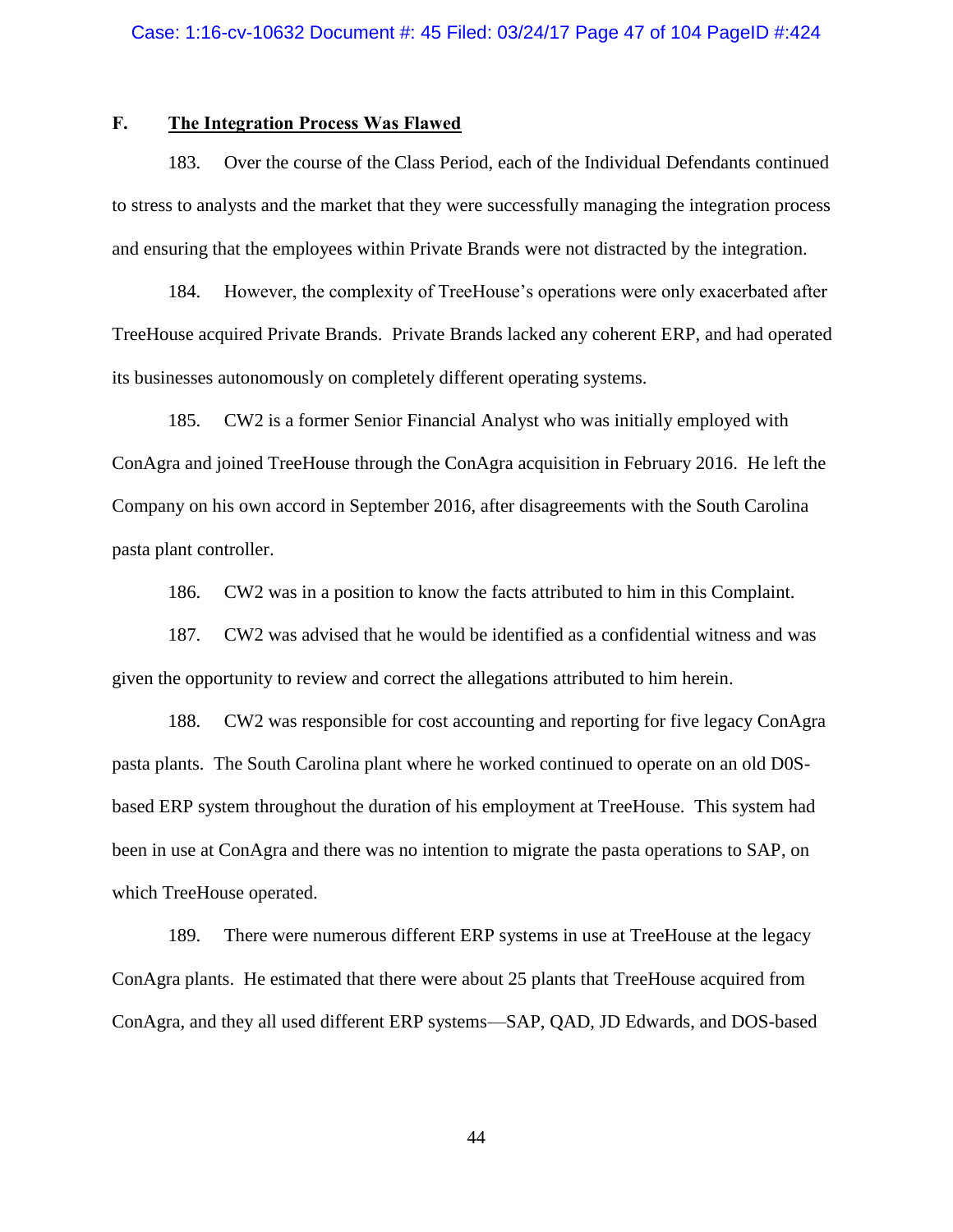# **F. The Integration Process Was Flawed**

183. Over the course of the Class Period, each of the Individual Defendants continued to stress to analysts and the market that they were successfully managing the integration process and ensuring that the employees within Private Brands were not distracted by the integration.

184. However, the complexity of TreeHouse's operations were only exacerbated after TreeHouse acquired Private Brands. Private Brands lacked any coherent ERP, and had operated its businesses autonomously on completely different operating systems.

185. CW2 is a former Senior Financial Analyst who was initially employed with ConAgra and joined TreeHouse through the ConAgra acquisition in February 2016. He left the Company on his own accord in September 2016, after disagreements with the South Carolina pasta plant controller.

186. CW2 was in a position to know the facts attributed to him in this Complaint.

187. CW2 was advised that he would be identified as a confidential witness and was given the opportunity to review and correct the allegations attributed to him herein.

188. CW2 was responsible for cost accounting and reporting for five legacy ConAgra pasta plants. The South Carolina plant where he worked continued to operate on an old D0Sbased ERP system throughout the duration of his employment at TreeHouse. This system had been in use at ConAgra and there was no intention to migrate the pasta operations to SAP, on which TreeHouse operated.

189. There were numerous different ERP systems in use at TreeHouse at the legacy ConAgra plants. He estimated that there were about 25 plants that TreeHouse acquired from ConAgra, and they all used different ERP systems—SAP, QAD, JD Edwards, and DOS-based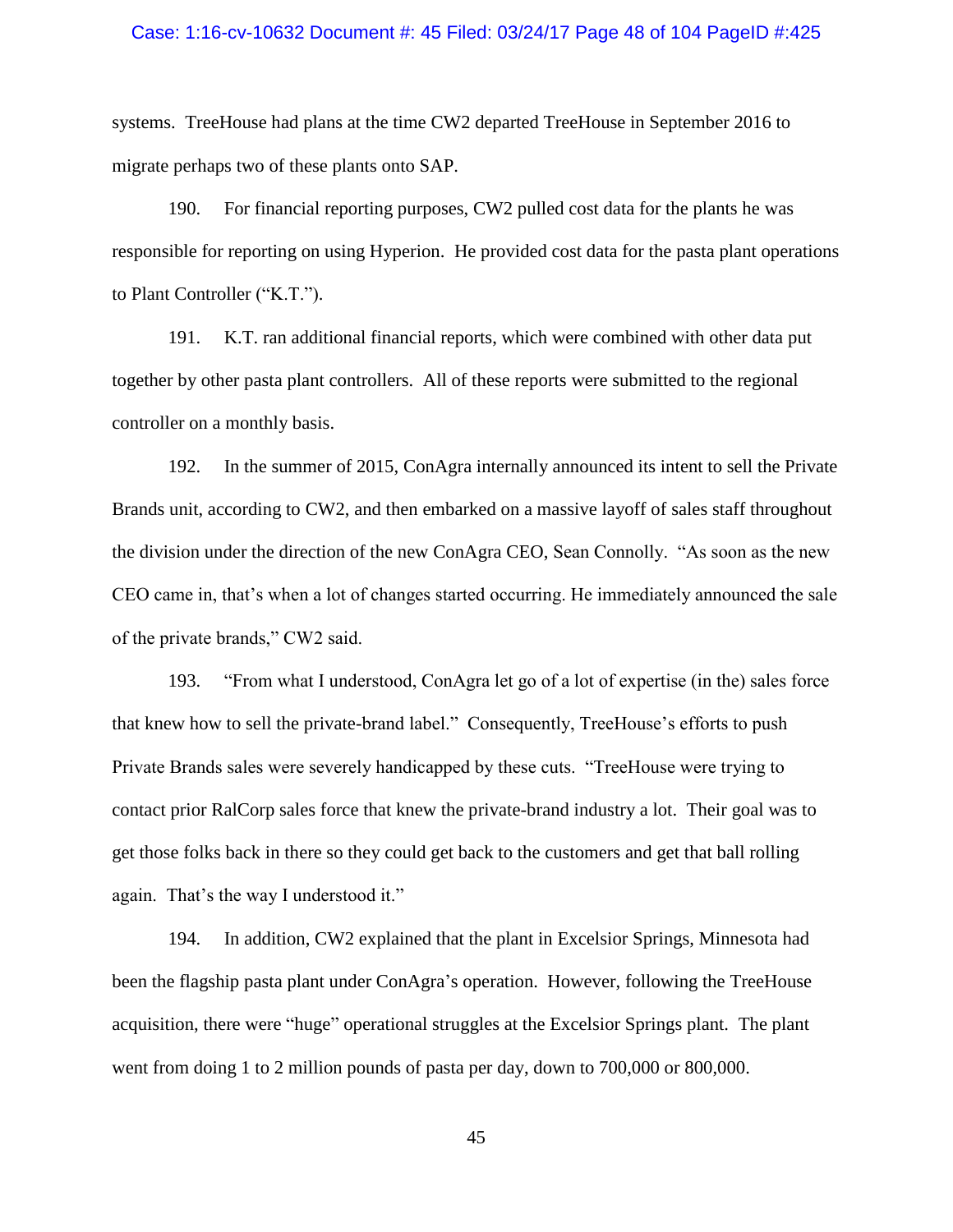#### Case: 1:16-cv-10632 Document #: 45 Filed: 03/24/17 Page 48 of 104 PageID #:425

systems. TreeHouse had plans at the time CW2 departed TreeHouse in September 2016 to migrate perhaps two of these plants onto SAP.

190. For financial reporting purposes, CW2 pulled cost data for the plants he was responsible for reporting on using Hyperion. He provided cost data for the pasta plant operations to Plant Controller ("K.T.").

191. K.T. ran additional financial reports, which were combined with other data put together by other pasta plant controllers. All of these reports were submitted to the regional controller on a monthly basis.

192. In the summer of 2015, ConAgra internally announced its intent to sell the Private Brands unit, according to CW2, and then embarked on a massive layoff of sales staff throughout the division under the direction of the new ConAgra CEO, Sean Connolly. "As soon as the new CEO came in, that's when a lot of changes started occurring. He immediately announced the sale of the private brands," CW2 said.

193. "From what I understood, ConAgra let go of a lot of expertise (in the) sales force that knew how to sell the private-brand label." Consequently, TreeHouse's efforts to push Private Brands sales were severely handicapped by these cuts. "TreeHouse were trying to contact prior RalCorp sales force that knew the private-brand industry a lot. Their goal was to get those folks back in there so they could get back to the customers and get that ball rolling again. That's the way I understood it."

194. In addition, CW2 explained that the plant in Excelsior Springs, Minnesota had been the flagship pasta plant under ConAgra's operation. However, following the TreeHouse acquisition, there were "huge" operational struggles at the Excelsior Springs plant. The plant went from doing 1 to 2 million pounds of pasta per day, down to 700,000 or 800,000.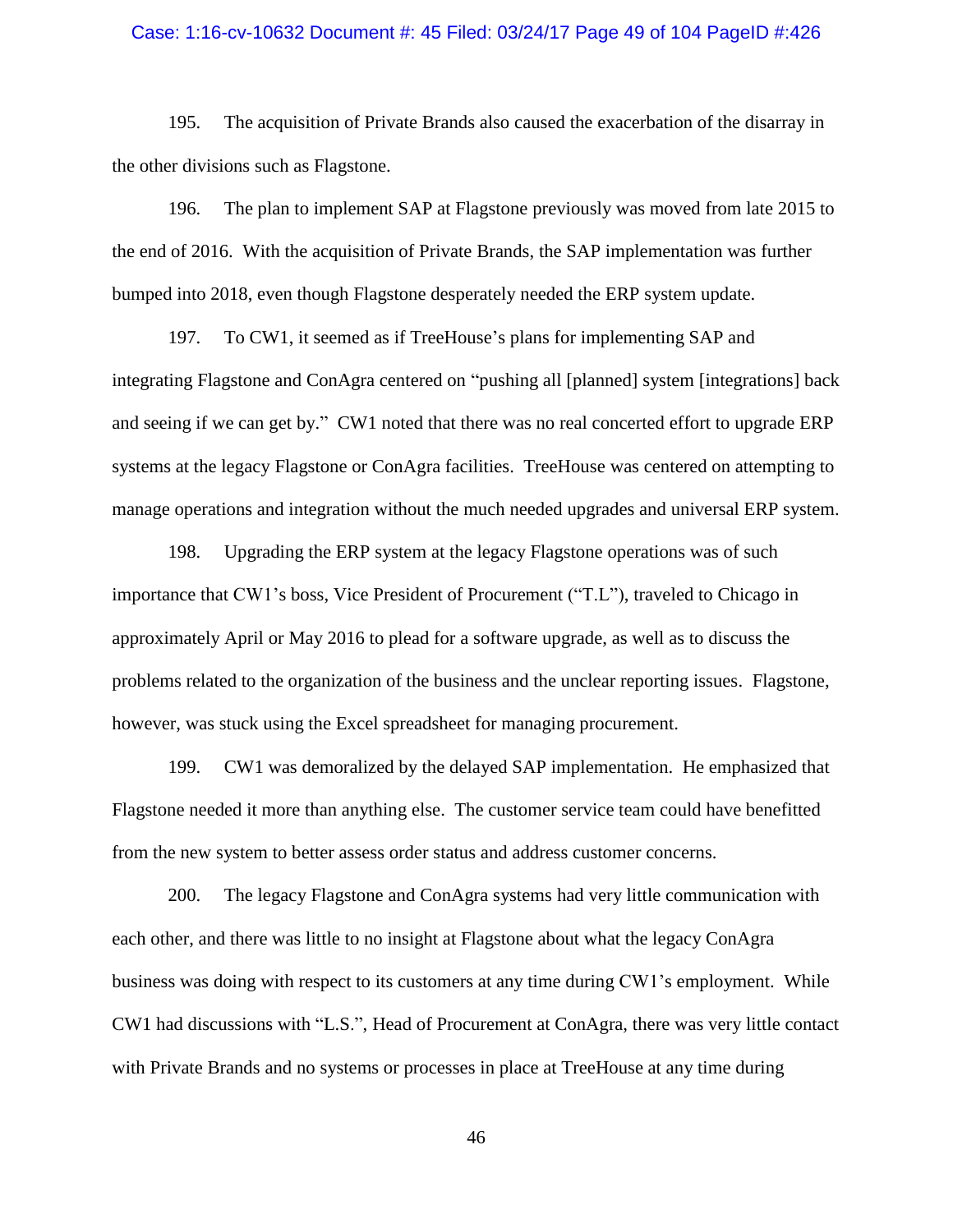#### Case: 1:16-cv-10632 Document #: 45 Filed: 03/24/17 Page 49 of 104 PageID #:426

195. The acquisition of Private Brands also caused the exacerbation of the disarray in the other divisions such as Flagstone.

196. The plan to implement SAP at Flagstone previously was moved from late 2015 to the end of 2016. With the acquisition of Private Brands, the SAP implementation was further bumped into 2018, even though Flagstone desperately needed the ERP system update.

197. To CW1, it seemed as if TreeHouse's plans for implementing SAP and integrating Flagstone and ConAgra centered on "pushing all [planned] system [integrations] back and seeing if we can get by." CW1 noted that there was no real concerted effort to upgrade ERP systems at the legacy Flagstone or ConAgra facilities. TreeHouse was centered on attempting to manage operations and integration without the much needed upgrades and universal ERP system.

198. Upgrading the ERP system at the legacy Flagstone operations was of such importance that CW1's boss, Vice President of Procurement ("T.L"), traveled to Chicago in approximately April or May 2016 to plead for a software upgrade, as well as to discuss the problems related to the organization of the business and the unclear reporting issues. Flagstone, however, was stuck using the Excel spreadsheet for managing procurement.

199. CW1 was demoralized by the delayed SAP implementation. He emphasized that Flagstone needed it more than anything else. The customer service team could have benefitted from the new system to better assess order status and address customer concerns.

200. The legacy Flagstone and ConAgra systems had very little communication with each other, and there was little to no insight at Flagstone about what the legacy ConAgra business was doing with respect to its customers at any time during CW1's employment. While CW1 had discussions with "L.S.", Head of Procurement at ConAgra, there was very little contact with Private Brands and no systems or processes in place at TreeHouse at any time during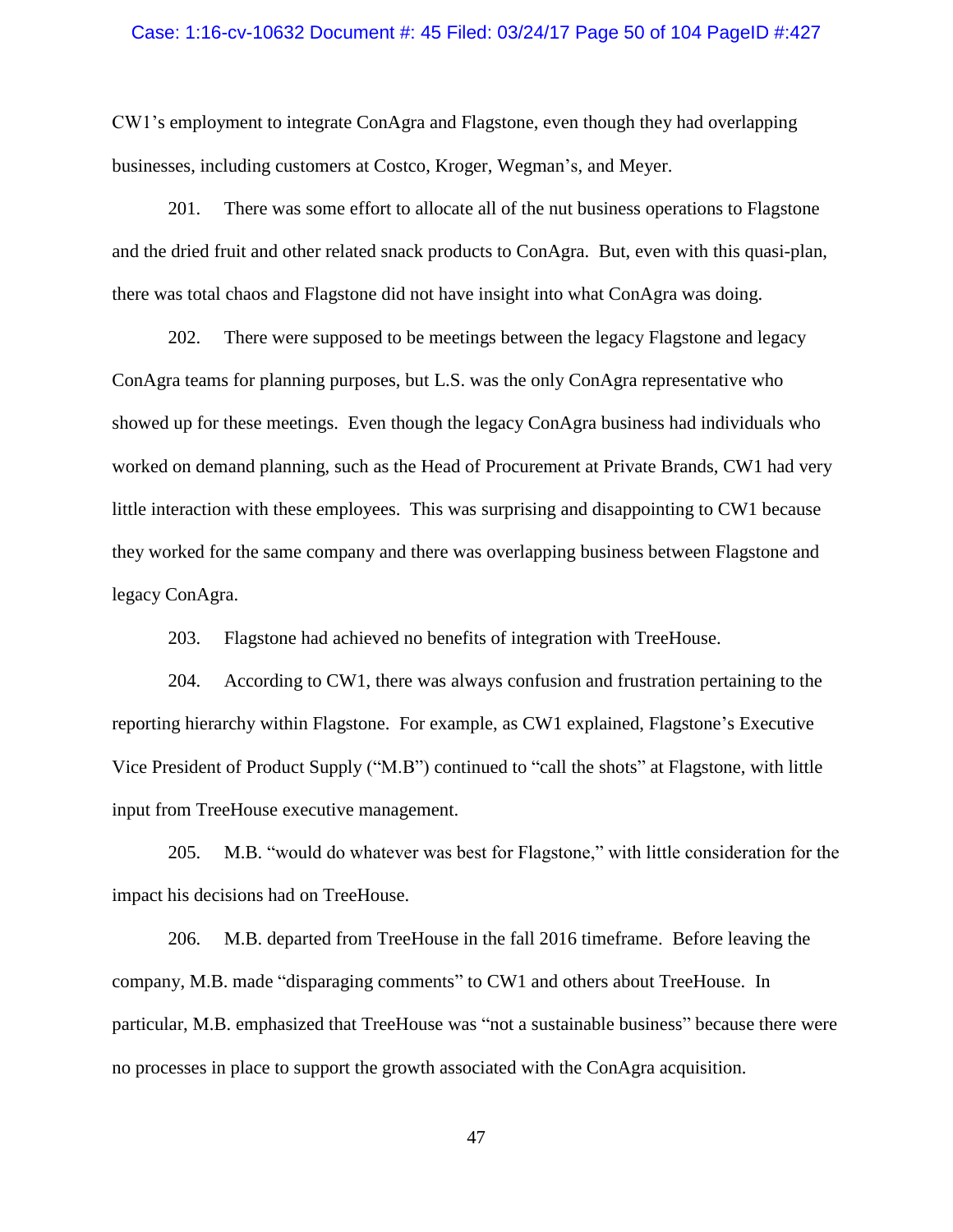#### Case: 1:16-cv-10632 Document #: 45 Filed: 03/24/17 Page 50 of 104 PageID #:427

CW1's employment to integrate ConAgra and Flagstone, even though they had overlapping businesses, including customers at Costco, Kroger, Wegman's, and Meyer.

201. There was some effort to allocate all of the nut business operations to Flagstone and the dried fruit and other related snack products to ConAgra. But, even with this quasi-plan, there was total chaos and Flagstone did not have insight into what ConAgra was doing.

202. There were supposed to be meetings between the legacy Flagstone and legacy ConAgra teams for planning purposes, but L.S. was the only ConAgra representative who showed up for these meetings. Even though the legacy ConAgra business had individuals who worked on demand planning, such as the Head of Procurement at Private Brands, CW1 had very little interaction with these employees. This was surprising and disappointing to CW1 because they worked for the same company and there was overlapping business between Flagstone and legacy ConAgra.

203. Flagstone had achieved no benefits of integration with TreeHouse.

204. According to CW1, there was always confusion and frustration pertaining to the reporting hierarchy within Flagstone. For example, as CW1 explained, Flagstone's Executive Vice President of Product Supply ("M.B") continued to "call the shots" at Flagstone, with little input from TreeHouse executive management.

205. M.B. "would do whatever was best for Flagstone," with little consideration for the impact his decisions had on TreeHouse.

206. M.B. departed from TreeHouse in the fall 2016 timeframe. Before leaving the company, M.B. made "disparaging comments" to CW1 and others about TreeHouse. In particular, M.B. emphasized that TreeHouse was "not a sustainable business" because there were no processes in place to support the growth associated with the ConAgra acquisition.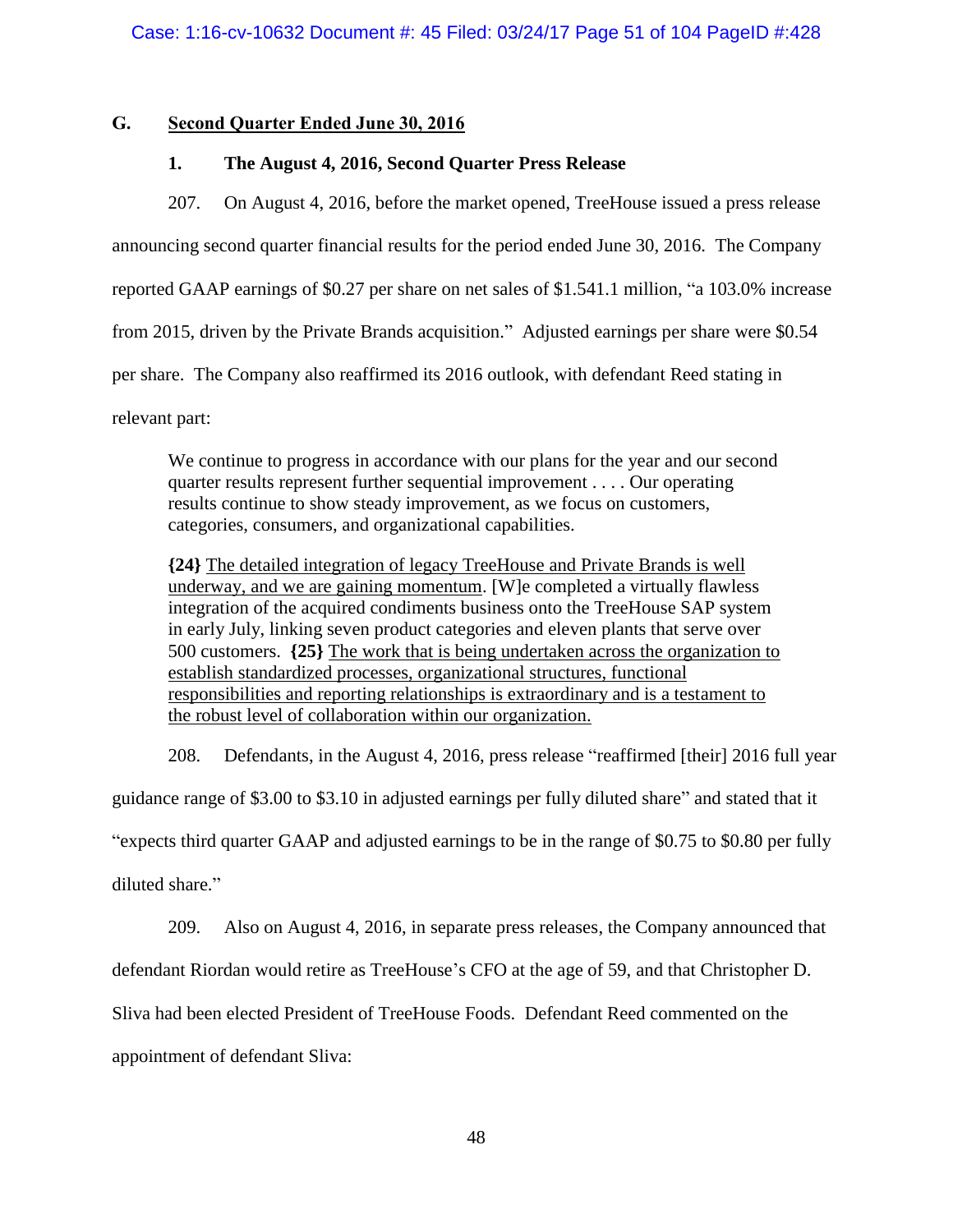## **G. Second Quarter Ended June 30, 2016**

## **1. The August 4, 2016, Second Quarter Press Release**

207. On August 4, 2016, before the market opened, TreeHouse issued a press release announcing second quarter financial results for the period ended June 30, 2016. The Company reported GAAP earnings of \$0.27 per share on net sales of \$1.541.1 million, "a 103.0% increase from 2015, driven by the Private Brands acquisition." Adjusted earnings per share were \$0.54 per share. The Company also reaffirmed its 2016 outlook, with defendant Reed stating in relevant part:

We continue to progress in accordance with our plans for the year and our second quarter results represent further sequential improvement . . . . Our operating results continue to show steady improvement, as we focus on customers, categories, consumers, and organizational capabilities.

**{24}** The detailed integration of legacy TreeHouse and Private Brands is well underway, and we are gaining momentum. [W]e completed a virtually flawless integration of the acquired condiments business onto the TreeHouse SAP system in early July, linking seven product categories and eleven plants that serve over 500 customers. **{25}** The work that is being undertaken across the organization to establish standardized processes, organizational structures, functional responsibilities and reporting relationships is extraordinary and is a testament to the robust level of collaboration within our organization.

208. Defendants, in the August 4, 2016, press release "reaffirmed [their] 2016 full year

guidance range of \$3.00 to \$3.10 in adjusted earnings per fully diluted share" and stated that it

"expects third quarter GAAP and adjusted earnings to be in the range of \$0.75 to \$0.80 per fully

diluted share."

209. Also on August 4, 2016, in separate press releases, the Company announced that

defendant Riordan would retire as TreeHouse's CFO at the age of 59, and that Christopher D.

Sliva had been elected President of TreeHouse Foods. Defendant Reed commented on the

appointment of defendant Sliva: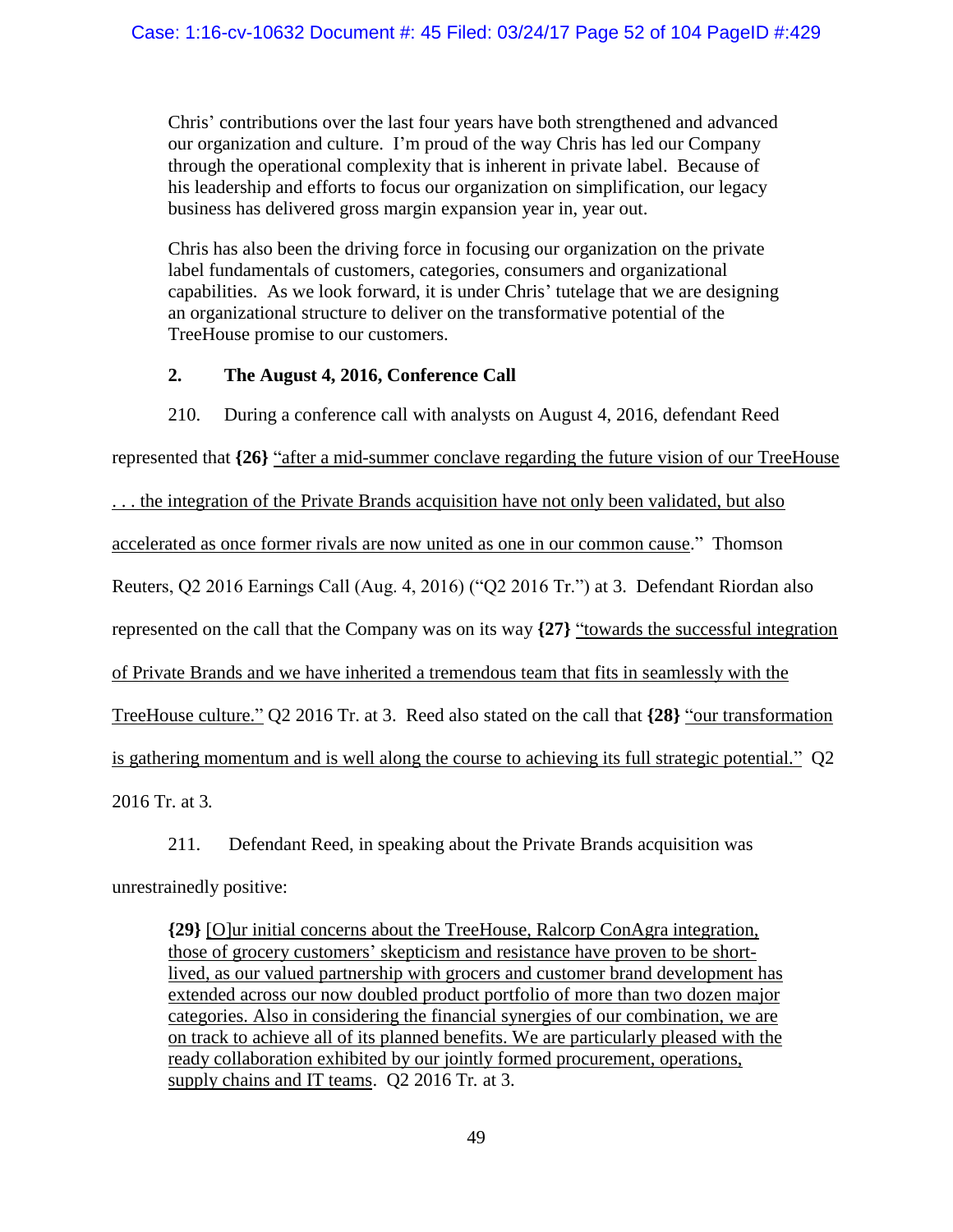Chris' contributions over the last four years have both strengthened and advanced our organization and culture. I'm proud of the way Chris has led our Company through the operational complexity that is inherent in private label. Because of his leadership and efforts to focus our organization on simplification, our legacy business has delivered gross margin expansion year in, year out.

Chris has also been the driving force in focusing our organization on the private label fundamentals of customers, categories, consumers and organizational capabilities. As we look forward, it is under Chris' tutelage that we are designing an organizational structure to deliver on the transformative potential of the TreeHouse promise to our customers.

# **2. The August 4, 2016, Conference Call**

210. During a conference call with analysts on August 4, 2016, defendant Reed represented that **{26}** "after a mid-summer conclave regarding the future vision of our TreeHouse . . . the integration of the Private Brands acquisition have not only been validated, but also accelerated as once former rivals are now united as one in our common cause." Thomson Reuters, Q2 2016 Earnings Call (Aug. 4, 2016) ("Q2 2016 Tr.") at 3. Defendant Riordan also represented on the call that the Company was on its way  $\{27\}$  "towards the successful integration of Private Brands and we have inherited a tremendous team that fits in seamlessly with the TreeHouse culture." Q2 2016 Tr. at 3. Reed also stated on the call that **{28}** "our transformation is gathering momentum and is well along the course to achieving its full strategic potential." Q2 2016 Tr. at 3*.*

211. Defendant Reed, in speaking about the Private Brands acquisition was unrestrainedly positive:

**{29}** [O]ur initial concerns about the TreeHouse, Ralcorp ConAgra integration, those of grocery customers' skepticism and resistance have proven to be shortlived, as our valued partnership with grocers and customer brand development has extended across our now doubled product portfolio of more than two dozen major categories. Also in considering the financial synergies of our combination, we are on track to achieve all of its planned benefits. We are particularly pleased with the ready collaboration exhibited by our jointly formed procurement, operations, supply chains and IT teams. Q2 2016 Tr*.* at 3.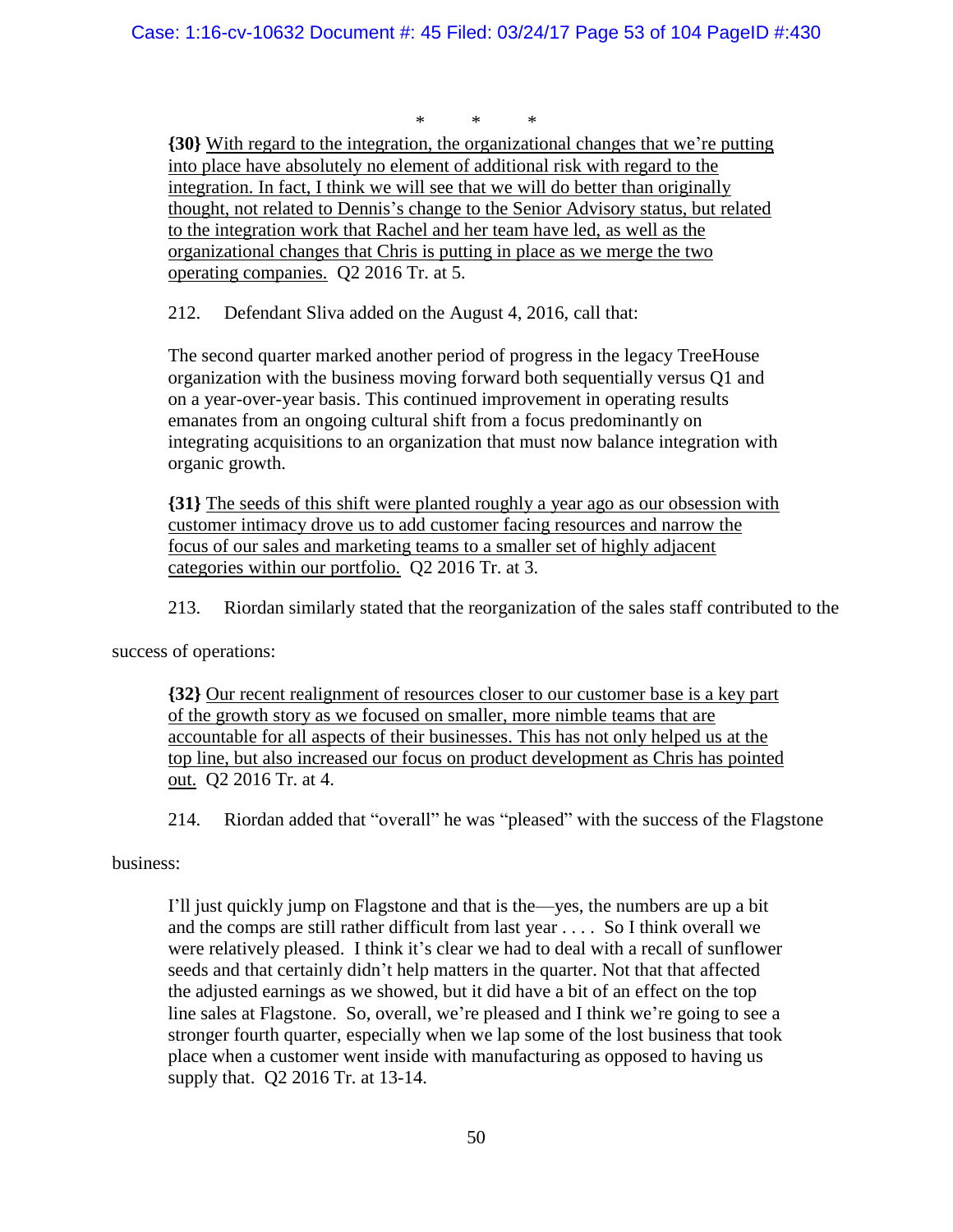\* \* \*

**{30}** With regard to the integration, the organizational changes that we're putting into place have absolutely no element of additional risk with regard to the integration. In fact, I think we will see that we will do better than originally thought, not related to Dennis's change to the Senior Advisory status, but related to the integration work that Rachel and her team have led, as well as the organizational changes that Chris is putting in place as we merge the two operating companies. Q2 2016 Tr. at 5.

212. Defendant Sliva added on the August 4, 2016, call that:

The second quarter marked another period of progress in the legacy TreeHouse organization with the business moving forward both sequentially versus Q1 and on a year-over-year basis. This continued improvement in operating results emanates from an ongoing cultural shift from a focus predominantly on integrating acquisitions to an organization that must now balance integration with organic growth.

**{31}** The seeds of this shift were planted roughly a year ago as our obsession with customer intimacy drove us to add customer facing resources and narrow the focus of our sales and marketing teams to a smaller set of highly adjacent categories within our portfolio. Q2 2016 Tr. at 3.

213. Riordan similarly stated that the reorganization of the sales staff contributed to the

success of operations:

**{32}** Our recent realignment of resources closer to our customer base is a key part of the growth story as we focused on smaller, more nimble teams that are accountable for all aspects of their businesses. This has not only helped us at the top line, but also increased our focus on product development as Chris has pointed out. Q2 2016 Tr. at 4.

214. Riordan added that "overall" he was "pleased" with the success of the Flagstone

## business:

I'll just quickly jump on Flagstone and that is the—yes, the numbers are up a bit and the comps are still rather difficult from last year . . . . So I think overall we were relatively pleased. I think it's clear we had to deal with a recall of sunflower seeds and that certainly didn't help matters in the quarter. Not that that affected the adjusted earnings as we showed, but it did have a bit of an effect on the top line sales at Flagstone. So, overall, we're pleased and I think we're going to see a stronger fourth quarter, especially when we lap some of the lost business that took place when a customer went inside with manufacturing as opposed to having us supply that. Q2 2016 Tr. at 13-14.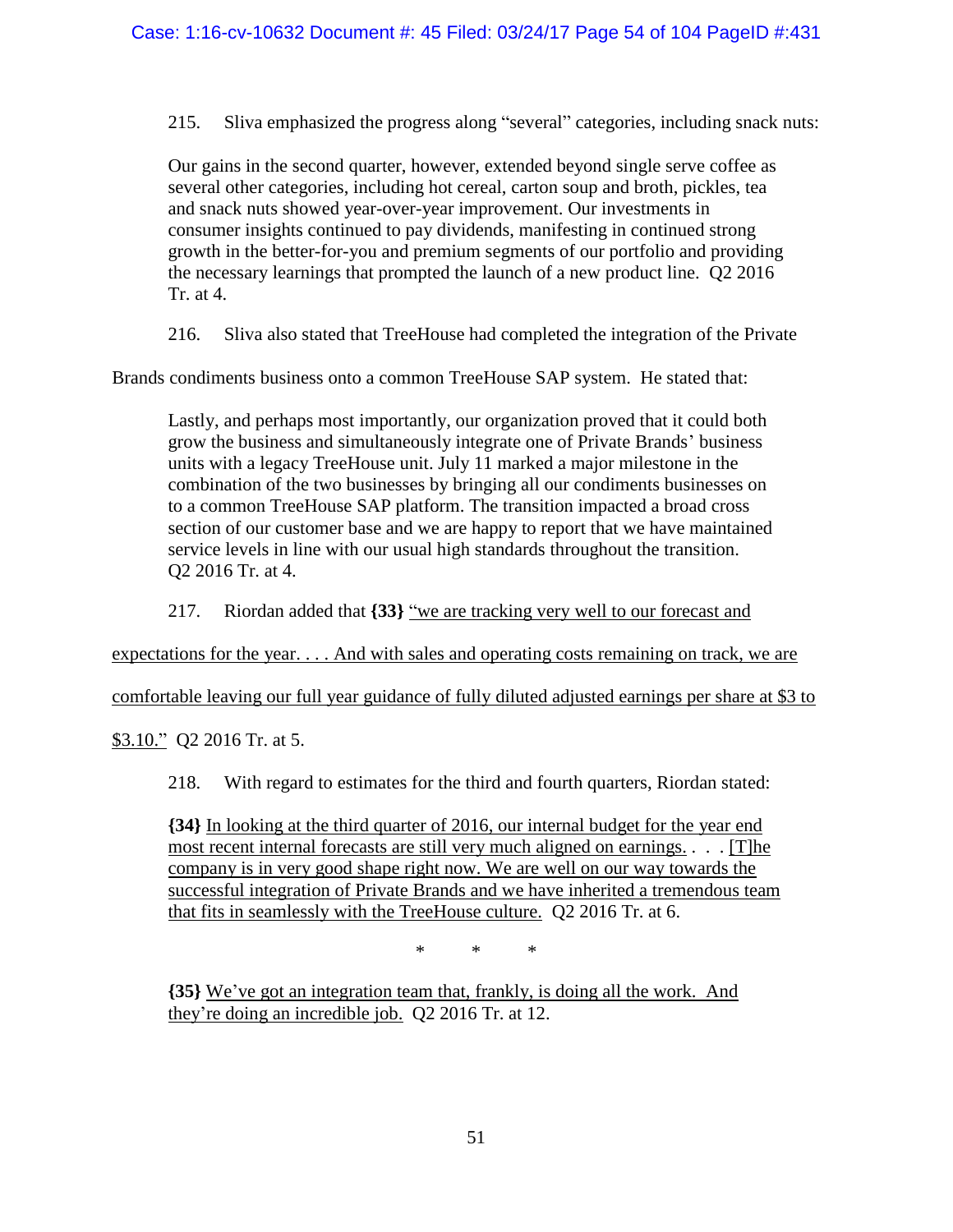215. Sliva emphasized the progress along "several" categories, including snack nuts:

Our gains in the second quarter, however, extended beyond single serve coffee as several other categories, including hot cereal, carton soup and broth, pickles, tea and snack nuts showed year-over-year improvement. Our investments in consumer insights continued to pay dividends, manifesting in continued strong growth in the better-for-you and premium segments of our portfolio and providing the necessary learnings that prompted the launch of a new product line. Q2 2016 Tr. at 4.

216. Sliva also stated that TreeHouse had completed the integration of the Private

Brands condiments business onto a common TreeHouse SAP system. He stated that:

Lastly, and perhaps most importantly, our organization proved that it could both grow the business and simultaneously integrate one of Private Brands' business units with a legacy TreeHouse unit. July 11 marked a major milestone in the combination of the two businesses by bringing all our condiments businesses on to a common TreeHouse SAP platform. The transition impacted a broad cross section of our customer base and we are happy to report that we have maintained service levels in line with our usual high standards throughout the transition. Q2 2016 Tr. at 4.

217. Riordan added that **{33}** "we are tracking very well to our forecast and

<span id="page-53-0"></span>expectations for the year. . . . And with sales and operating costs remaining on track, we are

comfortable leaving our full year guidance of fully diluted adjusted earnings per share at \$3 to

<span id="page-53-1"></span>\$3.10." Q2 2016 Tr. at 5.

218. With regard to estimates for the third and fourth quarters, Riordan stated:

**{34}** In looking at the third quarter of 2016, our internal budget for the year end most recent internal forecasts are still very much aligned on earnings. . . . [T]he company is in very good shape right now. We are well on our way towards the successful integration of Private Brands and we have inherited a tremendous team that fits in seamlessly with the TreeHouse culture. Q2 2016 Tr. at 6.

\* \* \*

**{35}** We've got an integration team that, frankly, is doing all the work. And they're doing an incredible job. Q2 2016 Tr. at 12.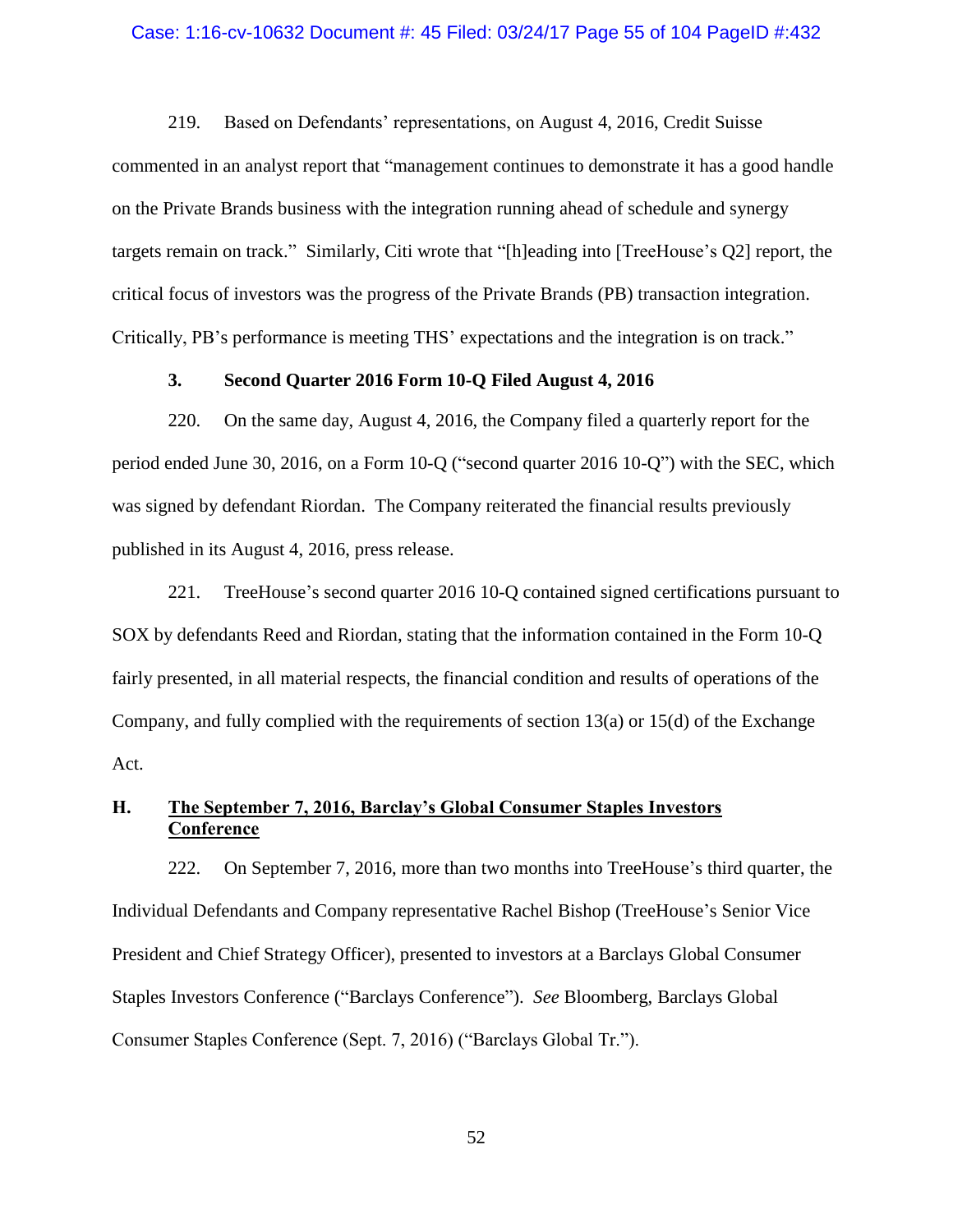#### Case: 1:16-cv-10632 Document #: 45 Filed: 03/24/17 Page 55 of 104 PageID #:432

219. Based on Defendants' representations, on August 4, 2016, Credit Suisse commented in an analyst report that "management continues to demonstrate it has a good handle on the Private Brands business with the integration running ahead of schedule and synergy targets remain on track." Similarly, Citi wrote that "[h]eading into [TreeHouse's Q2] report, the critical focus of investors was the progress of the Private Brands (PB) transaction integration. Critically, PB's performance is meeting THS' expectations and the integration is on track."

### **3. Second Quarter 2016 Form 10-Q Filed August 4, 2016**

220. On the same day, August 4, 2016, the Company filed a quarterly report for the period ended June 30, 2016, on a Form 10-Q ("second quarter 2016 10-Q") with the SEC, which was signed by defendant Riordan. The Company reiterated the financial results previously published in its August 4, 2016, press release.

221. TreeHouse's second quarter 2016 10-Q contained signed certifications pursuant to SOX by defendants Reed and Riordan, stating that the information contained in the Form 10-Q fairly presented, in all material respects, the financial condition and results of operations of the Company, and fully complied with the requirements of section 13(a) or 15(d) of the Exchange Act.

# **H. The September 7, 2016, Barclay's Global Consumer Staples Investors Conference**

222. On September 7, 2016, more than two months into TreeHouse's third quarter, the Individual Defendants and Company representative Rachel Bishop (TreeHouse's Senior Vice President and Chief Strategy Officer), presented to investors at a Barclays Global Consumer Staples Investors Conference ("Barclays Conference"). *See* Bloomberg, Barclays Global Consumer Staples Conference (Sept. 7, 2016) ("Barclays Global Tr.").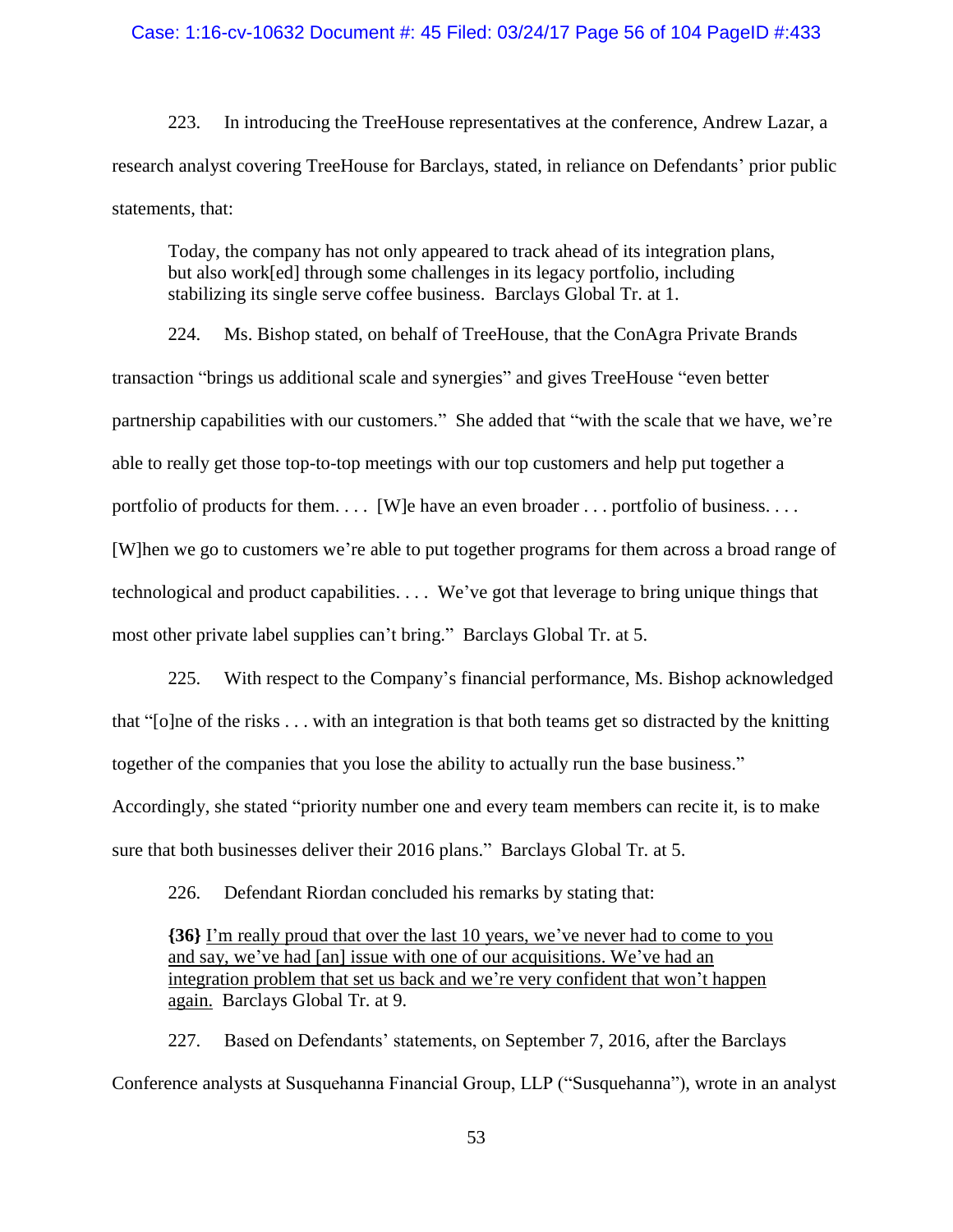#### Case: 1:16-cv-10632 Document #: 45 Filed: 03/24/17 Page 56 of 104 PageID #:433

223. In introducing the TreeHouse representatives at the conference, Andrew Lazar, a research analyst covering TreeHouse for Barclays, stated, in reliance on Defendants' prior public statements, that:

Today, the company has not only appeared to track ahead of its integration plans, but also work[ed] through some challenges in its legacy portfolio, including stabilizing its single serve coffee business. Barclays Global Tr. at 1.

224. Ms. Bishop stated, on behalf of TreeHouse, that the ConAgra Private Brands transaction "brings us additional scale and synergies" and gives TreeHouse "even better partnership capabilities with our customers." She added that "with the scale that we have, we're able to really get those top-to-top meetings with our top customers and help put together a portfolio of products for them. . . . [W]e have an even broader . . . portfolio of business. . . . [W]hen we go to customers we're able to put together programs for them across a broad range of technological and product capabilities. . . . We've got that leverage to bring unique things that most other private label supplies can't bring." Barclays Global Tr. at 5.

225. With respect to the Company's financial performance, Ms. Bishop acknowledged that "[o]ne of the risks . . . with an integration is that both teams get so distracted by the knitting together of the companies that you lose the ability to actually run the base business." Accordingly, she stated "priority number one and every team members can recite it, is to make sure that both businesses deliver their 2016 plans." Barclays Global Tr. at 5.

226. Defendant Riordan concluded his remarks by stating that:

**{36}** I'm really proud that over the last 10 years, we've never had to come to you and say, we've had [an] issue with one of our acquisitions. We've had an integration problem that set us back and we're very confident that won't happen again. Barclays Global Tr. at 9.

227. Based on Defendants' statements, on September 7, 2016, after the Barclays Conference analysts at Susquehanna Financial Group, LLP ("Susquehanna"), wrote in an analyst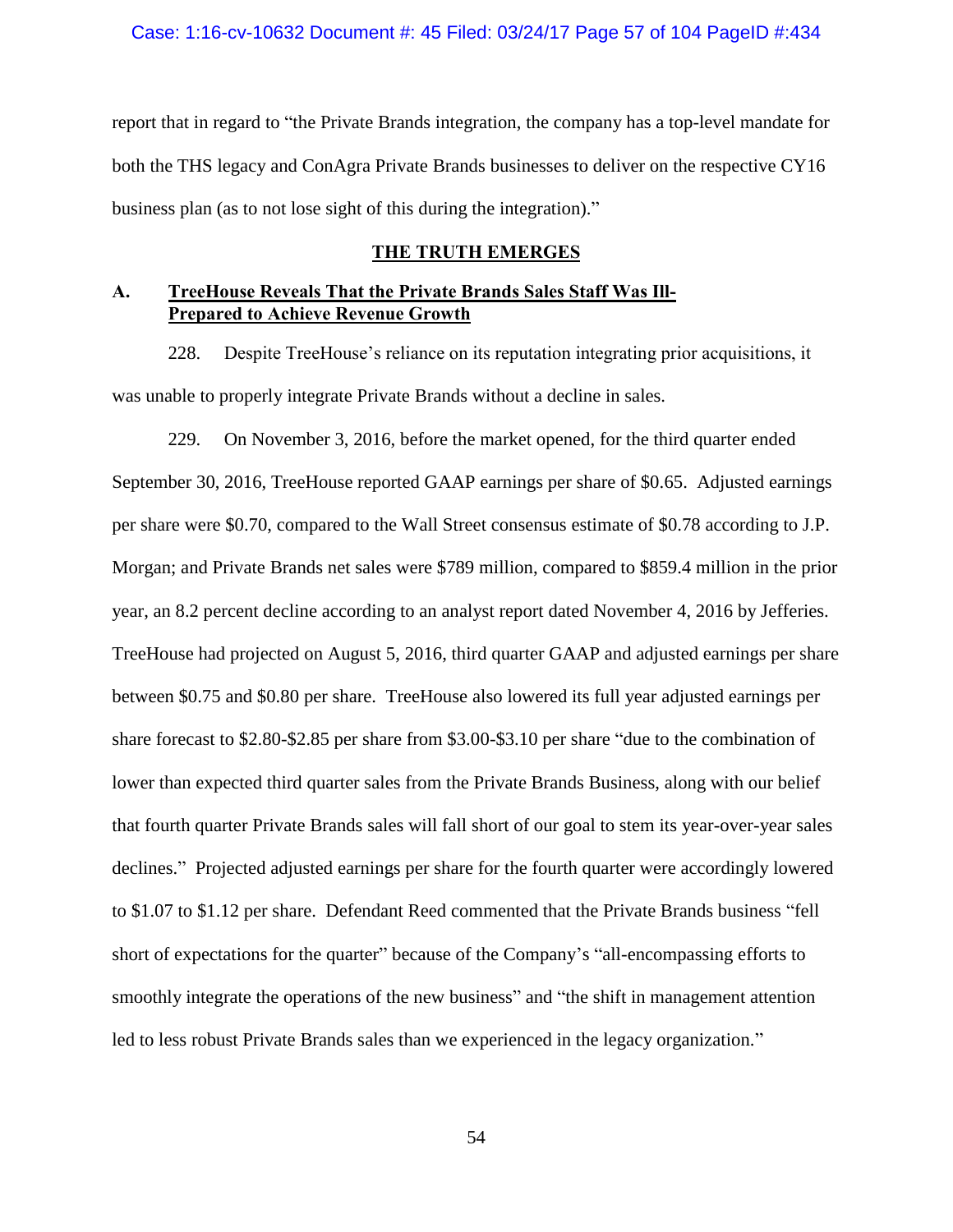report that in regard to "the Private Brands integration, the company has a top-level mandate for both the THS legacy and ConAgra Private Brands businesses to deliver on the respective CY16 business plan (as to not lose sight of this during the integration)."

### **THE TRUTH EMERGES**

## **A. TreeHouse Reveals That the Private Brands Sales Staff Was Ill-Prepared to Achieve Revenue Growth**

228. Despite TreeHouse's reliance on its reputation integrating prior acquisitions, it was unable to properly integrate Private Brands without a decline in sales.

229. On November 3, 2016, before the market opened, for the third quarter ended September 30, 2016, TreeHouse reported GAAP earnings per share of \$0.65. Adjusted earnings per share were \$0.70, compared to the Wall Street consensus estimate of \$0.78 according to J.P. Morgan; and Private Brands net sales were \$789 million, compared to \$859.4 million in the prior year, an 8.2 percent decline according to an analyst report dated November 4, 2016 by Jefferies. TreeHouse had projected on August 5, 2016, third quarter GAAP and adjusted earnings per share between \$0.75 and \$0.80 per share. TreeHouse also lowered its full year adjusted earnings per share forecast to \$2.80-\$2.85 per share from \$3.00-\$3.10 per share "due to the combination of lower than expected third quarter sales from the Private Brands Business, along with our belief that fourth quarter Private Brands sales will fall short of our goal to stem its year-over-year sales declines." Projected adjusted earnings per share for the fourth quarter were accordingly lowered to \$1.07 to \$1.12 per share. Defendant Reed commented that the Private Brands business "fell short of expectations for the quarter" because of the Company's "all-encompassing efforts to smoothly integrate the operations of the new business" and "the shift in management attention led to less robust Private Brands sales than we experienced in the legacy organization."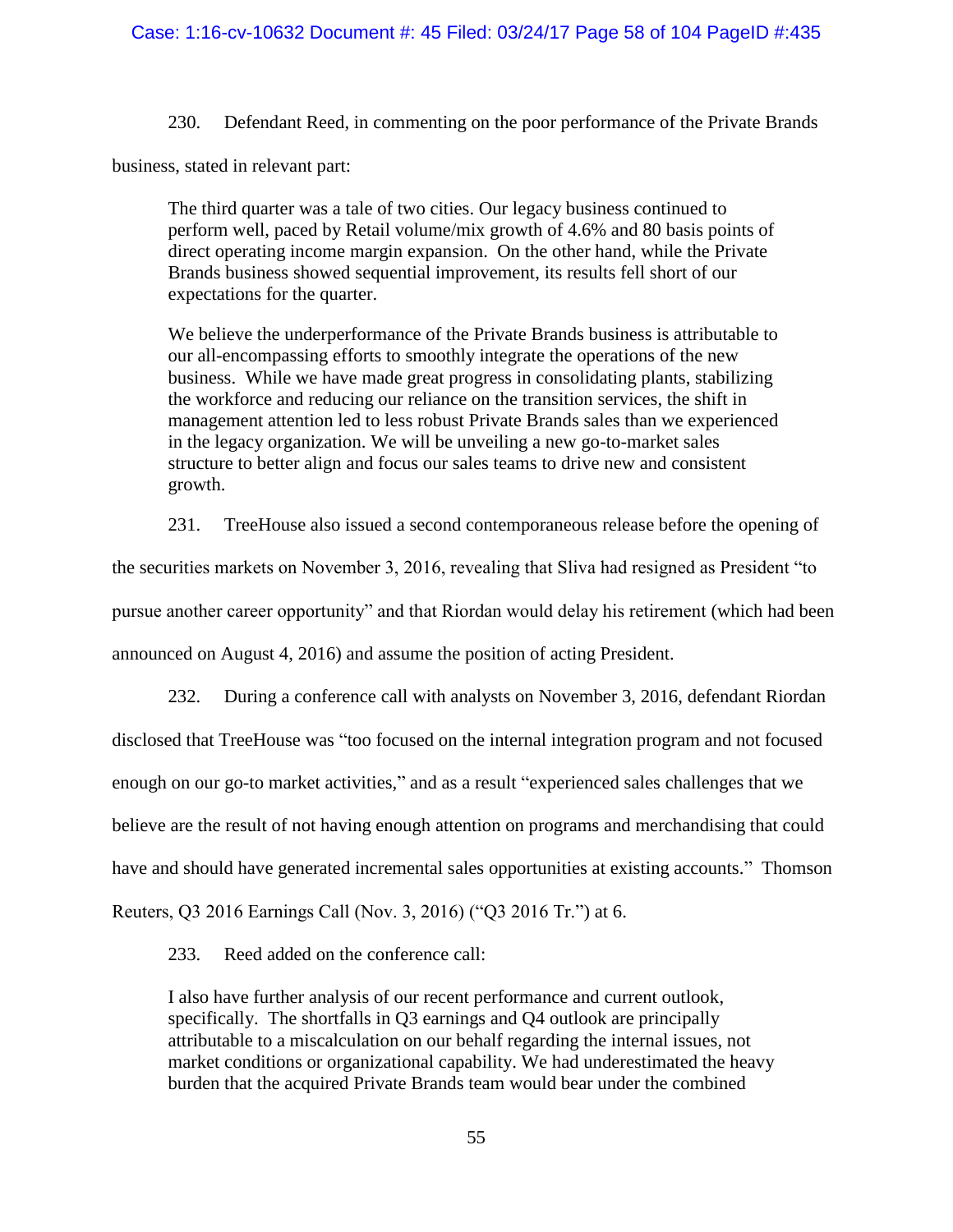230. Defendant Reed, in commenting on the poor performance of the Private Brands

business, stated in relevant part:

The third quarter was a tale of two cities. Our legacy business continued to perform well, paced by Retail volume/mix growth of 4.6% and 80 basis points of direct operating income margin expansion. On the other hand, while the Private Brands business showed sequential improvement, its results fell short of our expectations for the quarter.

We believe the underperformance of the Private Brands business is attributable to our all-encompassing efforts to smoothly integrate the operations of the new business. While we have made great progress in consolidating plants, stabilizing the workforce and reducing our reliance on the transition services, the shift in management attention led to less robust Private Brands sales than we experienced in the legacy organization. We will be unveiling a new go-to-market sales structure to better align and focus our sales teams to drive new and consistent growth.

231. TreeHouse also issued a second contemporaneous release before the opening of

the securities markets on November 3, 2016, revealing that Sliva had resigned as President "to pursue another career opportunity" and that Riordan would delay his retirement (which had been announced on August 4, 2016) and assume the position of acting President.

232. During a conference call with analysts on November 3, 2016, defendant Riordan disclosed that TreeHouse was "too focused on the internal integration program and not focused enough on our go-to market activities," and as a result "experienced sales challenges that we believe are the result of not having enough attention on programs and merchandising that could have and should have generated incremental sales opportunities at existing accounts." Thomson Reuters, Q3 2016 Earnings Call (Nov. 3, 2016) ("Q3 2016 Tr.") at 6.

233. Reed added on the conference call:

I also have further analysis of our recent performance and current outlook, specifically. The shortfalls in Q3 earnings and Q4 outlook are principally attributable to a miscalculation on our behalf regarding the internal issues, not market conditions or organizational capability. We had underestimated the heavy burden that the acquired Private Brands team would bear under the combined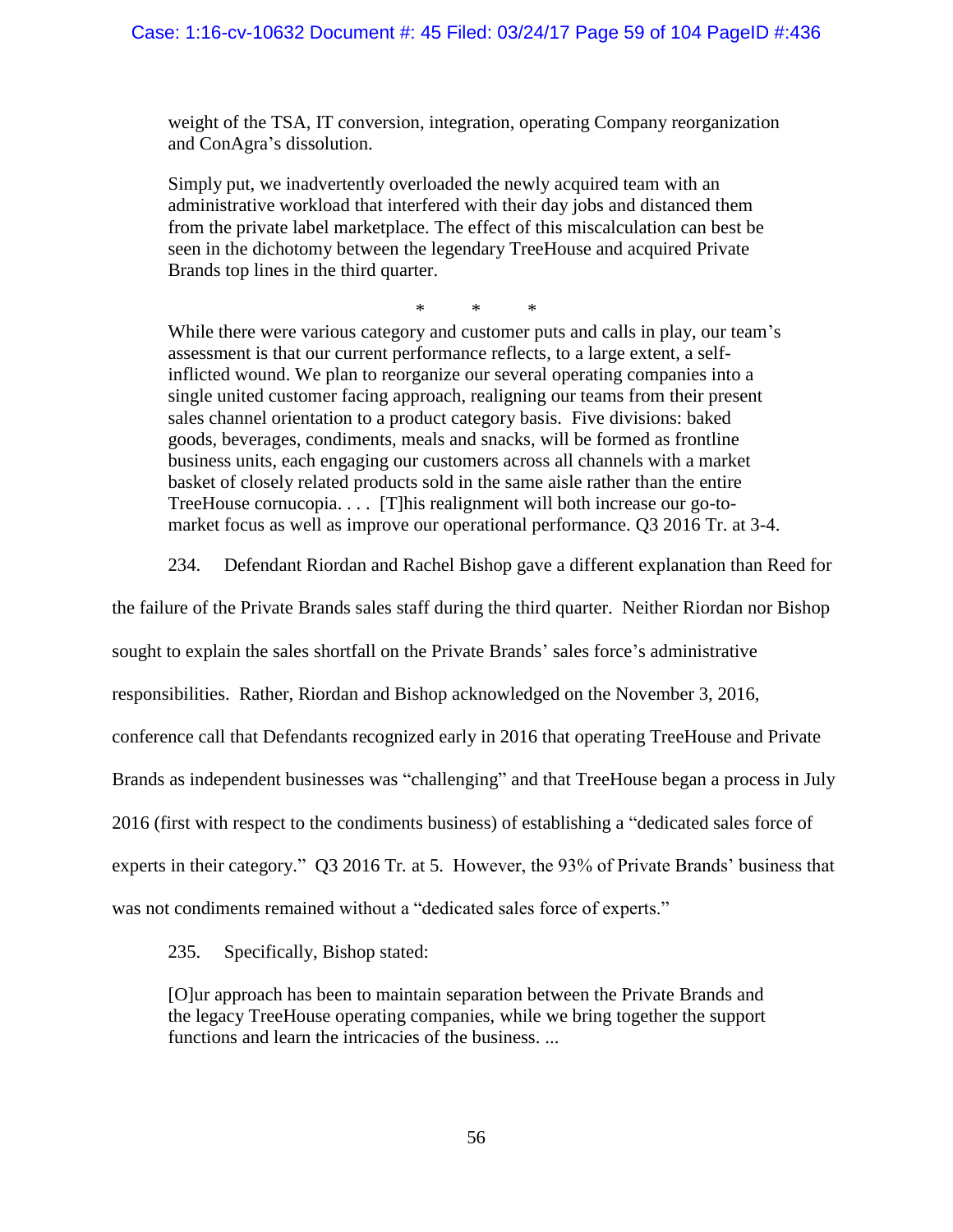weight of the TSA, IT conversion, integration, operating Company reorganization and ConAgra's dissolution.

Simply put, we inadvertently overloaded the newly acquired team with an administrative workload that interfered with their day jobs and distanced them from the private label marketplace. The effect of this miscalculation can best be seen in the dichotomy between the legendary TreeHouse and acquired Private Brands top lines in the third quarter.

\* \* \*

While there were various category and customer puts and calls in play, our team's assessment is that our current performance reflects, to a large extent, a selfinflicted wound. We plan to reorganize our several operating companies into a single united customer facing approach, realigning our teams from their present sales channel orientation to a product category basis. Five divisions: baked goods, beverages, condiments, meals and snacks, will be formed as frontline business units, each engaging our customers across all channels with a market basket of closely related products sold in the same aisle rather than the entire TreeHouse cornucopia. . . . [T]his realignment will both increase our go-tomarket focus as well as improve our operational performance. Q3 2016 Tr. at 3-4.

234. Defendant Riordan and Rachel Bishop gave a different explanation than Reed for

the failure of the Private Brands sales staff during the third quarter. Neither Riordan nor Bishop

sought to explain the sales shortfall on the Private Brands' sales force's administrative

responsibilities. Rather, Riordan and Bishop acknowledged on the November 3, 2016,

conference call that Defendants recognized early in 2016 that operating TreeHouse and Private

Brands as independent businesses was "challenging" and that TreeHouse began a process in July

2016 (first with respect to the condiments business) of establishing a "dedicated sales force of

experts in their category." Q3 2016 Tr*.* at 5. However, the 93% of Private Brands' business that

was not condiments remained without a "dedicated sales force of experts."

235. Specifically, Bishop stated:

[O]ur approach has been to maintain separation between the Private Brands and the legacy TreeHouse operating companies, while we bring together the support functions and learn the intricacies of the business. ...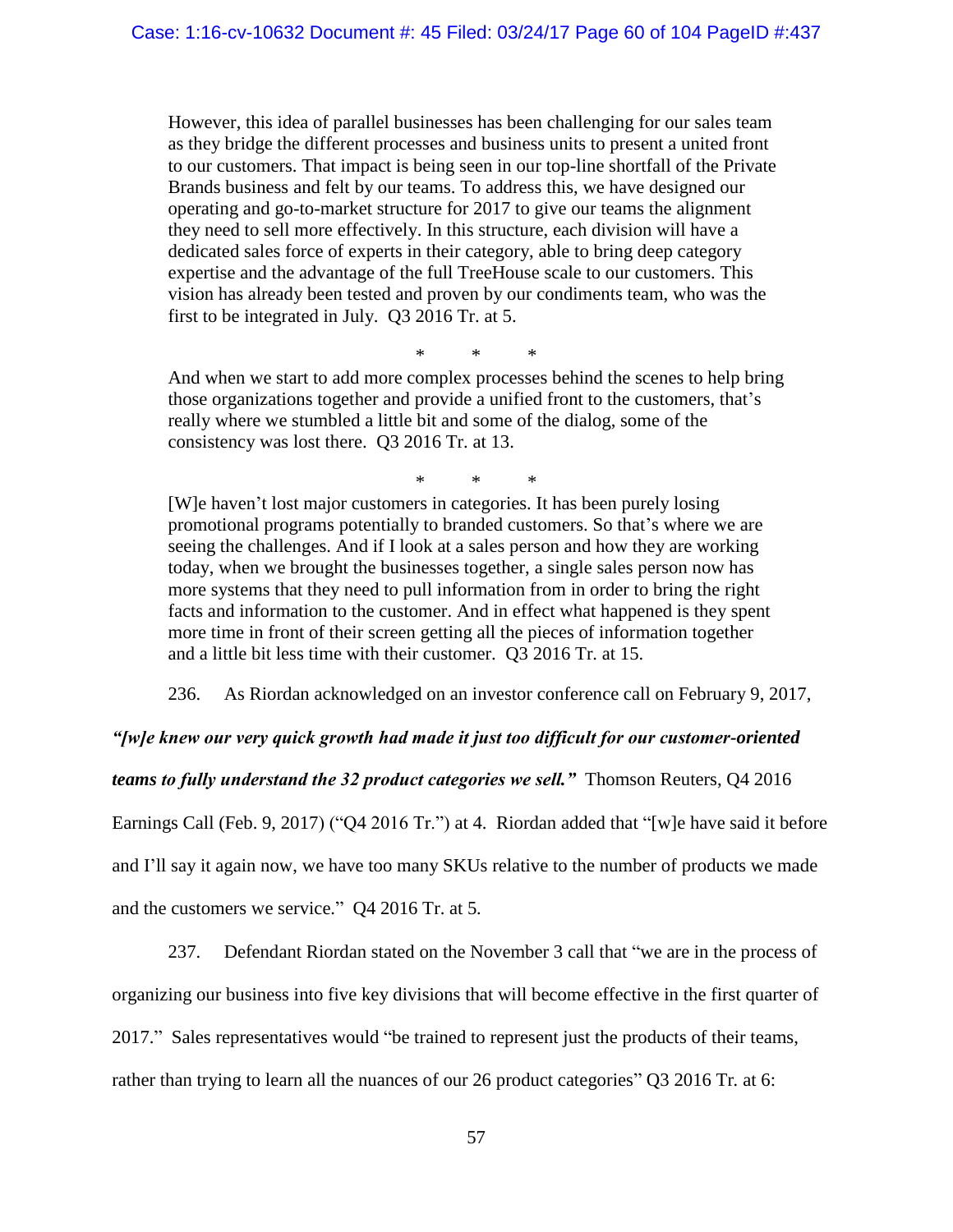However, this idea of parallel businesses has been challenging for our sales team as they bridge the different processes and business units to present a united front to our customers. That impact is being seen in our top-line shortfall of the Private Brands business and felt by our teams. To address this, we have designed our operating and go-to-market structure for 2017 to give our teams the alignment they need to sell more effectively. In this structure, each division will have a dedicated sales force of experts in their category, able to bring deep category expertise and the advantage of the full TreeHouse scale to our customers. This vision has already been tested and proven by our condiments team, who was the first to be integrated in July. Q3 2016 Tr. at 5.

\* \* \*

And when we start to add more complex processes behind the scenes to help bring those organizations together and provide a unified front to the customers, that's really where we stumbled a little bit and some of the dialog, some of the consistency was lost there. Q3 2016 Tr. at 13.

\* \* \*

[W]e haven't lost major customers in categories. It has been purely losing promotional programs potentially to branded customers. So that's where we are seeing the challenges. And if I look at a sales person and how they are working today, when we brought the businesses together, a single sales person now has more systems that they need to pull information from in order to bring the right facts and information to the customer. And in effect what happened is they spent more time in front of their screen getting all the pieces of information together and a little bit less time with their customer. Q3 2016 Tr. at 15.

236. As Riordan acknowledged on an investor conference call on February 9, 2017,

*"[w]e knew our very quick growth had made it just too difficult for our customer-oriented* 

*teams to fully understand the 32 product categories we sell."* Thomson Reuters, Q4 2016

Earnings Call (Feb. 9, 2017) ("Q4 2016 Tr.") at 4. Riordan added that "[w]e have said it before

and I'll say it again now, we have too many SKUs relative to the number of products we made

and the customers we service." Q4 2016 Tr. at 5*.* 

237. Defendant Riordan stated on the November 3 call that "we are in the process of organizing our business into five key divisions that will become effective in the first quarter of 2017." Sales representatives would "be trained to represent just the products of their teams, rather than trying to learn all the nuances of our 26 product categories" Q3 2016 Tr*.* at 6: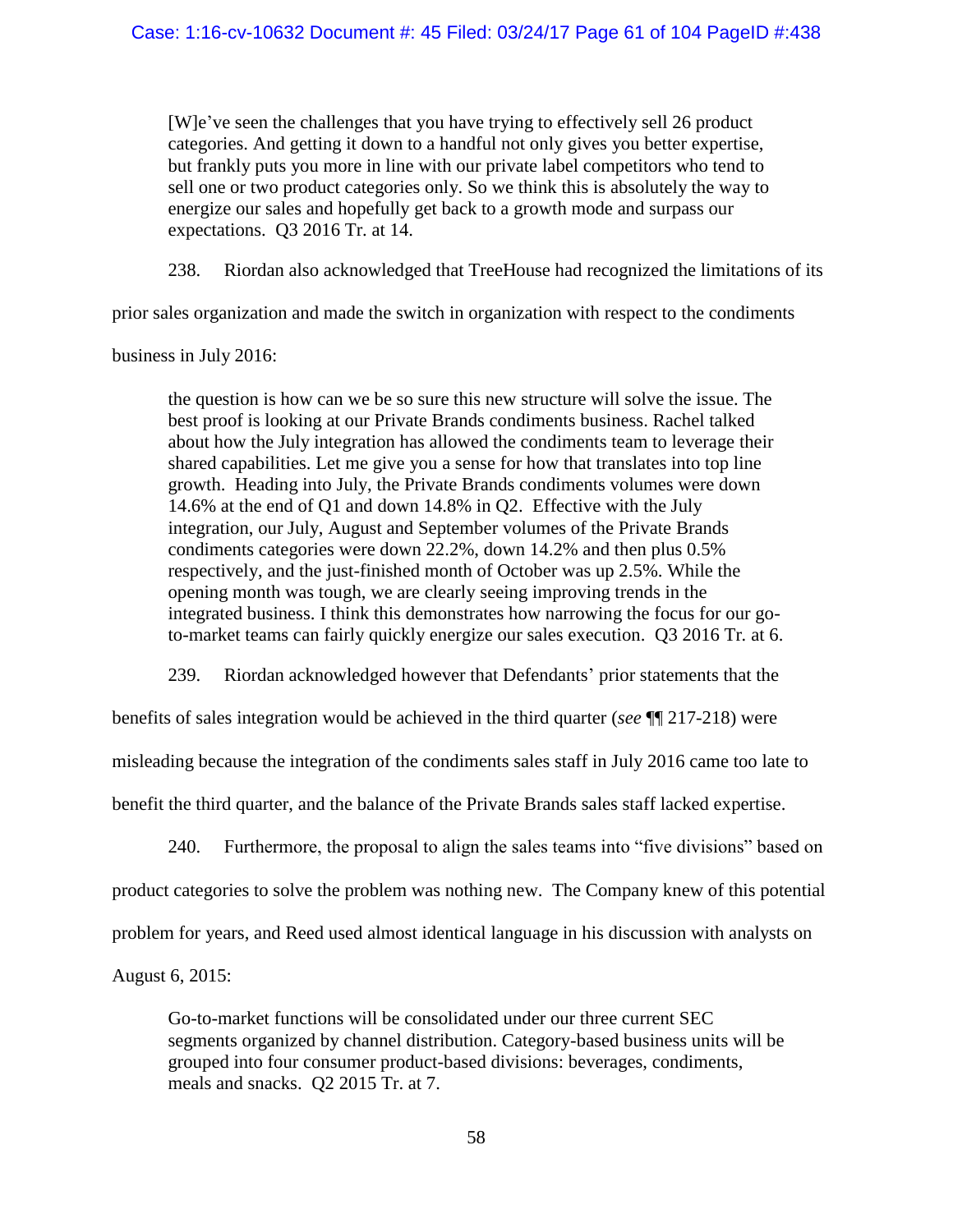[W]e've seen the challenges that you have trying to effectively sell 26 product categories. And getting it down to a handful not only gives you better expertise, but frankly puts you more in line with our private label competitors who tend to sell one or two product categories only. So we think this is absolutely the way to energize our sales and hopefully get back to a growth mode and surpass our expectations. Q3 2016 Tr. at 14.

238. Riordan also acknowledged that TreeHouse had recognized the limitations of its

prior sales organization and made the switch in organization with respect to the condiments

business in July 2016:

the question is how can we be so sure this new structure will solve the issue. The best proof is looking at our Private Brands condiments business. Rachel talked about how the July integration has allowed the condiments team to leverage their shared capabilities. Let me give you a sense for how that translates into top line growth. Heading into July, the Private Brands condiments volumes were down 14.6% at the end of Q1 and down 14.8% in Q2. Effective with the July integration, our July, August and September volumes of the Private Brands condiments categories were down 22.2%, down 14.2% and then plus 0.5% respectively, and the just-finished month of October was up 2.5%. While the opening month was tough, we are clearly seeing improving trends in the integrated business. I think this demonstrates how narrowing the focus for our goto-market teams can fairly quickly energize our sales execution. Q3 2016 Tr*.* at 6.

239. Riordan acknowledged however that Defendants' prior statements that the

benefits of sales integration would be achieved in the third quarter (*see* ¶¶ [217](#page-53-0)[-218\)](#page-53-1) were

misleading because the integration of the condiments sales staff in July 2016 came too late to

benefit the third quarter, and the balance of the Private Brands sales staff lacked expertise.

240. Furthermore, the proposal to align the sales teams into "five divisions" based on product categories to solve the problem was nothing new. The Company knew of this potential problem for years, and Reed used almost identical language in his discussion with analysts on August 6, 2015:

Go-to-market functions will be consolidated under our three current SEC segments organized by channel distribution. Category-based business units will be grouped into four consumer product-based divisions: beverages, condiments, meals and snacks. Q2 2015 Tr. at 7.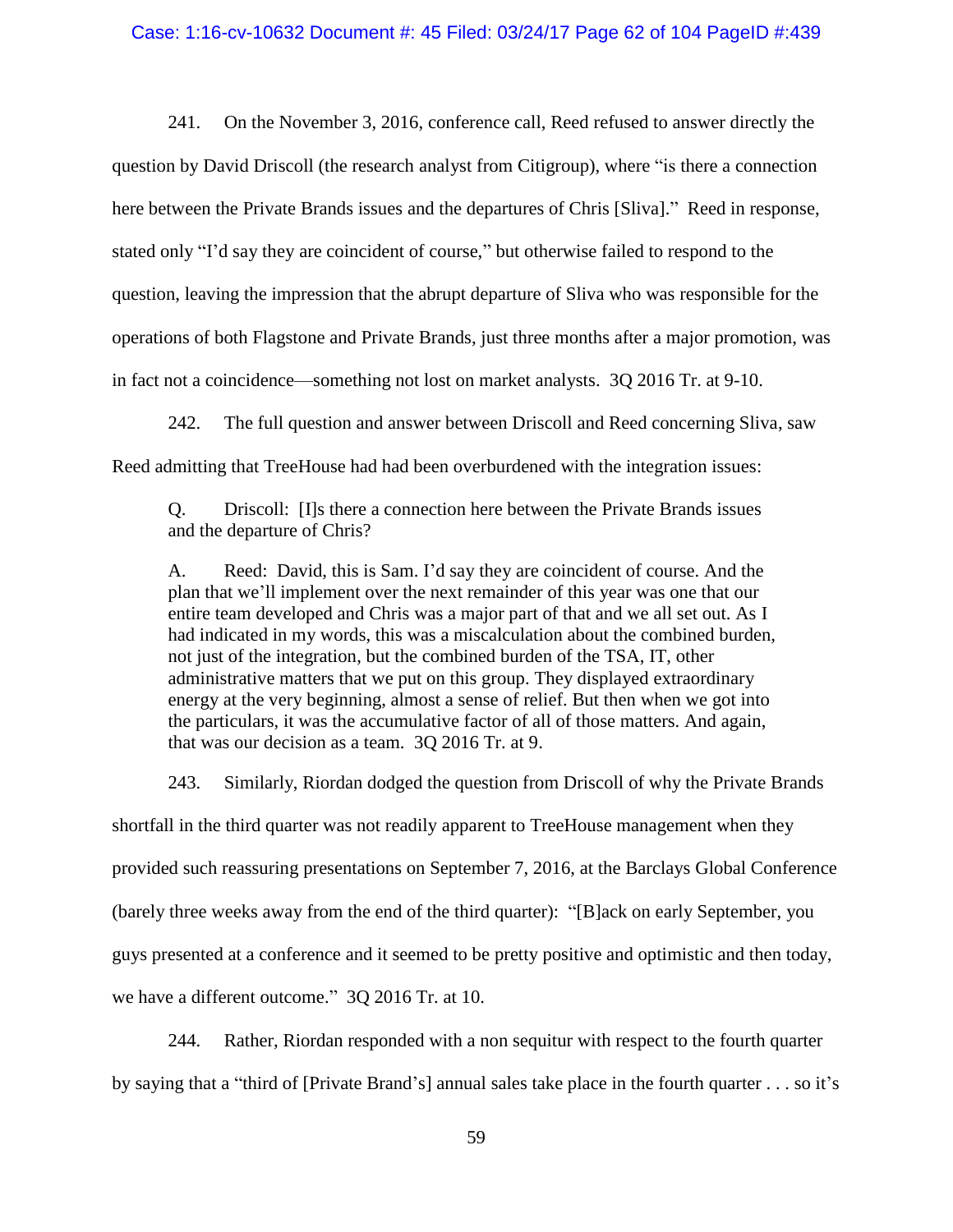#### Case: 1:16-cv-10632 Document #: 45 Filed: 03/24/17 Page 62 of 104 PageID #:439

241. On the November 3, 2016, conference call, Reed refused to answer directly the question by David Driscoll (the research analyst from Citigroup), where "is there a connection here between the Private Brands issues and the departures of Chris [Sliva]." Reed in response, stated only "I'd say they are coincident of course," but otherwise failed to respond to the question, leaving the impression that the abrupt departure of Sliva who was responsible for the operations of both Flagstone and Private Brands, just three months after a major promotion, was in fact not a coincidence—something not lost on market analysts. 3Q 2016 Tr. at 9-10.

242. The full question and answer between Driscoll and Reed concerning Sliva, saw Reed admitting that TreeHouse had had been overburdened with the integration issues:

Q. Driscoll: [I]s there a connection here between the Private Brands issues and the departure of Chris?

A. Reed: David, this is Sam. I'd say they are coincident of course. And the plan that we'll implement over the next remainder of this year was one that our entire team developed and Chris was a major part of that and we all set out. As I had indicated in my words, this was a miscalculation about the combined burden, not just of the integration, but the combined burden of the TSA, IT, other administrative matters that we put on this group. They displayed extraordinary energy at the very beginning, almost a sense of relief. But then when we got into the particulars, it was the accumulative factor of all of those matters. And again, that was our decision as a team. 3Q 2016 Tr. at 9.

243. Similarly, Riordan dodged the question from Driscoll of why the Private Brands shortfall in the third quarter was not readily apparent to TreeHouse management when they provided such reassuring presentations on September 7, 2016, at the Barclays Global Conference (barely three weeks away from the end of the third quarter): "[B]ack on early September, you guys presented at a conference and it seemed to be pretty positive and optimistic and then today, we have a different outcome." 3Q 2016 Tr. at 10.

244. Rather, Riordan responded with a non sequitur with respect to the fourth quarter by saying that a "third of [Private Brand's] annual sales take place in the fourth quarter . . . so it's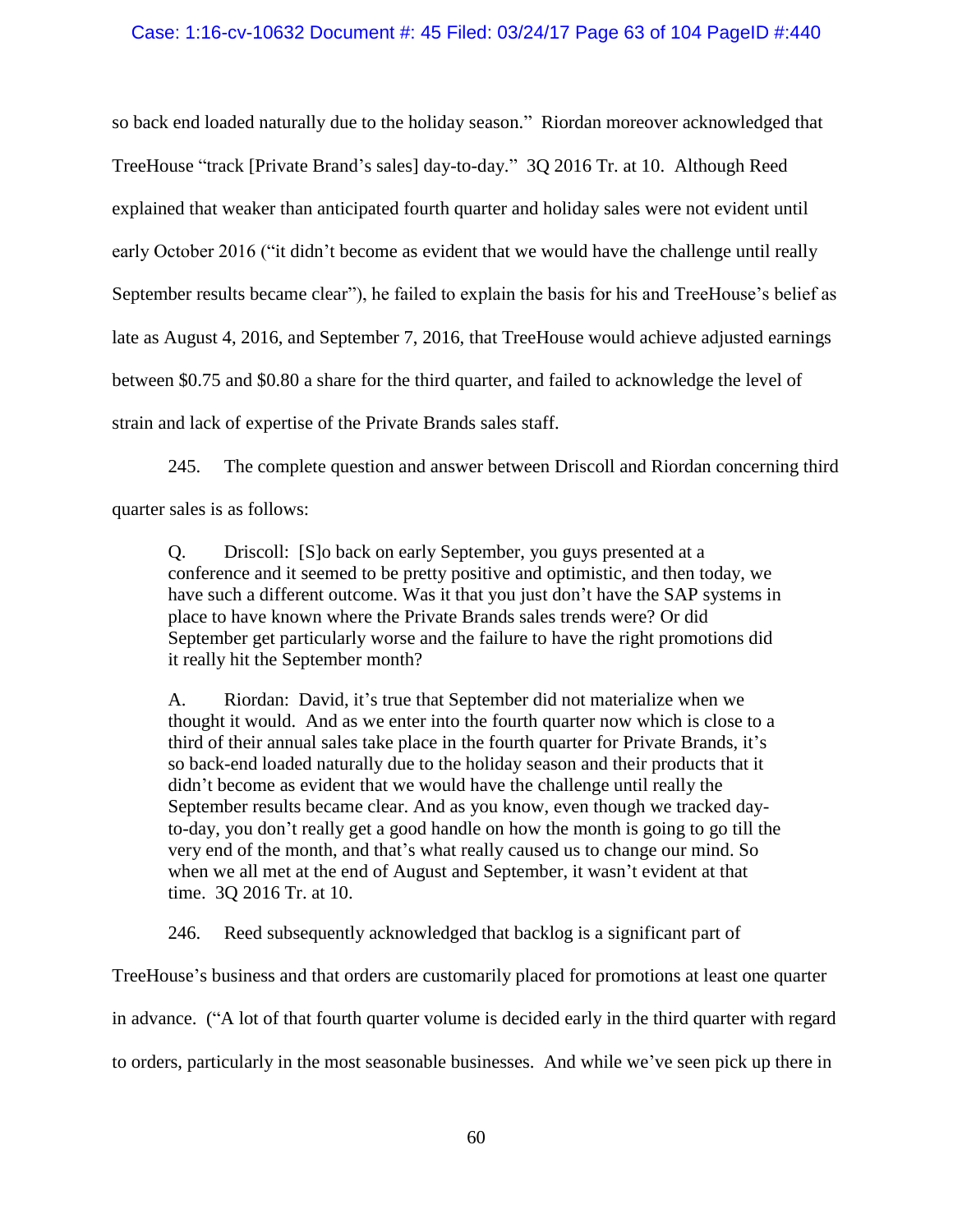### Case: 1:16-cv-10632 Document #: 45 Filed: 03/24/17 Page 63 of 104 PageID #:440

so back end loaded naturally due to the holiday season." Riordan moreover acknowledged that TreeHouse "track [Private Brand's sales] day-to-day." 3Q 2016 Tr. at 10. Although Reed explained that weaker than anticipated fourth quarter and holiday sales were not evident until early October 2016 ("it didn't become as evident that we would have the challenge until really September results became clear"), he failed to explain the basis for his and TreeHouse's belief as late as August 4, 2016, and September 7, 2016, that TreeHouse would achieve adjusted earnings between \$0.75 and \$0.80 a share for the third quarter, and failed to acknowledge the level of strain and lack of expertise of the Private Brands sales staff.

245. The complete question and answer between Driscoll and Riordan concerning third quarter sales is as follows:

Q. Driscoll: [S]o back on early September, you guys presented at a conference and it seemed to be pretty positive and optimistic, and then today, we have such a different outcome. Was it that you just don't have the SAP systems in place to have known where the Private Brands sales trends were? Or did September get particularly worse and the failure to have the right promotions did it really hit the September month?

A. Riordan: David, it's true that September did not materialize when we thought it would. And as we enter into the fourth quarter now which is close to a third of their annual sales take place in the fourth quarter for Private Brands, it's so back-end loaded naturally due to the holiday season and their products that it didn't become as evident that we would have the challenge until really the September results became clear. And as you know, even though we tracked dayto-day, you don't really get a good handle on how the month is going to go till the very end of the month, and that's what really caused us to change our mind. So when we all met at the end of August and September, it wasn't evident at that time. 3Q 2016 Tr. at 10.

246. Reed subsequently acknowledged that backlog is a significant part of

TreeHouse's business and that orders are customarily placed for promotions at least one quarter in advance. ("A lot of that fourth quarter volume is decided early in the third quarter with regard to orders, particularly in the most seasonable businesses. And while we've seen pick up there in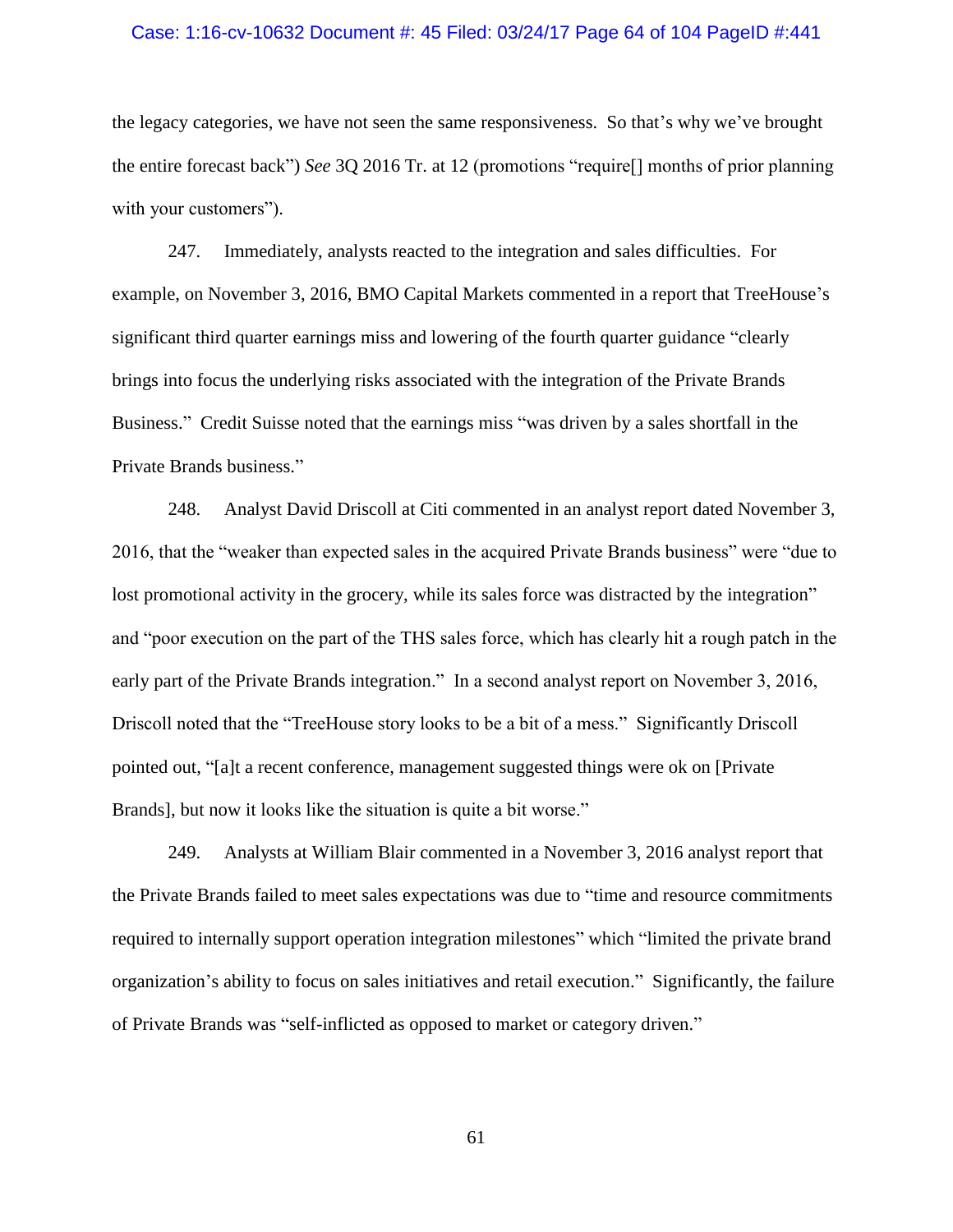#### Case: 1:16-cv-10632 Document #: 45 Filed: 03/24/17 Page 64 of 104 PageID #:441

the legacy categories, we have not seen the same responsiveness. So that's why we've brought the entire forecast back") *See* 3Q 2016 Tr. at 12 (promotions "require[] months of prior planning with your customers").

247. Immediately, analysts reacted to the integration and sales difficulties. For example, on November 3, 2016, BMO Capital Markets commented in a report that TreeHouse's significant third quarter earnings miss and lowering of the fourth quarter guidance "clearly brings into focus the underlying risks associated with the integration of the Private Brands Business." Credit Suisse noted that the earnings miss "was driven by a sales shortfall in the Private Brands business."

248. Analyst David Driscoll at Citi commented in an analyst report dated November 3, 2016, that the "weaker than expected sales in the acquired Private Brands business" were "due to lost promotional activity in the grocery, while its sales force was distracted by the integration" and "poor execution on the part of the THS sales force, which has clearly hit a rough patch in the early part of the Private Brands integration." In a second analyst report on November 3, 2016, Driscoll noted that the "TreeHouse story looks to be a bit of a mess." Significantly Driscoll pointed out, "[a]t a recent conference, management suggested things were ok on [Private Brands], but now it looks like the situation is quite a bit worse."

249. Analysts at William Blair commented in a November 3, 2016 analyst report that the Private Brands failed to meet sales expectations was due to "time and resource commitments required to internally support operation integration milestones" which "limited the private brand organization's ability to focus on sales initiatives and retail execution." Significantly, the failure of Private Brands was "self-inflicted as opposed to market or category driven."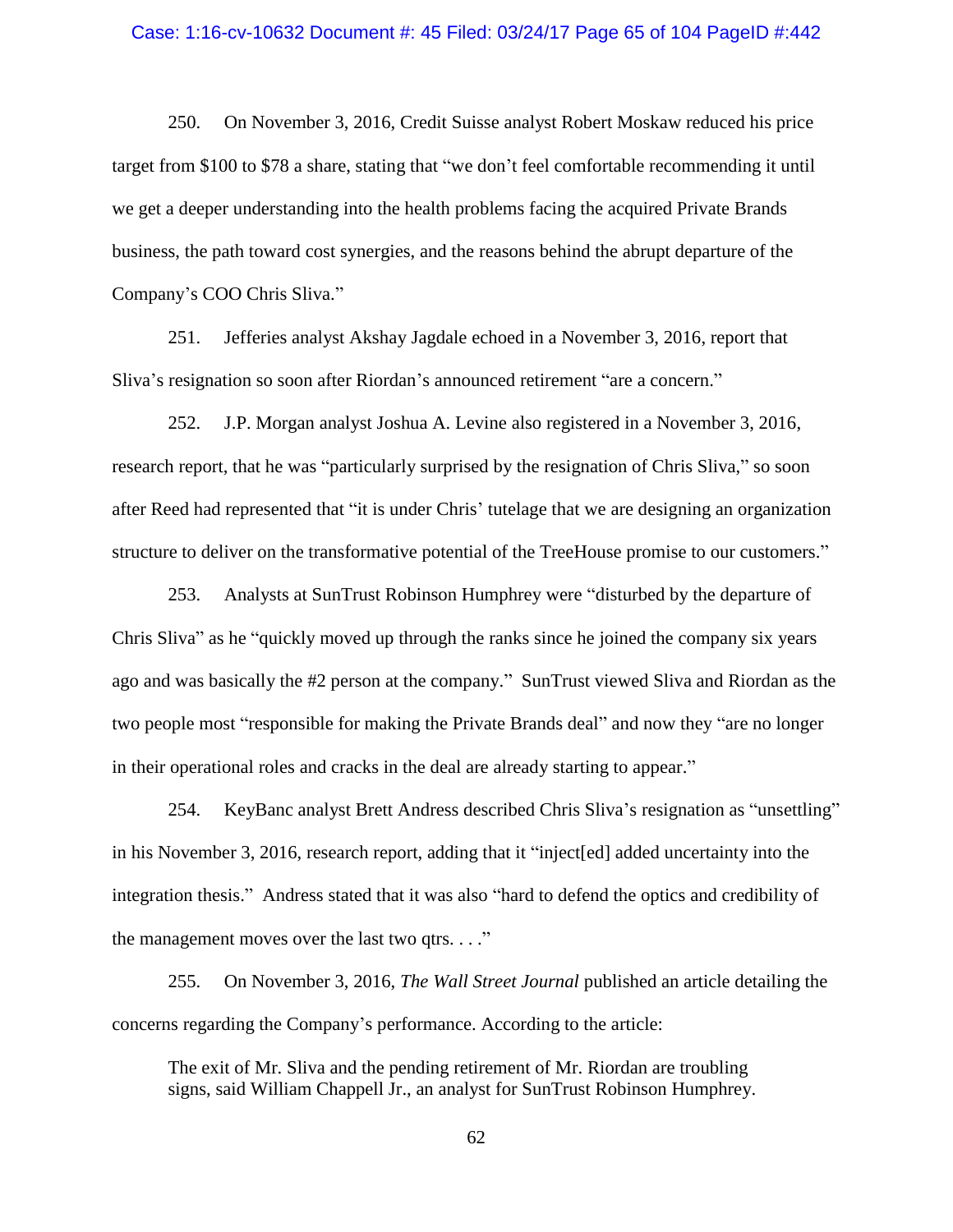#### Case: 1:16-cv-10632 Document #: 45 Filed: 03/24/17 Page 65 of 104 PageID #:442

250. On November 3, 2016, Credit Suisse analyst Robert Moskaw reduced his price target from \$100 to \$78 a share, stating that "we don't feel comfortable recommending it until we get a deeper understanding into the health problems facing the acquired Private Brands business, the path toward cost synergies, and the reasons behind the abrupt departure of the Company's COO Chris Sliva."

251. Jefferies analyst Akshay Jagdale echoed in a November 3, 2016, report that Sliva's resignation so soon after Riordan's announced retirement "are a concern."

252. J.P. Morgan analyst Joshua A. Levine also registered in a November 3, 2016, research report, that he was "particularly surprised by the resignation of Chris Sliva," so soon after Reed had represented that "it is under Chris' tutelage that we are designing an organization structure to deliver on the transformative potential of the TreeHouse promise to our customers."

253. Analysts at SunTrust Robinson Humphrey were "disturbed by the departure of Chris Sliva" as he "quickly moved up through the ranks since he joined the company six years ago and was basically the #2 person at the company." SunTrust viewed Sliva and Riordan as the two people most "responsible for making the Private Brands deal" and now they "are no longer in their operational roles and cracks in the deal are already starting to appear."

254. KeyBanc analyst Brett Andress described Chris Sliva's resignation as "unsettling" in his November 3, 2016, research report, adding that it "inject[ed] added uncertainty into the integration thesis." Andress stated that it was also "hard to defend the optics and credibility of the management moves over the last two qtrs.  $\dots$ "

255. On November 3, 2016, *The Wall Street Journal* published an article detailing the concerns regarding the Company's performance. According to the article:

The exit of Mr. Sliva and the pending retirement of Mr. Riordan are troubling signs, said William Chappell Jr., an analyst for SunTrust Robinson Humphrey.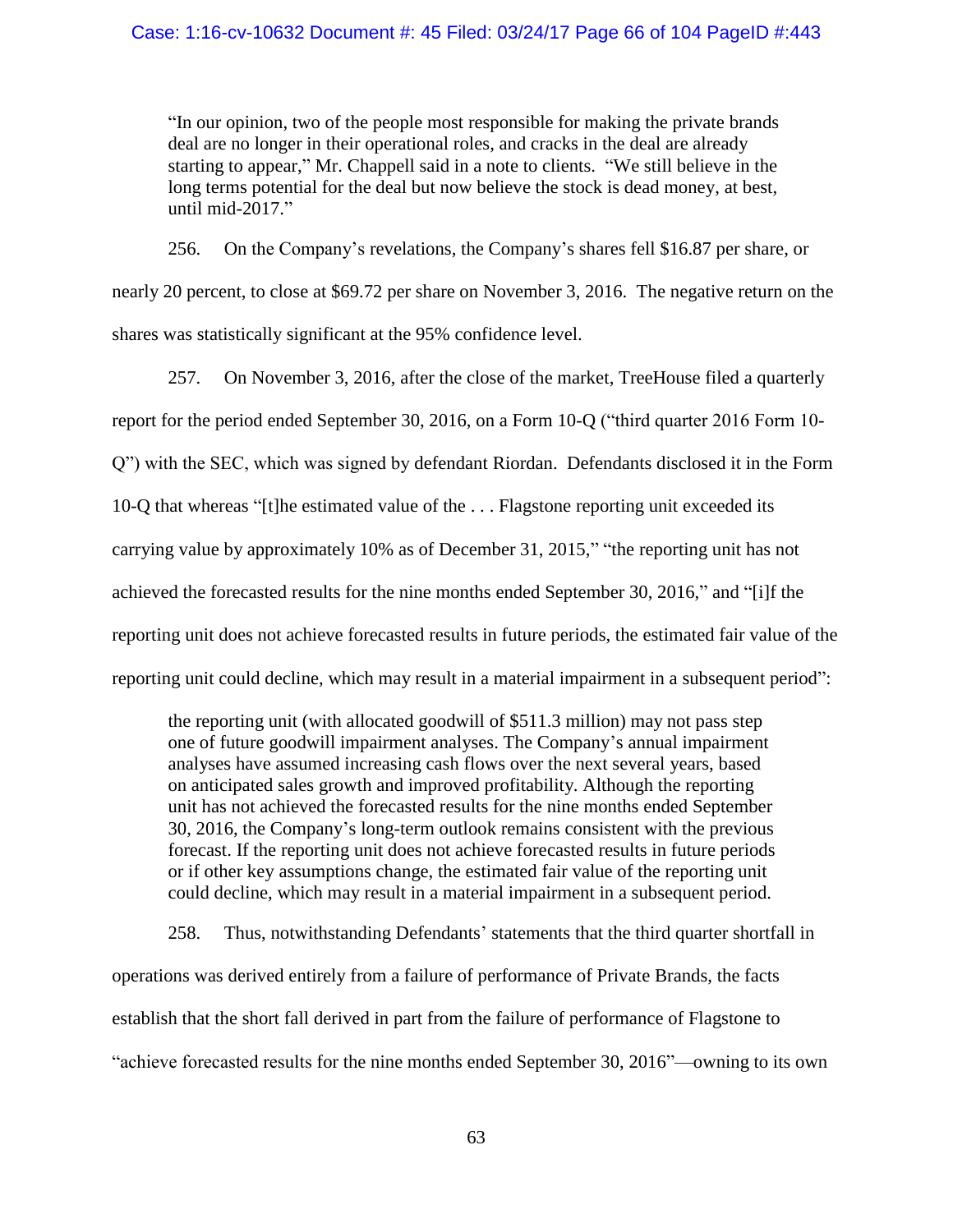## Case: 1:16-cv-10632 Document #: 45 Filed: 03/24/17 Page 66 of 104 PageID #:443

"In our opinion, two of the people most responsible for making the private brands deal are no longer in their operational roles, and cracks in the deal are already starting to appear," Mr. Chappell said in a note to clients. "We still believe in the long terms potential for the deal but now believe the stock is dead money, at best, until mid-2017."

256. On the Company's revelations, the Company's shares fell \$16.87 per share, or nearly 20 percent, to close at \$69.72 per share on November 3, 2016. The negative return on the shares was statistically significant at the 95% confidence level.

257. On November 3, 2016, after the close of the market, TreeHouse filed a quarterly report for the period ended September 30, 2016, on a Form 10-Q ("third quarter 2016 Form 10- Q") with the SEC, which was signed by defendant Riordan. Defendants disclosed it in the Form 10-Q that whereas "[t]he estimated value of the . . . Flagstone reporting unit exceeded its carrying value by approximately 10% as of December 31, 2015," "the reporting unit has not achieved the forecasted results for the nine months ended September 30, 2016," and "[i]f the reporting unit does not achieve forecasted results in future periods, the estimated fair value of the reporting unit could decline, which may result in a material impairment in a subsequent period":

the reporting unit (with allocated goodwill of \$511.3 million) may not pass step one of future goodwill impairment analyses. The Company's annual impairment analyses have assumed increasing cash flows over the next several years, based on anticipated sales growth and improved profitability. Although the reporting unit has not achieved the forecasted results for the nine months ended September 30, 2016, the Company's long-term outlook remains consistent with the previous forecast. If the reporting unit does not achieve forecasted results in future periods or if other key assumptions change, the estimated fair value of the reporting unit could decline, which may result in a material impairment in a subsequent period.

258. Thus, notwithstanding Defendants' statements that the third quarter shortfall in operations was derived entirely from a failure of performance of Private Brands, the facts establish that the short fall derived in part from the failure of performance of Flagstone to "achieve forecasted results for the nine months ended September 30, 2016"—owning to its own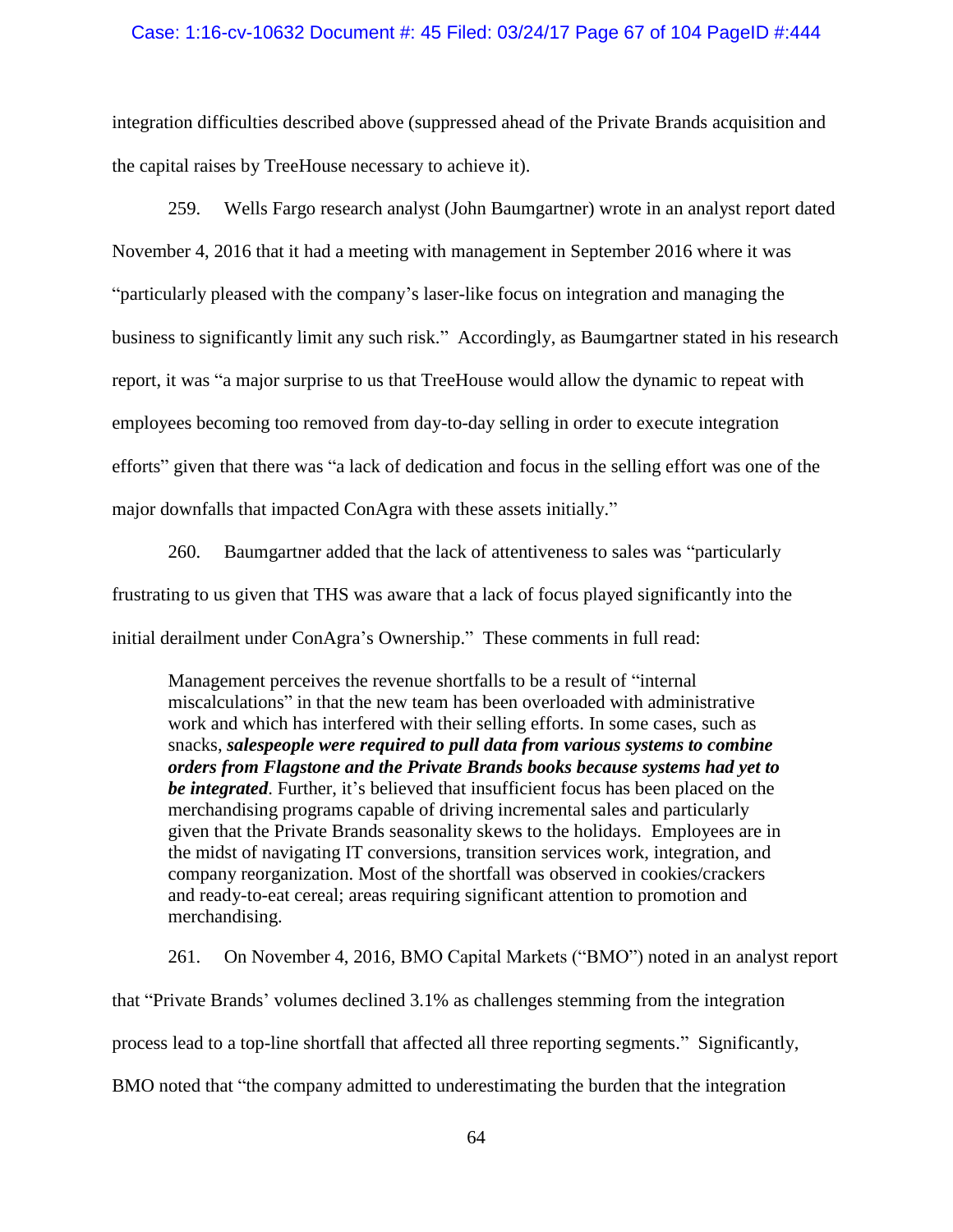#### Case: 1:16-cv-10632 Document #: 45 Filed: 03/24/17 Page 67 of 104 PageID #:444

integration difficulties described above (suppressed ahead of the Private Brands acquisition and the capital raises by TreeHouse necessary to achieve it).

259. Wells Fargo research analyst (John Baumgartner) wrote in an analyst report dated November 4, 2016 that it had a meeting with management in September 2016 where it was "particularly pleased with the company's laser-like focus on integration and managing the business to significantly limit any such risk." Accordingly, as Baumgartner stated in his research report, it was "a major surprise to us that TreeHouse would allow the dynamic to repeat with employees becoming too removed from day-to-day selling in order to execute integration efforts" given that there was "a lack of dedication and focus in the selling effort was one of the major downfalls that impacted ConAgra with these assets initially."

260. Baumgartner added that the lack of attentiveness to sales was "particularly frustrating to us given that THS was aware that a lack of focus played significantly into the initial derailment under ConAgra's Ownership." These comments in full read:

Management perceives the revenue shortfalls to be a result of "internal miscalculations" in that the new team has been overloaded with administrative work and which has interfered with their selling efforts. In some cases, such as snacks, *salespeople were required to pull data from various systems to combine orders from Flagstone and the Private Brands books because systems had yet to be integrated*. Further, it's believed that insufficient focus has been placed on the merchandising programs capable of driving incremental sales and particularly given that the Private Brands seasonality skews to the holidays. Employees are in the midst of navigating IT conversions, transition services work, integration, and company reorganization. Most of the shortfall was observed in cookies/crackers and ready-to-eat cereal; areas requiring significant attention to promotion and merchandising.

261. On November 4, 2016, BMO Capital Markets ("BMO") noted in an analyst report that "Private Brands' volumes declined 3.1% as challenges stemming from the integration process lead to a top-line shortfall that affected all three reporting segments." Significantly, BMO noted that "the company admitted to underestimating the burden that the integration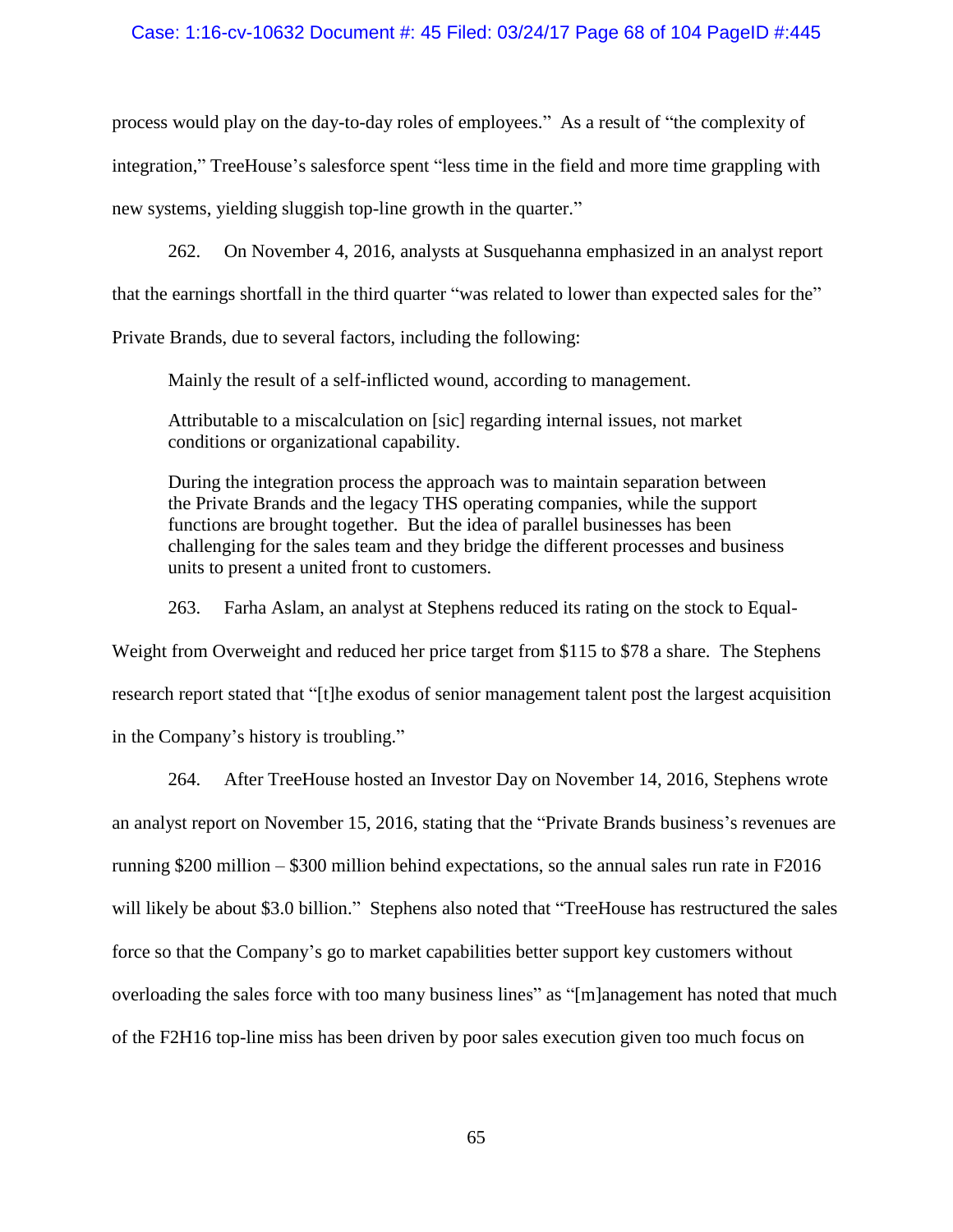#### Case: 1:16-cv-10632 Document #: 45 Filed: 03/24/17 Page 68 of 104 PageID #:445

process would play on the day-to-day roles of employees." As a result of "the complexity of integration," TreeHouse's salesforce spent "less time in the field and more time grappling with

new systems, yielding sluggish top-line growth in the quarter."

262. On November 4, 2016, analysts at Susquehanna emphasized in an analyst report that the earnings shortfall in the third quarter "was related to lower than expected sales for the"

Private Brands, due to several factors, including the following:

Mainly the result of a self-inflicted wound, according to management.

Attributable to a miscalculation on [sic] regarding internal issues, not market conditions or organizational capability.

During the integration process the approach was to maintain separation between the Private Brands and the legacy THS operating companies, while the support functions are brought together. But the idea of parallel businesses has been challenging for the sales team and they bridge the different processes and business units to present a united front to customers.

263. Farha Aslam, an analyst at Stephens reduced its rating on the stock to Equal-

Weight from Overweight and reduced her price target from \$115 to \$78 a share. The Stephens research report stated that "[t]he exodus of senior management talent post the largest acquisition in the Company's history is troubling."

264. After TreeHouse hosted an Investor Day on November 14, 2016, Stephens wrote an analyst report on November 15, 2016, stating that the "Private Brands business's revenues are running \$200 million – \$300 million behind expectations, so the annual sales run rate in F2016 will likely be about \$3.0 billion." Stephens also noted that "TreeHouse has restructured the sales force so that the Company's go to market capabilities better support key customers without overloading the sales force with too many business lines" as "[m]anagement has noted that much of the F2H16 top-line miss has been driven by poor sales execution given too much focus on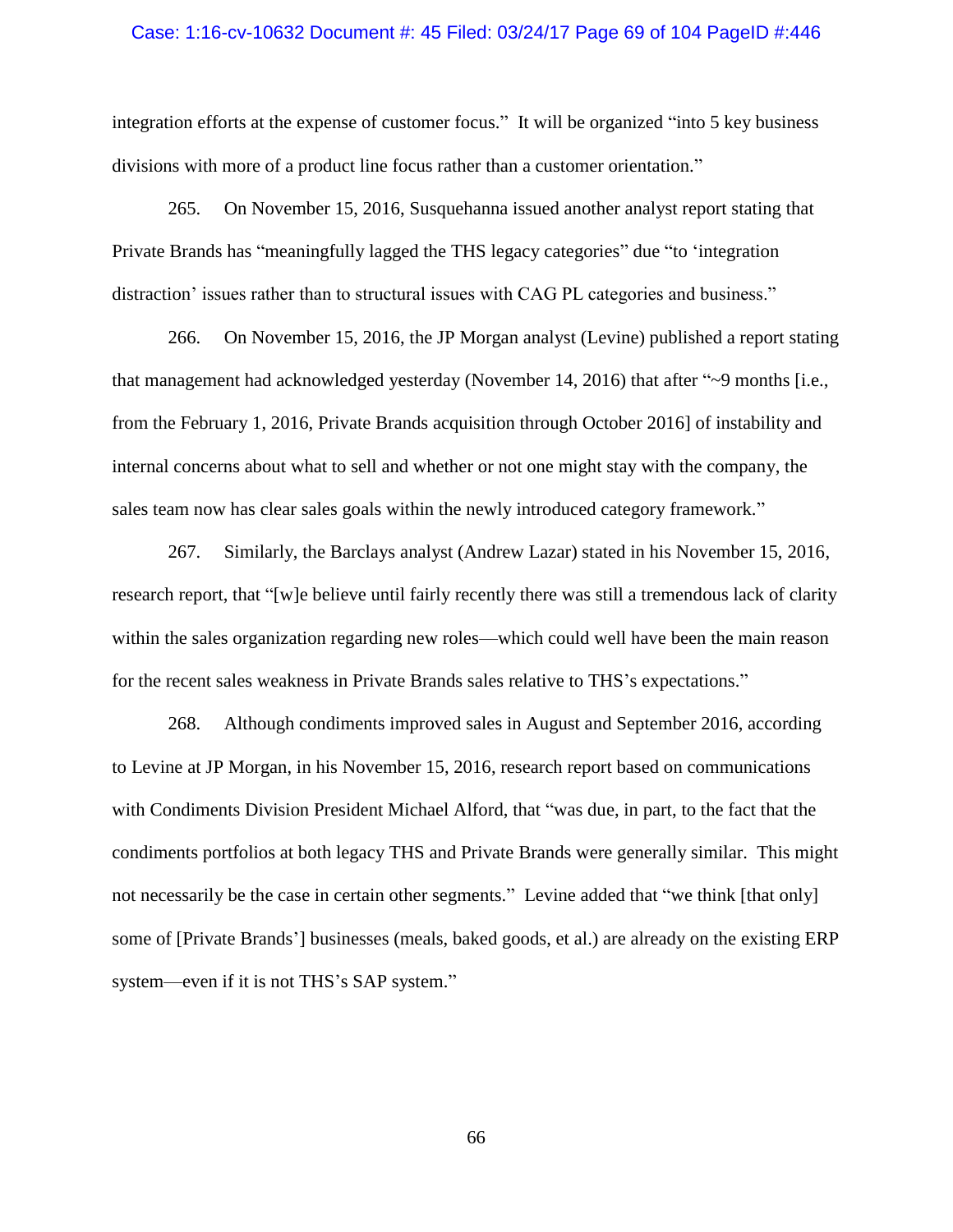#### Case: 1:16-cv-10632 Document #: 45 Filed: 03/24/17 Page 69 of 104 PageID #:446

integration efforts at the expense of customer focus." It will be organized "into 5 key business divisions with more of a product line focus rather than a customer orientation."

265. On November 15, 2016, Susquehanna issued another analyst report stating that Private Brands has "meaningfully lagged the THS legacy categories" due "to 'integration distraction' issues rather than to structural issues with CAG PL categories and business."

266. On November 15, 2016, the JP Morgan analyst (Levine) published a report stating that management had acknowledged yesterday (November 14, 2016) that after "~9 months [i.e., from the February 1, 2016, Private Brands acquisition through October 2016] of instability and internal concerns about what to sell and whether or not one might stay with the company, the sales team now has clear sales goals within the newly introduced category framework."

267. Similarly, the Barclays analyst (Andrew Lazar) stated in his November 15, 2016, research report, that "[w]e believe until fairly recently there was still a tremendous lack of clarity within the sales organization regarding new roles—which could well have been the main reason for the recent sales weakness in Private Brands sales relative to THS's expectations."

268. Although condiments improved sales in August and September 2016, according to Levine at JP Morgan, in his November 15, 2016, research report based on communications with Condiments Division President Michael Alford, that "was due, in part, to the fact that the condiments portfolios at both legacy THS and Private Brands were generally similar. This might not necessarily be the case in certain other segments." Levine added that "we think [that only] some of [Private Brands'] businesses (meals, baked goods, et al.) are already on the existing ERP system—even if it is not THS's SAP system."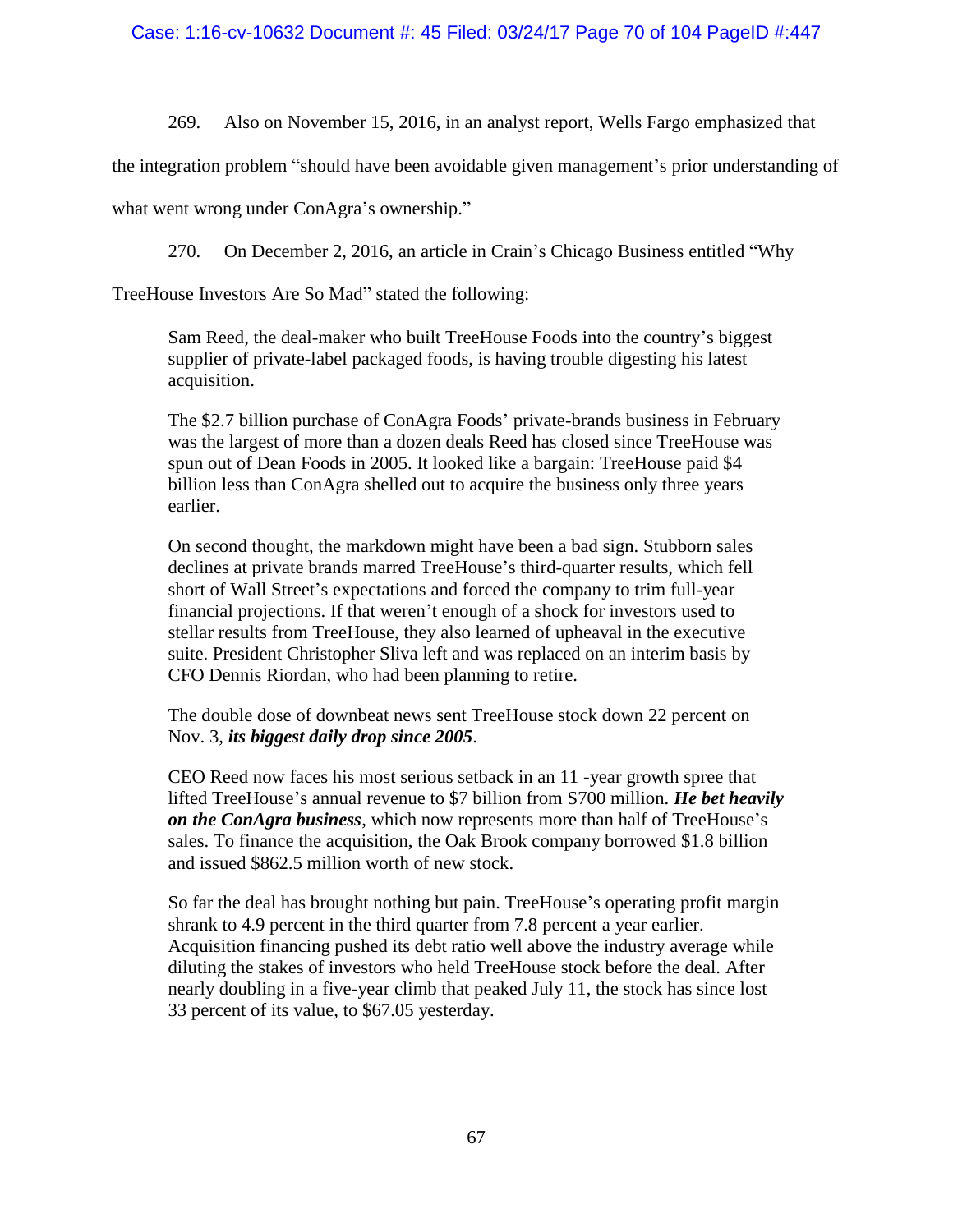269. Also on November 15, 2016, in an analyst report, Wells Fargo emphasized that

the integration problem "should have been avoidable given management's prior understanding of

what went wrong under ConAgra's ownership."

270. On December 2, 2016, an article in Crain's Chicago Business entitled "Why

TreeHouse Investors Are So Mad" stated the following:

Sam Reed, the deal-maker who built TreeHouse Foods into the country's biggest supplier of private-label packaged foods, is having trouble digesting his latest acquisition.

The \$2.7 billion purchase of ConAgra Foods' private-brands business in February was the largest of more than a dozen deals Reed has closed since TreeHouse was spun out of Dean Foods in 2005. It looked like a bargain: TreeHouse paid \$4 billion less than ConAgra shelled out to acquire the business only three years earlier.

On second thought, the markdown might have been a bad sign. Stubborn sales declines at private brands marred TreeHouse's third-quarter results, which fell short of Wall Street's expectations and forced the company to trim full-year financial projections. If that weren't enough of a shock for investors used to stellar results from TreeHouse, they also learned of upheaval in the executive suite. President Christopher Sliva left and was replaced on an interim basis by CFO Dennis Riordan, who had been planning to retire.

The double dose of downbeat news sent TreeHouse stock down 22 percent on Nov. 3, *its biggest daily drop since 2005*.

CEO Reed now faces his most serious setback in an 11 -year growth spree that lifted TreeHouse's annual revenue to \$7 billion from S700 million. *He bet heavily on the ConAgra business*, which now represents more than half of TreeHouse's sales. To finance the acquisition, the Oak Brook company borrowed \$1.8 billion and issued \$862.5 million worth of new stock.

So far the deal has brought nothing but pain. TreeHouse's operating profit margin shrank to 4.9 percent in the third quarter from 7.8 percent a year earlier. Acquisition financing pushed its debt ratio well above the industry average while diluting the stakes of investors who held TreeHouse stock before the deal. After nearly doubling in a five-year climb that peaked July 11, the stock has since lost 33 percent of its value, to \$67.05 yesterday.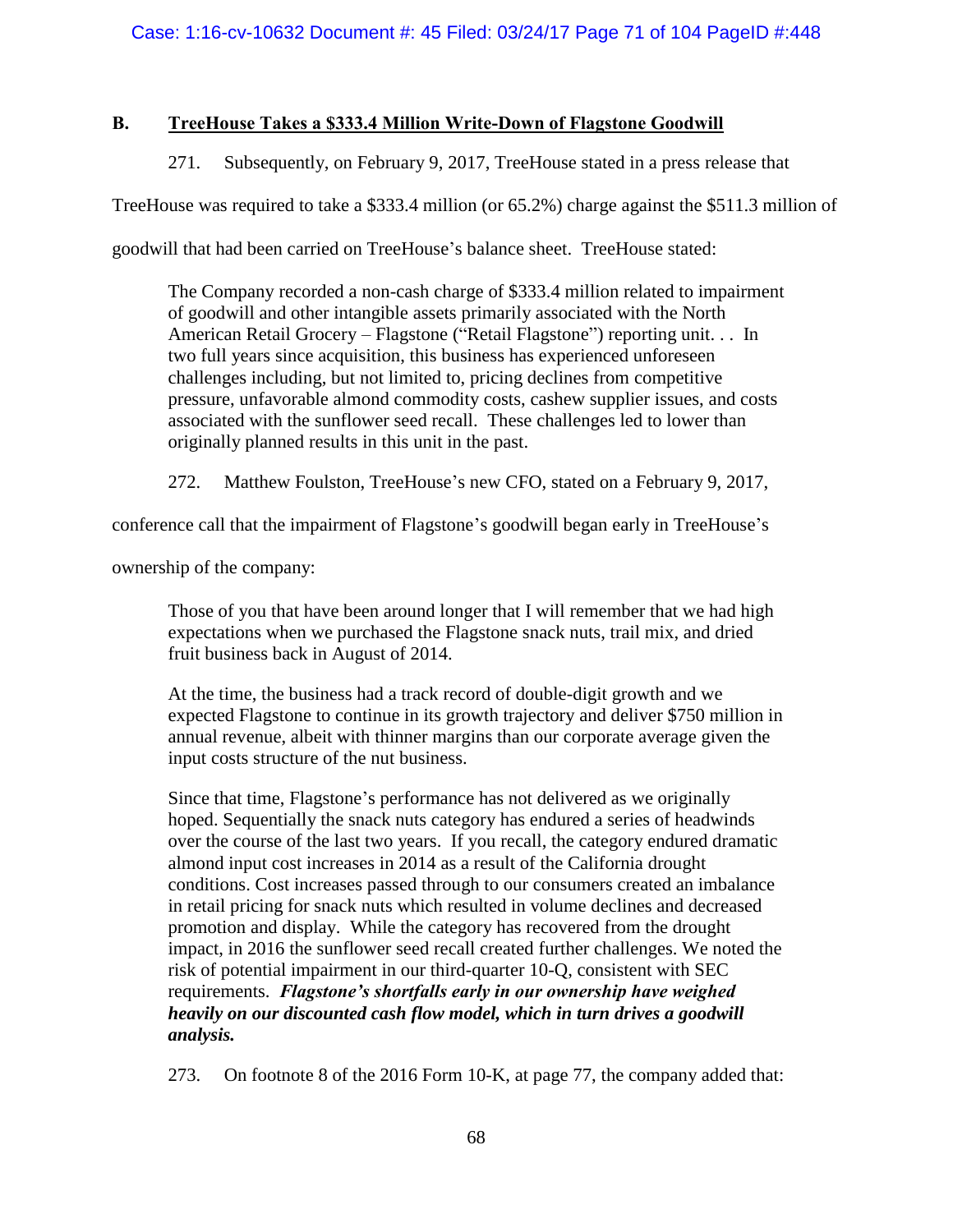# **B. TreeHouse Takes a \$333.4 Million Write-Down of Flagstone Goodwill**

271. Subsequently, on February 9, 2017, TreeHouse stated in a press release that

TreeHouse was required to take a \$333.4 million (or 65.2%) charge against the \$511.3 million of

goodwill that had been carried on TreeHouse's balance sheet. TreeHouse stated:

The Company recorded a non-cash charge of \$333.4 million related to impairment of goodwill and other intangible assets primarily associated with the North American Retail Grocery – Flagstone ("Retail Flagstone") reporting unit. . . In two full years since acquisition, this business has experienced unforeseen challenges including, but not limited to, pricing declines from competitive pressure, unfavorable almond commodity costs, cashew supplier issues, and costs associated with the sunflower seed recall. These challenges led to lower than originally planned results in this unit in the past.

272. Matthew Foulston, TreeHouse's new CFO, stated on a February 9, 2017,

conference call that the impairment of Flagstone's goodwill began early in TreeHouse's

ownership of the company:

Those of you that have been around longer that I will remember that we had high expectations when we purchased the Flagstone snack nuts, trail mix, and dried fruit business back in August of 2014.

At the time, the business had a track record of double-digit growth and we expected Flagstone to continue in its growth trajectory and deliver \$750 million in annual revenue, albeit with thinner margins than our corporate average given the input costs structure of the nut business.

Since that time, Flagstone's performance has not delivered as we originally hoped. Sequentially the snack nuts category has endured a series of headwinds over the course of the last two years. If you recall, the category endured dramatic almond input cost increases in 2014 as a result of the California drought conditions. Cost increases passed through to our consumers created an imbalance in retail pricing for snack nuts which resulted in volume declines and decreased promotion and display. While the category has recovered from the drought impact, in 2016 the sunflower seed recall created further challenges. We noted the risk of potential impairment in our third-quarter 10-Q, consistent with SEC requirements. *Flagstone's shortfalls early in our ownership have weighed heavily on our discounted cash flow model, which in turn drives a goodwill analysis.*

273. On footnote 8 of the 2016 Form 10-K, at page 77, the company added that: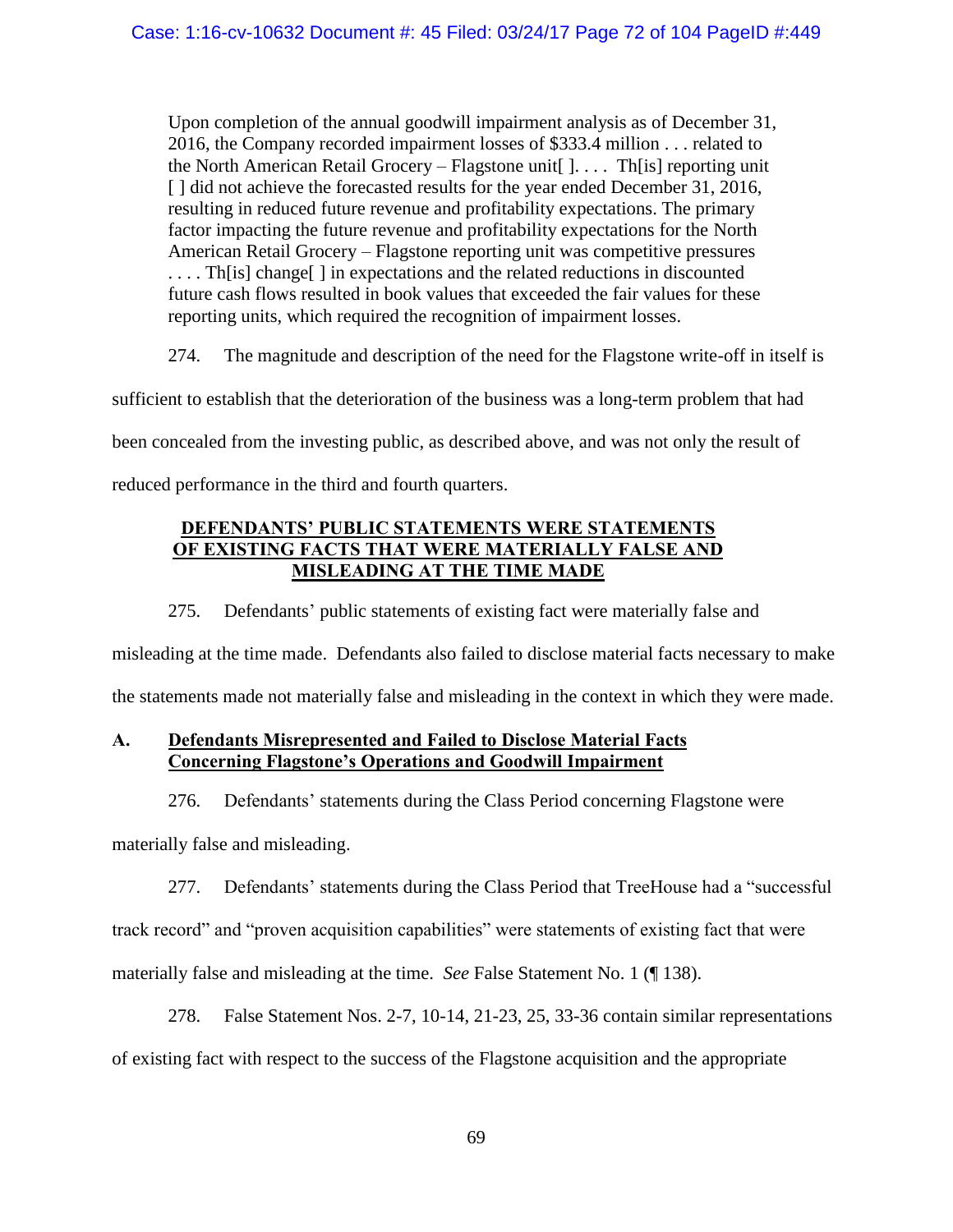Upon completion of the annual goodwill impairment analysis as of December 31, 2016, the Company recorded impairment losses of \$333.4 million . . . related to the North American Retail Grocery – Flagstone unit  $[$ ... The specified unit [] did not achieve the forecasted results for the year ended December 31, 2016, resulting in reduced future revenue and profitability expectations. The primary factor impacting the future revenue and profitability expectations for the North American Retail Grocery – Flagstone reporting unit was competitive pressures .... Th[is] change[] in expectations and the related reductions in discounted future cash flows resulted in book values that exceeded the fair values for these reporting units, which required the recognition of impairment losses.

274. The magnitude and description of the need for the Flagstone write-off in itself is

sufficient to establish that the deterioration of the business was a long-term problem that had

been concealed from the investing public, as described above, and was not only the result of

reduced performance in the third and fourth quarters.

# **DEFENDANTS' PUBLIC STATEMENTS WERE STATEMENTS OF EXISTING FACTS THAT WERE MATERIALLY FALSE AND MISLEADING AT THE TIME MADE**

275. Defendants' public statements of existing fact were materially false and

misleading at the time made. Defendants also failed to disclose material facts necessary to make the statements made not materially false and misleading in the context in which they were made.

# **A. Defendants Misrepresented and Failed to Disclose Material Facts Concerning Flagstone's Operations and Goodwill Impairment**

276. Defendants' statements during the Class Period concerning Flagstone were

materially false and misleading.

277. Defendants' statements during the Class Period that TreeHouse had a "successful

track record" and "proven acquisition capabilities" were statements of existing fact that were

materially false and misleading at the time. *See* False Statement No. 1 (¶ [138\)](#page-35-0).

278. False Statement Nos. 2-7, 10-14, 21-23, 25, 33-36 contain similar representations

of existing fact with respect to the success of the Flagstone acquisition and the appropriate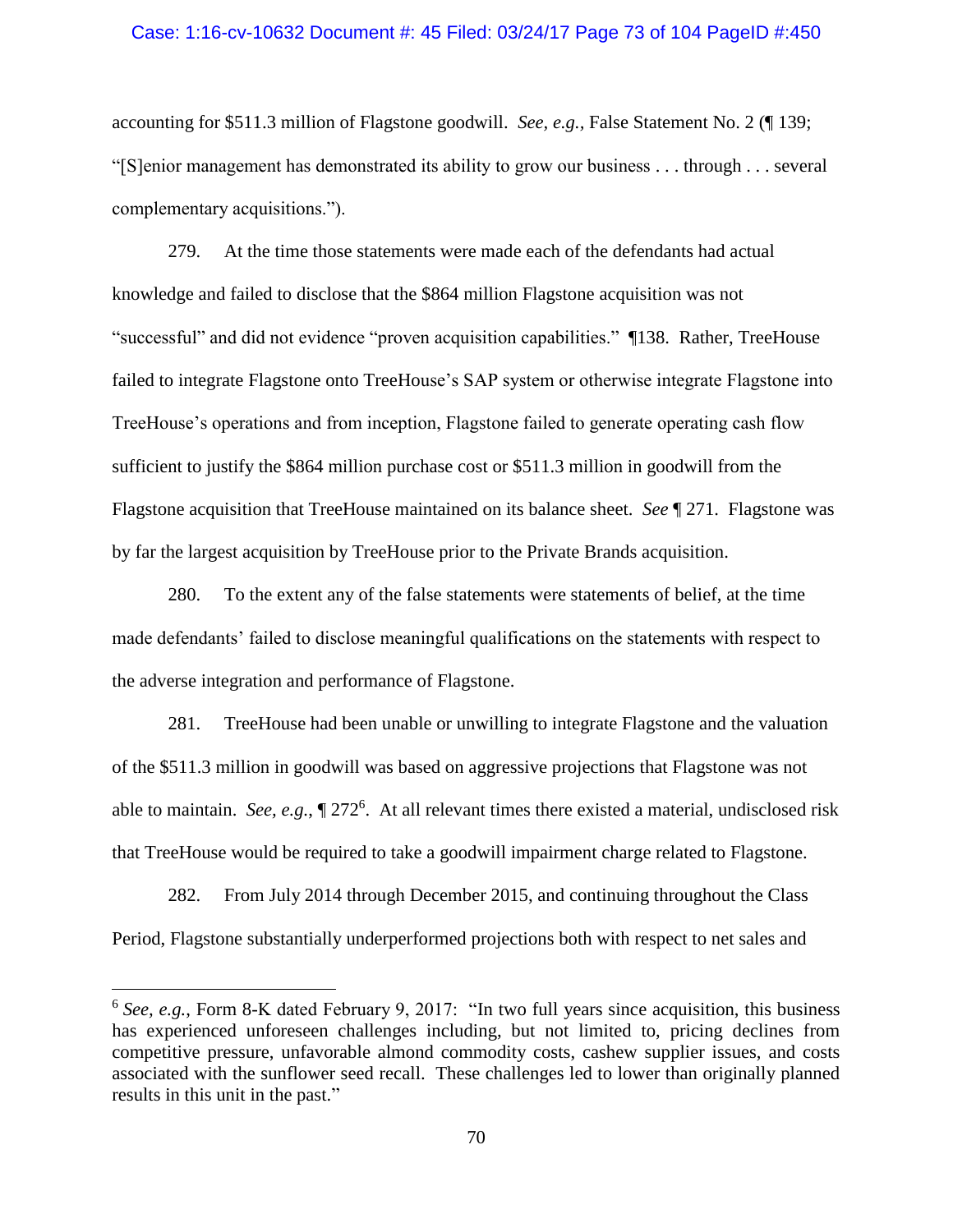### Case: 1:16-cv-10632 Document #: 45 Filed: 03/24/17 Page 73 of 104 PageID #:450

accounting for \$511.3 million of Flagstone goodwill. *See, e.g.,* False Statement No. 2 (¶ [139;](#page-35-0) "[S]enior management has demonstrated its ability to grow our business . . . through . . . several complementary acquisitions.").

279. At the time those statements were made each of the defendants had actual knowledge and failed to disclose that the \$864 million Flagstone acquisition was not "successful" and did not evidence "proven acquisition capabilities." [¶138.](#page-35-1) Rather, TreeHouse failed to integrate Flagstone onto TreeHouse's SAP system or otherwise integrate Flagstone into TreeHouse's operations and from inception, Flagstone failed to generate operating cash flow sufficient to justify the \$864 million purchase cost or \$511.3 million in goodwill from the Flagstone acquisition that TreeHouse maintained on its balance sheet. *See* ¶ [271.](#page-70-0) Flagstone was by far the largest acquisition by TreeHouse prior to the Private Brands acquisition.

280. To the extent any of the false statements were statements of belief, at the time made defendants' failed to disclose meaningful qualifications on the statements with respect to the adverse integration and performance of Flagstone.

281. TreeHouse had been unable or unwilling to integrate Flagstone and the valuation of the \$511.3 million in goodwill was based on aggressive projections that Flagstone was not able to maintain. *See, e.g.*,  $\sqrt{272^6}$  $\sqrt{272^6}$  $\sqrt{272^6}$ . At all relevant times there existed a material, undisclosed risk that TreeHouse would be required to take a goodwill impairment charge related to Flagstone.

282. From July 2014 through December 2015, and continuing throughout the Class Period, Flagstone substantially underperformed projections both with respect to net sales and

 $\overline{a}$ 

<sup>&</sup>lt;sup>6</sup> See, e.g., Form 8-K dated February 9, 2017: "In two full years since acquisition, this business has experienced unforeseen challenges including, but not limited to, pricing declines from competitive pressure, unfavorable almond commodity costs, cashew supplier issues, and costs associated with the sunflower seed recall. These challenges led to lower than originally planned results in this unit in the past."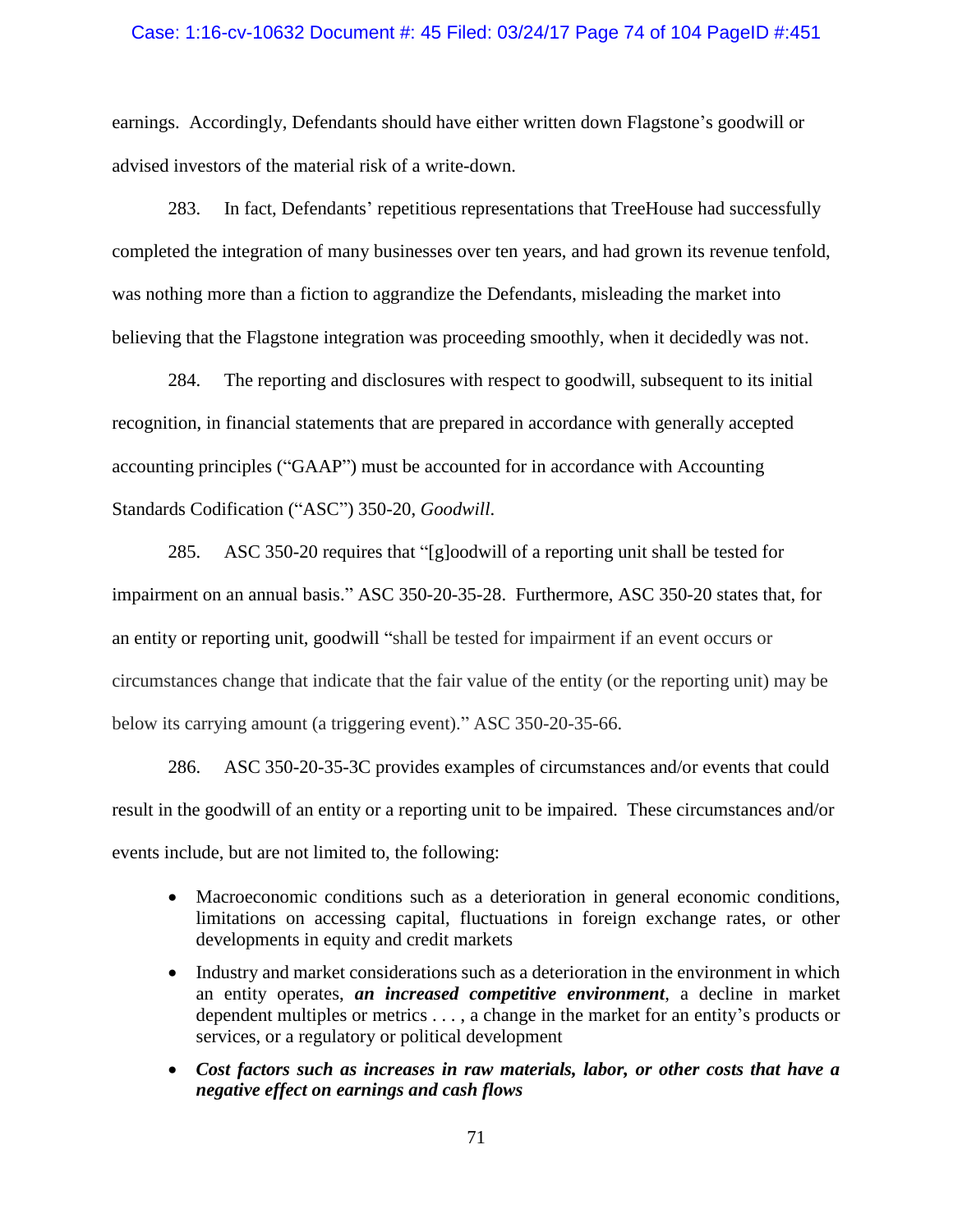### Case: 1:16-cv-10632 Document #: 45 Filed: 03/24/17 Page 74 of 104 PageID #:451

earnings. Accordingly, Defendants should have either written down Flagstone's goodwill or advised investors of the material risk of a write-down.

283. In fact, Defendants' repetitious representations that TreeHouse had successfully completed the integration of many businesses over ten years, and had grown its revenue tenfold, was nothing more than a fiction to aggrandize the Defendants, misleading the market into believing that the Flagstone integration was proceeding smoothly, when it decidedly was not.

284. The reporting and disclosures with respect to goodwill, subsequent to its initial recognition, in financial statements that are prepared in accordance with generally accepted accounting principles ("GAAP") must be accounted for in accordance with Accounting Standards Codification ("ASC") 350-20, *Goodwill*.

285. ASC 350-20 requires that "[g]oodwill of a reporting unit shall be tested for impairment on an annual basis." ASC 350-20-35-28. Furthermore, ASC 350-20 states that, for an entity or reporting unit, goodwill "shall be tested for impairment if an event occurs or circumstances change that indicate that the fair value of the entity (or the reporting unit) may be below its carrying amount (a triggering event)." ASC 350-20-35-66.

286. ASC 350-20-35-3C provides examples of circumstances and/or events that could result in the goodwill of an entity or a reporting unit to be impaired. These circumstances and/or events include, but are not limited to, the following:

- Macroeconomic conditions such as a deterioration in general economic conditions, limitations on accessing capital, fluctuations in foreign exchange rates, or other developments in equity and credit markets
- Industry and market considerations such as a deterioration in the environment in which an entity operates, *an increased competitive environment*, a decline in market dependent multiples or metrics . . . , a change in the market for an entity's products or services, or a regulatory or political development
- *Cost factors such as increases in raw materials, labor, or other costs that have a negative effect on earnings and cash flows*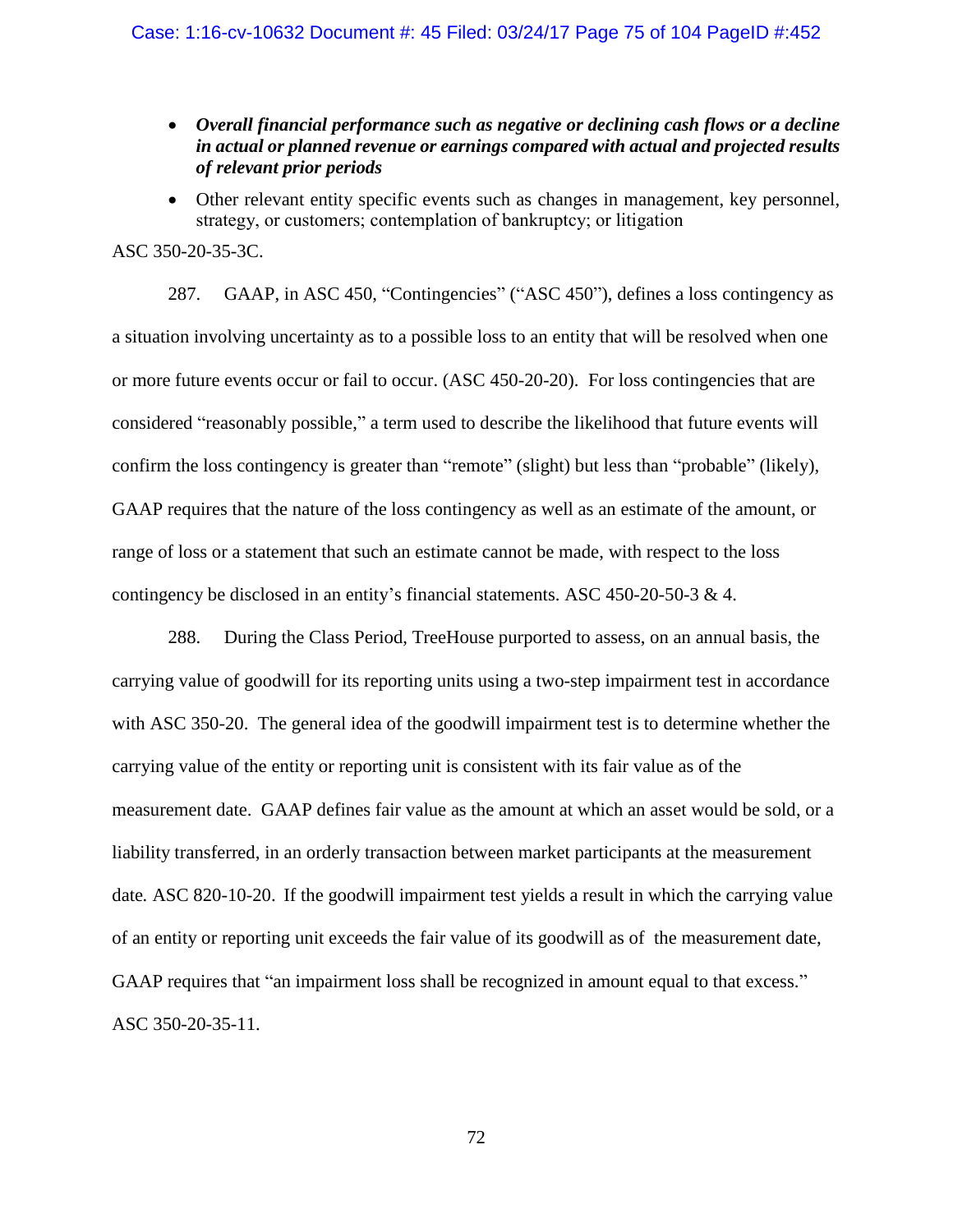- *Overall financial performance such as negative or declining cash flows or a decline in actual or planned revenue or earnings compared with actual and projected results of relevant prior periods*
- Other relevant entity specific events such as changes in management, key personnel, strategy, or customers; contemplation of bankruptcy; or litigation

# ASC 350-20-35-3C.

287. GAAP, in ASC 450, "Contingencies" ("ASC 450"), defines a loss contingency as a situation involving uncertainty as to a possible loss to an entity that will be resolved when one or more future events occur or fail to occur. (ASC 450-20-20). For loss contingencies that are considered "reasonably possible," a term used to describe the likelihood that future events will confirm the loss contingency is greater than "remote" (slight) but less than "probable" (likely), GAAP requires that the nature of the loss contingency as well as an estimate of the amount, or range of loss or a statement that such an estimate cannot be made, with respect to the loss contingency be disclosed in an entity's financial statements. ASC 450-20-50-3  $\&$  4.

288. During the Class Period, TreeHouse purported to assess, on an annual basis, the carrying value of goodwill for its reporting units using a two-step impairment test in accordance with ASC 350-20. The general idea of the goodwill impairment test is to determine whether the carrying value of the entity or reporting unit is consistent with its fair value as of the measurement date. GAAP defines fair value as the amount at which an asset would be sold, or a liability transferred, in an orderly transaction between market participants at the measurement date*.* ASC 820-10-20. If the goodwill impairment test yields a result in which the carrying value of an entity or reporting unit exceeds the fair value of its goodwill as of the measurement date, GAAP requires that "an impairment loss shall be recognized in amount equal to that excess." ASC 350-20-35-11.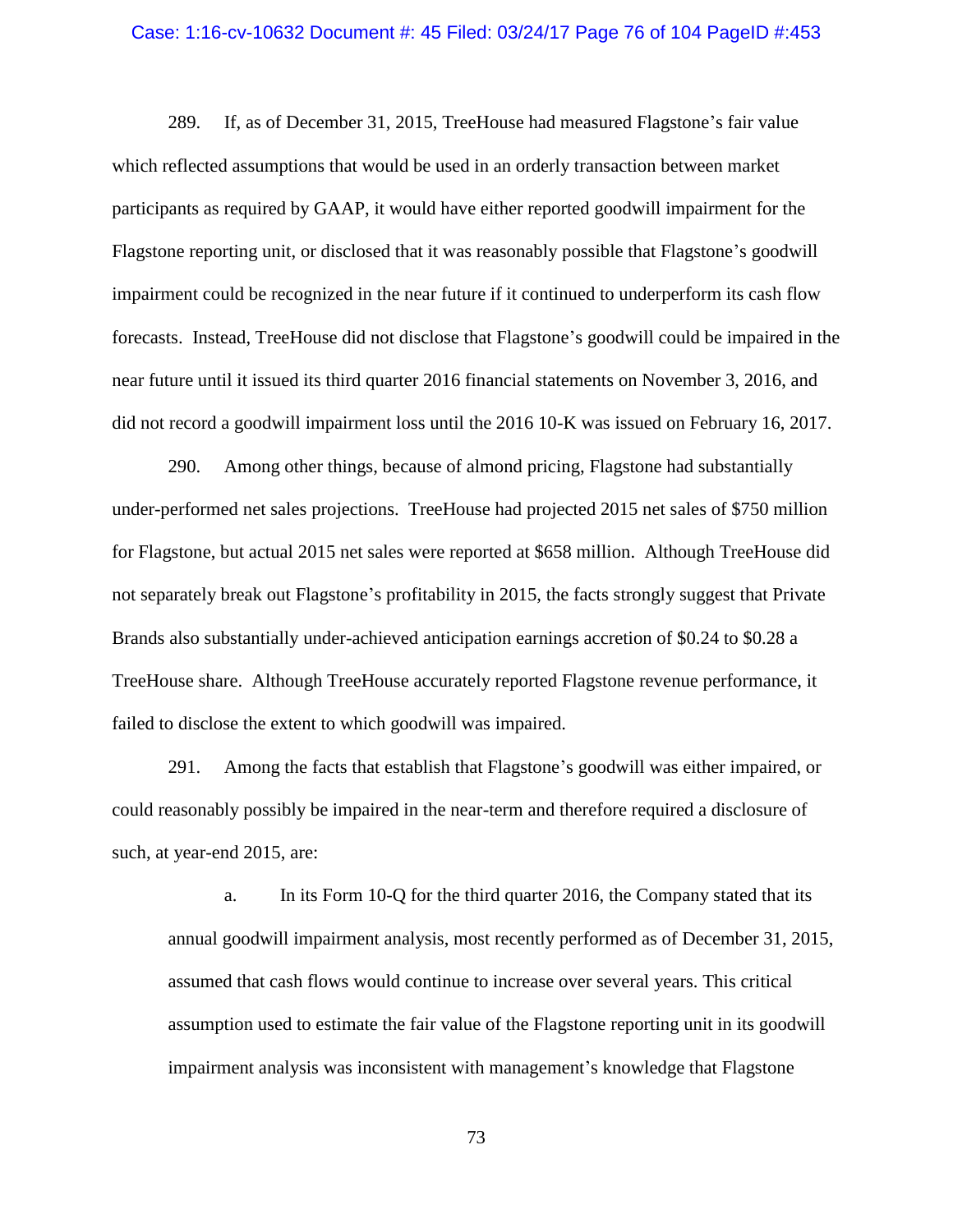#### Case: 1:16-cv-10632 Document #: 45 Filed: 03/24/17 Page 76 of 104 PageID #:453

289. If, as of December 31, 2015, TreeHouse had measured Flagstone's fair value which reflected assumptions that would be used in an orderly transaction between market participants as required by GAAP, it would have either reported goodwill impairment for the Flagstone reporting unit, or disclosed that it was reasonably possible that Flagstone's goodwill impairment could be recognized in the near future if it continued to underperform its cash flow forecasts. Instead, TreeHouse did not disclose that Flagstone's goodwill could be impaired in the near future until it issued its third quarter 2016 financial statements on November 3, 2016, and did not record a goodwill impairment loss until the 2016 10-K was issued on February 16, 2017.

290. Among other things, because of almond pricing, Flagstone had substantially under-performed net sales projections. TreeHouse had projected 2015 net sales of \$750 million for Flagstone, but actual 2015 net sales were reported at \$658 million. Although TreeHouse did not separately break out Flagstone's profitability in 2015, the facts strongly suggest that Private Brands also substantially under-achieved anticipation earnings accretion of \$0.24 to \$0.28 a TreeHouse share. Although TreeHouse accurately reported Flagstone revenue performance, it failed to disclose the extent to which goodwill was impaired.

291. Among the facts that establish that Flagstone's goodwill was either impaired, or could reasonably possibly be impaired in the near-term and therefore required a disclosure of such, at year-end 2015, are:

a. In its Form 10-Q for the third quarter 2016, the Company stated that its annual goodwill impairment analysis, most recently performed as of December 31, 2015, assumed that cash flows would continue to increase over several years. This critical assumption used to estimate the fair value of the Flagstone reporting unit in its goodwill impairment analysis was inconsistent with management's knowledge that Flagstone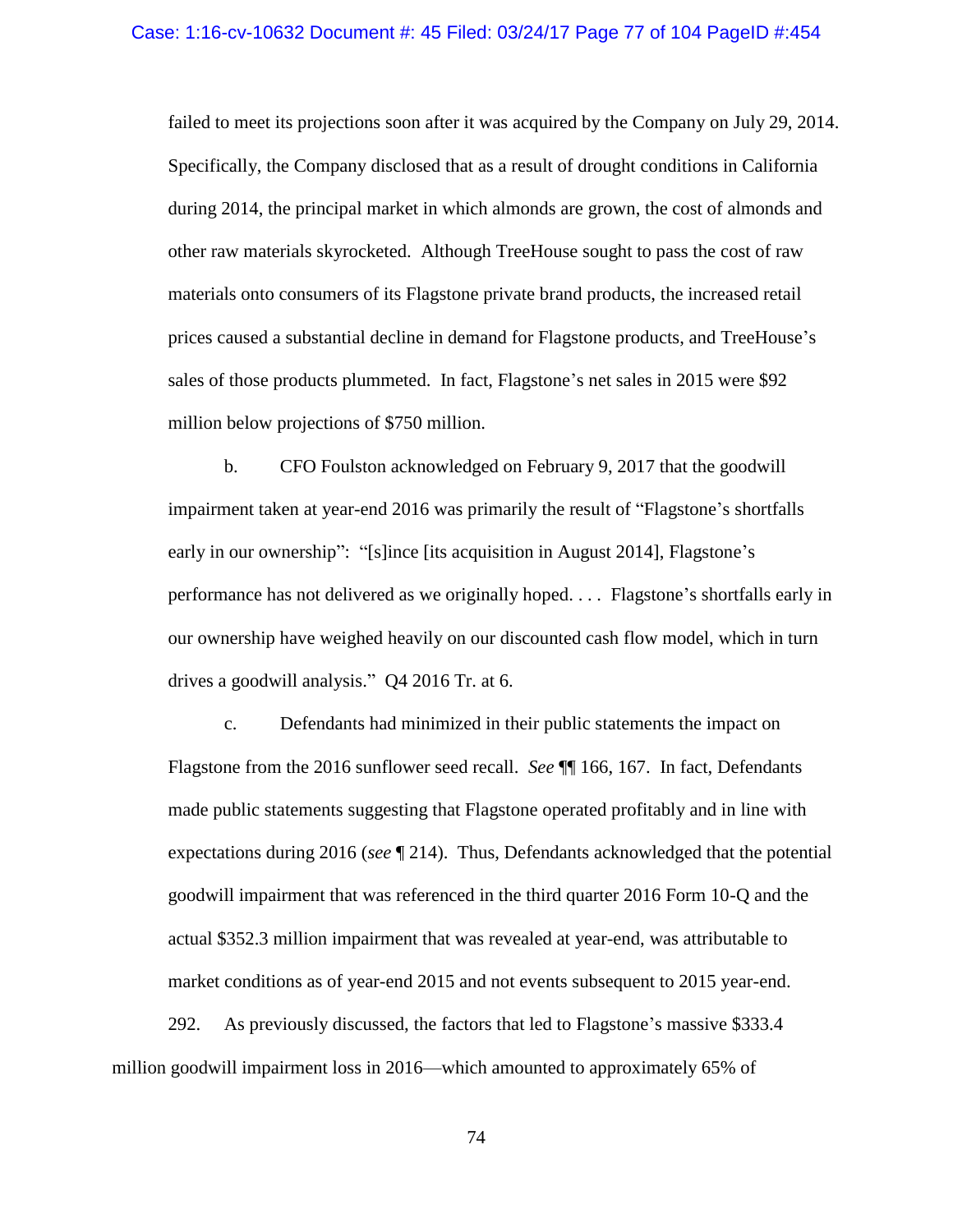failed to meet its projections soon after it was acquired by the Company on July 29, 2014. Specifically, the Company disclosed that as a result of drought conditions in California during 2014, the principal market in which almonds are grown, the cost of almonds and other raw materials skyrocketed. Although TreeHouse sought to pass the cost of raw materials onto consumers of its Flagstone private brand products, the increased retail prices caused a substantial decline in demand for Flagstone products, and TreeHouse's sales of those products plummeted. In fact, Flagstone's net sales in 2015 were \$92 million below projections of \$750 million.

b. CFO Foulston acknowledged on February 9, 2017 that the goodwill impairment taken at year-end 2016 was primarily the result of "Flagstone's shortfalls early in our ownership": "[s]ince [its acquisition in August 2014], Flagstone's performance has not delivered as we originally hoped. . . . Flagstone's shortfalls early in our ownership have weighed heavily on our discounted cash flow model, which in turn drives a goodwill analysis." Q4 2016 Tr. at 6.

c. Defendants had minimized in their public statements the impact on Flagstone from the 2016 sunflower seed recall. *See* ¶¶ [166,](#page-42-0) [167.](#page-42-1) In fact, Defendants made public statements suggesting that Flagstone operated profitably and in line with expectations during 2016 (*see* ¶ [214\)](#page-52-0). Thus, Defendants acknowledged that the potential goodwill impairment that was referenced in the third quarter 2016 Form 10-Q and the actual \$352.3 million impairment that was revealed at year-end, was attributable to market conditions as of year-end 2015 and not events subsequent to 2015 year-end.

292. As previously discussed, the factors that led to Flagstone's massive \$333.4 million goodwill impairment loss in 2016—which amounted to approximately 65% of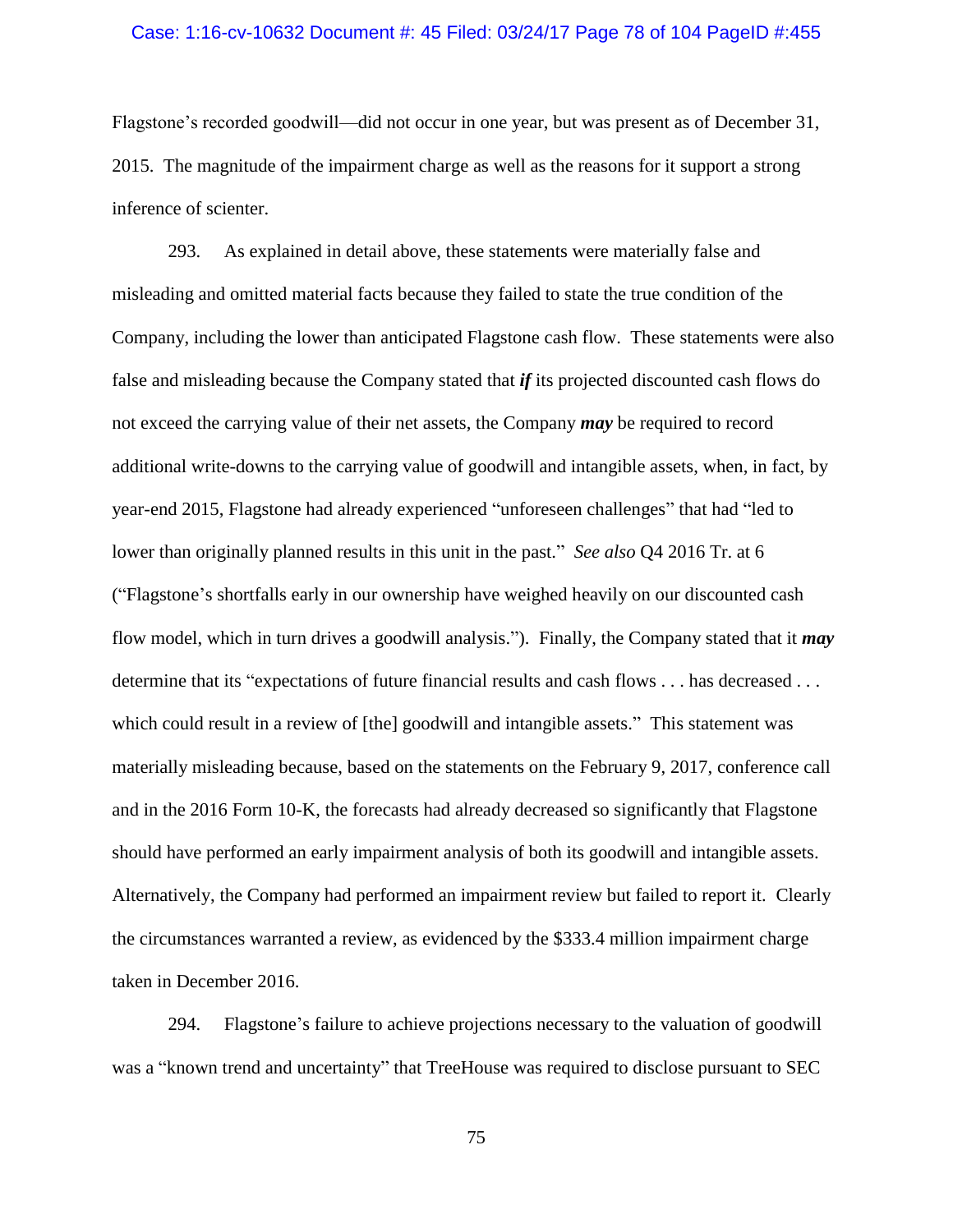#### Case: 1:16-cv-10632 Document #: 45 Filed: 03/24/17 Page 78 of 104 PageID #:455

Flagstone's recorded goodwill—did not occur in one year, but was present as of December 31, 2015. The magnitude of the impairment charge as well as the reasons for it support a strong inference of scienter.

293. As explained in detail above, these statements were materially false and misleading and omitted material facts because they failed to state the true condition of the Company, including the lower than anticipated Flagstone cash flow. These statements were also false and misleading because the Company stated that *if* its projected discounted cash flows do not exceed the carrying value of their net assets, the Company *may* be required to record additional write-downs to the carrying value of goodwill and intangible assets, when, in fact, by year-end 2015, Flagstone had already experienced "unforeseen challenges" that had "led to lower than originally planned results in this unit in the past." *See also* Q4 2016 Tr. at 6 ("Flagstone's shortfalls early in our ownership have weighed heavily on our discounted cash flow model, which in turn drives a goodwill analysis."). Finally, the Company stated that it *may* determine that its "expectations of future financial results and cash flows . . . has decreased . . . which could result in a review of [the] goodwill and intangible assets." This statement was materially misleading because, based on the statements on the February 9, 2017, conference call and in the 2016 Form 10-K, the forecasts had already decreased so significantly that Flagstone should have performed an early impairment analysis of both its goodwill and intangible assets. Alternatively, the Company had performed an impairment review but failed to report it. Clearly the circumstances warranted a review, as evidenced by the \$333.4 million impairment charge taken in December 2016.

294. Flagstone's failure to achieve projections necessary to the valuation of goodwill was a "known trend and uncertainty" that TreeHouse was required to disclose pursuant to SEC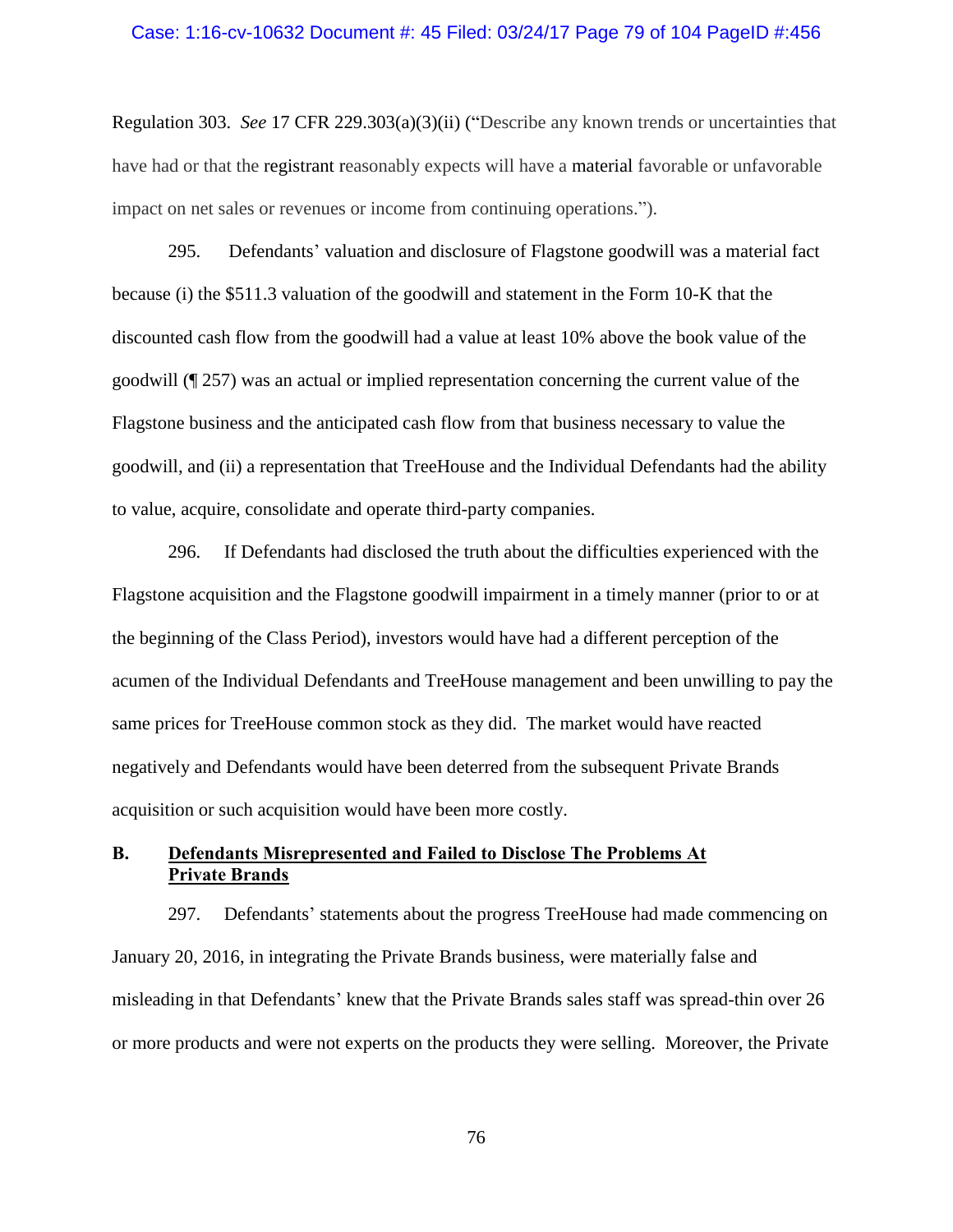#### Case: 1:16-cv-10632 Document #: 45 Filed: 03/24/17 Page 79 of 104 PageID #:456

Regulation 303. *See* 17 CFR 229.303(a)(3)(ii) ("Describe any known trends or uncertainties that have had or that the registrant reasonably expects will have a material favorable or unfavorable impact on net sales or revenues or income from continuing operations.").

295. Defendants' valuation and disclosure of Flagstone goodwill was a material fact because (i) the \$511.3 valuation of the goodwill and statement in the Form 10-K that the discounted cash flow from the goodwill had a value at least 10% above the book value of the goodwill (¶ [257\)](#page-65-0) was an actual or implied representation concerning the current value of the Flagstone business and the anticipated cash flow from that business necessary to value the goodwill, and (ii) a representation that TreeHouse and the Individual Defendants had the ability to value, acquire, consolidate and operate third-party companies.

296. If Defendants had disclosed the truth about the difficulties experienced with the Flagstone acquisition and the Flagstone goodwill impairment in a timely manner (prior to or at the beginning of the Class Period), investors would have had a different perception of the acumen of the Individual Defendants and TreeHouse management and been unwilling to pay the same prices for TreeHouse common stock as they did. The market would have reacted negatively and Defendants would have been deterred from the subsequent Private Brands acquisition or such acquisition would have been more costly.

# **B. Defendants Misrepresented and Failed to Disclose The Problems At Private Brands**

297. Defendants' statements about the progress TreeHouse had made commencing on January 20, 2016, in integrating the Private Brands business, were materially false and misleading in that Defendants' knew that the Private Brands sales staff was spread-thin over 26 or more products and were not experts on the products they were selling. Moreover, the Private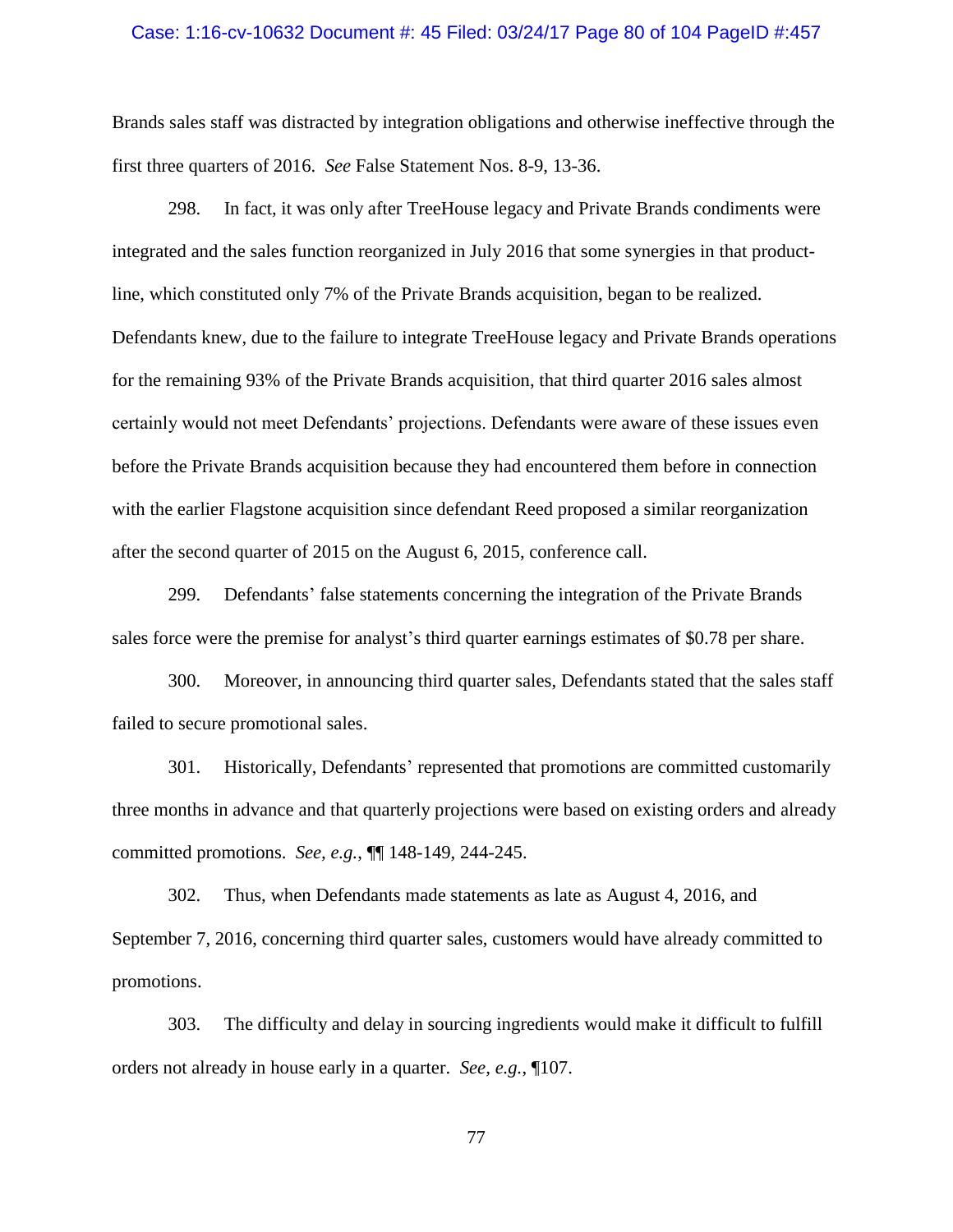#### Case: 1:16-cv-10632 Document #: 45 Filed: 03/24/17 Page 80 of 104 PageID #:457

Brands sales staff was distracted by integration obligations and otherwise ineffective through the first three quarters of 2016. *See* False Statement Nos. 8-9, 13-36.

<span id="page-79-0"></span>298. In fact, it was only after TreeHouse legacy and Private Brands condiments were integrated and the sales function reorganized in July 2016 that some synergies in that productline, which constituted only 7% of the Private Brands acquisition, began to be realized. Defendants knew, due to the failure to integrate TreeHouse legacy and Private Brands operations for the remaining 93% of the Private Brands acquisition, that third quarter 2016 sales almost certainly would not meet Defendants' projections. Defendants were aware of these issues even before the Private Brands acquisition because they had encountered them before in connection with the earlier Flagstone acquisition since defendant Reed proposed a similar reorganization after the second quarter of 2015 on the August 6, 2015, conference call.

299. Defendants' false statements concerning the integration of the Private Brands sales force were the premise for analyst's third quarter earnings estimates of \$0.78 per share.

300. Moreover, in announcing third quarter sales, Defendants stated that the sales staff failed to secure promotional sales.

301. Historically, Defendants' represented that promotions are committed customarily three months in advance and that quarterly projections were based on existing orders and already committed promotions. *See, e.g.*, ¶¶ [148-](#page-38-0)[149,](#page-38-1) [244-](#page-61-0)[245.](#page-62-0)

302. Thus, when Defendants made statements as late as August 4, 2016, and September 7, 2016, concerning third quarter sales, customers would have already committed to promotions.

303. The difficulty and delay in sourcing ingredients would make it difficult to fulfill orders not already in house early in a quarter. *See, e.g.*, [¶107.](#page-28-0)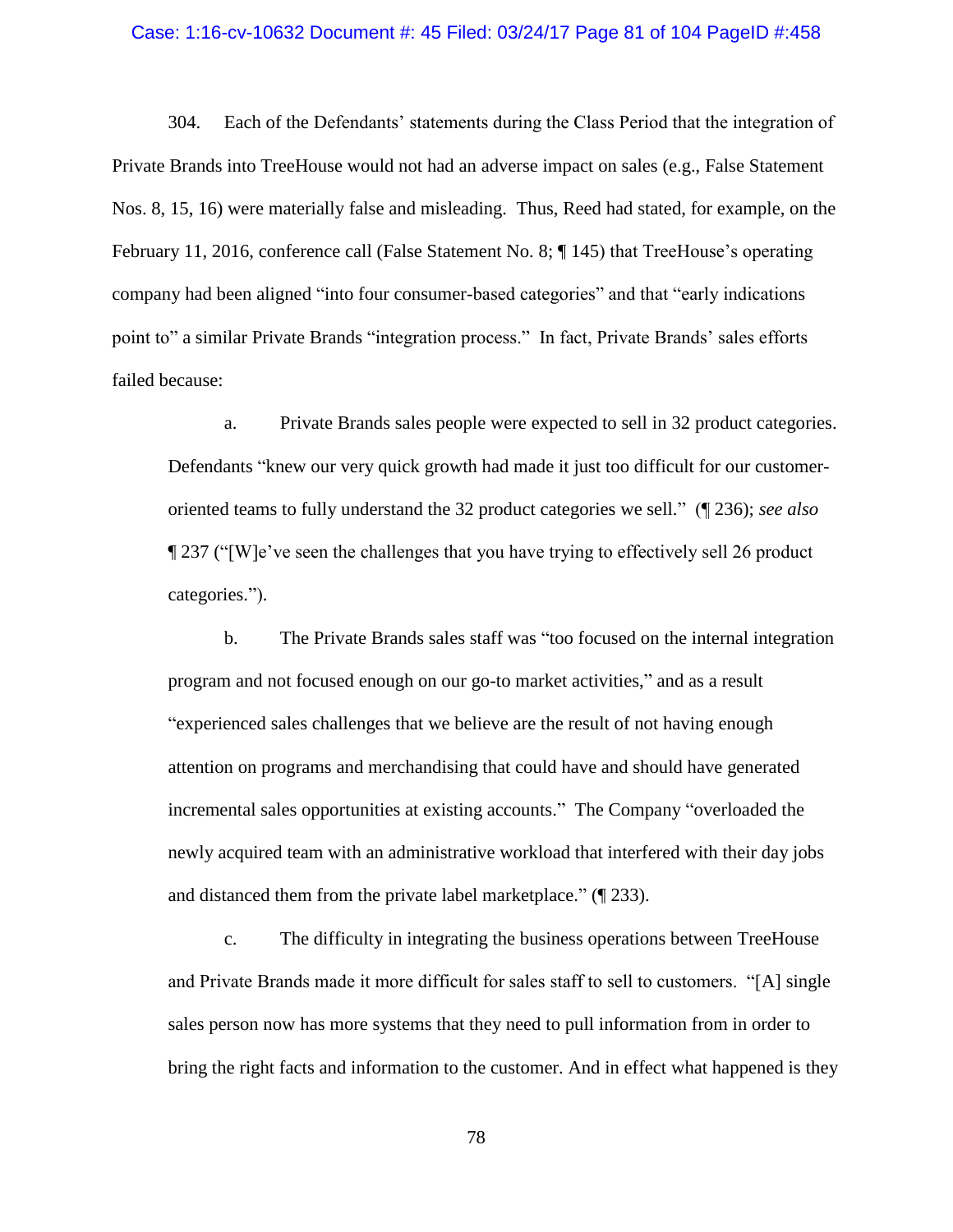#### Case: 1:16-cv-10632 Document #: 45 Filed: 03/24/17 Page 81 of 104 PageID #:458

304. Each of the Defendants' statements during the Class Period that the integration of Private Brands into TreeHouse would not had an adverse impact on sales (e.g., False Statement Nos. 8, 15, 16) were materially false and misleading. Thus, Reed had stated, for example, on the February 11, 2016, conference call (False Statement No. 8; ¶ [145\)](#page-37-0) that TreeHouse's operating company had been aligned "into four consumer-based categories" and that "early indications point to" a similar Private Brands "integration process." In fact, Private Brands' sales efforts failed because:

a. Private Brands sales people were expected to sell in 32 product categories. Defendants "knew our very quick growth had made it just too difficult for our customeroriented teams to fully understand the 32 product categories we sell." (¶ [236\)](#page-59-0); *see also*  ¶ [237](#page-59-1) ("[W]e've seen the challenges that you have trying to effectively sell 26 product categories.").

b. The Private Brands sales staff was "too focused on the internal integration program and not focused enough on our go-to market activities," and as a result "experienced sales challenges that we believe are the result of not having enough attention on programs and merchandising that could have and should have generated incremental sales opportunities at existing accounts." The Company "overloaded the newly acquired team with an administrative workload that interfered with their day jobs and distanced them from the private label marketplace." (¶ [233\)](#page-57-0).

c. The difficulty in integrating the business operations between TreeHouse and Private Brands made it more difficult for sales staff to sell to customers. "[A] single sales person now has more systems that they need to pull information from in order to bring the right facts and information to the customer. And in effect what happened is they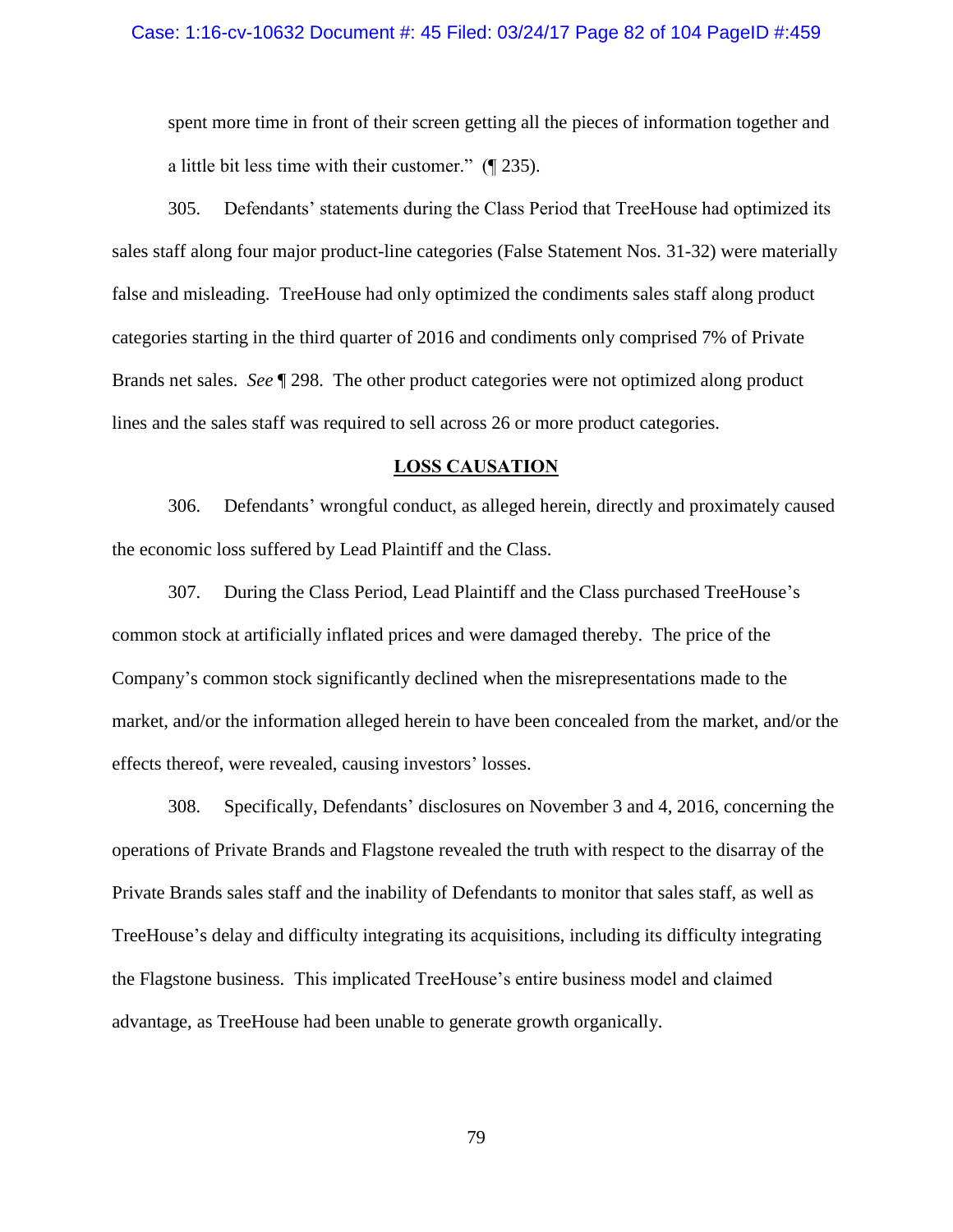#### Case: 1:16-cv-10632 Document #: 45 Filed: 03/24/17 Page 82 of 104 PageID #:459

spent more time in front of their screen getting all the pieces of information together and a little bit less time with their customer." (¶ [235\)](#page-58-0).

305. Defendants' statements during the Class Period that TreeHouse had optimized its sales staff along four major product-line categories (False Statement Nos. 31-32) were materially false and misleading. TreeHouse had only optimized the condiments sales staff along product categories starting in the third quarter of 2016 and condiments only comprised 7% of Private Brands net sales. *See* ¶ [298.](#page-79-0) The other product categories were not optimized along product lines and the sales staff was required to sell across 26 or more product categories.

### **LOSS CAUSATION**

306. Defendants' wrongful conduct, as alleged herein, directly and proximately caused the economic loss suffered by Lead Plaintiff and the Class.

307. During the Class Period, Lead Plaintiff and the Class purchased TreeHouse's common stock at artificially inflated prices and were damaged thereby. The price of the Company's common stock significantly declined when the misrepresentations made to the market, and/or the information alleged herein to have been concealed from the market, and/or the effects thereof, were revealed, causing investors' losses.

308. Specifically, Defendants' disclosures on November 3 and 4, 2016, concerning the operations of Private Brands and Flagstone revealed the truth with respect to the disarray of the Private Brands sales staff and the inability of Defendants to monitor that sales staff, as well as TreeHouse's delay and difficulty integrating its acquisitions, including its difficulty integrating the Flagstone business. This implicated TreeHouse's entire business model and claimed advantage, as TreeHouse had been unable to generate growth organically.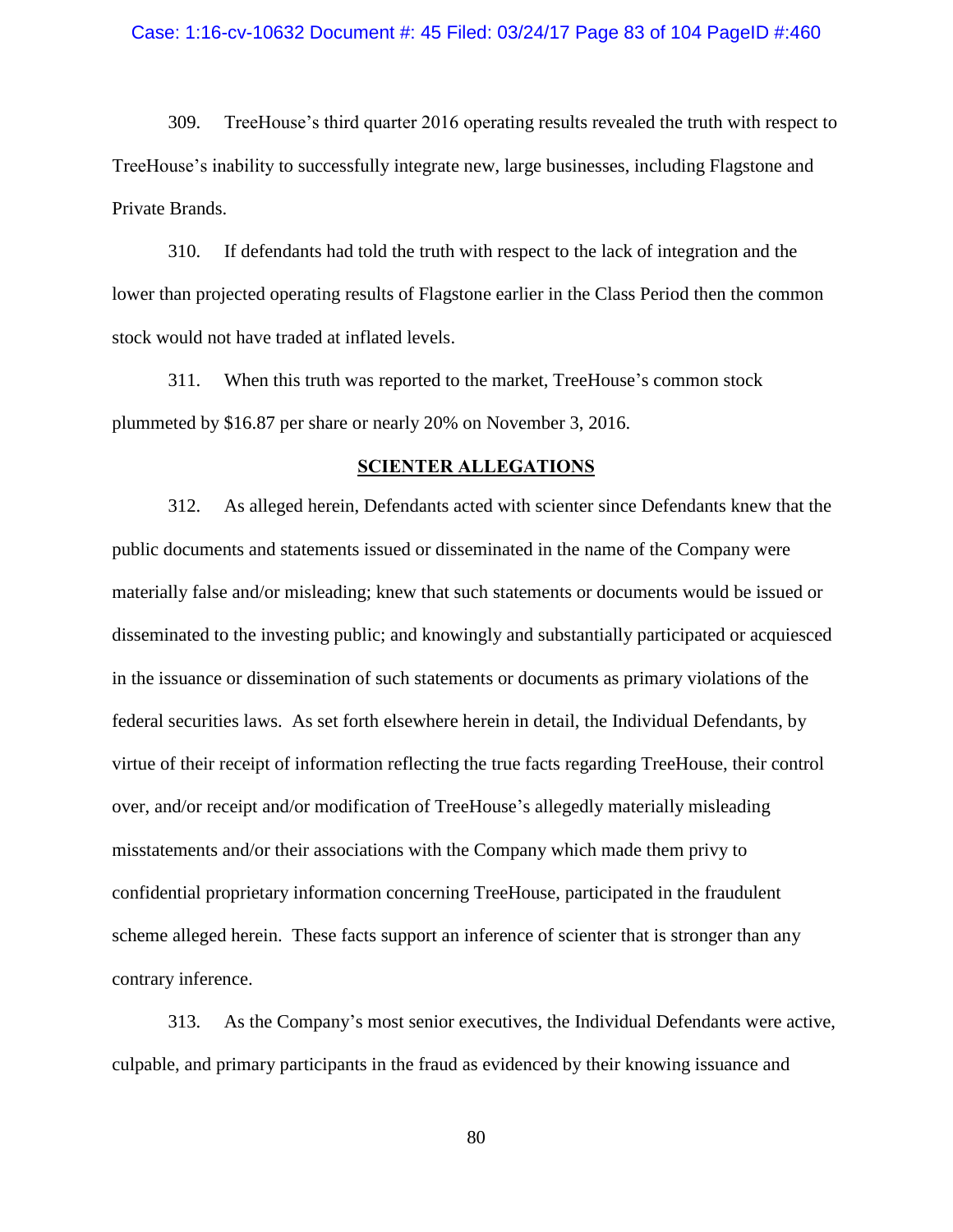#### Case: 1:16-cv-10632 Document #: 45 Filed: 03/24/17 Page 83 of 104 PageID #:460

309. TreeHouse's third quarter 2016 operating results revealed the truth with respect to TreeHouse's inability to successfully integrate new, large businesses, including Flagstone and Private Brands.

310. If defendants had told the truth with respect to the lack of integration and the lower than projected operating results of Flagstone earlier in the Class Period then the common stock would not have traded at inflated levels.

311. When this truth was reported to the market, TreeHouse's common stock plummeted by \$16.87 per share or nearly 20% on November 3, 2016.

## **SCIENTER ALLEGATIONS**

312. As alleged herein, Defendants acted with scienter since Defendants knew that the public documents and statements issued or disseminated in the name of the Company were materially false and/or misleading; knew that such statements or documents would be issued or disseminated to the investing public; and knowingly and substantially participated or acquiesced in the issuance or dissemination of such statements or documents as primary violations of the federal securities laws. As set forth elsewhere herein in detail, the Individual Defendants, by virtue of their receipt of information reflecting the true facts regarding TreeHouse, their control over, and/or receipt and/or modification of TreeHouse's allegedly materially misleading misstatements and/or their associations with the Company which made them privy to confidential proprietary information concerning TreeHouse, participated in the fraudulent scheme alleged herein. These facts support an inference of scienter that is stronger than any contrary inference.

313. As the Company's most senior executives, the Individual Defendants were active, culpable, and primary participants in the fraud as evidenced by their knowing issuance and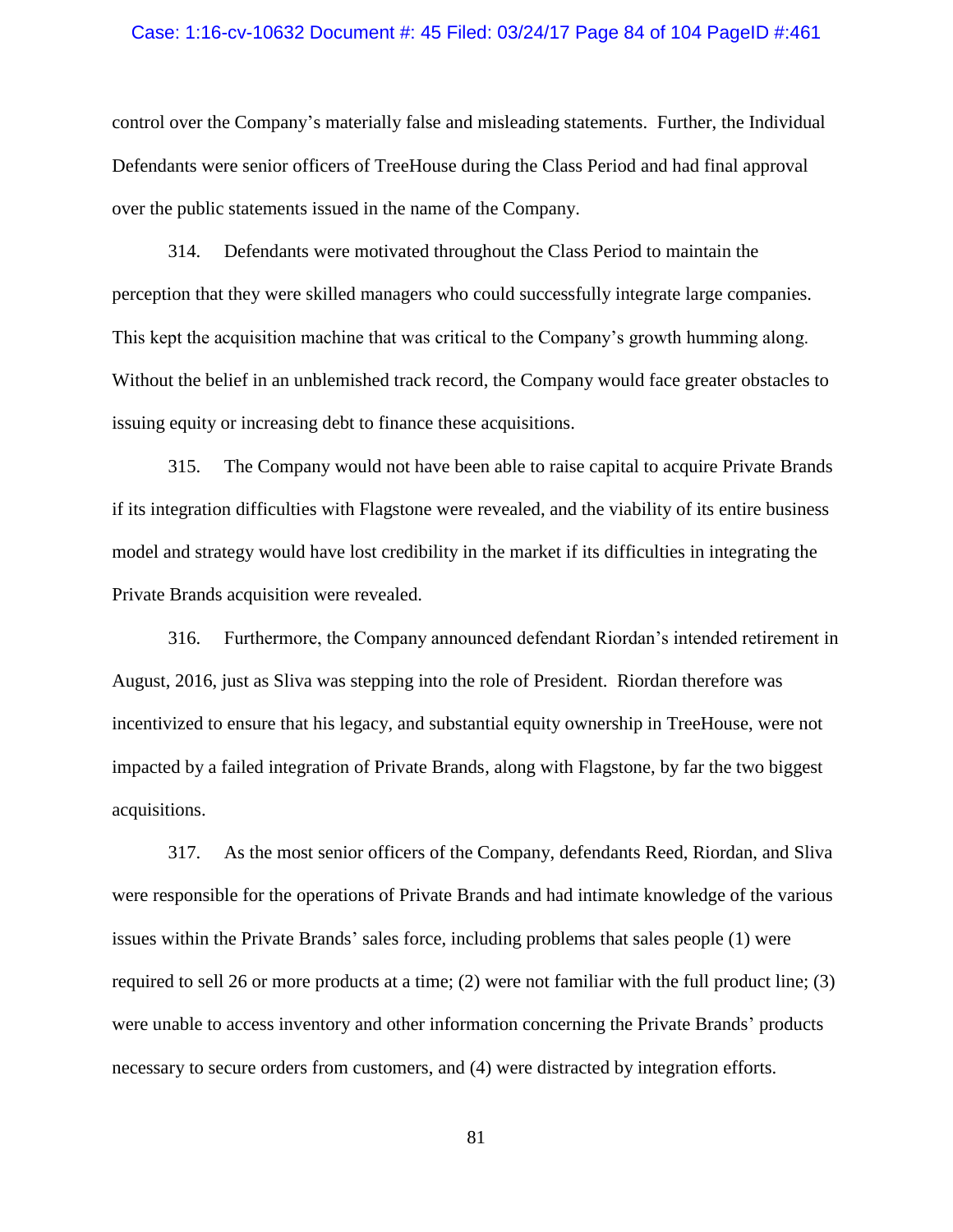#### Case: 1:16-cv-10632 Document #: 45 Filed: 03/24/17 Page 84 of 104 PageID #:461

control over the Company's materially false and misleading statements. Further, the Individual Defendants were senior officers of TreeHouse during the Class Period and had final approval over the public statements issued in the name of the Company.

314. Defendants were motivated throughout the Class Period to maintain the perception that they were skilled managers who could successfully integrate large companies. This kept the acquisition machine that was critical to the Company's growth humming along. Without the belief in an unblemished track record, the Company would face greater obstacles to issuing equity or increasing debt to finance these acquisitions.

315. The Company would not have been able to raise capital to acquire Private Brands if its integration difficulties with Flagstone were revealed, and the viability of its entire business model and strategy would have lost credibility in the market if its difficulties in integrating the Private Brands acquisition were revealed.

316. Furthermore, the Company announced defendant Riordan's intended retirement in August, 2016, just as Sliva was stepping into the role of President. Riordan therefore was incentivized to ensure that his legacy, and substantial equity ownership in TreeHouse, were not impacted by a failed integration of Private Brands, along with Flagstone, by far the two biggest acquisitions.

317. As the most senior officers of the Company, defendants Reed, Riordan, and Sliva were responsible for the operations of Private Brands and had intimate knowledge of the various issues within the Private Brands' sales force, including problems that sales people (1) were required to sell 26 or more products at a time; (2) were not familiar with the full product line; (3) were unable to access inventory and other information concerning the Private Brands' products necessary to secure orders from customers, and (4) were distracted by integration efforts.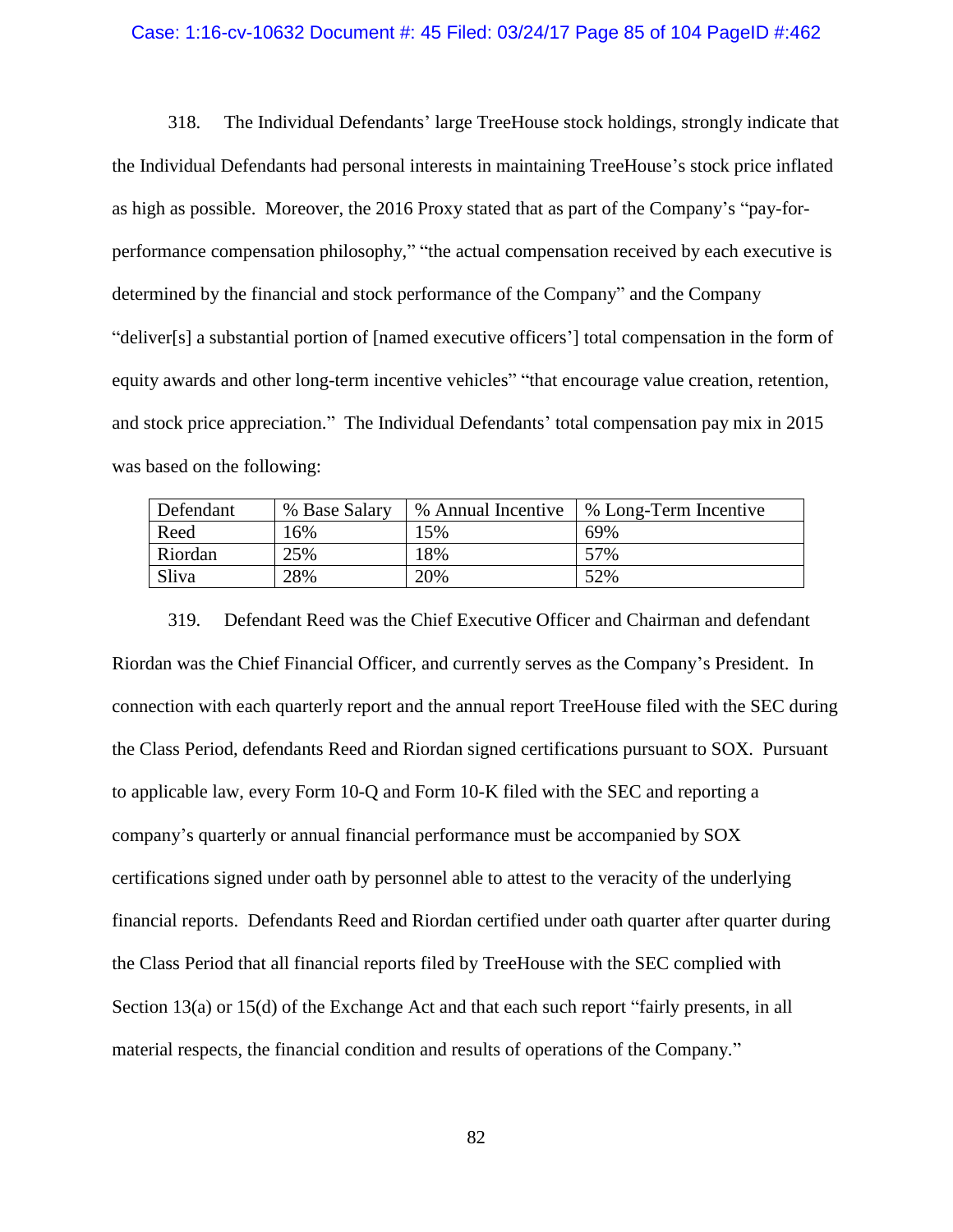#### Case: 1:16-cv-10632 Document #: 45 Filed: 03/24/17 Page 85 of 104 PageID #:462

318. The Individual Defendants' large TreeHouse stock holdings, strongly indicate that the Individual Defendants had personal interests in maintaining TreeHouse's stock price inflated as high as possible. Moreover, the 2016 Proxy stated that as part of the Company's "pay-forperformance compensation philosophy," "the actual compensation received by each executive is determined by the financial and stock performance of the Company" and the Company "deliver[s] a substantial portion of [named executive officers'] total compensation in the form of equity awards and other long-term incentive vehicles" "that encourage value creation, retention, and stock price appreciation." The Individual Defendants' total compensation pay mix in 2015 was based on the following:

| Defendant | % Base Salary | % Annual Incentive | % Long-Term Incentive |
|-----------|---------------|--------------------|-----------------------|
| Reed      | 16%           | 15%                | 69%                   |
| Riordan   | 25%           | 18%                | 57%                   |
| Sliva     | 28%           | 20%                | 52%                   |

319. Defendant Reed was the Chief Executive Officer and Chairman and defendant Riordan was the Chief Financial Officer, and currently serves as the Company's President. In connection with each quarterly report and the annual report TreeHouse filed with the SEC during the Class Period, defendants Reed and Riordan signed certifications pursuant to SOX. Pursuant to applicable law, every Form 10-Q and Form 10-K filed with the SEC and reporting a company's quarterly or annual financial performance must be accompanied by SOX certifications signed under oath by personnel able to attest to the veracity of the underlying financial reports. Defendants Reed and Riordan certified under oath quarter after quarter during the Class Period that all financial reports filed by TreeHouse with the SEC complied with Section 13(a) or 15(d) of the Exchange Act and that each such report "fairly presents, in all material respects, the financial condition and results of operations of the Company."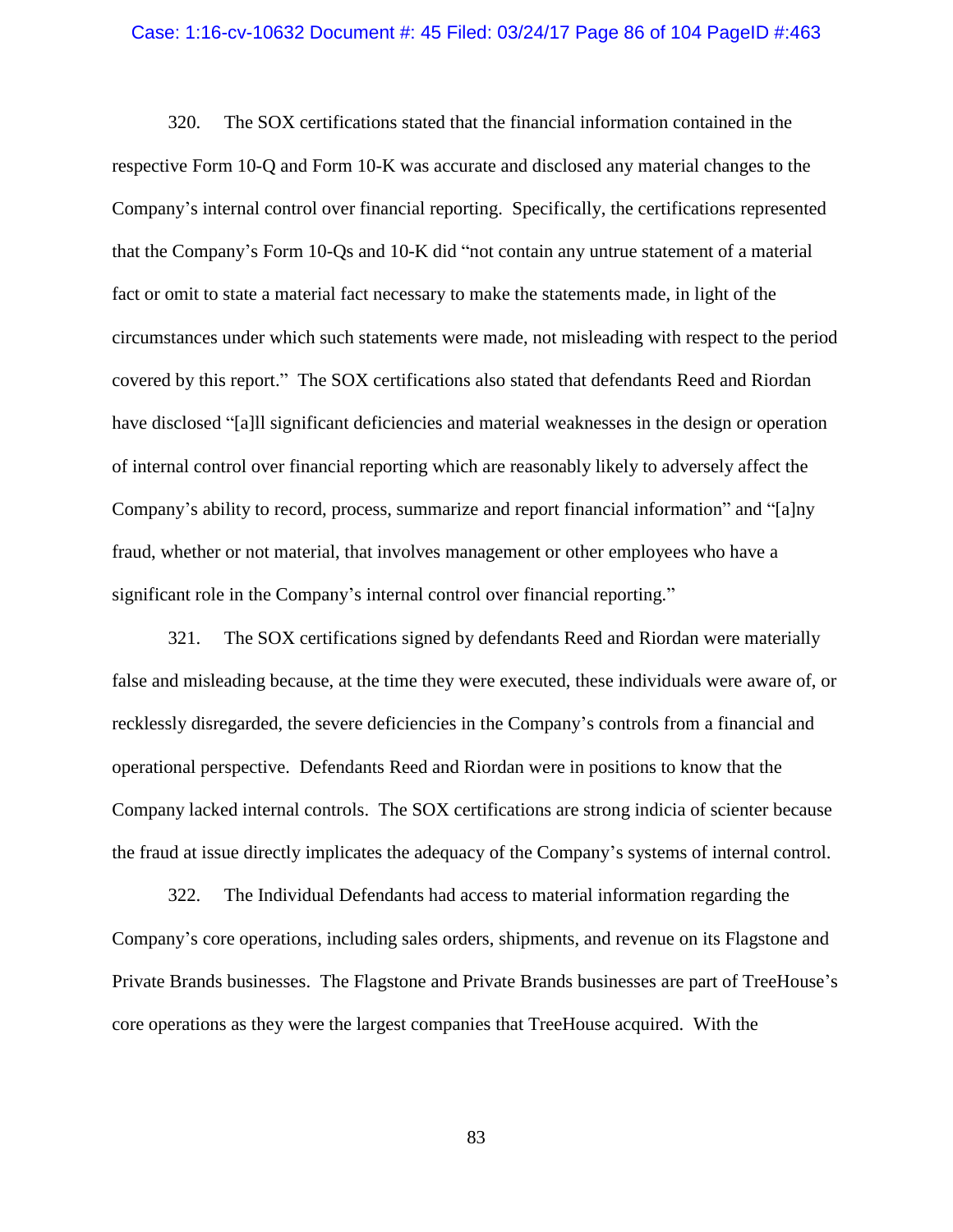#### Case: 1:16-cv-10632 Document #: 45 Filed: 03/24/17 Page 86 of 104 PageID #:463

320. The SOX certifications stated that the financial information contained in the respective Form 10-Q and Form 10-K was accurate and disclosed any material changes to the Company's internal control over financial reporting. Specifically, the certifications represented that the Company's Form 10-Qs and 10-K did "not contain any untrue statement of a material fact or omit to state a material fact necessary to make the statements made, in light of the circumstances under which such statements were made, not misleading with respect to the period covered by this report." The SOX certifications also stated that defendants Reed and Riordan have disclosed "[a]ll significant deficiencies and material weaknesses in the design or operation of internal control over financial reporting which are reasonably likely to adversely affect the Company's ability to record, process, summarize and report financial information" and "[a]ny fraud, whether or not material, that involves management or other employees who have a significant role in the Company's internal control over financial reporting."

321. The SOX certifications signed by defendants Reed and Riordan were materially false and misleading because, at the time they were executed, these individuals were aware of, or recklessly disregarded, the severe deficiencies in the Company's controls from a financial and operational perspective. Defendants Reed and Riordan were in positions to know that the Company lacked internal controls. The SOX certifications are strong indicia of scienter because the fraud at issue directly implicates the adequacy of the Company's systems of internal control.

322. The Individual Defendants had access to material information regarding the Company's core operations, including sales orders, shipments, and revenue on its Flagstone and Private Brands businesses. The Flagstone and Private Brands businesses are part of TreeHouse's core operations as they were the largest companies that TreeHouse acquired. With the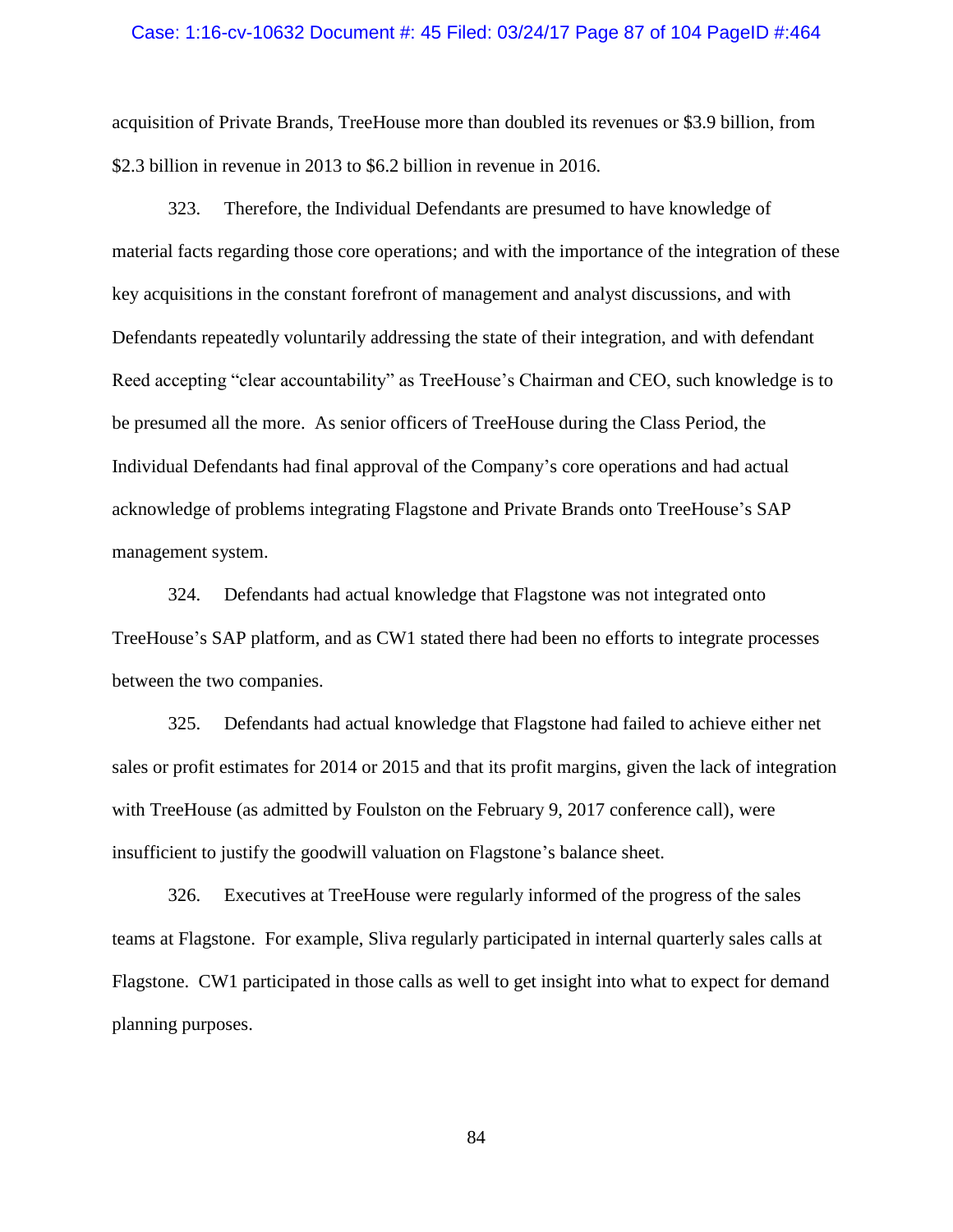#### Case: 1:16-cv-10632 Document #: 45 Filed: 03/24/17 Page 87 of 104 PageID #:464

acquisition of Private Brands, TreeHouse more than doubled its revenues or \$3.9 billion, from \$2.3 billion in revenue in 2013 to \$6.2 billion in revenue in 2016.

323. Therefore, the Individual Defendants are presumed to have knowledge of material facts regarding those core operations; and with the importance of the integration of these key acquisitions in the constant forefront of management and analyst discussions, and with Defendants repeatedly voluntarily addressing the state of their integration, and with defendant Reed accepting "clear accountability" as TreeHouse's Chairman and CEO, such knowledge is to be presumed all the more. As senior officers of TreeHouse during the Class Period, the Individual Defendants had final approval of the Company's core operations and had actual acknowledge of problems integrating Flagstone and Private Brands onto TreeHouse's SAP management system.

324. Defendants had actual knowledge that Flagstone was not integrated onto TreeHouse's SAP platform, and as CW1 stated there had been no efforts to integrate processes between the two companies.

325. Defendants had actual knowledge that Flagstone had failed to achieve either net sales or profit estimates for 2014 or 2015 and that its profit margins, given the lack of integration with TreeHouse (as admitted by Foulston on the February 9, 2017 conference call), were insufficient to justify the goodwill valuation on Flagstone's balance sheet.

326. Executives at TreeHouse were regularly informed of the progress of the sales teams at Flagstone. For example, Sliva regularly participated in internal quarterly sales calls at Flagstone. CW1 participated in those calls as well to get insight into what to expect for demand planning purposes.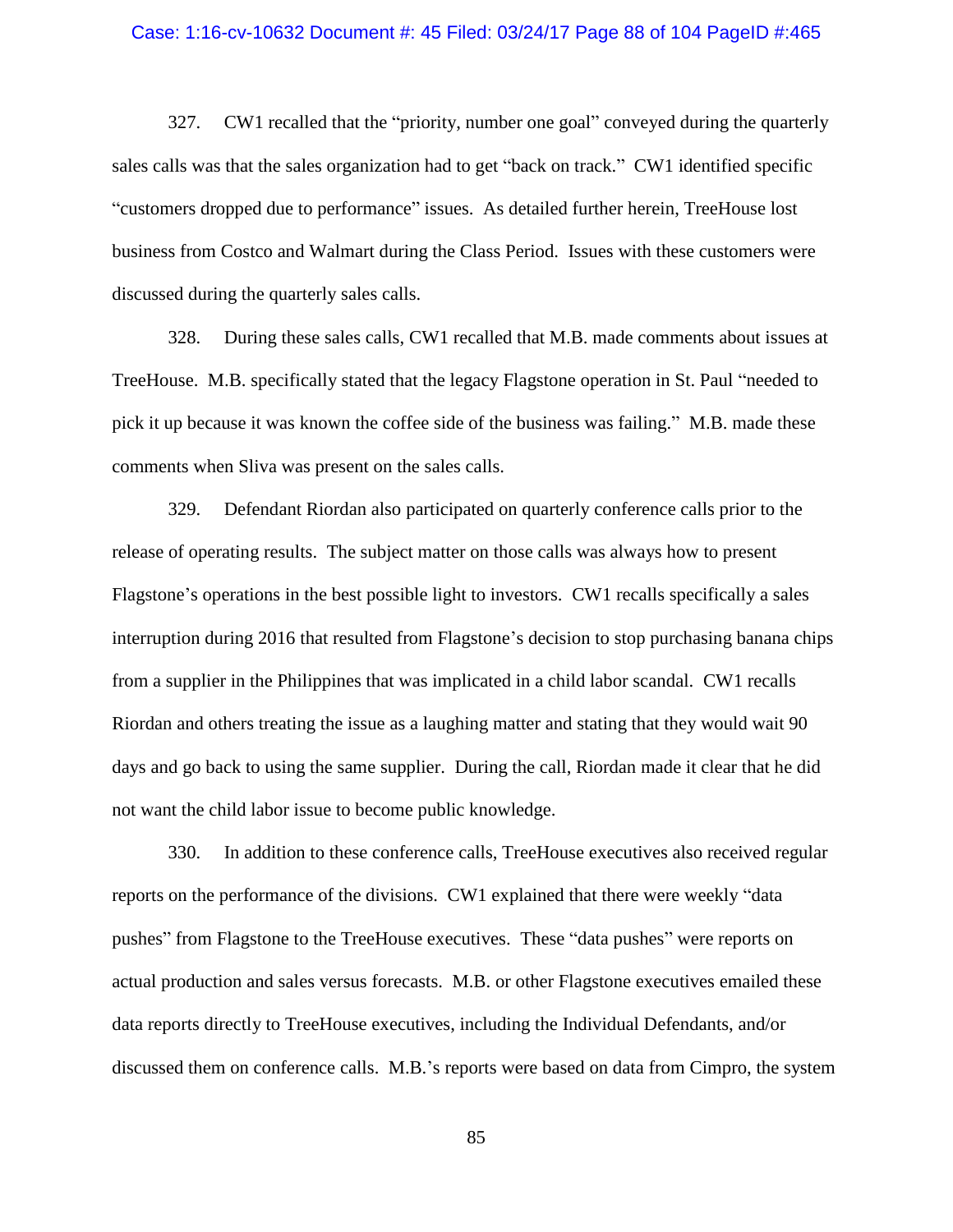#### Case: 1:16-cv-10632 Document #: 45 Filed: 03/24/17 Page 88 of 104 PageID #:465

327. CW1 recalled that the "priority, number one goal" conveyed during the quarterly sales calls was that the sales organization had to get "back on track." CW1 identified specific "customers dropped due to performance" issues. As detailed further herein, TreeHouse lost business from Costco and Walmart during the Class Period. Issues with these customers were discussed during the quarterly sales calls.

328. During these sales calls, CW1 recalled that M.B. made comments about issues at TreeHouse. M.B. specifically stated that the legacy Flagstone operation in St. Paul "needed to pick it up because it was known the coffee side of the business was failing." M.B. made these comments when Sliva was present on the sales calls.

329. Defendant Riordan also participated on quarterly conference calls prior to the release of operating results. The subject matter on those calls was always how to present Flagstone's operations in the best possible light to investors. CW1 recalls specifically a sales interruption during 2016 that resulted from Flagstone's decision to stop purchasing banana chips from a supplier in the Philippines that was implicated in a child labor scandal. CW1 recalls Riordan and others treating the issue as a laughing matter and stating that they would wait 90 days and go back to using the same supplier. During the call, Riordan made it clear that he did not want the child labor issue to become public knowledge.

330. In addition to these conference calls, TreeHouse executives also received regular reports on the performance of the divisions. CW1 explained that there were weekly "data pushes" from Flagstone to the TreeHouse executives. These "data pushes" were reports on actual production and sales versus forecasts. M.B. or other Flagstone executives emailed these data reports directly to TreeHouse executives, including the Individual Defendants, and/or discussed them on conference calls. M.B.'s reports were based on data from Cimpro, the system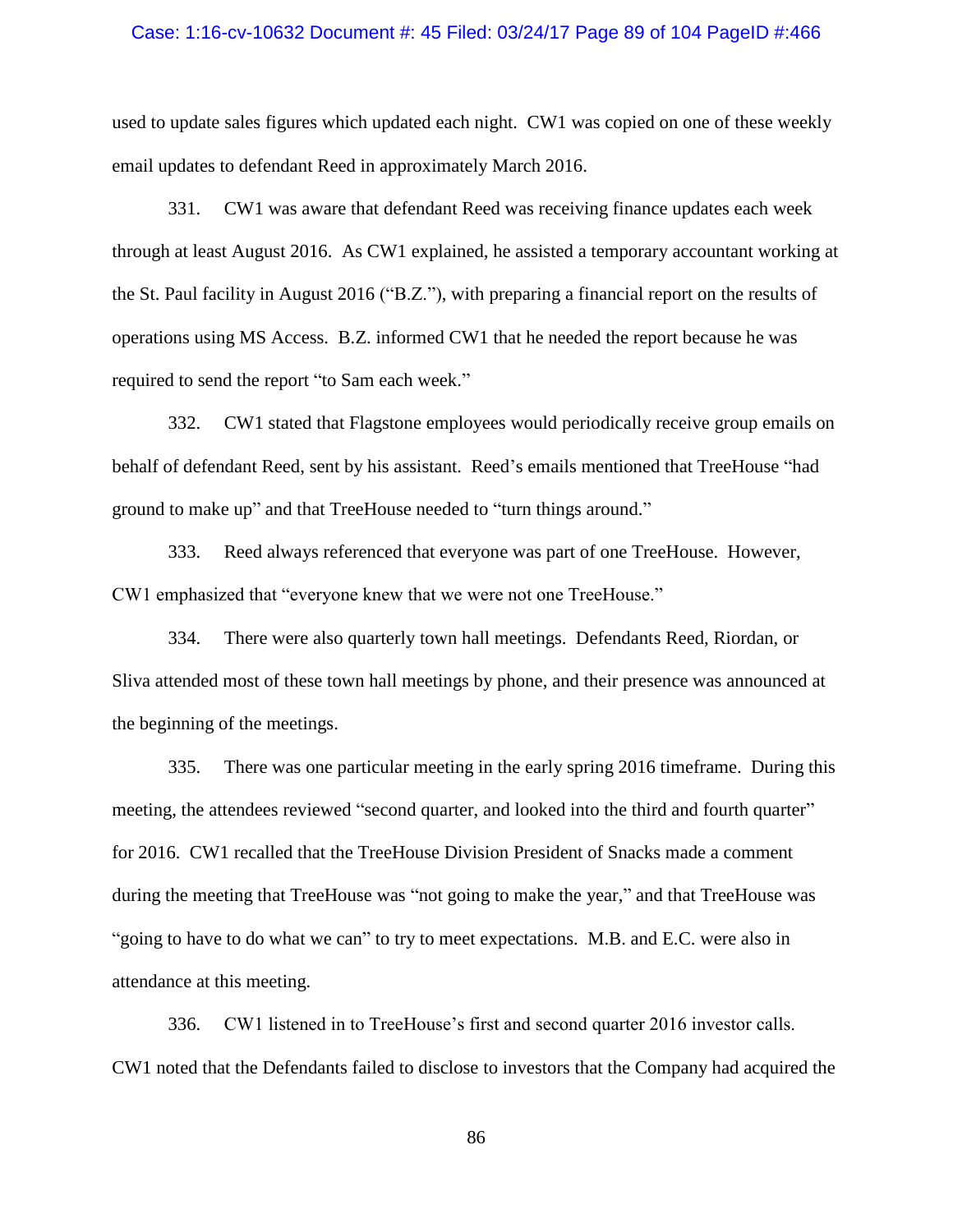#### Case: 1:16-cv-10632 Document #: 45 Filed: 03/24/17 Page 89 of 104 PageID #:466

used to update sales figures which updated each night. CW1 was copied on one of these weekly email updates to defendant Reed in approximately March 2016.

331. CW1 was aware that defendant Reed was receiving finance updates each week through at least August 2016. As CW1 explained, he assisted a temporary accountant working at the St. Paul facility in August 2016 ("B.Z."), with preparing a financial report on the results of operations using MS Access. B.Z. informed CW1 that he needed the report because he was required to send the report "to Sam each week."

332. CW1 stated that Flagstone employees would periodically receive group emails on behalf of defendant Reed, sent by his assistant. Reed's emails mentioned that TreeHouse "had ground to make up" and that TreeHouse needed to "turn things around."

333. Reed always referenced that everyone was part of one TreeHouse. However, CW1 emphasized that "everyone knew that we were not one TreeHouse."

334. There were also quarterly town hall meetings. Defendants Reed, Riordan, or Sliva attended most of these town hall meetings by phone, and their presence was announced at the beginning of the meetings.

335. There was one particular meeting in the early spring 2016 timeframe. During this meeting, the attendees reviewed "second quarter, and looked into the third and fourth quarter" for 2016. CW1 recalled that the TreeHouse Division President of Snacks made a comment during the meeting that TreeHouse was "not going to make the year," and that TreeHouse was "going to have to do what we can" to try to meet expectations. M.B. and E.C. were also in attendance at this meeting.

336. CW1 listened in to TreeHouse's first and second quarter 2016 investor calls. CW1 noted that the Defendants failed to disclose to investors that the Company had acquired the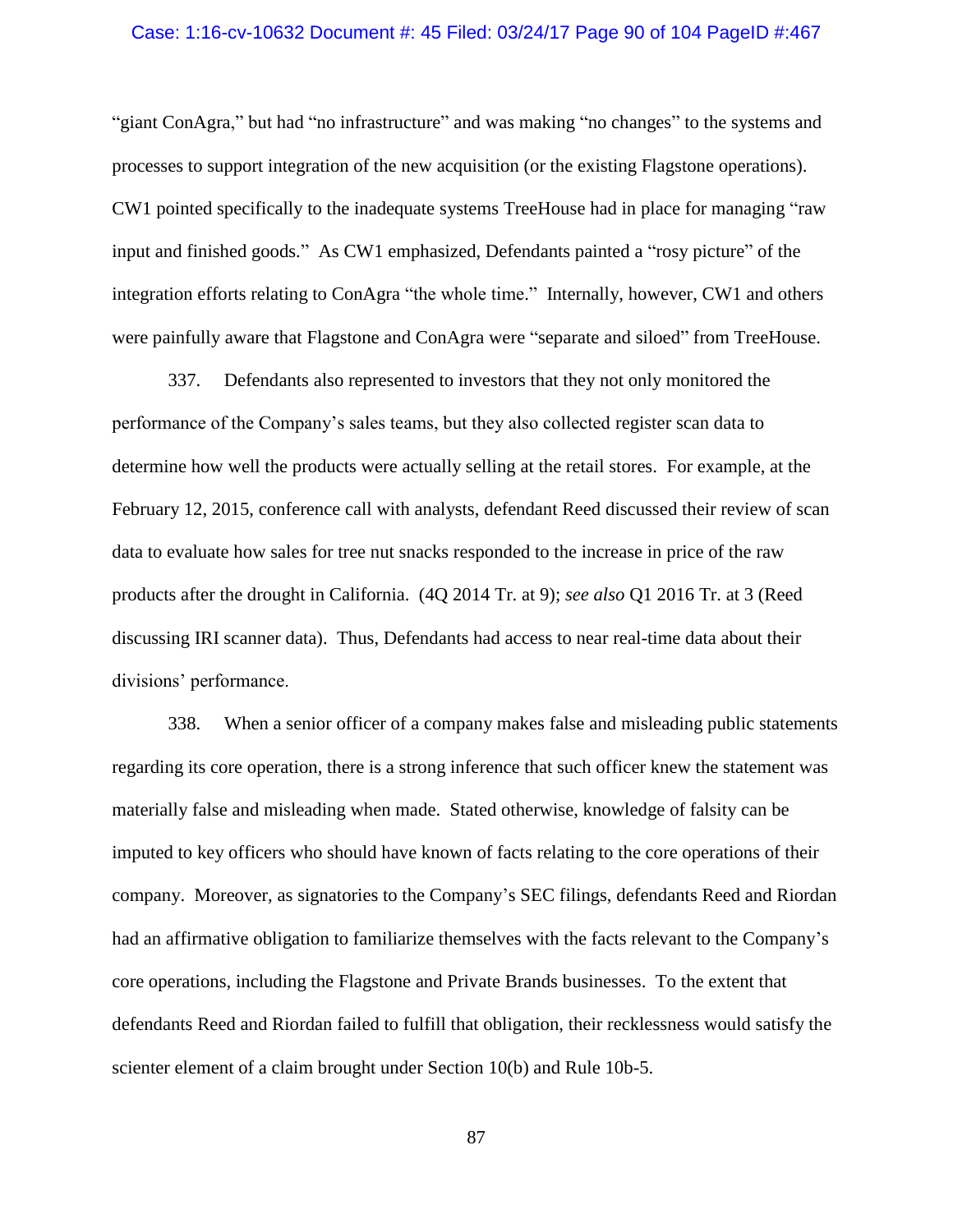#### Case: 1:16-cv-10632 Document #: 45 Filed: 03/24/17 Page 90 of 104 PageID #:467

"giant ConAgra," but had "no infrastructure" and was making "no changes" to the systems and processes to support integration of the new acquisition (or the existing Flagstone operations). CW1 pointed specifically to the inadequate systems TreeHouse had in place for managing "raw input and finished goods." As CW1 emphasized, Defendants painted a "rosy picture" of the integration efforts relating to ConAgra "the whole time." Internally, however, CW1 and others were painfully aware that Flagstone and ConAgra were "separate and siloed" from TreeHouse.

337. Defendants also represented to investors that they not only monitored the performance of the Company's sales teams, but they also collected register scan data to determine how well the products were actually selling at the retail stores. For example, at the February 12, 2015, conference call with analysts, defendant Reed discussed their review of scan data to evaluate how sales for tree nut snacks responded to the increase in price of the raw products after the drought in California. (4Q 2014 Tr. at 9); *see also* Q1 2016 Tr. at 3 (Reed discussing IRI scanner data). Thus, Defendants had access to near real-time data about their divisions' performance.

338. When a senior officer of a company makes false and misleading public statements regarding its core operation, there is a strong inference that such officer knew the statement was materially false and misleading when made. Stated otherwise, knowledge of falsity can be imputed to key officers who should have known of facts relating to the core operations of their company. Moreover, as signatories to the Company's SEC filings, defendants Reed and Riordan had an affirmative obligation to familiarize themselves with the facts relevant to the Company's core operations, including the Flagstone and Private Brands businesses. To the extent that defendants Reed and Riordan failed to fulfill that obligation, their recklessness would satisfy the scienter element of a claim brought under Section 10(b) and Rule 10b-5.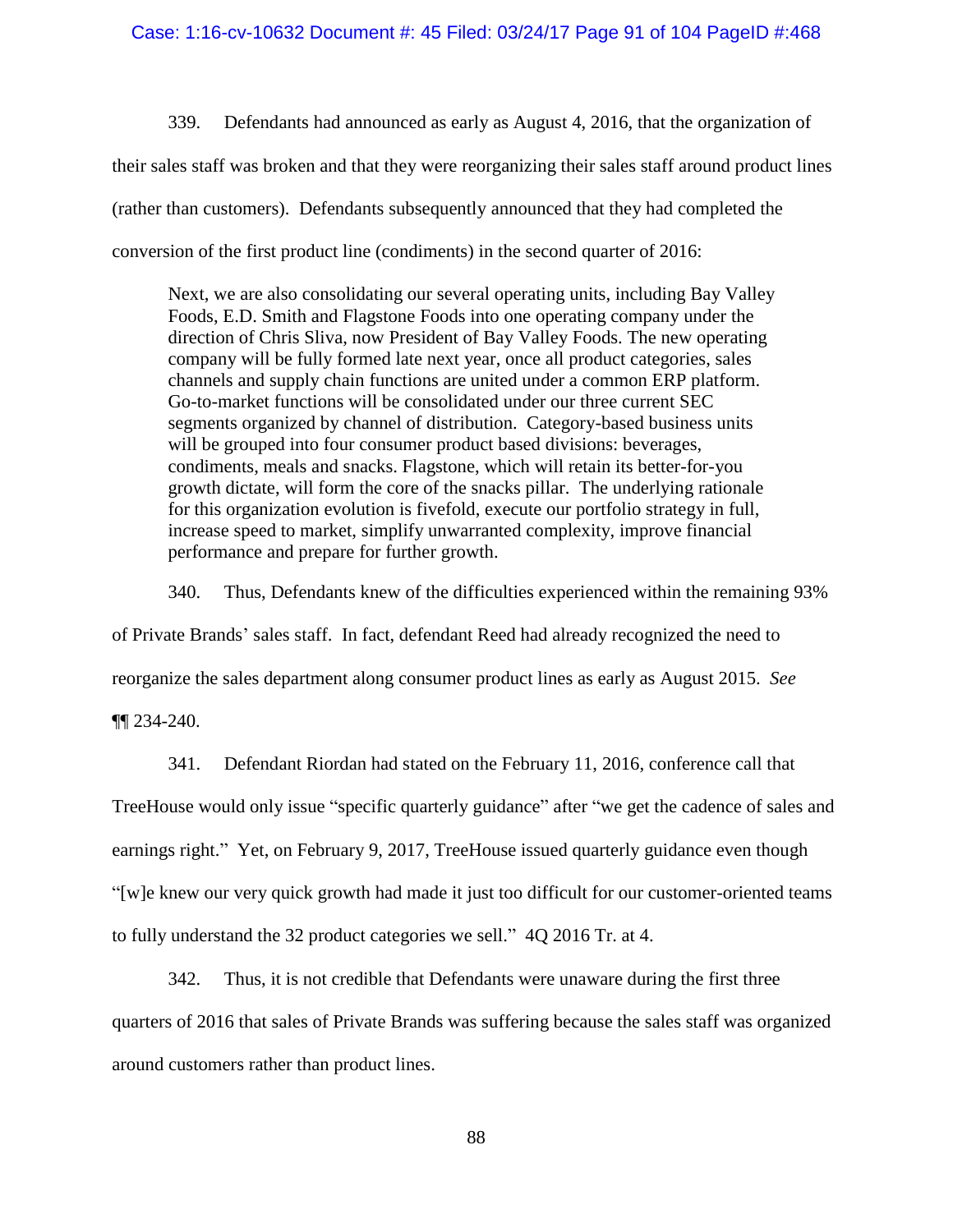339. Defendants had announced as early as August 4, 2016, that the organization of their sales staff was broken and that they were reorganizing their sales staff around product lines (rather than customers). Defendants subsequently announced that they had completed the conversion of the first product line (condiments) in the second quarter of 2016:

Next, we are also consolidating our several operating units, including Bay Valley Foods, E.D. Smith and Flagstone Foods into one operating company under the direction of Chris Sliva, now President of Bay Valley Foods. The new operating company will be fully formed late next year, once all product categories, sales channels and supply chain functions are united under a common ERP platform. Go-to-market functions will be consolidated under our three current SEC segments organized by channel of distribution. Category-based business units will be grouped into four consumer product based divisions: beverages, condiments, meals and snacks. Flagstone, which will retain its better-for-you growth dictate, will form the core of the snacks pillar. The underlying rationale for this organization evolution is fivefold, execute our portfolio strategy in full, increase speed to market, simplify unwarranted complexity, improve financial performance and prepare for further growth.

340. Thus, Defendants knew of the difficulties experienced within the remaining 93% of Private Brands' sales staff. In fact, defendant Reed had already recognized the need to reorganize the sales department along consumer product lines as early as August 2015. *See*

¶¶ [234-](#page-58-1)[240.](#page-60-0)

341. Defendant Riordan had stated on the February 11, 2016, conference call that TreeHouse would only issue "specific quarterly guidance" after "we get the cadence of sales and earnings right." Yet, on February 9, 2017, TreeHouse issued quarterly guidance even though "[w]e knew our very quick growth had made it just too difficult for our customer-oriented teams to fully understand the 32 product categories we sell." 4Q 2016 Tr. at 4.

342. Thus, it is not credible that Defendants were unaware during the first three quarters of 2016 that sales of Private Brands was suffering because the sales staff was organized around customers rather than product lines.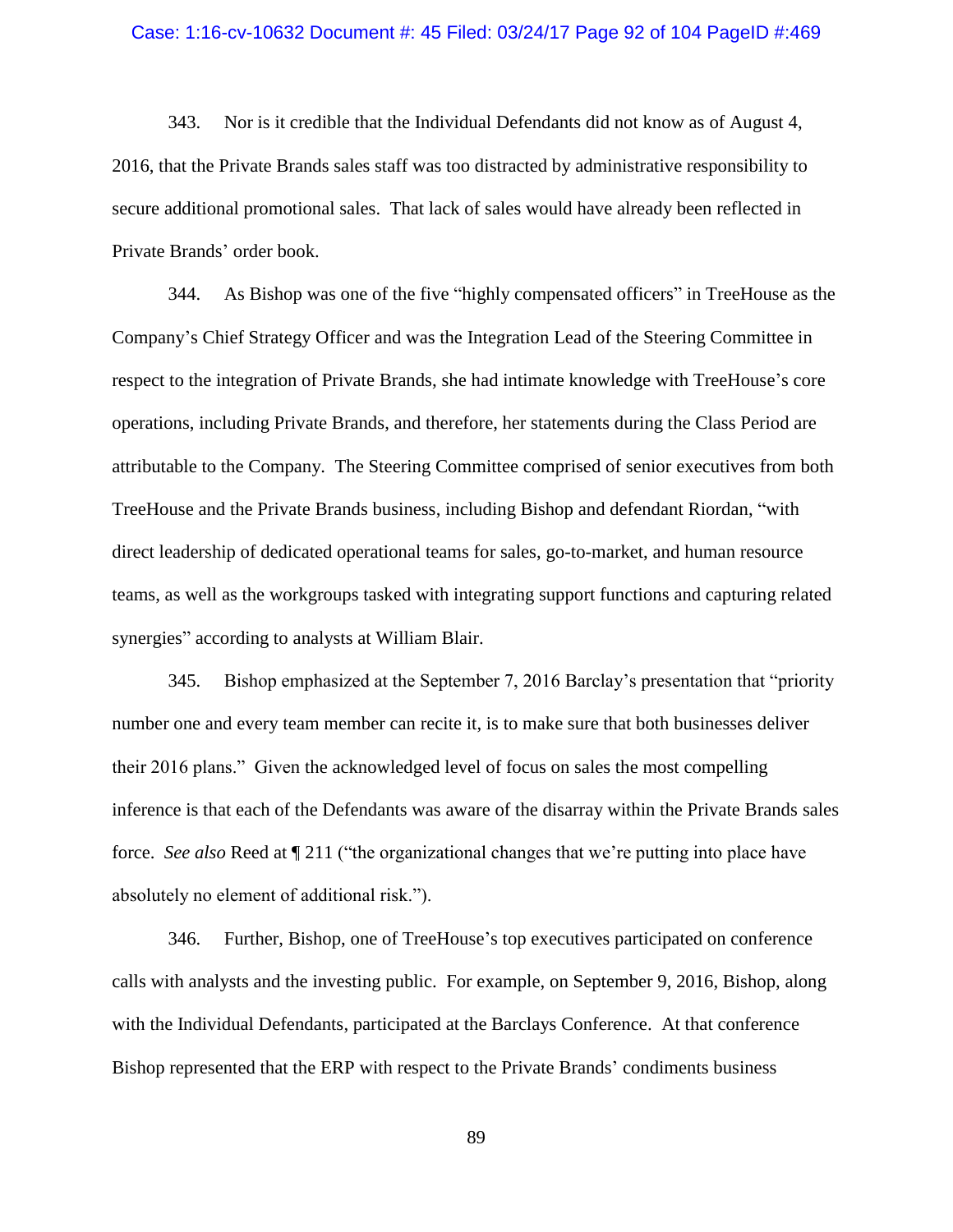#### Case: 1:16-cv-10632 Document #: 45 Filed: 03/24/17 Page 92 of 104 PageID #:469

343. Nor is it credible that the Individual Defendants did not know as of August 4, 2016, that the Private Brands sales staff was too distracted by administrative responsibility to secure additional promotional sales. That lack of sales would have already been reflected in Private Brands' order book.

344. As Bishop was one of the five "highly compensated officers" in TreeHouse as the Company's Chief Strategy Officer and was the Integration Lead of the Steering Committee in respect to the integration of Private Brands, she had intimate knowledge with TreeHouse's core operations, including Private Brands, and therefore, her statements during the Class Period are attributable to the Company. The Steering Committee comprised of senior executives from both TreeHouse and the Private Brands business, including Bishop and defendant Riordan, "with direct leadership of dedicated operational teams for sales, go-to-market, and human resource teams, as well as the workgroups tasked with integrating support functions and capturing related synergies" according to analysts at William Blair.

345. Bishop emphasized at the September 7, 2016 Barclay's presentation that "priority number one and every team member can recite it, is to make sure that both businesses deliver their 2016 plans." Given the acknowledged level of focus on sales the most compelling inference is that each of the Defendants was aware of the disarray within the Private Brands sales force. *See also* Reed at ¶ [211](#page-51-0) ("the organizational changes that we're putting into place have absolutely no element of additional risk.").

346. Further, Bishop, one of TreeHouse's top executives participated on conference calls with analysts and the investing public. For example, on September 9, 2016, Bishop, along with the Individual Defendants, participated at the Barclays Conference. At that conference Bishop represented that the ERP with respect to the Private Brands' condiments business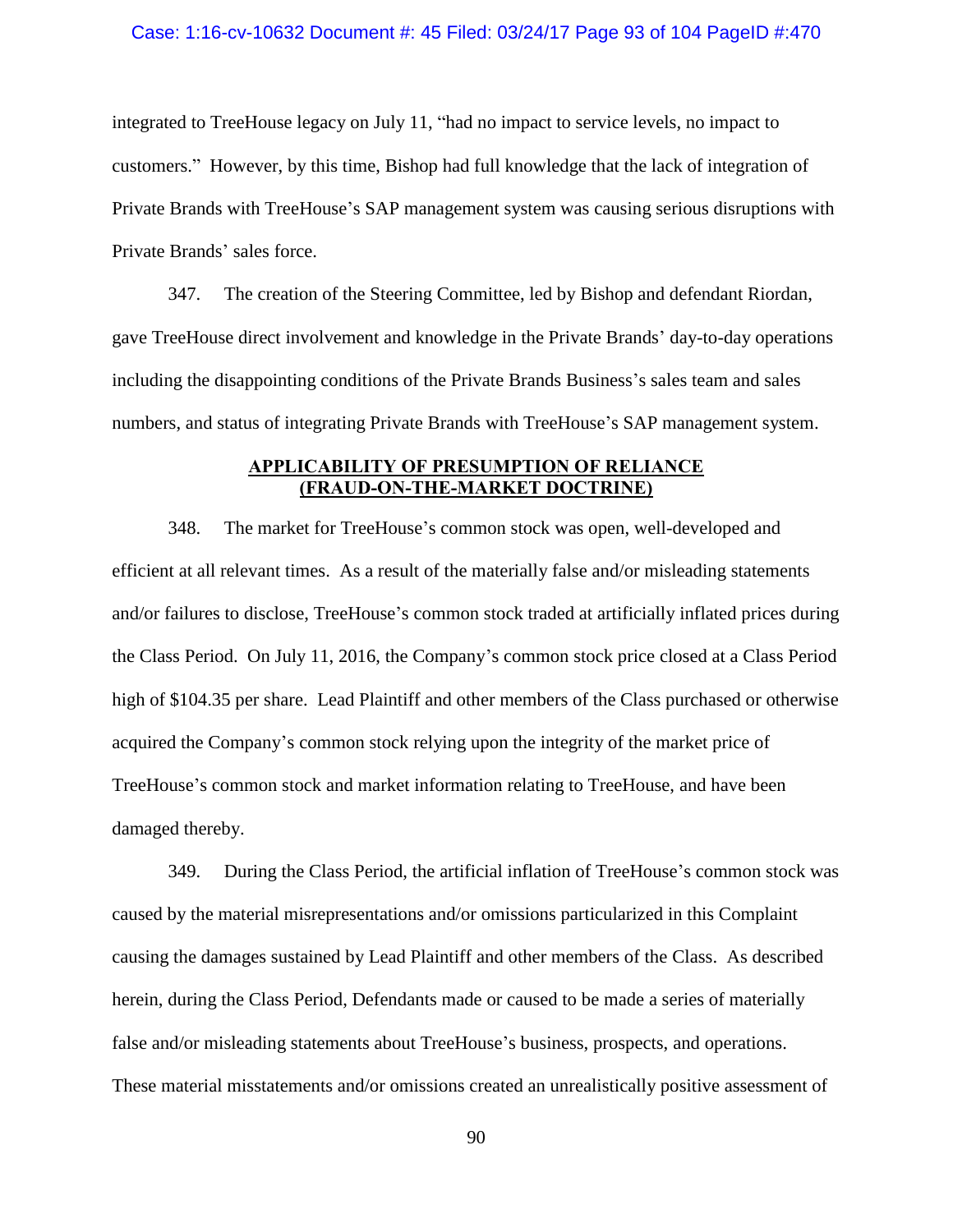#### Case: 1:16-cv-10632 Document #: 45 Filed: 03/24/17 Page 93 of 104 PageID #:470

integrated to TreeHouse legacy on July 11, "had no impact to service levels, no impact to customers." However, by this time, Bishop had full knowledge that the lack of integration of Private Brands with TreeHouse's SAP management system was causing serious disruptions with Private Brands' sales force.

347. The creation of the Steering Committee, led by Bishop and defendant Riordan, gave TreeHouse direct involvement and knowledge in the Private Brands' day-to-day operations including the disappointing conditions of the Private Brands Business's sales team and sales numbers, and status of integrating Private Brands with TreeHouse's SAP management system.

# **APPLICABILITY OF PRESUMPTION OF RELIANCE (FRAUD-ON-THE-MARKET DOCTRINE)**

348. The market for TreeHouse's common stock was open, well-developed and efficient at all relevant times. As a result of the materially false and/or misleading statements and/or failures to disclose, TreeHouse's common stock traded at artificially inflated prices during the Class Period. On July 11, 2016, the Company's common stock price closed at a Class Period high of \$104.35 per share. Lead Plaintiff and other members of the Class purchased or otherwise acquired the Company's common stock relying upon the integrity of the market price of TreeHouse's common stock and market information relating to TreeHouse, and have been damaged thereby.

349. During the Class Period, the artificial inflation of TreeHouse's common stock was caused by the material misrepresentations and/or omissions particularized in this Complaint causing the damages sustained by Lead Plaintiff and other members of the Class. As described herein, during the Class Period, Defendants made or caused to be made a series of materially false and/or misleading statements about TreeHouse's business, prospects, and operations. These material misstatements and/or omissions created an unrealistically positive assessment of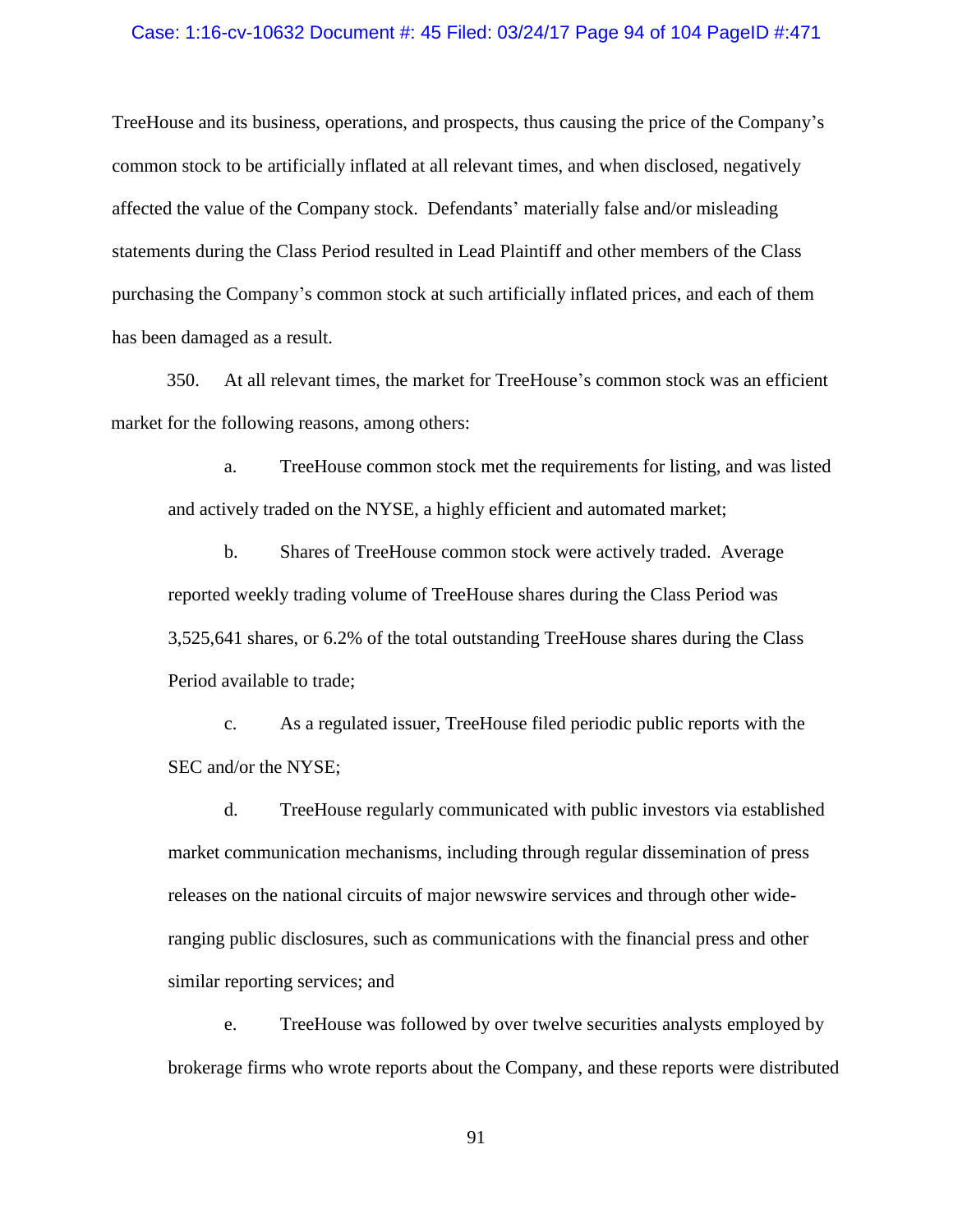#### Case: 1:16-cv-10632 Document #: 45 Filed: 03/24/17 Page 94 of 104 PageID #:471

TreeHouse and its business, operations, and prospects, thus causing the price of the Company's common stock to be artificially inflated at all relevant times, and when disclosed, negatively affected the value of the Company stock. Defendants' materially false and/or misleading statements during the Class Period resulted in Lead Plaintiff and other members of the Class purchasing the Company's common stock at such artificially inflated prices, and each of them has been damaged as a result.

350. At all relevant times, the market for TreeHouse's common stock was an efficient market for the following reasons, among others:

a. TreeHouse common stock met the requirements for listing, and was listed and actively traded on the NYSE, a highly efficient and automated market;

b. Shares of TreeHouse common stock were actively traded. Average reported weekly trading volume of TreeHouse shares during the Class Period was 3,525,641 shares, or 6.2% of the total outstanding TreeHouse shares during the Class Period available to trade;

c. As a regulated issuer, TreeHouse filed periodic public reports with the SEC and/or the NYSE;

d. TreeHouse regularly communicated with public investors via established market communication mechanisms, including through regular dissemination of press releases on the national circuits of major newswire services and through other wideranging public disclosures, such as communications with the financial press and other similar reporting services; and

e. TreeHouse was followed by over twelve securities analysts employed by brokerage firms who wrote reports about the Company, and these reports were distributed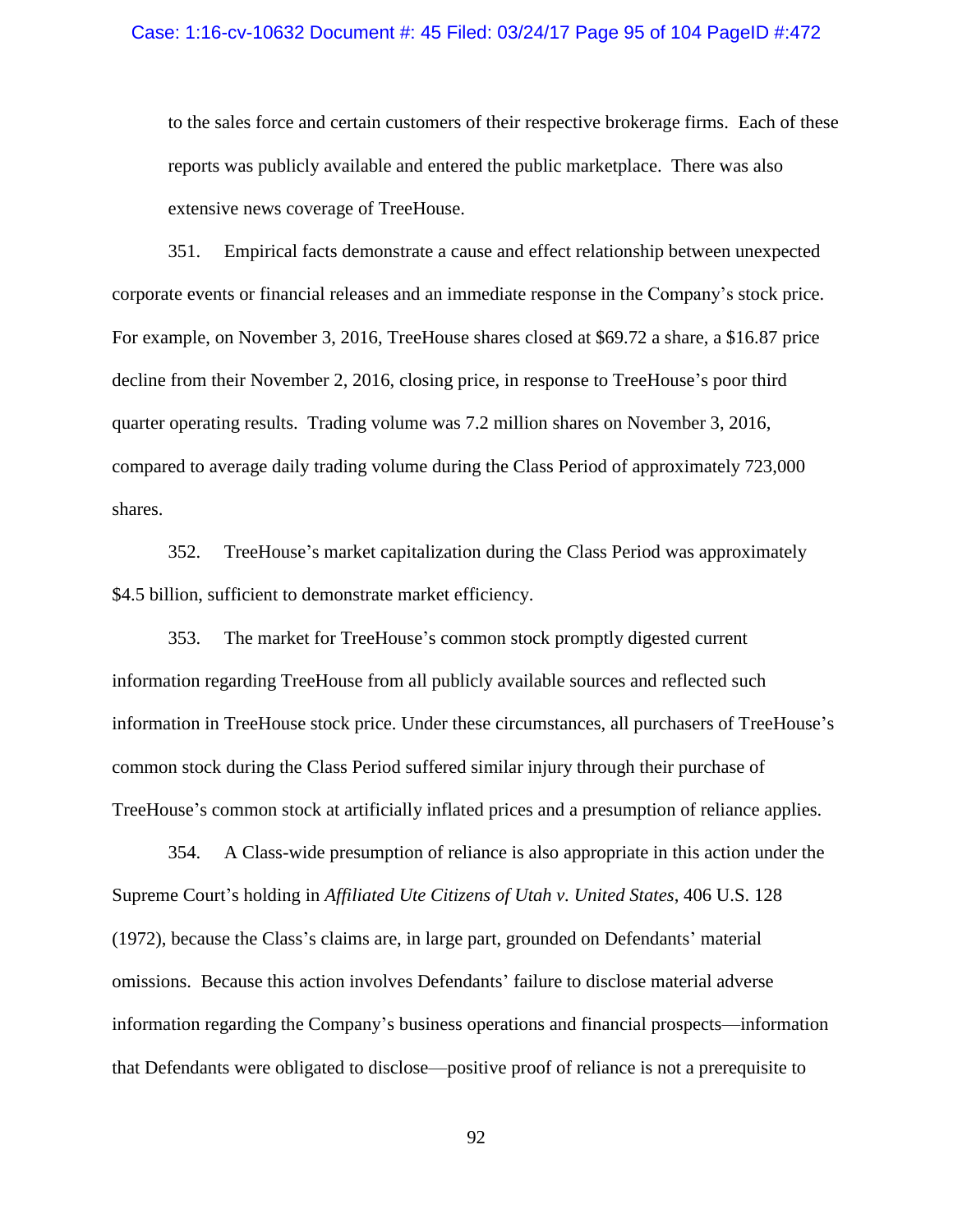#### Case: 1:16-cv-10632 Document #: 45 Filed: 03/24/17 Page 95 of 104 PageID #:472

to the sales force and certain customers of their respective brokerage firms. Each of these reports was publicly available and entered the public marketplace. There was also extensive news coverage of TreeHouse.

351. Empirical facts demonstrate a cause and effect relationship between unexpected corporate events or financial releases and an immediate response in the Company's stock price. For example, on November 3, 2016, TreeHouse shares closed at \$69.72 a share, a \$16.87 price decline from their November 2, 2016, closing price, in response to TreeHouse's poor third quarter operating results. Trading volume was 7.2 million shares on November 3, 2016, compared to average daily trading volume during the Class Period of approximately 723,000 shares.

352. TreeHouse's market capitalization during the Class Period was approximately \$4.5 billion, sufficient to demonstrate market efficiency.

353. The market for TreeHouse's common stock promptly digested current information regarding TreeHouse from all publicly available sources and reflected such information in TreeHouse stock price. Under these circumstances, all purchasers of TreeHouse's common stock during the Class Period suffered similar injury through their purchase of TreeHouse's common stock at artificially inflated prices and a presumption of reliance applies.

354. A Class-wide presumption of reliance is also appropriate in this action under the Supreme Court's holding in *Affiliated Ute Citizens of Utah v. United States*, 406 U.S. 128 (1972), because the Class's claims are, in large part, grounded on Defendants' material omissions. Because this action involves Defendants' failure to disclose material adverse information regarding the Company's business operations and financial prospects—information that Defendants were obligated to disclose—positive proof of reliance is not a prerequisite to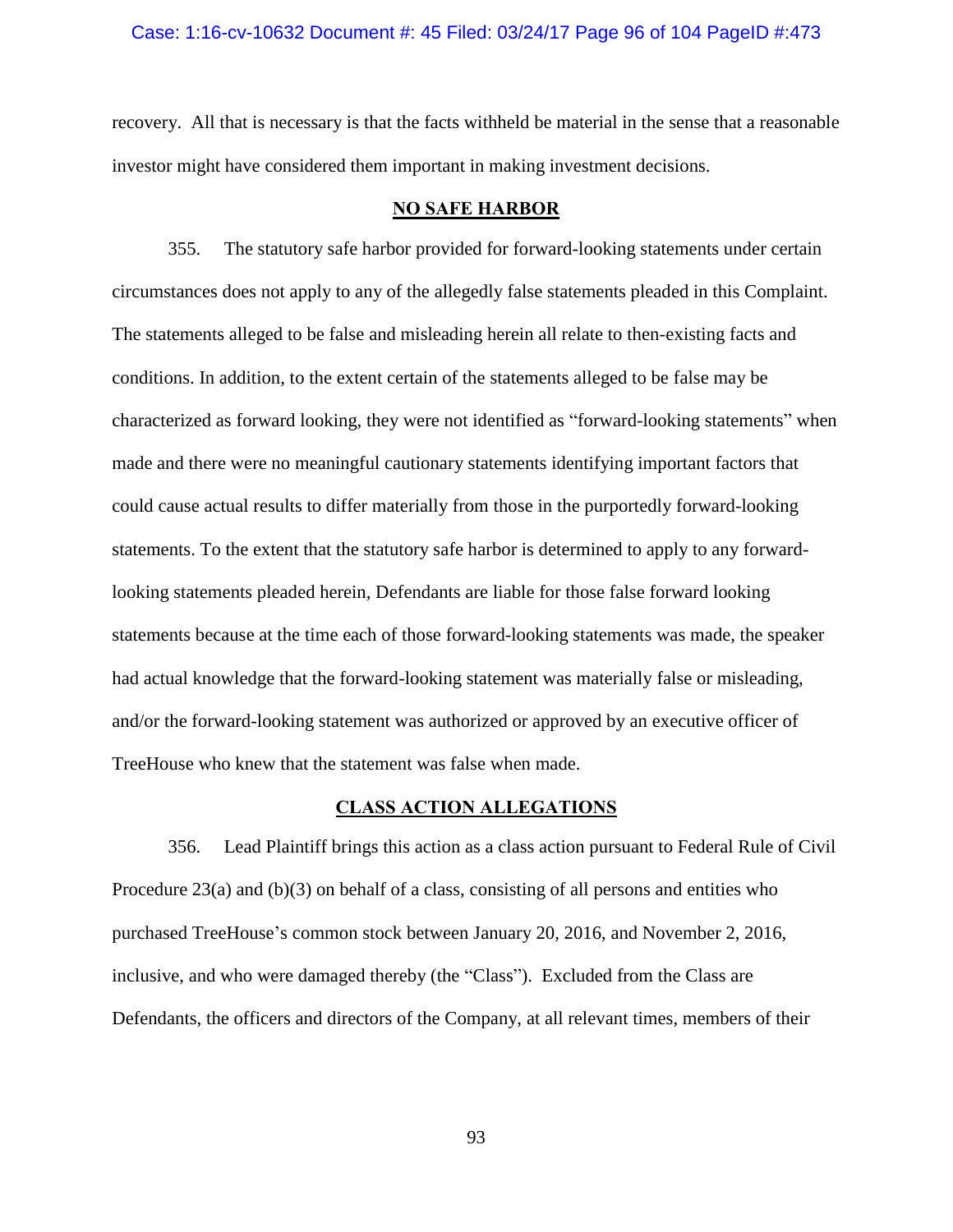### Case: 1:16-cv-10632 Document #: 45 Filed: 03/24/17 Page 96 of 104 PageID #:473

recovery. All that is necessary is that the facts withheld be material in the sense that a reasonable investor might have considered them important in making investment decisions.

### **NO SAFE HARBOR**

355. The statutory safe harbor provided for forward-looking statements under certain circumstances does not apply to any of the allegedly false statements pleaded in this Complaint. The statements alleged to be false and misleading herein all relate to then-existing facts and conditions. In addition, to the extent certain of the statements alleged to be false may be characterized as forward looking, they were not identified as "forward-looking statements" when made and there were no meaningful cautionary statements identifying important factors that could cause actual results to differ materially from those in the purportedly forward-looking statements. To the extent that the statutory safe harbor is determined to apply to any forwardlooking statements pleaded herein, Defendants are liable for those false forward looking statements because at the time each of those forward-looking statements was made, the speaker had actual knowledge that the forward-looking statement was materially false or misleading, and/or the forward-looking statement was authorized or approved by an executive officer of TreeHouse who knew that the statement was false when made.

# **CLASS ACTION ALLEGATIONS**

356. Lead Plaintiff brings this action as a class action pursuant to Federal Rule of Civil Procedure 23(a) and (b)(3) on behalf of a class, consisting of all persons and entities who purchased TreeHouse's common stock between January 20, 2016, and November 2, 2016, inclusive, and who were damaged thereby (the "Class"). Excluded from the Class are Defendants, the officers and directors of the Company, at all relevant times, members of their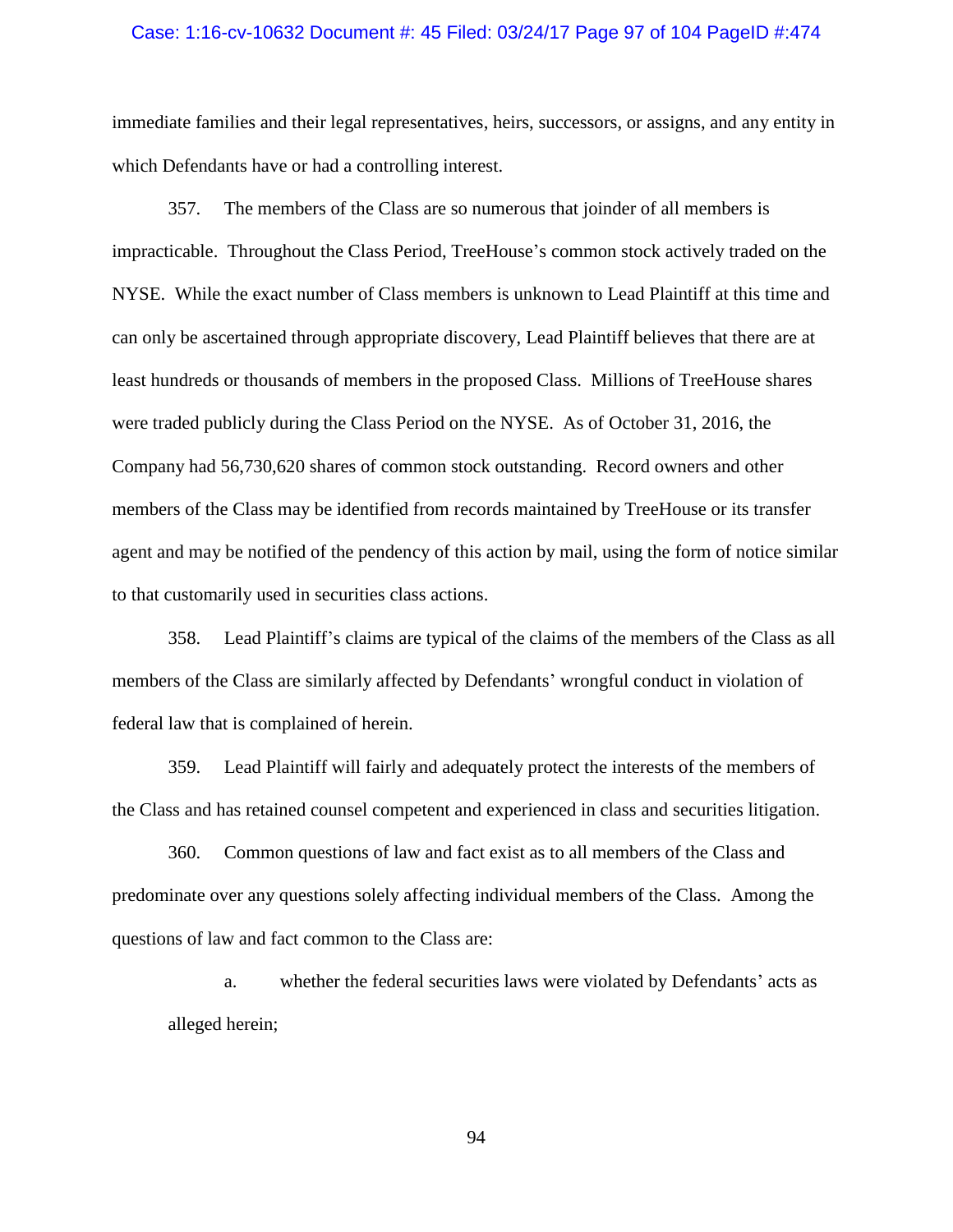#### Case: 1:16-cv-10632 Document #: 45 Filed: 03/24/17 Page 97 of 104 PageID #:474

immediate families and their legal representatives, heirs, successors, or assigns, and any entity in which Defendants have or had a controlling interest.

357. The members of the Class are so numerous that joinder of all members is impracticable. Throughout the Class Period, TreeHouse's common stock actively traded on the NYSE. While the exact number of Class members is unknown to Lead Plaintiff at this time and can only be ascertained through appropriate discovery, Lead Plaintiff believes that there are at least hundreds or thousands of members in the proposed Class. Millions of TreeHouse shares were traded publicly during the Class Period on the NYSE. As of October 31, 2016, the Company had 56,730,620 shares of common stock outstanding. Record owners and other members of the Class may be identified from records maintained by TreeHouse or its transfer agent and may be notified of the pendency of this action by mail, using the form of notice similar to that customarily used in securities class actions.

358. Lead Plaintiff's claims are typical of the claims of the members of the Class as all members of the Class are similarly affected by Defendants' wrongful conduct in violation of federal law that is complained of herein.

359. Lead Plaintiff will fairly and adequately protect the interests of the members of the Class and has retained counsel competent and experienced in class and securities litigation.

360. Common questions of law and fact exist as to all members of the Class and predominate over any questions solely affecting individual members of the Class. Among the questions of law and fact common to the Class are:

a. whether the federal securities laws were violated by Defendants' acts as alleged herein;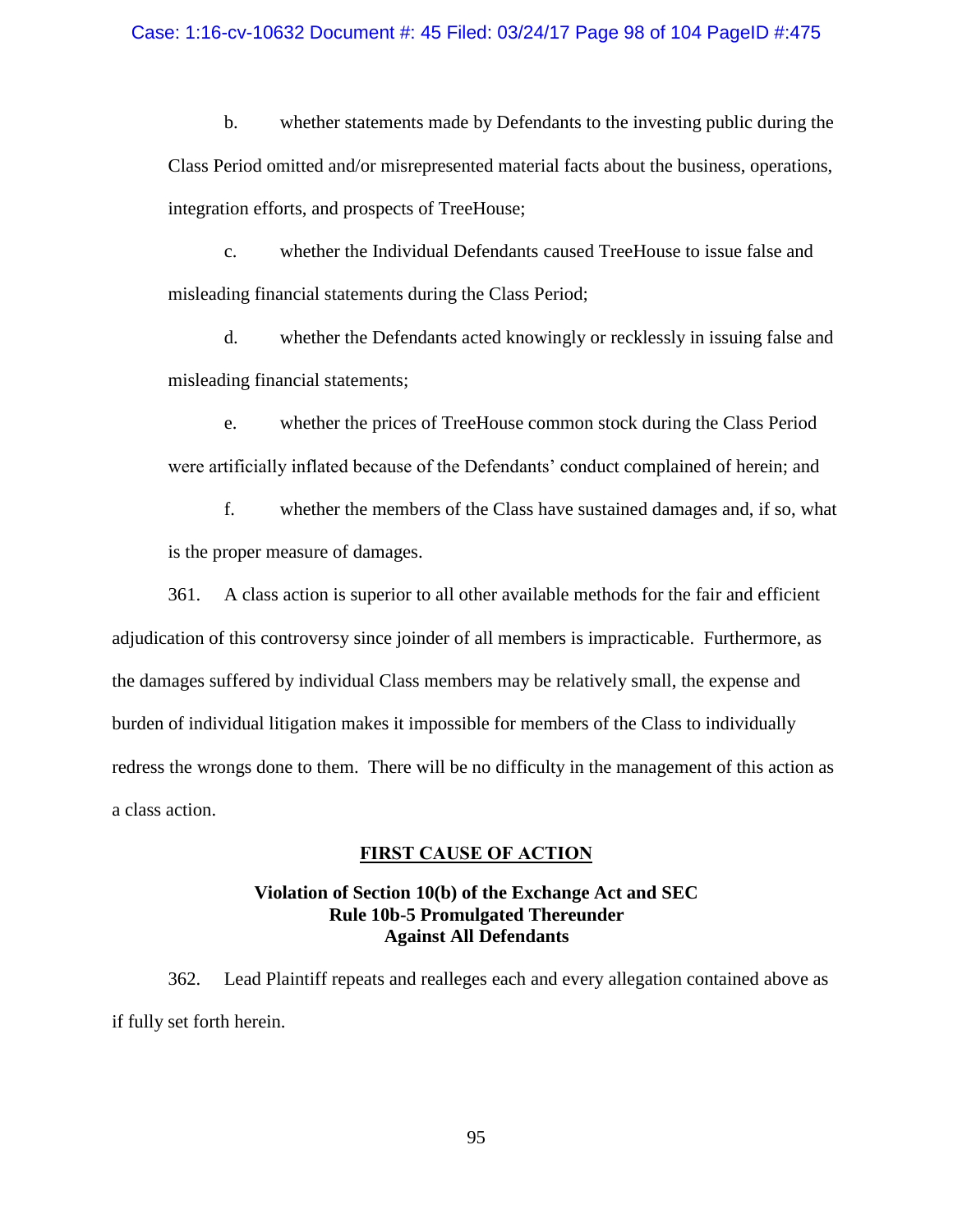### Case: 1:16-cv-10632 Document #: 45 Filed: 03/24/17 Page 98 of 104 PageID #:475

b. whether statements made by Defendants to the investing public during the Class Period omitted and/or misrepresented material facts about the business, operations, integration efforts, and prospects of TreeHouse;

c. whether the Individual Defendants caused TreeHouse to issue false and misleading financial statements during the Class Period;

d. whether the Defendants acted knowingly or recklessly in issuing false and misleading financial statements;

e. whether the prices of TreeHouse common stock during the Class Period were artificially inflated because of the Defendants' conduct complained of herein; and

f. whether the members of the Class have sustained damages and, if so, what is the proper measure of damages.

361. A class action is superior to all other available methods for the fair and efficient adjudication of this controversy since joinder of all members is impracticable. Furthermore, as the damages suffered by individual Class members may be relatively small, the expense and burden of individual litigation makes it impossible for members of the Class to individually redress the wrongs done to them. There will be no difficulty in the management of this action as a class action.

## **FIRST CAUSE OF ACTION**

# **Violation of Section 10(b) of the Exchange Act and SEC Rule 10b-5 Promulgated Thereunder Against All Defendants**

362. Lead Plaintiff repeats and realleges each and every allegation contained above as if fully set forth herein.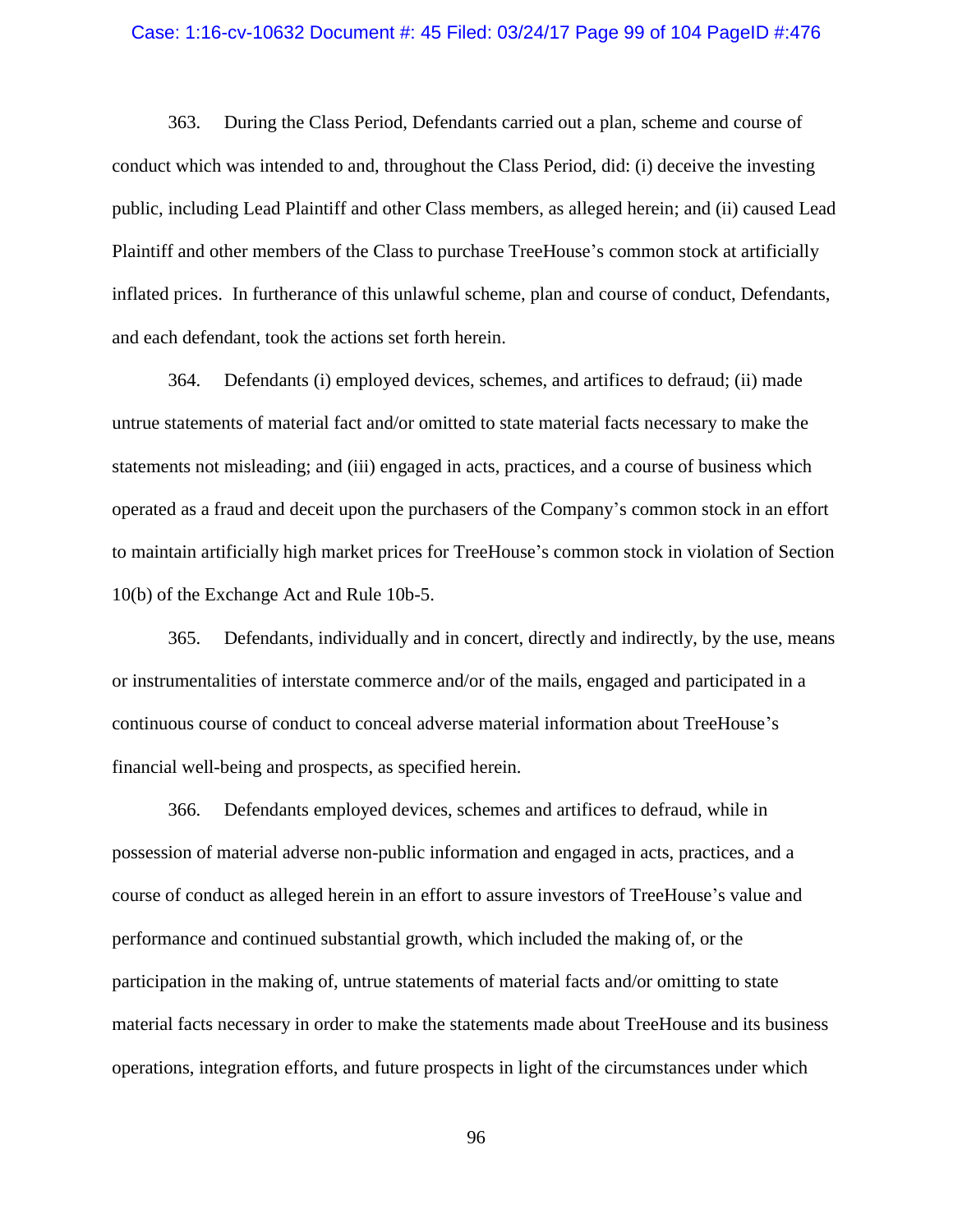#### Case: 1:16-cv-10632 Document #: 45 Filed: 03/24/17 Page 99 of 104 PageID #:476

363. During the Class Period, Defendants carried out a plan, scheme and course of conduct which was intended to and, throughout the Class Period, did: (i) deceive the investing public, including Lead Plaintiff and other Class members, as alleged herein; and (ii) caused Lead Plaintiff and other members of the Class to purchase TreeHouse's common stock at artificially inflated prices. In furtherance of this unlawful scheme, plan and course of conduct, Defendants, and each defendant, took the actions set forth herein.

364. Defendants (i) employed devices, schemes, and artifices to defraud; (ii) made untrue statements of material fact and/or omitted to state material facts necessary to make the statements not misleading; and (iii) engaged in acts, practices, and a course of business which operated as a fraud and deceit upon the purchasers of the Company's common stock in an effort to maintain artificially high market prices for TreeHouse's common stock in violation of Section 10(b) of the Exchange Act and Rule 10b-5.

365. Defendants, individually and in concert, directly and indirectly, by the use, means or instrumentalities of interstate commerce and/or of the mails, engaged and participated in a continuous course of conduct to conceal adverse material information about TreeHouse's financial well-being and prospects, as specified herein.

366. Defendants employed devices, schemes and artifices to defraud, while in possession of material adverse non-public information and engaged in acts, practices, and a course of conduct as alleged herein in an effort to assure investors of TreeHouse's value and performance and continued substantial growth, which included the making of, or the participation in the making of, untrue statements of material facts and/or omitting to state material facts necessary in order to make the statements made about TreeHouse and its business operations, integration efforts, and future prospects in light of the circumstances under which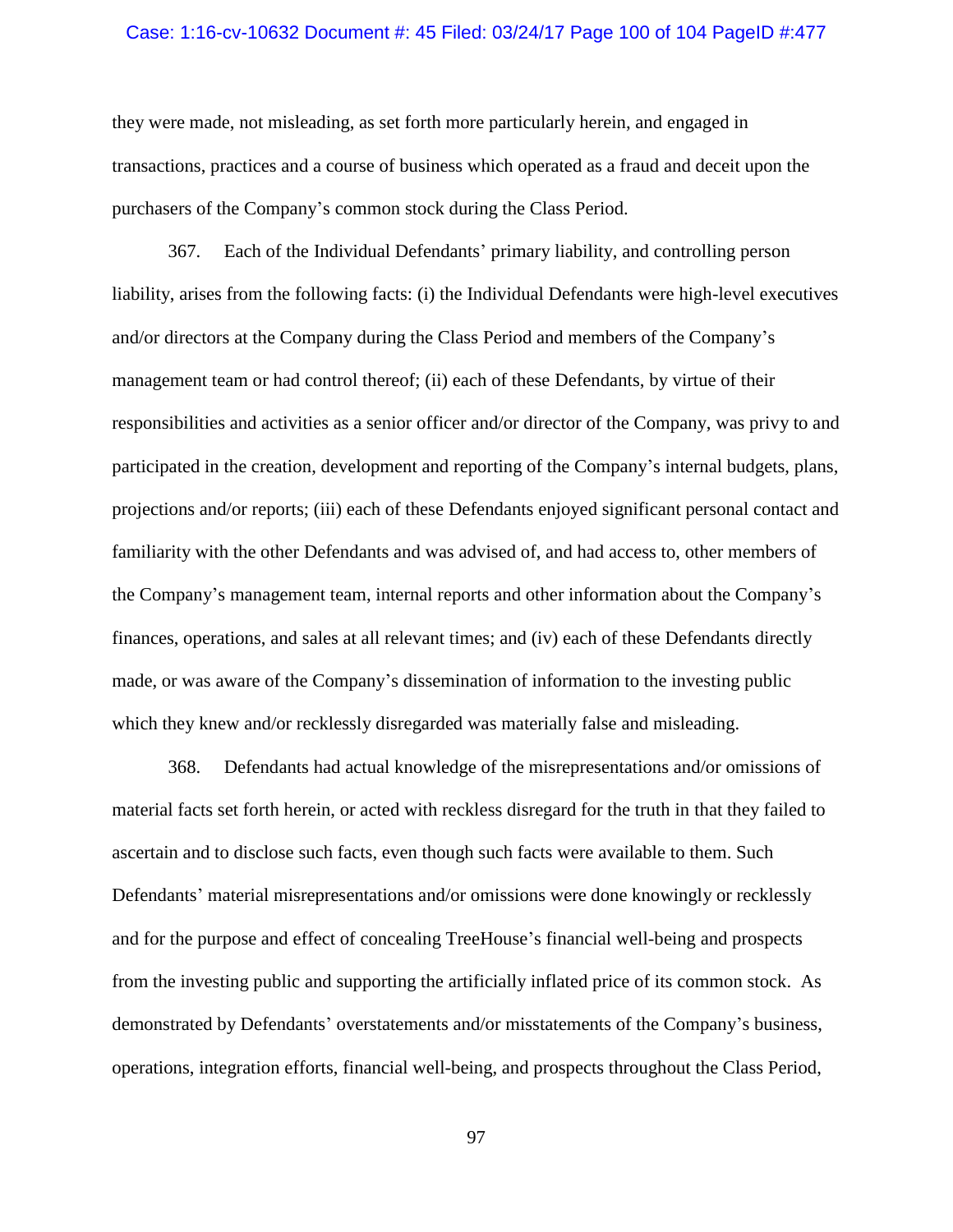#### Case: 1:16-cv-10632 Document #: 45 Filed: 03/24/17 Page 100 of 104 PageID #:477

they were made, not misleading, as set forth more particularly herein, and engaged in transactions, practices and a course of business which operated as a fraud and deceit upon the purchasers of the Company's common stock during the Class Period.

367. Each of the Individual Defendants' primary liability, and controlling person liability, arises from the following facts: (i) the Individual Defendants were high-level executives and/or directors at the Company during the Class Period and members of the Company's management team or had control thereof; (ii) each of these Defendants, by virtue of their responsibilities and activities as a senior officer and/or director of the Company, was privy to and participated in the creation, development and reporting of the Company's internal budgets, plans, projections and/or reports; (iii) each of these Defendants enjoyed significant personal contact and familiarity with the other Defendants and was advised of, and had access to, other members of the Company's management team, internal reports and other information about the Company's finances, operations, and sales at all relevant times; and (iv) each of these Defendants directly made, or was aware of the Company's dissemination of information to the investing public which they knew and/or recklessly disregarded was materially false and misleading.

368. Defendants had actual knowledge of the misrepresentations and/or omissions of material facts set forth herein, or acted with reckless disregard for the truth in that they failed to ascertain and to disclose such facts, even though such facts were available to them. Such Defendants' material misrepresentations and/or omissions were done knowingly or recklessly and for the purpose and effect of concealing TreeHouse's financial well-being and prospects from the investing public and supporting the artificially inflated price of its common stock. As demonstrated by Defendants' overstatements and/or misstatements of the Company's business, operations, integration efforts, financial well-being, and prospects throughout the Class Period,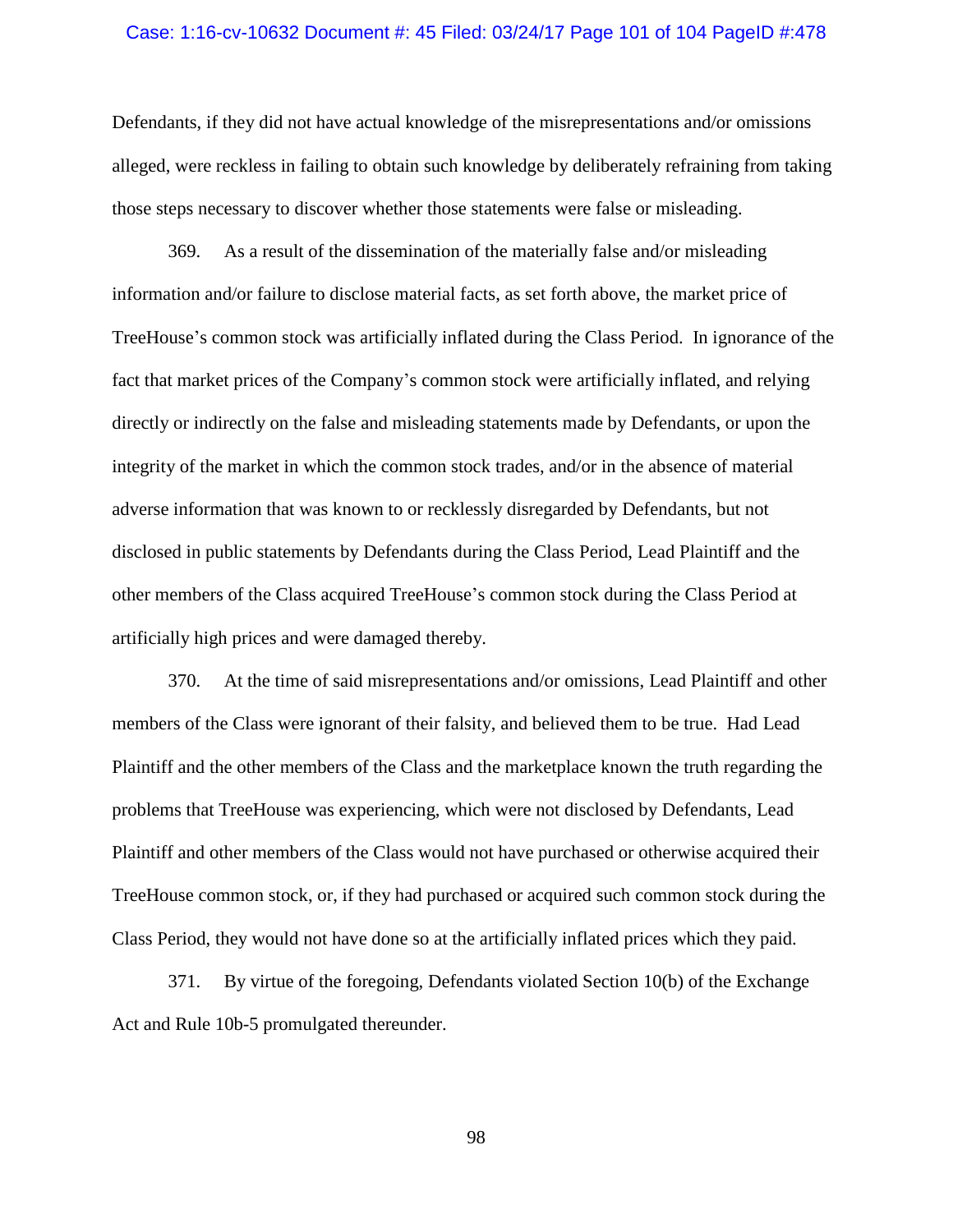#### Case: 1:16-cv-10632 Document #: 45 Filed: 03/24/17 Page 101 of 104 PageID #:478

Defendants, if they did not have actual knowledge of the misrepresentations and/or omissions alleged, were reckless in failing to obtain such knowledge by deliberately refraining from taking those steps necessary to discover whether those statements were false or misleading.

369. As a result of the dissemination of the materially false and/or misleading information and/or failure to disclose material facts, as set forth above, the market price of TreeHouse's common stock was artificially inflated during the Class Period. In ignorance of the fact that market prices of the Company's common stock were artificially inflated, and relying directly or indirectly on the false and misleading statements made by Defendants, or upon the integrity of the market in which the common stock trades, and/or in the absence of material adverse information that was known to or recklessly disregarded by Defendants, but not disclosed in public statements by Defendants during the Class Period, Lead Plaintiff and the other members of the Class acquired TreeHouse's common stock during the Class Period at artificially high prices and were damaged thereby.

370. At the time of said misrepresentations and/or omissions, Lead Plaintiff and other members of the Class were ignorant of their falsity, and believed them to be true. Had Lead Plaintiff and the other members of the Class and the marketplace known the truth regarding the problems that TreeHouse was experiencing, which were not disclosed by Defendants, Lead Plaintiff and other members of the Class would not have purchased or otherwise acquired their TreeHouse common stock, or, if they had purchased or acquired such common stock during the Class Period, they would not have done so at the artificially inflated prices which they paid.

371. By virtue of the foregoing, Defendants violated Section 10(b) of the Exchange Act and Rule 10b-5 promulgated thereunder.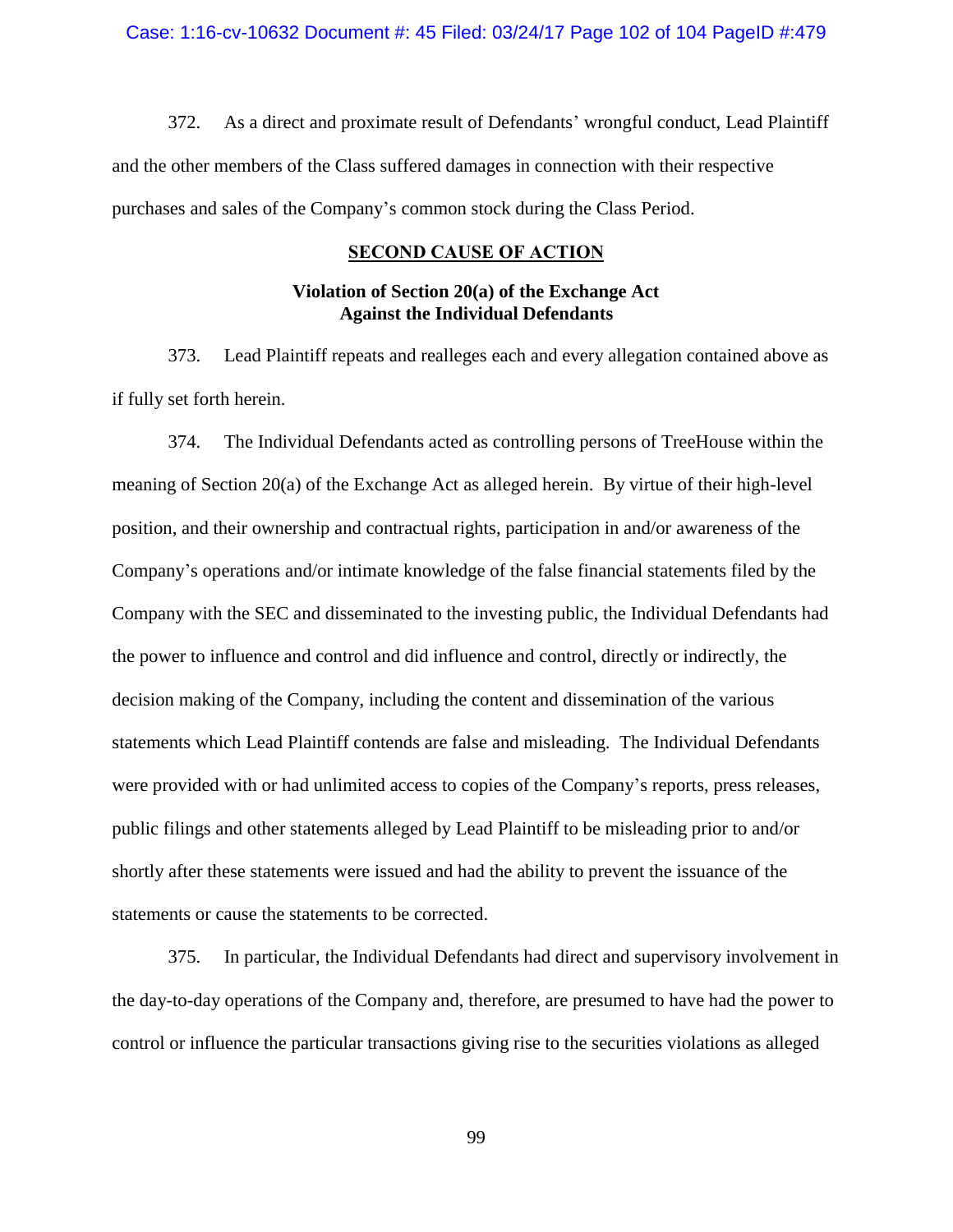372. As a direct and proximate result of Defendants' wrongful conduct, Lead Plaintiff and the other members of the Class suffered damages in connection with their respective purchases and sales of the Company's common stock during the Class Period.

### **SECOND CAUSE OF ACTION**

## **Violation of Section 20(a) of the Exchange Act Against the Individual Defendants**

373. Lead Plaintiff repeats and realleges each and every allegation contained above as if fully set forth herein.

374. The Individual Defendants acted as controlling persons of TreeHouse within the meaning of Section 20(a) of the Exchange Act as alleged herein. By virtue of their high-level position, and their ownership and contractual rights, participation in and/or awareness of the Company's operations and/or intimate knowledge of the false financial statements filed by the Company with the SEC and disseminated to the investing public, the Individual Defendants had the power to influence and control and did influence and control, directly or indirectly, the decision making of the Company, including the content and dissemination of the various statements which Lead Plaintiff contends are false and misleading. The Individual Defendants were provided with or had unlimited access to copies of the Company's reports, press releases, public filings and other statements alleged by Lead Plaintiff to be misleading prior to and/or shortly after these statements were issued and had the ability to prevent the issuance of the statements or cause the statements to be corrected.

375. In particular, the Individual Defendants had direct and supervisory involvement in the day-to-day operations of the Company and, therefore, are presumed to have had the power to control or influence the particular transactions giving rise to the securities violations as alleged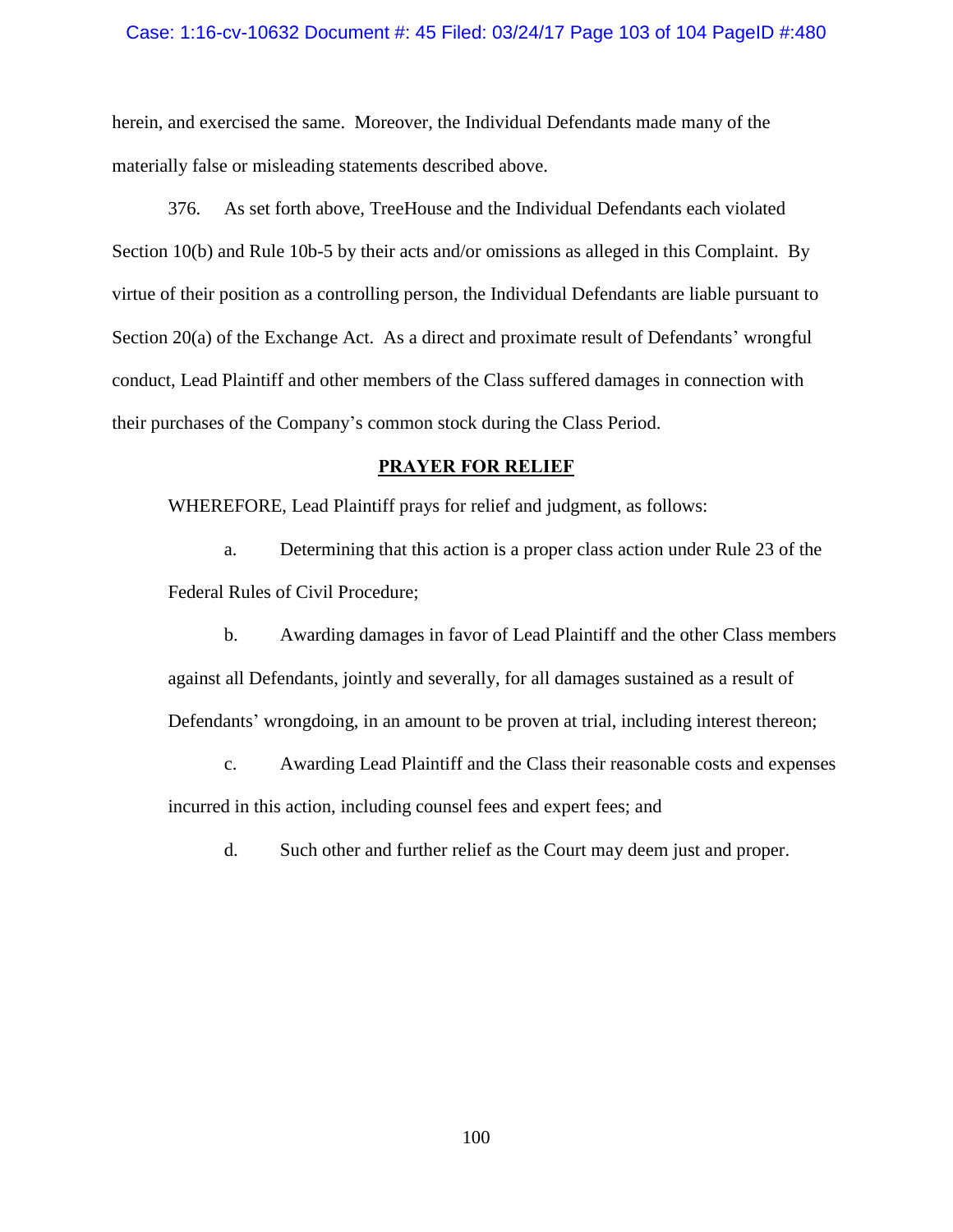### Case: 1:16-cv-10632 Document #: 45 Filed: 03/24/17 Page 103 of 104 PageID #:480

herein, and exercised the same. Moreover, the Individual Defendants made many of the materially false or misleading statements described above.

376. As set forth above, TreeHouse and the Individual Defendants each violated Section 10(b) and Rule 10b-5 by their acts and/or omissions as alleged in this Complaint. By virtue of their position as a controlling person, the Individual Defendants are liable pursuant to Section 20(a) of the Exchange Act. As a direct and proximate result of Defendants' wrongful conduct, Lead Plaintiff and other members of the Class suffered damages in connection with their purchases of the Company's common stock during the Class Period.

## **PRAYER FOR RELIEF**

WHEREFORE, Lead Plaintiff prays for relief and judgment, as follows:

a. Determining that this action is a proper class action under Rule 23 of the Federal Rules of Civil Procedure;

b. Awarding damages in favor of Lead Plaintiff and the other Class members against all Defendants, jointly and severally, for all damages sustained as a result of Defendants' wrongdoing, in an amount to be proven at trial, including interest thereon;

c. Awarding Lead Plaintiff and the Class their reasonable costs and expenses incurred in this action, including counsel fees and expert fees; and

d. Such other and further relief as the Court may deem just and proper.